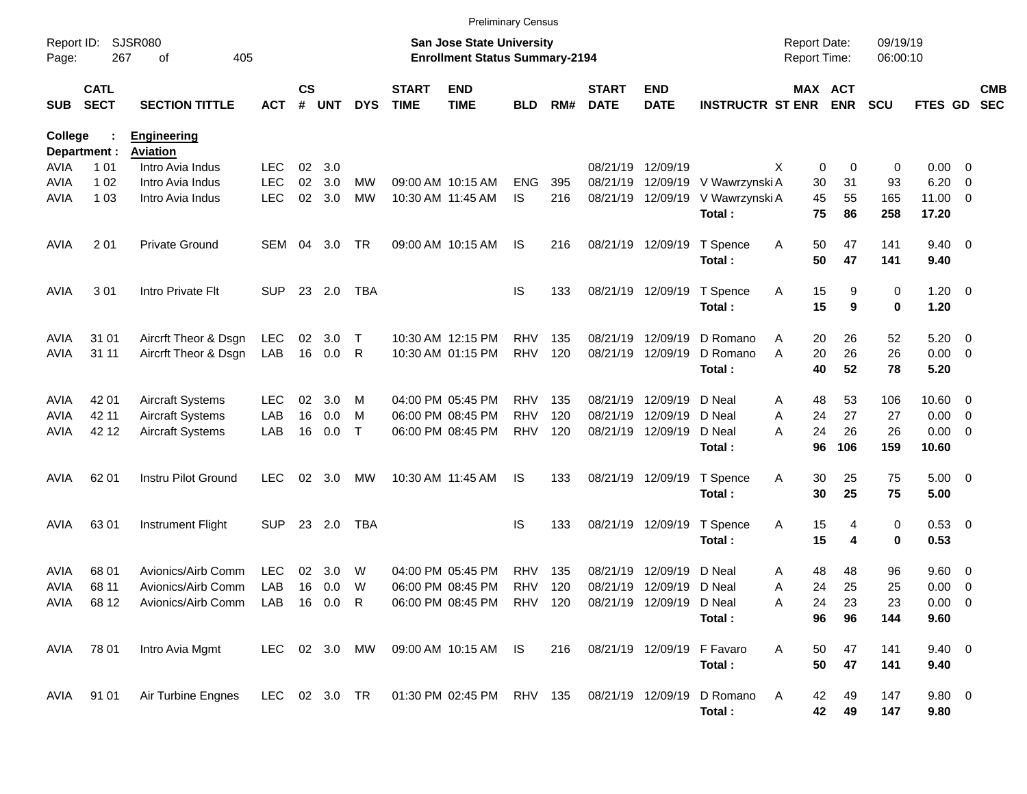|                     |                            |                                     |                 |                |            |               |                             | <b>Preliminary Census</b>                                                 |            |     |                             |                           |                         |                                     |            |                      |                        |                                           |                          |
|---------------------|----------------------------|-------------------------------------|-----------------|----------------|------------|---------------|-----------------------------|---------------------------------------------------------------------------|------------|-----|-----------------------------|---------------------------|-------------------------|-------------------------------------|------------|----------------------|------------------------|-------------------------------------------|--------------------------|
| Report ID:<br>Page: | 267                        | SJSR080<br>405<br>оf                |                 |                |            |               |                             | <b>San Jose State University</b><br><b>Enrollment Status Summary-2194</b> |            |     |                             |                           |                         | <b>Report Date:</b><br>Report Time: |            | 09/19/19<br>06:00:10 |                        |                                           |                          |
| <b>SUB</b>          | <b>CATL</b><br><b>SECT</b> | <b>SECTION TITTLE</b>               | <b>ACT</b>      | <b>CS</b><br># | <b>UNT</b> | <b>DYS</b>    | <b>START</b><br><b>TIME</b> | <b>END</b><br><b>TIME</b>                                                 | <b>BLD</b> | RM# | <b>START</b><br><b>DATE</b> | <b>END</b><br><b>DATE</b> | <b>INSTRUCTR ST ENR</b> | MAX ACT                             | <b>ENR</b> | <b>SCU</b>           | FTES GD                |                                           | <b>CMB</b><br><b>SEC</b> |
| College             |                            | <b>Engineering</b>                  |                 |                |            |               |                             |                                                                           |            |     |                             |                           |                         |                                     |            |                      |                        |                                           |                          |
|                     | Department :               | <b>Aviation</b><br>Intro Avia Indus | <b>LEC</b>      |                |            |               |                             |                                                                           |            |     | 08/21/19                    | 12/09/19                  |                         |                                     |            |                      |                        |                                           |                          |
| AVIA<br>AVIA        | 1 0 1<br>1 0 2             | Intro Avia Indus                    | <b>LEC</b>      | 02<br>02       | 3.0<br>3.0 | MW            |                             | 09:00 AM 10:15 AM                                                         | <b>ENG</b> | 395 | 08/21/19                    | 12/09/19                  | V Wawrzynski A          | X<br>0<br>30                        | 0<br>31    | 0<br>93              | 0.00<br>6.20           | $\overline{\mathbf{0}}$<br>$\overline{0}$ |                          |
| AVIA                | 1 0 3                      | Intro Avia Indus                    | <b>LEC</b>      | 02             | 3.0        | <b>MW</b>     |                             | 10:30 AM 11:45 AM                                                         | <b>IS</b>  | 216 |                             | 08/21/19 12/09/19         | V Wawrzynski A          | 45                                  | 55         | 165                  | 11.00                  | - 0                                       |                          |
|                     |                            |                                     |                 |                |            |               |                             |                                                                           |            |     |                             |                           | Total:                  | 75                                  | 86         | 258                  | 17.20                  |                                           |                          |
| <b>AVIA</b>         | 2 0 1                      | <b>Private Ground</b>               | SEM             | 04             | 3.0        | TR            |                             | 09:00 AM 10:15 AM                                                         | IS.        | 216 |                             | 08/21/19 12/09/19         | T Spence<br>Total:      | 50<br>Α<br>50                       | 47<br>47   | 141<br>141           | $9.40 \quad 0$<br>9.40 |                                           |                          |
| <b>AVIA</b>         | 301                        | Intro Private Flt                   | <b>SUP</b>      |                | 23 2.0     | <b>TBA</b>    |                             |                                                                           | <b>IS</b>  | 133 |                             | 08/21/19 12/09/19         | T Spence<br>Total:      | 15<br>A<br>15                       | 9<br>9     | 0<br>0               | $1.20 \t 0$<br>1.20    |                                           |                          |
| <b>AVIA</b>         | 31 01                      | Aircrft Theor & Dsgn                | <b>LEC</b>      | 02             | 3.0        | Т             |                             | 10:30 AM 12:15 PM                                                         | <b>RHV</b> | 135 | 08/21/19                    | 12/09/19                  | D Romano                | 20<br>A                             | 26         | 52                   | 5.20                   | $\overline{\mathbf{0}}$                   |                          |
| <b>AVIA</b>         | 31 11                      | Aircrft Theor & Dsgn                | LAB             | 16             | 0.0        | R             |                             | 10:30 AM 01:15 PM                                                         | <b>RHV</b> | 120 |                             | 08/21/19 12/09/19         | D Romano                | A<br>20                             | 26         | 26                   | 0.00                   | $\overline{\mathbf{0}}$                   |                          |
|                     |                            |                                     |                 |                |            |               |                             |                                                                           |            |     |                             |                           | Total:                  | 40                                  | 52         | 78                   | 5.20                   |                                           |                          |
| <b>AVIA</b>         | 42 01                      | <b>Aircraft Systems</b>             | LEC             | 02             | 3.0        | M             |                             | 04:00 PM 05:45 PM                                                         | <b>RHV</b> | 135 |                             | 08/21/19 12/09/19         | D Neal                  | 48<br>A                             | 53         | 106                  | 10.60                  | $\overline{\mathbf{0}}$                   |                          |
| AVIA                | 42 11                      | <b>Aircraft Systems</b>             | LAB             | 16             | 0.0        | м             |                             | 06:00 PM 08:45 PM                                                         | <b>RHV</b> | 120 | 08/21/19                    | 12/09/19                  | D Neal                  | 24<br>A                             | 27         | 27                   | 0.00                   | $\overline{\mathbf{0}}$                   |                          |
| AVIA                | 42 12                      | <b>Aircraft Systems</b>             | LAB             | 16             | 0.0        | $\top$        |                             | 06:00 PM 08:45 PM                                                         | <b>RHV</b> | 120 |                             | 08/21/19 12/09/19         | D Neal                  | 24<br>А                             | 26         | 26                   | 0.00                   | $\overline{\mathbf{0}}$                   |                          |
|                     |                            |                                     |                 |                |            |               |                             |                                                                           |            |     |                             |                           | Total:                  | 96                                  | 106        | 159                  | 10.60                  |                                           |                          |
| AVIA                | 62 01                      | Instru Pilot Ground                 | <b>LEC</b>      | 02             | 3.0        | МW            |                             | 10:30 AM 11:45 AM                                                         | IS         | 133 |                             | 08/21/19 12/09/19         | T Spence<br>Total:      | Α<br>30<br>30                       | 25<br>25   | 75<br>75             | $5.00 \quad 0$<br>5.00 |                                           |                          |
| AVIA                | 63 01                      | Instrument Flight                   | <b>SUP</b>      |                | 23 2.0     | TBA           |                             |                                                                           | <b>IS</b>  | 133 |                             | 08/21/19 12/09/19         | T Spence                | 15<br>A                             | 4          | 0                    | 0.53 0                 |                                           |                          |
|                     |                            |                                     |                 |                |            |               |                             |                                                                           |            |     |                             |                           | Total:                  | 15                                  | 4          | 0                    | 0.53                   |                                           |                          |
| AVIA                | 68 01                      | Avionics/Airb Comm                  | <b>LEC</b>      | 02             | 3.0        | W             |                             | 04:00 PM 05:45 PM                                                         | RHV        | 135 | 08/21/19                    | 12/09/19                  | D Neal                  | 48<br>Α                             | 48         | 96                   | 9.60                   | $\overline{\mathbf{0}}$                   |                          |
| AVIA                | 68 11                      | Avionics/Airb Comm                  | LAB             | 16             | 0.0        | W             |                             | 06:00 PM 08:45 PM                                                         | <b>RHV</b> | 120 |                             | 08/21/19 12/09/19         | D Neal                  | 24<br>A                             | 25         | 25                   | 0.00                   | $\overline{\mathbf{0}}$                   |                          |
|                     | AVIA 6812                  | Avionics/Airb Comm                  | LAB  16  0.0  R |                |            |               |                             | 06:00 PM 08:45 PM RHV 120 08/21/19 12/09/19                               |            |     |                             |                           | D Neal                  | Α<br>24                             | 23         | 23                   | $0.00 \t 0$            |                                           |                          |
|                     |                            |                                     |                 |                |            |               |                             |                                                                           |            |     |                             |                           | Total:                  | 96                                  | 96         | 144                  | 9.60                   |                                           |                          |
| AVIA                | 78 01                      | Intro Avia Mgmt                     |                 |                |            | LEC 02 3.0 MW |                             | 09:00 AM 10:15 AM IS                                                      |            | 216 | 08/21/19 12/09/19           |                           | F Favaro                | A<br>50                             | 47         | 141                  | $9.40 \quad 0$         |                                           |                          |
|                     |                            |                                     |                 |                |            |               |                             |                                                                           |            |     |                             |                           | Total:                  | 50                                  | 47         | 141                  | 9.40                   |                                           |                          |
|                     | AVIA 91 01                 | Air Turbine Engnes                  |                 |                |            | LEC 02 3.0 TR |                             | 01:30 PM 02:45 PM RHV 135 08/21/19 12/09/19                               |            |     |                             |                           | D Romano                | A<br>42                             | 49         | 147                  | 9.80 0                 |                                           |                          |
|                     |                            |                                     |                 |                |            |               |                             |                                                                           |            |     |                             |                           | Total:                  | 42                                  | 49         | 147                  | 9.80                   |                                           |                          |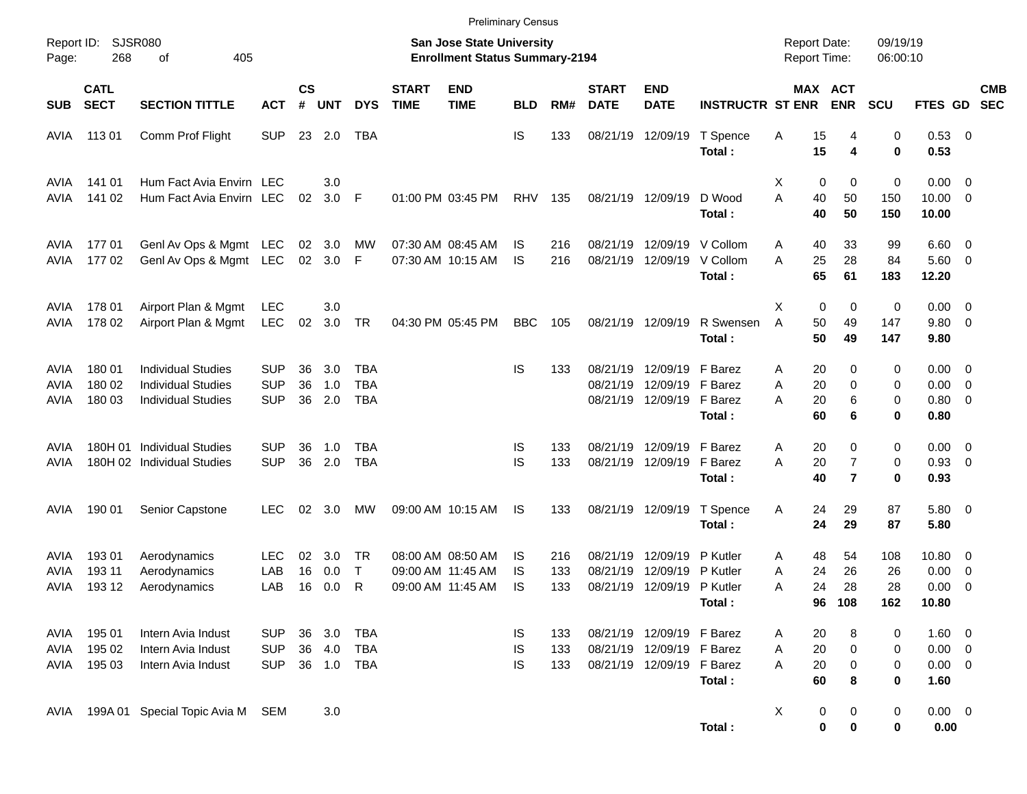|                      |                            |                                                                                     |                                        |                    |                      |                                 |                             |                                                                           | <b>Preliminary Census</b> |                   |                             |                                                                                     |                                         |                                     |                                       |                        |                                              |                                                      |  |
|----------------------|----------------------------|-------------------------------------------------------------------------------------|----------------------------------------|--------------------|----------------------|---------------------------------|-----------------------------|---------------------------------------------------------------------------|---------------------------|-------------------|-----------------------------|-------------------------------------------------------------------------------------|-----------------------------------------|-------------------------------------|---------------------------------------|------------------------|----------------------------------------------|------------------------------------------------------|--|
| Report ID:<br>Page:  | 268                        | <b>SJSR080</b><br>405<br>оf                                                         |                                        |                    |                      |                                 |                             | <b>San Jose State University</b><br><b>Enrollment Status Summary-2194</b> |                           |                   |                             |                                                                                     |                                         | <b>Report Date:</b><br>Report Time: |                                       | 09/19/19<br>06:00:10   |                                              |                                                      |  |
| <b>SUB</b>           | <b>CATL</b><br><b>SECT</b> | <b>SECTION TITTLE</b>                                                               | <b>ACT</b>                             | $\mathsf{cs}$<br># | <b>UNT</b>           | <b>DYS</b>                      | <b>START</b><br><b>TIME</b> | <b>END</b><br><b>TIME</b>                                                 | <b>BLD</b>                | RM#               | <b>START</b><br><b>DATE</b> | <b>END</b><br><b>DATE</b>                                                           | <b>INSTRUCTR ST ENR</b>                 | MAX ACT                             | <b>ENR</b>                            | <b>SCU</b>             | <b>FTES GD</b>                               | <b>CMB</b><br><b>SEC</b>                             |  |
| AVIA                 | 11301                      | Comm Prof Flight                                                                    | <b>SUP</b>                             |                    | 23 2.0               | TBA                             |                             |                                                                           | IS                        | 133               |                             | 08/21/19 12/09/19                                                                   | T Spence<br>Total:                      | Α<br>15<br>15                       | 4<br>4                                | 0<br>0                 | 0.53 0<br>0.53                               |                                                      |  |
| AVIA<br>AVIA         | 141 01<br>141 02           | Hum Fact Avia Envirn LEC<br>Hum Fact Avia Envirn LEC                                |                                        | 02                 | 3.0<br>3.0           | F                               |                             | 01:00 PM 03:45 PM                                                         | RHV                       | 135               |                             | 08/21/19 12/09/19                                                                   | D Wood<br>Total:                        | X<br>0<br>A<br>40<br>40             | 0<br>50<br>50                         | 0<br>150<br>150        | $0.00 \t 0$<br>$10.00 \t 0$<br>10.00         |                                                      |  |
| AVIA<br>AVIA         | 17701<br>17702             | Genl Av Ops & Mgmt LEC<br>Genl Av Ops & Mgmt LEC                                    |                                        | 02 <sub>o</sub>    | 02 3.0<br>3.0        | МW<br>F                         |                             | 07:30 AM 08:45 AM<br>07:30 AM 10:15 AM                                    | IS<br>IS                  | 216<br>216        | 08/21/19                    | 08/21/19 12/09/19                                                                   | 12/09/19 V Collom<br>V Collom<br>Total: | 40<br>Α<br>A<br>25<br>65            | 33<br>28<br>61                        | 99<br>84<br>183        | $6.60 \quad 0$<br>5.60 0<br>12.20            |                                                      |  |
| AVIA<br>AVIA         | 178 01<br>178 02           | Airport Plan & Mgmt<br>Airport Plan & Mgmt                                          | LEC<br><b>LEC</b>                      | 02                 | 3.0<br>3.0           | <b>TR</b>                       |                             | 04:30 PM 05:45 PM                                                         | <b>BBC</b>                | 105               |                             | 08/21/19 12/09/19                                                                   | R Swensen<br>Total:                     | 0<br>X<br>A<br>50<br>50             | 0<br>49<br>49                         | 0<br>147<br>147        | $0.00 \t 0$<br>9.80 0<br>9.80                |                                                      |  |
| AVIA<br>AVIA<br>AVIA | 180 01<br>180 02<br>180 03 | <b>Individual Studies</b><br><b>Individual Studies</b><br><b>Individual Studies</b> | <b>SUP</b><br><b>SUP</b><br><b>SUP</b> | 36<br>36<br>36     | 3.0<br>1.0<br>2.0    | TBA<br><b>TBA</b><br><b>TBA</b> |                             |                                                                           | IS                        | 133               | 08/21/19<br>08/21/19        | 12/09/19<br>12/09/19 F Barez<br>08/21/19 12/09/19 F Barez                           | F Barez<br>Total:                       | 20<br>Α<br>20<br>Α<br>20<br>А<br>60 | 0<br>0<br>6<br>6                      | 0<br>0<br>0<br>0       | $0.00 \t 0$<br>$0.00 \t 0$<br>0.80 0<br>0.80 |                                                      |  |
| AVIA<br>AVIA         |                            | 180H 01 Individual Studies<br>180H 02 Individual Studies                            | <b>SUP</b><br><b>SUP</b>               | 36<br>36           | 1.0<br>2.0           | TBA<br><b>TBA</b>               |                             |                                                                           | IS<br>IS                  | 133<br>133        |                             | 08/21/19 12/09/19<br>08/21/19 12/09/19                                              | F Barez<br>F Barez<br>Total:            | 20<br>Α<br>A<br>20<br>40            | 0<br>$\overline{7}$<br>$\overline{7}$ | 0<br>0<br>0            | $0.00 \t 0$<br>0.93 0<br>0.93                |                                                      |  |
| AVIA                 | 190 01                     | Senior Capstone                                                                     | <b>LEC</b>                             | 02                 | 3.0                  | MW                              |                             | 09:00 AM 10:15 AM                                                         | IS                        | 133               |                             | 08/21/19 12/09/19                                                                   | T Spence<br>Total:                      | 24<br>A<br>24                       | 29<br>29                              | 87<br>87               | 5.80 0<br>5.80                               |                                                      |  |
| AVIA<br>AVIA<br>AVIA | 19301<br>193 11<br>193 12  | Aerodynamics<br>Aerodynamics<br>Aerodynamics                                        | <b>LEC</b><br>LAB<br>LAB               | 02<br>16<br>16     | 3.0<br>0.0<br>0.0    | TR<br>$\top$<br>R               |                             | 08:00 AM 08:50 AM<br>09:00 AM 11:45 AM<br>09:00 AM 11:45 AM               | IS<br>IS<br>IS            | 216<br>133<br>133 | 08/21/19<br>08/21/19        | 12/09/19<br>12/09/19<br>08/21/19 12/09/19 P Kutler                                  | P Kutler<br>P Kutler<br>Total:          | 48<br>Α<br>24<br>A<br>24<br>Α       | 54<br>26<br>28<br>96 108              | 108<br>26<br>28<br>162 | 10.80 0<br>0.00<br>0.00<br>10.80             | $\overline{\phantom{0}}$<br>$\overline{\phantom{0}}$ |  |
| AVIA<br>AVIA<br>avia | 195 01<br>195 02<br>195 03 | Intern Avia Indust<br>Intern Avia Indust<br>Intern Avia Indust                      | <b>SUP</b><br><b>SUP</b><br><b>SUP</b> | 36<br>36           | 3.0<br>4.0<br>36 1.0 | TBA<br><b>TBA</b><br>TBA        |                             |                                                                           | IS<br>IS<br>IS            | 133<br>133<br>133 |                             | 08/21/19 12/09/19 F Barez<br>08/21/19 12/09/19 F Barez<br>08/21/19 12/09/19 F Barez | Total:                                  | 20<br>A<br>20<br>Α<br>20<br>Α<br>60 | 8<br>$\pmb{0}$<br>$\pmb{0}$<br>8      | 0<br>0<br>0<br>0       | 1.60 0<br>$0.00 \t 0$<br>$0.00 \t 0$<br>1.60 |                                                      |  |
| AVIA                 |                            | 199A 01 Special Topic Avia M                                                        | <b>SEM</b>                             |                    | 3.0                  |                                 |                             |                                                                           |                           |                   |                             |                                                                                     | Total:                                  | X<br>$\pmb{0}$<br>$\pmb{0}$         | 0<br>0                                | $\pmb{0}$<br>0         | $0.00 \t 0$<br>0.00                          |                                                      |  |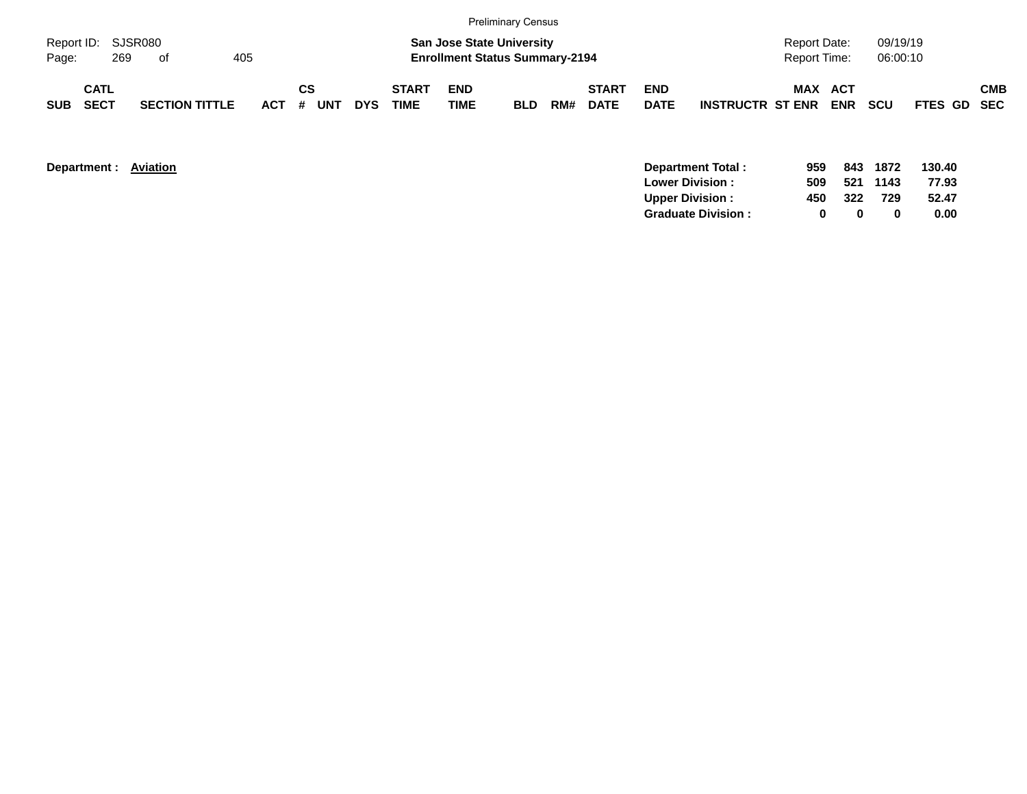|            |                            |     |                       |     |           |    |            |                             |                    | <b>Preliminary Census</b>                                                 |     |                             |                           |                         |                                     |                       |                      |             |            |
|------------|----------------------------|-----|-----------------------|-----|-----------|----|------------|-----------------------------|--------------------|---------------------------------------------------------------------------|-----|-----------------------------|---------------------------|-------------------------|-------------------------------------|-----------------------|----------------------|-------------|------------|
| Page:      | Report ID: SJSR080         | 269 | . of                  | 405 |           |    |            |                             |                    | <b>San Jose State University</b><br><b>Enrollment Status Summary-2194</b> |     |                             |                           |                         | Report Date:<br><b>Report Time:</b> |                       | 09/19/19<br>06:00:10 |             |            |
| <b>SUB</b> | <b>CATL</b><br><b>SECT</b> |     | <b>SECTION TITTLE</b> |     | ACT # UNT | СS | <b>DYS</b> | <b>START</b><br><b>TIME</b> | <b>END</b><br>TIME | <b>BLD</b>                                                                | RM# | <b>START</b><br><b>DATE</b> | <b>END</b><br><b>DATE</b> | <b>INSTRUCTR ST ENR</b> |                                     | MAX ACT<br><b>ENR</b> | <b>SCU</b>           | FTES GD SEC | <b>CMB</b> |

| Department : | Aviation | <b>Department Total:</b>  | 959 | 843 | 1872 | 130.40 |
|--------------|----------|---------------------------|-----|-----|------|--------|
|              |          | <b>Lower Division:</b>    | 509 | 521 | 1143 | 77.93  |
|              |          | <b>Upper Division:</b>    | 450 | 322 | 729  | 52.47  |
|              |          | <b>Graduate Division:</b> |     |     |      | 0.00   |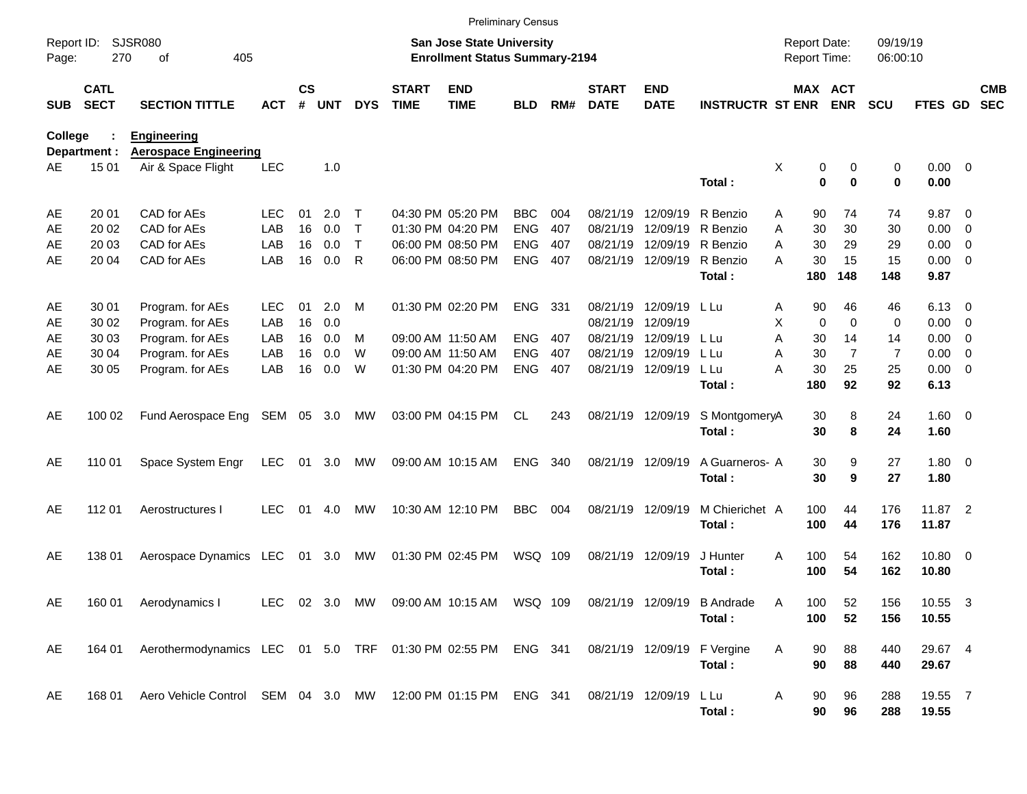|                     |                            |                                                              |            |                    |            |            |                             | <b>Preliminary Census</b>                                                 |            |     |                             |                           |                                       |   |                                     |                |                      |                     |                          |                          |
|---------------------|----------------------------|--------------------------------------------------------------|------------|--------------------|------------|------------|-----------------------------|---------------------------------------------------------------------------|------------|-----|-----------------------------|---------------------------|---------------------------------------|---|-------------------------------------|----------------|----------------------|---------------------|--------------------------|--------------------------|
| Report ID:<br>Page: | 270                        | <b>SJSR080</b><br>405<br>of                                  |            |                    |            |            |                             | <b>San Jose State University</b><br><b>Enrollment Status Summary-2194</b> |            |     |                             |                           |                                       |   | <b>Report Date:</b><br>Report Time: |                | 09/19/19<br>06:00:10 |                     |                          |                          |
| <b>SUB</b>          | <b>CATL</b><br><b>SECT</b> | <b>SECTION TITTLE</b>                                        | <b>ACT</b> | $\mathsf{cs}$<br># | <b>UNT</b> | <b>DYS</b> | <b>START</b><br><b>TIME</b> | <b>END</b><br><b>TIME</b>                                                 | <b>BLD</b> | RM# | <b>START</b><br><b>DATE</b> | <b>END</b><br><b>DATE</b> | <b>INSTRUCTR ST ENR</b>               |   | MAX ACT                             | <b>ENR</b>     | <b>SCU</b>           | FTES GD             |                          | <b>CMB</b><br><b>SEC</b> |
| College             | Department :               | <b>Engineering</b><br><b>Aerospace Engineering</b>           |            |                    |            |            |                             |                                                                           |            |     |                             |                           |                                       |   |                                     |                |                      |                     |                          |                          |
| AE                  | 15 01                      | Air & Space Flight                                           | <b>LEC</b> |                    | 1.0        |            |                             |                                                                           |            |     |                             |                           | Total:                                | Χ | 0<br>0                              | 0<br>$\bf{0}$  | 0<br>$\bf{0}$        | $0.00 \t 0$<br>0.00 |                          |                          |
| AE                  | 20 01                      | CAD for AEs                                                  | <b>LEC</b> | 01                 | 2.0        | т          |                             | 04:30 PM 05:20 PM                                                         | <b>BBC</b> | 004 | 08/21/19                    | 12/09/19                  | R Benzio                              | Α | 90                                  | 74             | 74                   | 9.87                | - 0                      |                          |
| AE                  | 20 02                      | CAD for AEs                                                  | LAB        | 16                 | 0.0        | т          |                             | 01:30 PM 04:20 PM                                                         | <b>ENG</b> | 407 | 08/21/19                    | 12/09/19                  | R Benzio                              | A | 30                                  | 30             | 30                   | 0.00                | $\mathbf 0$              |                          |
| AE                  | 20 03                      | CAD for AEs                                                  | LAB        | 16                 | 0.0        | т          |                             | 06:00 PM 08:50 PM                                                         | <b>ENG</b> | 407 | 08/21/19                    | 12/09/19                  | R Benzio                              | A | 30                                  | 29             | 29                   | 0.00                | $\mathbf 0$              |                          |
| AE                  | 20 04                      | CAD for AEs                                                  | LAB        | 16                 | 0.0        | R          |                             | 06:00 PM 08:50 PM                                                         | <b>ENG</b> | 407 | 08/21/19                    | 12/09/19                  | R Benzio                              | A | 30                                  | 15             | 15                   | 0.00                | $\overline{0}$           |                          |
|                     |                            |                                                              |            |                    |            |            |                             |                                                                           |            |     |                             |                           | Total:                                |   | 180                                 | 148            | 148                  | 9.87                |                          |                          |
| AE                  | 30 01                      | Program. for AEs                                             | <b>LEC</b> | 01                 | 2.0        | M          |                             | 01:30 PM 02:20 PM                                                         | <b>ENG</b> | 331 | 08/21/19                    | 12/09/19                  | L Lu                                  | Α | 90                                  | 46             | 46                   | 6.13                | $\overline{\phantom{0}}$ |                          |
| AE                  | 30 02                      | Program. for AEs                                             | LAB        | 16                 | 0.0        |            |                             |                                                                           |            |     | 08/21/19                    | 12/09/19                  |                                       | X | $\mathbf 0$                         | $\mathbf 0$    | 0                    | 0.00                | 0                        |                          |
| AE                  | 30 03                      | Program. for AEs                                             | LAB        | 16                 | 0.0        | м          |                             | 09:00 AM 11:50 AM                                                         | <b>ENG</b> | 407 | 08/21/19                    | 12/09/19                  | L Lu                                  | A | 30                                  | 14             | 14                   | 0.00                | $\overline{0}$           |                          |
| AE                  | 30 04                      | Program. for AEs                                             | LAB        | 16                 | 0.0        | W          |                             | 09:00 AM 11:50 AM                                                         | <b>ENG</b> | 407 | 08/21/19                    | 12/09/19                  | L Lu                                  | A | 30                                  | $\overline{7}$ | $\overline{7}$       | 0.00                | $\overline{0}$           |                          |
| AE                  | 30 05                      | Program. for AEs                                             | LAB        | 16                 | 0.0        | W          |                             | 01:30 PM 04:20 PM                                                         | <b>ENG</b> | 407 | 08/21/19                    | 12/09/19                  | L Lu                                  | А | 30                                  | 25             | 25                   | 0.00                | $\overline{0}$           |                          |
|                     |                            |                                                              |            |                    |            |            |                             |                                                                           |            |     |                             |                           | Total:                                |   | 180                                 | 92             | 92                   | 6.13                |                          |                          |
| AE                  | 100 02                     | Fund Aerospace Eng                                           | SEM        | 05                 | 3.0        | МW         |                             | 03:00 PM 04:15 PM                                                         | <b>CL</b>  | 243 | 08/21/19 12/09/19           |                           | S MontgomeryA<br>Total:               |   | 30<br>30                            | 8<br>8         | 24<br>24             | $1.60 \t 0$<br>1.60 |                          |                          |
| AE                  | 110 01                     | Space System Engr                                            | <b>LEC</b> | 01                 | 3.0        | МW         |                             | 09:00 AM 10:15 AM                                                         | <b>ENG</b> | 340 | 08/21/19 12/09/19           |                           | A Guarneros- A<br>Total:              |   | 30<br>30                            | 9<br>9         | 27<br>27             | $1.80 \ 0$<br>1.80  |                          |                          |
| AE                  | 112 01                     | Aerostructures I                                             | <b>LEC</b> | 01                 | 4.0        | MW         |                             | 10:30 AM 12:10 PM                                                         | <b>BBC</b> | 004 | 08/21/19 12/09/19           |                           | M Chierichet A<br>Total:              |   | 100<br>100                          | 44<br>44       | 176<br>176           | 11.87 2<br>11.87    |                          |                          |
| AE                  | 138 01                     | Aerospace Dynamics LEC                                       |            | 01                 | 3.0        | МW         |                             | 01:30 PM 02:45 PM                                                         | WSQ 109    |     | 08/21/19 12/09/19           |                           | J Hunter<br>Total:                    | A | 100<br>100                          | 54<br>54       | 162<br>162           | 10.80 0<br>10.80    |                          |                          |
| AE                  | 160 01                     | Aerodynamics I                                               |            |                    |            |            |                             | LEC 02 3.0 MW 09:00 AM 10:15 AM WSQ 109                                   |            |     |                             |                           | 08/21/19 12/09/19 B Andrade<br>Total: | Α | 100<br>100                          | 52<br>52       | 156<br>156           | 10.55 3<br>10.55    |                          |                          |
| AE                  | 164 01                     | Aerothermodynamics LEC 01 5.0 TRF 01:30 PM 02:55 PM ENG 341  |            |                    |            |            |                             |                                                                           |            |     |                             |                           | 08/21/19 12/09/19 F Vergine<br>Total: | Α | 90<br>90                            | 88<br>88       | 440<br>440           | 29.67 4<br>29.67    |                          |                          |
| AE                  | 168 01                     | Aero Vehicle Control SEM 04 3.0 MW 12:00 PM 01:15 PM ENG 341 |            |                    |            |            |                             |                                                                           |            |     | 08/21/19 12/09/19           |                           | L Lu<br>Total:                        | A | 90<br>90                            | 96<br>96       | 288<br>288           | 19.55 7<br>19.55    |                          |                          |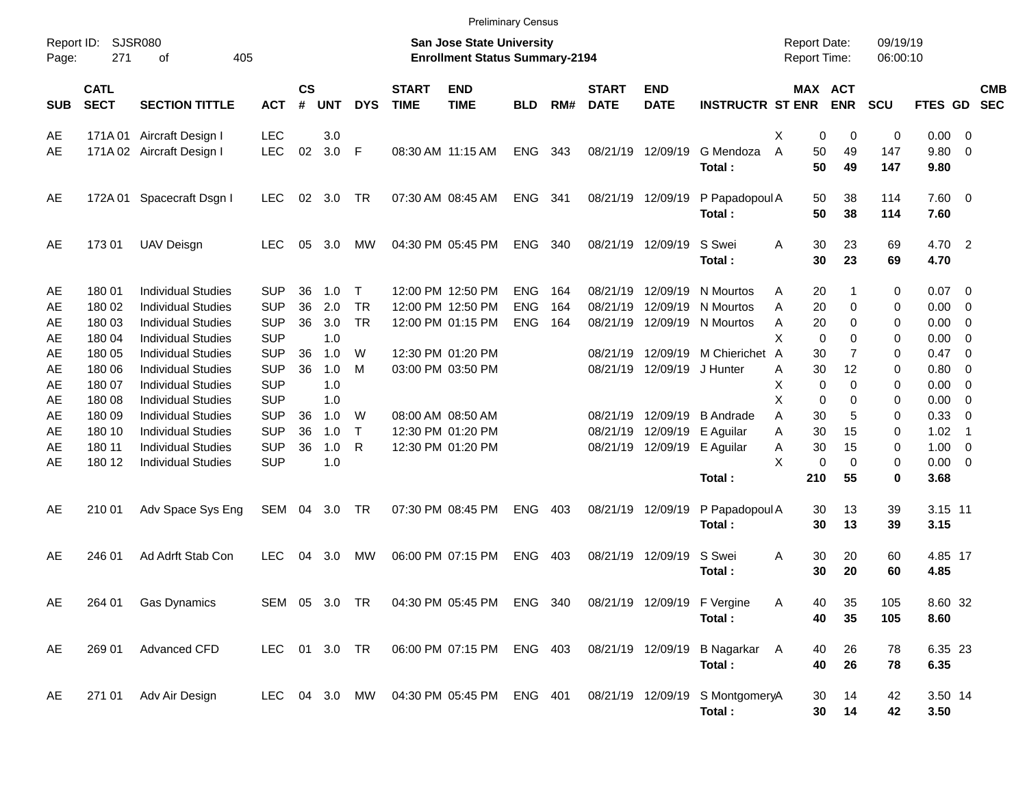|                     |                            |                           |               |                |            |              |                             | <b>Preliminary Census</b>                                                 |            |       |                             |                             |                                           |                                            |                       |                      |                 |                          |            |
|---------------------|----------------------------|---------------------------|---------------|----------------|------------|--------------|-----------------------------|---------------------------------------------------------------------------|------------|-------|-----------------------------|-----------------------------|-------------------------------------------|--------------------------------------------|-----------------------|----------------------|-----------------|--------------------------|------------|
| Report ID:<br>Page: | 271                        | SJSR080<br>405<br>οf      |               |                |            |              |                             | San Jose State University<br><b>Enrollment Status Summary-2194</b>        |            |       |                             |                             |                                           | <b>Report Date:</b><br><b>Report Time:</b> |                       | 09/19/19<br>06:00:10 |                 |                          |            |
| <b>SUB</b>          | <b>CATL</b><br><b>SECT</b> | <b>SECTION TITTLE</b>     | <b>ACT</b>    | <b>CS</b><br># | <b>UNT</b> | <b>DYS</b>   | <b>START</b><br><b>TIME</b> | <b>END</b><br><b>TIME</b>                                                 | <b>BLD</b> | RM#   | <b>START</b><br><b>DATE</b> | <b>END</b><br><b>DATE</b>   | <b>INSTRUCTR ST ENR</b>                   |                                            | MAX ACT<br><b>ENR</b> | <b>SCU</b>           | FTES GD SEC     |                          | <b>CMB</b> |
| AE                  | 171A 01                    | Aircraft Design I         | <b>LEC</b>    |                | 3.0        |              |                             |                                                                           |            |       |                             |                             |                                           | х                                          | 0<br>0                | 0                    | $0.00 \t 0$     |                          |            |
| AE                  |                            | 171A 02 Aircraft Design I | LEC           | 02             | $3.0$ F    |              |                             | 08:30 AM 11:15 AM                                                         | <b>ENG</b> | 343   |                             | 08/21/19 12/09/19           | G Mendoza<br>Total:                       | A<br>50<br>50                              | 49<br>49              | 147<br>147           | 9.80<br>9.80    | $\overline{0}$           |            |
| AE                  |                            | 172A 01 Spacecraft Dsgn I | <b>LEC</b>    |                | 02 3.0     | TR           |                             | 07:30 AM 08:45 AM                                                         | ENG        | - 341 |                             | 08/21/19 12/09/19           | P Papadopoul A<br>Total:                  | 50<br>50                                   | 38<br>38              | 114<br>114           | 7.60 0<br>7.60  |                          |            |
| AE                  | 17301                      | <b>UAV Deisgn</b>         | <b>LEC</b>    | 05             | 3.0        | МW           |                             | 04:30 PM 05:45 PM                                                         | <b>ENG</b> | 340   |                             | 08/21/19 12/09/19           | S Swei<br>Total:                          | 30<br>A<br>30                              | 23<br>23              | 69<br>69             | 4.70 2<br>4.70  |                          |            |
| AE                  | 180 01                     | <b>Individual Studies</b> | <b>SUP</b>    | 36             | 1.0        | $\top$       |                             | 12:00 PM 12:50 PM                                                         | <b>ENG</b> | 164   | 08/21/19                    | 12/09/19                    | N Mourtos                                 | 20<br>Α                                    | 1                     | 0                    | $0.07$ 0        |                          |            |
| AE                  | 180 02                     | <b>Individual Studies</b> | <b>SUP</b>    | 36             | 2.0        | <b>TR</b>    |                             | 12:00 PM 12:50 PM                                                         | <b>ENG</b> | 164   | 08/21/19                    | 12/09/19                    | N Mourtos                                 | 20<br>Α                                    | 0                     | 0                    | 0.00            | - 0                      |            |
| AE                  | 180 03                     | <b>Individual Studies</b> | <b>SUP</b>    | 36             | 3.0        | <b>TR</b>    |                             | 12:00 PM 01:15 PM                                                         | <b>ENG</b> | 164   |                             |                             | 08/21/19 12/09/19 N Mourtos               | Α<br>20                                    | 0                     | 0                    | 0.00            | - 0                      |            |
| AE                  | 180 04                     | <b>Individual Studies</b> | <b>SUP</b>    |                | 1.0        |              |                             |                                                                           |            |       |                             |                             |                                           | X                                          | $\mathbf 0$<br>0      | 0                    | 0.00            | - 0                      |            |
| AE                  | 180 05                     | <b>Individual Studies</b> | <b>SUP</b>    | 36             | 1.0        | W            |                             | 12:30 PM 01:20 PM                                                         |            |       | 08/21/19                    |                             | 12/09/19 M Chierichet A                   | 30                                         | $\overline{7}$        | 0                    | 0.47            | - 0                      |            |
| AE                  | 180 06                     | <b>Individual Studies</b> | <b>SUP</b>    | 36             | 1.0        | M            |                             | 03:00 PM 03:50 PM                                                         |            |       |                             | 08/21/19 12/09/19 J Hunter  |                                           | 30<br>Α                                    | 12                    | 0                    | 0.80            | - 0                      |            |
| AE                  | 180 07                     | <b>Individual Studies</b> | <b>SUP</b>    |                | 1.0        |              |                             |                                                                           |            |       |                             |                             |                                           | Χ                                          | 0<br>0                | 0                    | 0.00            | - 0                      |            |
| AE                  | 180 08                     | <b>Individual Studies</b> | <b>SUP</b>    |                | 1.0        |              |                             |                                                                           |            |       |                             |                             |                                           | Χ                                          | 0<br>0                | 0                    | 0.00            | - 0                      |            |
| AE                  | 180 09                     | <b>Individual Studies</b> | <b>SUP</b>    | 36             | 1.0        | W            |                             | 08:00 AM 08:50 AM                                                         |            |       | 08/21/19                    |                             | 12/09/19 B Andrade                        | A<br>30                                    | 5                     | 0                    | 0.33            | - 0                      |            |
| AE                  | 180 10                     | <b>Individual Studies</b> | <b>SUP</b>    | 36             | 1.0        | $\mathsf{T}$ |                             | 12:30 PM 01:20 PM                                                         |            |       | 08/21/19                    |                             | 12/09/19 E Aguilar                        | A<br>30                                    | 15                    | 0                    | 1.02            | $\overline{\phantom{0}}$ |            |
| AE                  | 180 11                     | <b>Individual Studies</b> | <b>SUP</b>    | 36             | 1.0        | $\mathsf{R}$ |                             | 12:30 PM 01:20 PM                                                         |            |       |                             | 08/21/19 12/09/19 E Aguilar |                                           | 30<br>Α                                    | 15                    | 0                    | 1.00            | $\overline{\phantom{0}}$ |            |
| AE                  | 180 12                     | <b>Individual Studies</b> | <b>SUP</b>    |                | 1.0        |              |                             |                                                                           |            |       |                             |                             |                                           | X<br>0                                     | $\Omega$              | 0                    | $0.00 \t 0$     |                          |            |
|                     |                            |                           |               |                |            |              |                             |                                                                           |            |       |                             |                             | Total:                                    | 210                                        | 55                    | 0                    | 3.68            |                          |            |
| AE                  | 210 01                     | Adv Space Sys Eng         | SEM 04 3.0 TR |                |            |              |                             | 07:30 PM 08:45 PM                                                         | <b>ENG</b> | 403   |                             | 08/21/19 12/09/19           | P Papadopoul A<br>Total:                  | 30<br>30                                   | 13<br>13              | 39<br>39             | 3.15 11<br>3.15 |                          |            |
| AE                  | 246 01                     | Ad Adrft Stab Con         | <b>LEC</b>    | 04             | 3.0        | МW           |                             | 06:00 PM 07:15 PM                                                         | <b>ENG</b> | 403   |                             | 08/21/19 12/09/19           | S Swei<br>Total:                          | 30<br>Α<br>30                              | 20<br>20              | 60<br>60             | 4.85 17<br>4.85 |                          |            |
| AE                  |                            | 264 01 Gas Dynamics       |               |                |            |              |                             | SEM 05 3.0 TR  04:30 PM 05:45 PM  ENG  340  08/21/19  12/09/19  F Vergine |            |       |                             |                             | Total:                                    | Α<br>40<br>40                              | 35<br>35              | 105<br>105           | 8.60 32<br>8.60 |                          |            |
| AE                  | 269 01                     | <b>Advanced CFD</b>       | LEC 01 3.0 TR |                |            |              |                             | 06:00 PM 07:15 PM ENG 403                                                 |            |       |                             |                             | 08/21/19 12/09/19 B Nagarkar A            | 40                                         | 26                    | 78                   | 6.35 23         |                          |            |
|                     |                            |                           |               |                |            |              |                             |                                                                           |            |       |                             |                             | Total:                                    | 40                                         | 26                    | 78                   | 6.35            |                          |            |
| AE                  | 271 01                     | Adv Air Design            |               |                |            |              |                             | LEC 04 3.0 MW 04:30 PM 05:45 PM ENG 401                                   |            |       |                             |                             | 08/21/19 12/09/19 S MontgomeryA<br>Total: | 30<br>30 <sup>°</sup>                      | 14<br>14              | 42<br>42             | 3.50 14<br>3.50 |                          |            |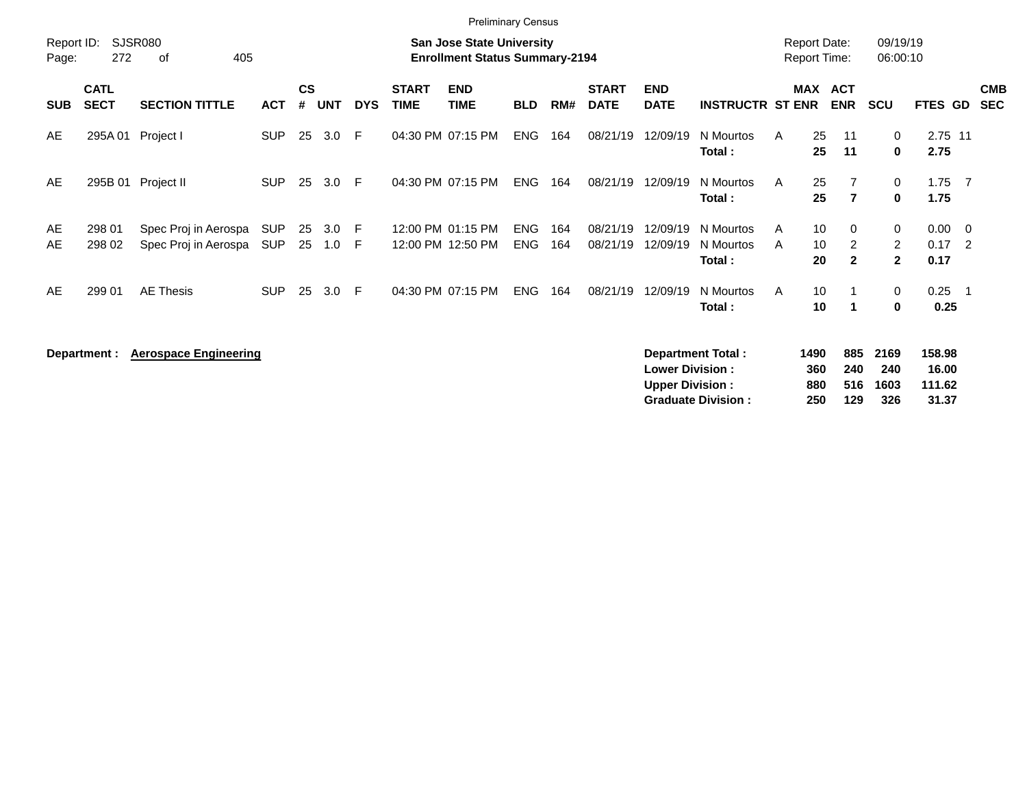|                     |                            |                                              |                          |                    |            |            |                             | <b>Preliminary Census</b>                                                 |                          |            |                             |                                                  |                                  |                                            |                    |                                     |                                       |                           |                                                       |                          |
|---------------------|----------------------------|----------------------------------------------|--------------------------|--------------------|------------|------------|-----------------------------|---------------------------------------------------------------------------|--------------------------|------------|-----------------------------|--------------------------------------------------|----------------------------------|--------------------------------------------|--------------------|-------------------------------------|---------------------------------------|---------------------------|-------------------------------------------------------|--------------------------|
| Report ID:<br>Page: | 272                        | <b>SJSR080</b><br>405<br>оf                  |                          |                    |            |            |                             | <b>San Jose State University</b><br><b>Enrollment Status Summary-2194</b> |                          |            |                             |                                                  |                                  | <b>Report Date:</b><br><b>Report Time:</b> |                    |                                     | 09/19/19<br>06:00:10                  |                           |                                                       |                          |
| <b>SUB</b>          | <b>CATL</b><br><b>SECT</b> | <b>SECTION TITTLE</b>                        | <b>ACT</b>               | $\mathsf{cs}$<br># | <b>UNT</b> | <b>DYS</b> | <b>START</b><br><b>TIME</b> | <b>END</b><br><b>TIME</b>                                                 | <b>BLD</b>               | RM#        | <b>START</b><br><b>DATE</b> | <b>END</b><br><b>DATE</b>                        | <b>INSTRUCTR ST ENR</b>          | <b>MAX</b>                                 |                    | <b>ACT</b><br><b>ENR</b>            | <b>SCU</b>                            | <b>FTES GD</b>            |                                                       | <b>CMB</b><br><b>SEC</b> |
| AE                  | 295A 01                    | Project I                                    | <b>SUP</b>               | 25                 | 3.0        | E          |                             | 04:30 PM 07:15 PM                                                         | <b>ENG</b>               | 164        | 08/21/19                    | 12/09/19                                         | N Mourtos<br>Total:              | A                                          | 25<br>25           | 11<br>11                            | 0<br>$\mathbf 0$                      | 2.75 11<br>2.75           |                                                       |                          |
| AE                  | 295B 01                    | Project II                                   | <b>SUP</b>               | 25                 | 3.0        | -F         |                             | 04:30 PM 07:15 PM                                                         | <b>ENG</b>               | 164        | 08/21/19                    | 12/09/19                                         | N Mourtos<br>Total:              | A                                          | 25<br>25           | $\overline{7}$<br>$\overline{7}$    | 0<br>$\mathbf 0$                      | 1.75<br>1.75              | $\overline{7}$                                        |                          |
| AE<br>AE            | 298 01<br>298 02           | Spec Proj in Aerospa<br>Spec Proj in Aerospa | <b>SUP</b><br><b>SUP</b> | 25<br>25           | 3.0<br>1.0 | -F<br>F    |                             | 12:00 PM 01:15 PM<br>12:00 PM 12:50 PM                                    | <b>ENG</b><br><b>ENG</b> | 164<br>164 | 08/21/19<br>08/21/19        | 12/09/19<br>12/09/19                             | N Mourtos<br>N Mourtos<br>Total: | A<br>A                                     | 10<br>10<br>20     | 0<br>$\overline{2}$<br>$\mathbf{2}$ | 0<br>$\overline{2}$<br>$\overline{2}$ | 0.00<br>0.17<br>0.17      | $\overline{\mathbf{0}}$<br>$\overline{\phantom{0}}^2$ |                          |
| AE                  | 299 01                     | <b>AE Thesis</b>                             | <b>SUP</b>               | 25                 | 3.0        | -F         |                             | 04:30 PM 07:15 PM                                                         | <b>ENG</b>               | 164        | 08/21/19                    | 12/09/19                                         | N Mourtos<br>Total:              | A                                          | 10<br>10           | $\mathbf 1$                         | 0<br>$\bf{0}$                         | 0.25<br>0.25              | - 1                                                   |                          |
|                     | Department :               | <b>Aerospace Engineering</b>                 |                          |                    |            |            |                             |                                                                           |                          |            |                             | <b>Lower Division:</b><br><b>Upper Division:</b> | <b>Department Total:</b>         |                                            | 1490<br>360<br>880 | 885<br>240<br>516                   | 2169<br>240<br>1603                   | 158.98<br>16.00<br>111.62 |                                                       |                          |

**Graduate Division : 250 129 326 31.37**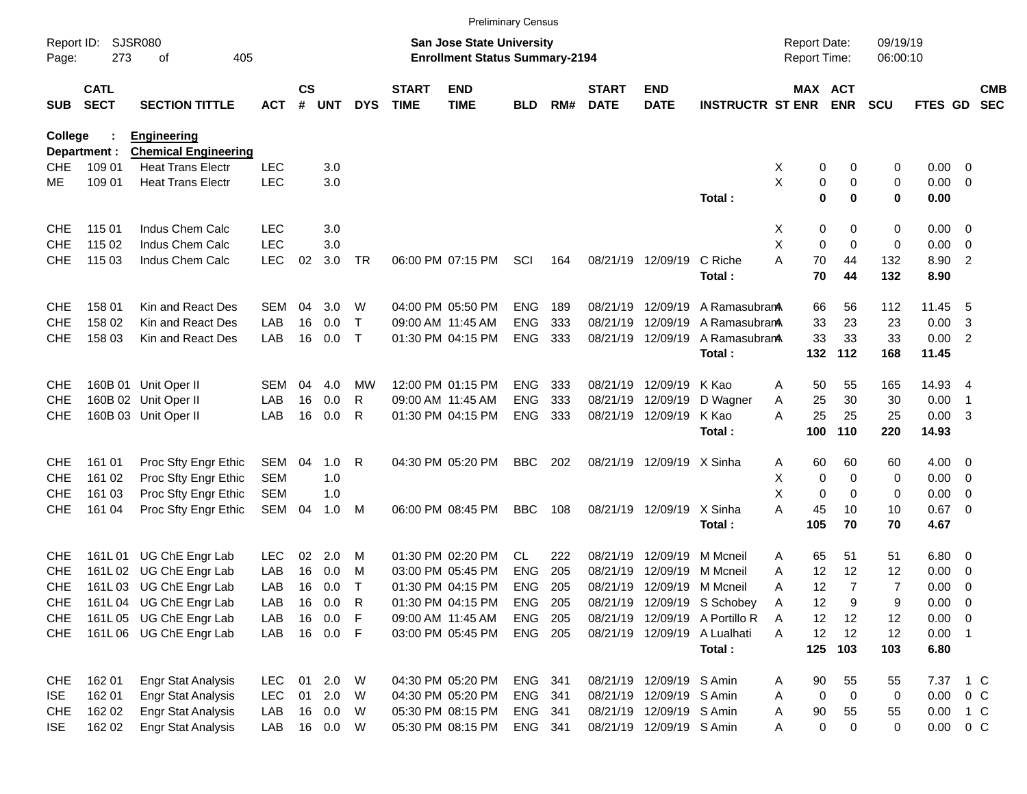|                |                            |                                                         |            |                    |            |              |                             |                                                                    | <b>Preliminary Census</b> |       |                             |                           |                                |                                            |                            |                      |                |                          |                          |
|----------------|----------------------------|---------------------------------------------------------|------------|--------------------|------------|--------------|-----------------------------|--------------------------------------------------------------------|---------------------------|-------|-----------------------------|---------------------------|--------------------------------|--------------------------------------------|----------------------------|----------------------|----------------|--------------------------|--------------------------|
| Page:          | Report ID: SJSR080<br>273  | 405<br>оf                                               |            |                    |            |              |                             | San Jose State University<br><b>Enrollment Status Summary-2194</b> |                           |       |                             |                           |                                | <b>Report Date:</b><br><b>Report Time:</b> |                            | 09/19/19<br>06:00:10 |                |                          |                          |
| <b>SUB</b>     | <b>CATL</b><br><b>SECT</b> | <b>SECTION TITTLE</b>                                   | <b>ACT</b> | $\mathsf{cs}$<br># | <b>UNT</b> | <b>DYS</b>   | <b>START</b><br><b>TIME</b> | <b>END</b><br><b>TIME</b>                                          | <b>BLD</b>                | RM#   | <b>START</b><br><b>DATE</b> | <b>END</b><br><b>DATE</b> | <b>INSTRUCTR ST ENR</b>        |                                            | MAX ACT<br><b>ENR</b>      | <b>SCU</b>           | <b>FTES GD</b> |                          | <b>CMB</b><br><b>SEC</b> |
| <b>College</b> |                            | <b>Engineering</b>                                      |            |                    |            |              |                             |                                                                    |                           |       |                             |                           |                                |                                            |                            |                      |                |                          |                          |
| <b>CHE</b>     | Department :<br>109 01     | <b>Chemical Engineering</b><br><b>Heat Trans Electr</b> | <b>LEC</b> |                    | 3.0        |              |                             |                                                                    |                           |       |                             |                           |                                | X                                          | 0<br>0                     | 0                    | $0.00 \t 0$    |                          |                          |
| MЕ             | 109 01                     | <b>Heat Trans Electr</b>                                | <b>LEC</b> |                    | 3.0        |              |                             |                                                                    |                           |       |                             |                           |                                | X                                          | 0<br>0                     | 0                    | $0.00 \t 0$    |                          |                          |
|                |                            |                                                         |            |                    |            |              |                             |                                                                    |                           |       |                             |                           | Total:                         |                                            | $\mathbf 0$<br>0           | 0                    | 0.00           |                          |                          |
| <b>CHE</b>     | 115 01                     | Indus Chem Calc                                         | <b>LEC</b> |                    | 3.0        |              |                             |                                                                    |                           |       |                             |                           |                                | X                                          | 0<br>0                     | 0                    | $0.00 \t 0$    |                          |                          |
| <b>CHE</b>     | 115 02                     | Indus Chem Calc                                         | <b>LEC</b> |                    | 3.0        |              |                             |                                                                    |                           |       |                             |                           |                                | X                                          | 0<br>$\mathbf 0$           | 0                    | 0.00           | $\overline{\phantom{0}}$ |                          |
| <b>CHE</b>     | 115 03                     | Indus Chem Calc                                         | <b>LEC</b> | 02                 | 3.0        | TR           |                             | 06:00 PM 07:15 PM                                                  | SCI                       | 164   |                             | 08/21/19 12/09/19         | C Riche                        | A<br>70                                    | 44                         | 132                  | 8.90           | $\overline{2}$           |                          |
|                |                            |                                                         |            |                    |            |              |                             |                                                                    |                           |       |                             |                           | Total:                         | 70                                         | 44                         | 132                  | 8.90           |                          |                          |
| <b>CHE</b>     | 158 01                     | Kin and React Des                                       | SEM        | 04                 | 3.0        | W            |                             | 04:00 PM 05:50 PM                                                  | <b>ENG</b>                | 189   | 08/21/19                    | 12/09/19                  | A Ramasubran                   | 66                                         | 56                         | 112                  | 11.45 5        |                          |                          |
| <b>CHE</b>     | 158 02                     | Kin and React Des                                       | LAB        | 16                 | 0.0        | $\mathsf{T}$ |                             | 09:00 AM 11:45 AM                                                  | <b>ENG</b>                | 333   | 08/21/19                    | 12/09/19                  | A Ramasubran                   | 33                                         | 23                         | 23                   | 0.00           | $\overline{\mathbf{3}}$  |                          |
| <b>CHE</b>     | 158 03                     | Kin and React Des                                       | LAB        | 16                 | 0.0        | $\top$       |                             | 01:30 PM 04:15 PM                                                  | <b>ENG</b>                | 333   |                             | 08/21/19 12/09/19         | A Ramasubran                   | 33                                         | 33                         | 33                   | $0.00$ 2       |                          |                          |
|                |                            |                                                         |            |                    |            |              |                             |                                                                    |                           |       |                             |                           | Total:                         | 132                                        | 112                        | 168                  | 11.45          |                          |                          |
| <b>CHE</b>     |                            | 160B 01 Unit Oper II                                    | <b>SEM</b> | 04                 | 4.0        | МW           |                             | 12:00 PM 01:15 PM                                                  | <b>ENG</b>                | 333   | 08/21/19                    | 12/09/19                  | K Kao                          | 50<br>A                                    | 55                         | 165                  | 14.93 4        |                          |                          |
| <b>CHE</b>     |                            | 160B 02 Unit Oper II                                    | LAB        | 16                 | 0.0        | R            |                             | 09:00 AM 11:45 AM                                                  | <b>ENG</b>                | 333   | 08/21/19                    | 12/09/19                  | D Wagner                       | 25<br>A                                    | 30                         | 30                   | 0.00           | $\overline{\phantom{1}}$ |                          |
| <b>CHE</b>     |                            | 160B 03 Unit Oper II                                    | LAB        | 16                 | 0.0        | R            |                             | 01:30 PM 04:15 PM                                                  | <b>ENG</b>                | 333   |                             | 08/21/19 12/09/19         | K Kao                          | 25<br>A                                    | 25                         | 25                   | $0.00 \quad 3$ |                          |                          |
|                |                            |                                                         |            |                    |            |              |                             |                                                                    |                           |       |                             |                           | Total:                         | 100                                        | 110                        | 220                  | 14.93          |                          |                          |
| <b>CHE</b>     | 161 01                     | Proc Sfty Engr Ethic                                    | SEM        | 04                 | 1.0        | R            |                             | 04:30 PM 05:20 PM                                                  | <b>BBC</b>                | 202   |                             | 08/21/19 12/09/19 X Sinha |                                | 60<br>A                                    | 60                         | 60                   | $4.00 \ 0$     |                          |                          |
| <b>CHE</b>     | 161 02                     | Proc Sfty Engr Ethic                                    | <b>SEM</b> |                    | 1.0        |              |                             |                                                                    |                           |       |                             |                           |                                | X                                          | 0<br>0                     | 0                    | $0.00 \t 0$    |                          |                          |
| <b>CHE</b>     | 161 03                     | Proc Sfty Engr Ethic                                    | <b>SEM</b> |                    | 1.0        |              |                             |                                                                    |                           |       |                             |                           |                                | X                                          | 0<br>0                     | 0                    | 0.00           | $\overline{\phantom{0}}$ |                          |
| <b>CHE</b>     | 161 04                     | Proc Sfty Engr Ethic                                    | SEM        | 04                 | 1.0        | M            |                             | 06:00 PM 08:45 PM                                                  | <b>BBC</b>                | 108   |                             | 08/21/19 12/09/19         | X Sinha                        | Α<br>45                                    | 10                         | 10                   | $0.67$ 0       |                          |                          |
|                |                            |                                                         |            |                    |            |              |                             |                                                                    |                           |       |                             |                           | Total:                         | 105                                        | 70                         | 70                   | 4.67           |                          |                          |
| <b>CHE</b>     |                            | 161L 01 UG ChE Engr Lab                                 | <b>LEC</b> | 02                 | 2.0        | M            |                             | 01:30 PM 02:20 PM                                                  | CL.                       | 222   | 08/21/19                    | 12/09/19                  | M Mcneil                       | 65<br>A                                    | 51                         | 51                   | $6.80$ 0       |                          |                          |
| <b>CHE</b>     |                            | 161L 02 UG ChE Engr Lab                                 | LAB        | 16                 | 0.0        | M            |                             | 03:00 PM 05:45 PM                                                  | <b>ENG</b>                | 205   | 08/21/19                    | 12/09/19                  | M Mcneil                       | 12<br>Α                                    | 12                         | 12                   | 0.00           | $\overline{\mathbf{0}}$  |                          |
| <b>CHE</b>     |                            | 161L 03 UG ChE Engr Lab                                 | LAB        | 16                 | 0.0        | $\top$       |                             | 01:30 PM 04:15 PM                                                  | <b>ENG</b>                | 205   |                             | 08/21/19 12/09/19         | M Mcneil                       | 12<br>Α                                    | $\overline{7}$             | $\overline{7}$       | 0.00           | $\overline{\mathbf{0}}$  |                          |
| <b>CHE</b>     |                            | 161L 04 UG ChE Engr Lab                                 | LAB        | 16                 | 0.0        | R            |                             | 01:30 PM 04:15 PM                                                  | <b>ENG</b>                | 205   |                             |                           | 08/21/19 12/09/19 S Schobey    | 12<br>A                                    | 9                          | 9                    | 0.00           | $\overline{\phantom{0}}$ |                          |
| <b>CHE</b>     |                            | 161L 05 UG ChE Engr Lab                                 | LAB        | 16                 | 0.0        | F            |                             | 09:00 AM 11:45 AM                                                  | <b>ENG</b>                | 205   |                             |                           | 08/21/19 12/09/19 A Portillo R | 12<br>A                                    | 12                         | 12                   | $0.00 \t 0$    |                          |                          |
| <b>CHE</b>     |                            | 161L06 UG ChE Engr Lab                                  | LAB        | 16                 | 0.0 F      |              |                             | 03:00 PM 05:45 PM                                                  | ENG 205                   |       |                             | 08/21/19 12/09/19         | A Lualhati                     | 12<br>A                                    | 12                         | 12                   | $0.00$ 1       |                          |                          |
|                |                            |                                                         |            |                    |            |              |                             |                                                                    |                           |       |                             |                           | Total:                         | 125                                        | 103                        | 103                  | 6.80           |                          |                          |
| <b>CHE</b>     | 162 01                     | <b>Engr Stat Analysis</b>                               | <b>LEC</b> | 01                 | 2.0        | - W          |                             | 04:30 PM 05:20 PM                                                  | ENG 341                   |       |                             | 08/21/19 12/09/19 S Amin  |                                | 90<br>A                                    | 55                         | 55                   | 7.37 1 C       |                          |                          |
| <b>ISE</b>     | 162 01                     | <b>Engr Stat Analysis</b>                               | <b>LEC</b> | 01                 | 2.0        | W            |                             | 04:30 PM 05:20 PM                                                  | ENG                       | - 341 |                             | 08/21/19 12/09/19 S Amin  |                                | Α                                          | $\mathbf 0$<br>$\mathbf 0$ | 0                    | $0.00 \t 0 C$  |                          |                          |
| <b>CHE</b>     | 162 02                     | <b>Engr Stat Analysis</b>                               | LAB        | 16                 | 0.0        | W            |                             | 05:30 PM 08:15 PM                                                  | ENG 341                   |       |                             | 08/21/19 12/09/19 S Amin  |                                | $90\,$<br>Α                                | 55                         | 55                   | 0.00           | $1\,C$                   |                          |
| <b>ISE</b>     | 162 02                     | <b>Engr Stat Analysis</b>                               | LAB        |                    | 16  0.0    | W            |                             | 05:30 PM 08:15 PM                                                  | ENG 341                   |       |                             | 08/21/19 12/09/19 S Amin  |                                | Α                                          | $\pmb{0}$<br>0             | 0                    | $0.00 \t 0 C$  |                          |                          |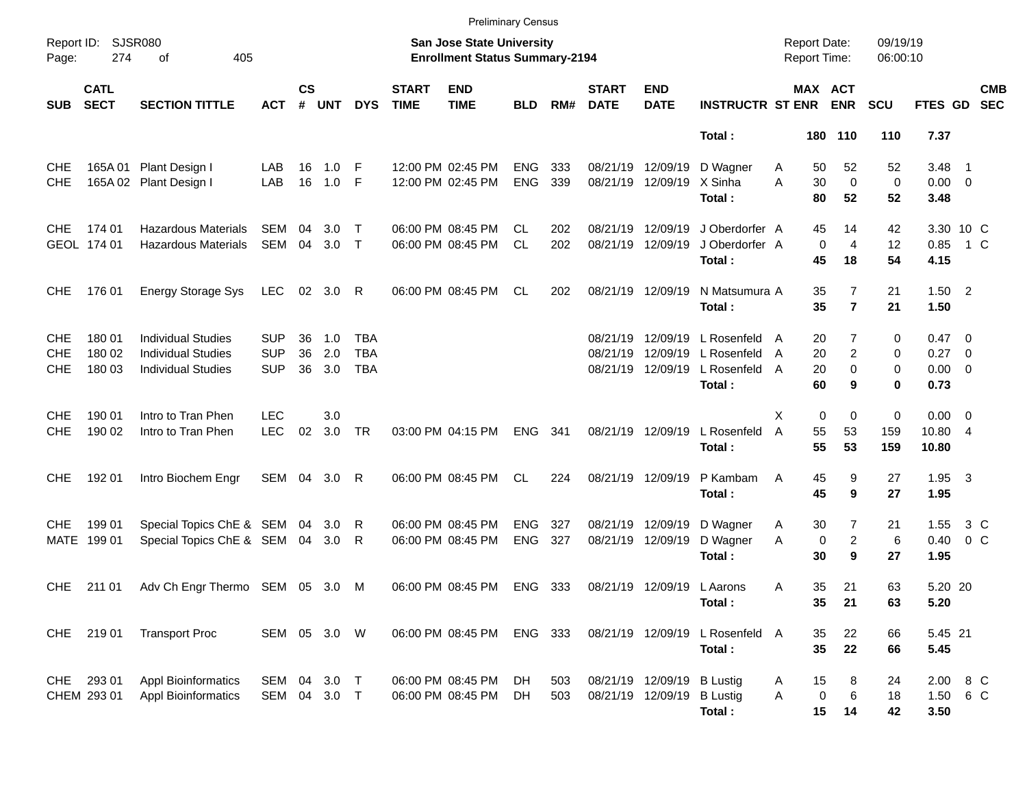|                                        |                                        |                                                                                     |                                        |                    |                   |                          |                             | <b>Preliminary Census</b>                                          |                          |            |                               |                                                 |                                                       |                                            |                         |                                         |                      |                                                   |                       |                          |
|----------------------------------------|----------------------------------------|-------------------------------------------------------------------------------------|----------------------------------------|--------------------|-------------------|--------------------------|-----------------------------|--------------------------------------------------------------------|--------------------------|------------|-------------------------------|-------------------------------------------------|-------------------------------------------------------|--------------------------------------------|-------------------------|-----------------------------------------|----------------------|---------------------------------------------------|-----------------------|--------------------------|
| Page:                                  | Report ID: SJSR080<br>274<br>405<br>οf |                                                                                     |                                        |                    |                   |                          |                             | San Jose State University<br><b>Enrollment Status Summary-2194</b> |                          |            |                               |                                                 |                                                       | <b>Report Date:</b><br><b>Report Time:</b> |                         |                                         | 09/19/19<br>06:00:10 |                                                   |                       |                          |
| <b>SUB</b>                             | <b>CATL</b><br><b>SECT</b>             | <b>SECTION TITTLE</b>                                                               | <b>ACT</b>                             | $\mathsf{cs}$<br># | <b>UNT</b>        | <b>DYS</b>               | <b>START</b><br><b>TIME</b> | <b>END</b><br><b>TIME</b>                                          | <b>BLD</b>               | RM#        | <b>START</b><br><b>DATE</b>   | <b>END</b><br><b>DATE</b>                       | <b>INSTRUCTR ST ENR</b>                               |                                            |                         | <b>MAX ACT</b><br><b>ENR</b>            | <b>SCU</b>           | FTES GD                                           |                       | <b>CMB</b><br><b>SEC</b> |
|                                        |                                        |                                                                                     |                                        |                    |                   |                          |                             |                                                                    |                          |            |                               |                                                 | Total:                                                |                                            |                         | 180 110                                 | 110                  | 7.37                                              |                       |                          |
| <b>CHE</b><br><b>CHE</b>               |                                        | 165A 01 Plant Design I<br>165A 02 Plant Design I                                    | LAB<br>LAB                             | 16<br>16           | 1.0<br>$1.0$ F    | -F                       |                             | 12:00 PM 02:45 PM<br>12:00 PM 02:45 PM                             | <b>ENG</b><br><b>ENG</b> | 333<br>339 | 08/21/19 12/09/19             | 08/21/19 12/09/19                               | D Wagner<br>X Sinha<br>Total:                         | A<br>A                                     | 50<br>30<br>80          | 52<br>$\mathbf 0$<br>52                 | 52<br>0<br>52        | 3.48<br>$0.00 \t 0$<br>3.48                       | $\blacksquare$ 1      |                          |
| CHE                                    | 174 01<br>GEOL 174 01                  | <b>Hazardous Materials</b><br><b>Hazardous Materials</b>                            | <b>SEM</b><br>SEM                      | 04<br>04           | 3.0<br>$3.0$ T    | $\top$                   |                             | 06:00 PM 08:45 PM<br>06:00 PM 08:45 PM                             | CL<br><b>CL</b>          | 202<br>202 | 08/21/19<br>08/21/19 12/09/19 | 12/09/19                                        | J Oberdorfer A<br>J Oberdorfer A<br>Total:            |                                            | 45<br>$\mathbf 0$<br>45 | 14<br>$\overline{4}$<br>18              | 42<br>12<br>54       | 3.30 10 C<br>0.85<br>4.15                         | $1\,C$                |                          |
| <b>CHE</b>                             | 176 01                                 | <b>Energy Storage Sys</b>                                                           | <b>LEC</b>                             |                    | 02 3.0 R          |                          |                             | 06:00 PM 08:45 PM                                                  | CL                       | 202        | 08/21/19 12/09/19             |                                                 | N Matsumura A<br>Total:                               |                                            | 35<br>35                | $\overline{7}$<br>$\overline{7}$        | 21<br>21             | $1.50$ 2<br>1.50                                  |                       |                          |
| <b>CHE</b><br><b>CHE</b><br><b>CHE</b> | 180 01<br>180 02<br>180 03             | <b>Individual Studies</b><br><b>Individual Studies</b><br><b>Individual Studies</b> | <b>SUP</b><br><b>SUP</b><br><b>SUP</b> | 36<br>36<br>36     | 1.0<br>2.0<br>3.0 | TBA<br><b>TBA</b><br>TBA |                             |                                                                    |                          |            | 08/21/19<br>08/21/19          | 12/09/19<br>12/09/19<br>08/21/19 12/09/19       | L Rosenfeld A<br>L Rosenfeld<br>L Rosenfeld<br>Total: | A<br>A                                     | 20<br>20<br>20<br>60    | 7<br>$\overline{2}$<br>$\mathbf 0$<br>9 | 0<br>0<br>0<br>0     | $0.47 \quad 0$<br>$0.27$ 0<br>$0.00 \t 0$<br>0.73 |                       |                          |
| <b>CHE</b><br><b>CHE</b>               | 190 01<br>190 02                       | Intro to Tran Phen<br>Intro to Tran Phen                                            | <b>LEC</b><br><b>LEC</b>               | 02                 | 3.0<br>3.0        | TR                       |                             | 03:00 PM 04:15 PM                                                  | <b>ENG</b>               | 341        |                               | 08/21/19 12/09/19                               | L Rosenfeld<br>Total:                                 | X<br>A                                     | $\mathbf 0$<br>55<br>55 | 0<br>53<br>53                           | 0<br>159<br>159      | $0.00 \t 0$<br>10.80 4<br>10.80                   |                       |                          |
| <b>CHE</b>                             | 192 01                                 | Intro Biochem Engr                                                                  | SEM 04 3.0 R                           |                    |                   |                          |                             | 06:00 PM 08:45 PM                                                  | CL.                      | 224        | 08/21/19 12/09/19             |                                                 | P Kambam<br>Total:                                    | A                                          | 45<br>45                | 9<br>9                                  | 27<br>27             | $1.95 \quad 3$<br>1.95                            |                       |                          |
| <b>CHE</b>                             | 199 01<br>MATE 199 01                  | Special Topics ChE & SEM 04 3.0<br>Special Topics ChE & SEM                         |                                        |                    | 04 3.0            | R<br>- R                 |                             | 06:00 PM 08:45 PM<br>06:00 PM 08:45 PM                             | <b>ENG</b><br><b>ENG</b> | 327<br>327 | 08/21/19<br>08/21/19 12/09/19 | 12/09/19                                        | D Wagner<br>D Wagner<br>Total:                        | A<br>A                                     | 30<br>$\mathbf 0$<br>30 | 7<br>$\overline{2}$<br>9                | 21<br>6<br>27        | 1.55<br>0.40<br>1.95                              | 3 C<br>0 <sup>o</sup> |                          |
| CHE.                                   | 211 01                                 | Adv Ch Engr Thermo SEM 05 3.0 M                                                     |                                        |                    |                   |                          |                             | 06:00 PM 08:45 PM                                                  | ENG 333                  |            |                               | 08/21/19 12/09/19 L Aarons                      | Total:                                                | Α                                          | 35<br>35                | 21<br>21                                | 63<br>63             | 5.20 20<br>5.20                                   |                       |                          |
|                                        | CHE 219 01                             | <b>Transport Proc</b>                                                               | SEM 05 3.0 W                           |                    |                   |                          |                             | 06:00 PM 08:45 PM                                                  | ENG 333                  |            |                               | 08/21/19 12/09/19                               | L Rosenfeld A<br>Total:                               |                                            | 35<br>35                | 22<br>22                                | 66<br>66             | 5.45 21<br>5.45                                   |                       |                          |
|                                        | CHE 293 01<br>CHEM 293 01              | <b>Appl Bioinformatics</b><br><b>Appl Bioinformatics</b>                            | SEM<br>SEM 04 3.0 T                    |                    | 04 3.0 T          |                          |                             | 06:00 PM 08:45 PM<br>06:00 PM 08:45 PM                             | DH<br>DH.                | 503<br>503 |                               | 08/21/19 12/09/19 B Lustig<br>08/21/19 12/09/19 | <b>B</b> Lustig<br>Total:                             | Α<br>Α                                     | 15<br>$\pmb{0}$<br>15   | 8<br>6<br>14                            | 24<br>18<br>42       | 2.00 8 C<br>1.50 6 C<br>3.50                      |                       |                          |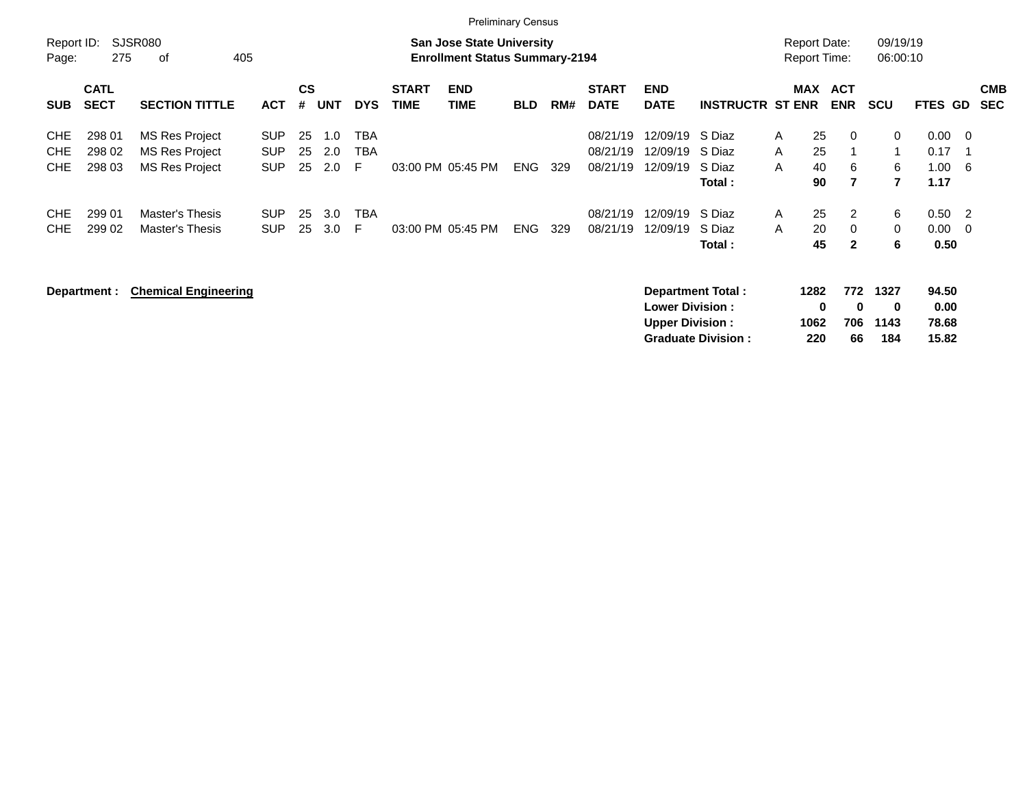|                                        |                            |                                                           |                                        |                |                   |                 |                             | <b>Preliminary Census</b>                                                 |            |     |                                  |                                                  |                                       |                                            |                                 |                       |                                     |     |                          |
|----------------------------------------|----------------------------|-----------------------------------------------------------|----------------------------------------|----------------|-------------------|-----------------|-----------------------------|---------------------------------------------------------------------------|------------|-----|----------------------------------|--------------------------------------------------|---------------------------------------|--------------------------------------------|---------------------------------|-----------------------|-------------------------------------|-----|--------------------------|
| Report ID:<br>Page:                    | 275                        | SJSR080<br>405<br>οf                                      |                                        |                |                   |                 |                             | <b>San Jose State University</b><br><b>Enrollment Status Summary-2194</b> |            |     |                                  |                                                  |                                       | <b>Report Date:</b><br><b>Report Time:</b> |                                 | 09/19/19<br>06:00:10  |                                     |     |                          |
| <b>SUB</b>                             | <b>CATL</b><br><b>SECT</b> | <b>SECTION TITTLE</b>                                     | <b>ACT</b>                             | <b>CS</b><br># | <b>UNT</b>        | <b>DYS</b>      | <b>START</b><br><b>TIME</b> | <b>END</b><br><b>TIME</b>                                                 | <b>BLD</b> | RM# | <b>START</b><br><b>DATE</b>      | <b>END</b><br><b>DATE</b>                        | <b>INSTRUCTR ST ENR</b>               |                                            | MAX ACT<br><b>ENR</b>           | <b>SCU</b>            | <b>FTES GD</b>                      |     | <b>CMB</b><br><b>SEC</b> |
| <b>CHE</b><br><b>CHE</b><br><b>CHE</b> | 298 01<br>298 02<br>298 03 | MS Res Project<br>MS Res Project<br><b>MS Res Project</b> | <b>SUP</b><br><b>SUP</b><br><b>SUP</b> | 25<br>25<br>25 | 1.0<br>2.0<br>2.0 | TBA<br>TBA<br>F |                             | 03:00 PM 05:45 PM                                                         | ENG        | 329 | 08/21/19<br>08/21/19<br>08/21/19 | 12/09/19<br>12/09/19<br>12/09/19                 | S Diaz<br>S Diaz<br>S Diaz<br>Total : | 25<br>A<br>25<br>A<br>40<br>A<br>90        | $\Omega$<br>6<br>$\overline{7}$ | 0<br>1<br>6<br>7      | $0.00 \t 0$<br>0.17<br>1.00<br>1.17 | - 6 |                          |
| <b>CHE</b><br><b>CHE</b>               | 299 01<br>299 02           | Master's Thesis<br>Master's Thesis                        | <b>SUP</b><br><b>SUP</b>               | 25<br>25       | 3.0<br>3.0        | <b>TBA</b><br>F |                             | 03:00 PM 05:45 PM                                                         | <b>ENG</b> | 329 | 08/21/19<br>08/21/19             | 12/09/19<br>12/09/19                             | S Diaz<br>S Diaz<br>Total :           | 25<br>A<br>20<br>A<br>45                   | 2<br>$\Omega$<br>$\mathbf{2}$   | 6<br>$\mathbf 0$<br>6 | $0.50$ 2<br>$0.00 \t 0$<br>0.50     |     |                          |
|                                        | Department :               | <b>Chemical Engineering</b>                               |                                        |                |                   |                 |                             |                                                                           |            |     |                                  | <b>Lower Division:</b><br><b>Upper Division:</b> | <b>Department Total:</b>              | 1282<br>1062                               | 772<br>0<br>$\bf{0}$<br>706     | 1327<br>0<br>1143     | 94.50<br>0.00<br>78.68              |     |                          |

**Graduate Division : 220 66 184 15.82**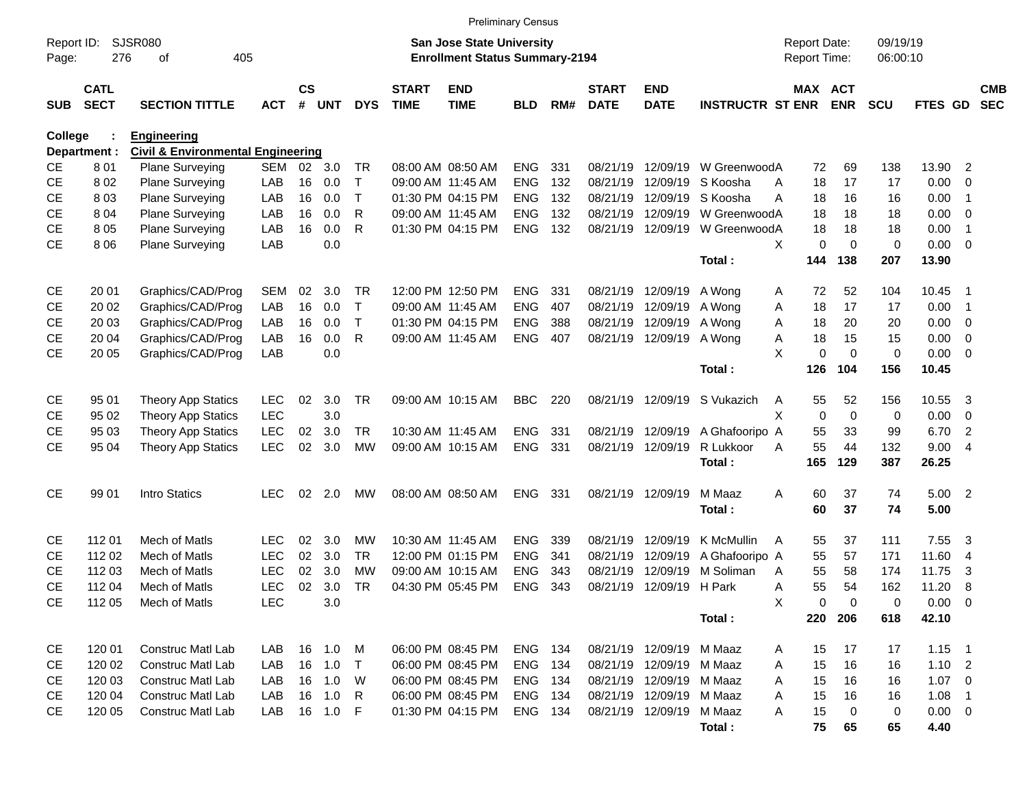|                     |                            |                                              |            |                    |            |              |                             |                                                                           | <b>Preliminary Census</b> |     |                             |                           |                         |                                     |                       |                      |             |                          |                          |
|---------------------|----------------------------|----------------------------------------------|------------|--------------------|------------|--------------|-----------------------------|---------------------------------------------------------------------------|---------------------------|-----|-----------------------------|---------------------------|-------------------------|-------------------------------------|-----------------------|----------------------|-------------|--------------------------|--------------------------|
| Report ID:<br>Page: | 276                        | <b>SJSR080</b><br>of<br>405                  |            |                    |            |              |                             | <b>San Jose State University</b><br><b>Enrollment Status Summary-2194</b> |                           |     |                             |                           |                         | <b>Report Date:</b><br>Report Time: |                       | 09/19/19<br>06:00:10 |             |                          |                          |
| <b>SUB</b>          | <b>CATL</b><br><b>SECT</b> | <b>SECTION TITTLE</b>                        | <b>ACT</b> | $\mathsf{cs}$<br># | <b>UNT</b> | <b>DYS</b>   | <b>START</b><br><b>TIME</b> | <b>END</b><br><b>TIME</b>                                                 | <b>BLD</b>                | RM# | <b>START</b><br><b>DATE</b> | <b>END</b><br><b>DATE</b> | <b>INSTRUCTR ST ENR</b> |                                     | MAX ACT<br><b>ENR</b> | <b>SCU</b>           | FTES GD     |                          | <b>CMB</b><br><b>SEC</b> |
| College             |                            | <b>Engineering</b>                           |            |                    |            |              |                             |                                                                           |                           |     |                             |                           |                         |                                     |                       |                      |             |                          |                          |
|                     | Department :               | <b>Civil &amp; Environmental Engineering</b> |            |                    |            |              |                             |                                                                           |                           |     |                             |                           |                         |                                     |                       |                      |             |                          |                          |
| <b>CE</b>           | 801                        | <b>Plane Surveying</b>                       | <b>SEM</b> | 02                 | 3.0        | TR           |                             | 08:00 AM 08:50 AM                                                         | <b>ENG</b>                | 331 | 08/21/19                    | 12/09/19                  | W GreenwoodA            | 72                                  | 69                    | 138                  | 13.90       | $\overline{2}$           |                          |
| <b>CE</b>           | 802                        | <b>Plane Surveying</b>                       | LAB        | 16                 | 0.0        | $\top$       |                             | 09:00 AM 11:45 AM                                                         | <b>ENG</b>                | 132 | 08/21/19                    | 12/09/19                  | S Koosha                | 18<br>Α                             | 17                    | 17                   | 0.00        | 0                        |                          |
| <b>CE</b>           | 803                        | <b>Plane Surveying</b>                       | LAB        | 16                 | 0.0        | $\mathsf{T}$ |                             | 01:30 PM 04:15 PM                                                         | <b>ENG</b>                | 132 | 08/21/19                    | 12/09/19                  | S Koosha                | А<br>18                             | 16                    | 16                   | 0.00        | -1                       |                          |
| <b>CE</b>           | 804                        | <b>Plane Surveying</b>                       | LAB        | 16                 | 0.0        | R            |                             | 09:00 AM 11:45 AM                                                         | <b>ENG</b>                | 132 | 08/21/19                    | 12/09/19                  | W GreenwoodA            | 18                                  | 18                    | 18                   | 0.00        | 0                        |                          |
| <b>CE</b>           | 8 0 5                      | <b>Plane Surveying</b>                       | LAB        | 16                 | 0.0        | R            |                             | 01:30 PM 04:15 PM                                                         | <b>ENG</b>                | 132 |                             | 08/21/19 12/09/19         | W GreenwoodA            | 18                                  | 18                    | 18                   | 0.00        | -1                       |                          |
| <b>CE</b>           | 8 0 6                      | <b>Plane Surveying</b>                       | LAB        |                    | 0.0        |              |                             |                                                                           |                           |     |                             |                           |                         | X<br>0                              | $\Omega$              | $\mathbf 0$          | 0.00        | $\overline{0}$           |                          |
|                     |                            |                                              |            |                    |            |              |                             |                                                                           |                           |     |                             |                           | Total:                  | 144                                 | 138                   | 207                  | 13.90       |                          |                          |
| <b>CE</b>           | 20 01                      | Graphics/CAD/Prog                            | <b>SEM</b> | 02                 | 3.0        | <b>TR</b>    |                             | 12:00 PM 12:50 PM                                                         | <b>ENG</b>                | 331 |                             | 08/21/19 12/09/19         | A Wong                  | 72<br>A                             | 52                    | 104                  | 10.45       | - 1                      |                          |
| <b>CE</b>           | 20 02                      | Graphics/CAD/Prog                            | LAB        | 16                 | 0.0        | $\top$       |                             | 09:00 AM 11:45 AM                                                         | <b>ENG</b>                | 407 | 08/21/19                    | 12/09/19                  | A Wong                  | 18<br>Α                             | 17                    | 17                   | 0.00        | -1                       |                          |
| <b>CE</b>           | 20 03                      | Graphics/CAD/Prog                            | LAB        | 16                 | 0.0        | т            |                             | 01:30 PM 04:15 PM                                                         | <b>ENG</b>                | 388 |                             | 08/21/19 12/09/19         | A Wong                  | 18<br>Α                             | 20                    | 20                   | 0.00        | 0                        |                          |
| <b>CE</b>           | 20 04                      | Graphics/CAD/Prog                            | LAB        | 16                 | 0.0        | R            |                             | 09:00 AM 11:45 AM                                                         | <b>ENG</b>                | 407 |                             | 08/21/19 12/09/19         | A Wong                  | 18<br>Α                             | 15                    | 15                   | 0.00        | 0                        |                          |
| <b>CE</b>           | 20 05                      | Graphics/CAD/Prog                            | LAB        |                    | 0.0        |              |                             |                                                                           |                           |     |                             |                           |                         | X<br>0                              | $\Omega$              | $\mathbf 0$          | 0.00        | $\mathbf 0$              |                          |
|                     |                            |                                              |            |                    |            |              |                             |                                                                           |                           |     |                             |                           | Total:                  | 126                                 | 104                   | 156                  | 10.45       |                          |                          |
| <b>CE</b>           | 95 01                      | <b>Theory App Statics</b>                    | <b>LEC</b> | 02                 | 3.0        | <b>TR</b>    |                             | 09:00 AM 10:15 AM                                                         | <b>BBC</b>                | 220 |                             | 08/21/19 12/09/19         | S Vukazich              | 55<br>A                             | 52                    | 156                  | 10.55       | 3                        |                          |
| <b>CE</b>           | 95 02                      | <b>Theory App Statics</b>                    | <b>LEC</b> |                    | 3.0        |              |                             |                                                                           |                           |     |                             |                           |                         | X<br>$\mathbf 0$                    | $\mathbf 0$           | 0                    | 0.00        | 0                        |                          |
| СE                  | 95 03                      | <b>Theory App Statics</b>                    | <b>LEC</b> | 02                 | 3.0        | <b>TR</b>    |                             | 10:30 AM 11:45 AM                                                         | <b>ENG</b>                | 331 |                             | 08/21/19 12/09/19         | A Ghafooripo A          | 55                                  | 33                    | 99                   | 6.70        | $\overline{2}$           |                          |
| <b>CE</b>           | 95 04                      | <b>Theory App Statics</b>                    | LEC        | 02                 | 3.0        | <b>MW</b>    |                             | 09:00 AM 10:15 AM                                                         | <b>ENG</b>                | 331 |                             | 08/21/19 12/09/19         | R Lukkoor               | 55<br>А                             | 44                    | 132                  | 9.00        | - 4                      |                          |
|                     |                            |                                              |            |                    |            |              |                             |                                                                           |                           |     |                             |                           | Total:                  | 165                                 | 129                   | 387                  | 26.25       |                          |                          |
| <b>CE</b>           | 99 01                      | Intro Statics                                | <b>LEC</b> | 02                 | 2.0        | MW           |                             | 08:00 AM 08:50 AM                                                         | <b>ENG</b>                | 331 |                             | 08/21/19 12/09/19         | M Maaz                  | Α<br>60                             | 37                    | 74                   | 5.00        | $\overline{\phantom{0}}$ |                          |
|                     |                            |                                              |            |                    |            |              |                             |                                                                           |                           |     |                             |                           | Total:                  | 60                                  | 37                    | 74                   | 5.00        |                          |                          |
| <b>CE</b>           | 112 01                     | Mech of Matls                                | LEC        | 02                 | 3.0        | МW           |                             | 10:30 AM 11:45 AM                                                         | <b>ENG</b>                | 339 | 08/21/19                    | 12/09/19                  | K McMullin              | 55                                  | 37                    | 111                  | 7.55        |                          |                          |
| <b>CE</b>           | 112 02                     | Mech of Matls                                | <b>LEC</b> | 02                 | 3.0        | <b>TR</b>    |                             | 12:00 PM 01:15 PM                                                         | <b>ENG</b>                | 341 | 08/21/19                    | 12/09/19                  | A Ghafooripo A          | A<br>55                             | 57                    | 171                  | 11.60       | 3<br>$\overline{4}$      |                          |
| CЕ                  | 112 03                     | Mech of Matls                                | <b>LEC</b> | 02                 | 3.0        | МW           |                             | 09:00 AM 10:15 AM                                                         | <b>ENG</b>                | 343 | 08/21/19                    | 12/09/19                  | M Soliman               | 55<br>Α                             | 58                    | 174                  | 11.75       | 3                        |                          |
| <b>CE</b>           | 112 04                     | Mech of Matls                                | <b>LEC</b> | 02                 | 3.0        | TR           |                             | 04:30 PM 05:45 PM                                                         | <b>ENG</b>                | 343 |                             | 08/21/19 12/09/19 H Park  |                         | 55<br>Α                             | 54                    | 162                  | 11.20       | 8                        |                          |
| <b>CE</b>           | 112 05                     | Mech of Matls                                | <b>LEC</b> |                    | 3.0        |              |                             |                                                                           |                           |     |                             |                           |                         | X<br>0                              | 0                     | 0                    | $0.00 \t 0$ |                          |                          |
|                     |                            |                                              |            |                    |            |              |                             |                                                                           |                           |     |                             |                           | Total:                  | 220                                 | 206                   | 618                  | 42.10       |                          |                          |
|                     |                            |                                              |            |                    |            |              |                             |                                                                           |                           |     |                             |                           |                         |                                     |                       |                      |             |                          |                          |
| CE                  | 120 01                     | Construc Matl Lab                            | LAB        |                    | 16 1.0     | M            |                             | 06:00 PM 08:45 PM                                                         | ENG 134                   |     |                             | 08/21/19 12/09/19 M Maaz  |                         | 15<br>A                             | 17                    | 17                   | $1.15$ 1    |                          |                          |
| CE                  | 120 02                     | Construc Matl Lab                            | LAB        |                    | 16 1.0     | $\top$       |                             | 06:00 PM 08:45 PM                                                         | ENG 134                   |     |                             | 08/21/19 12/09/19 M Maaz  |                         | 15<br>A                             | 16                    | 16                   | $1.10$ 2    |                          |                          |
| CE                  | 120 03                     | Construc Matl Lab                            | LAB        |                    | 16 1.0     | W            |                             | 06:00 PM 08:45 PM                                                         | ENG 134                   |     |                             | 08/21/19 12/09/19 M Maaz  |                         | 15<br>Α                             | 16                    | 16                   | $1.07 \t 0$ |                          |                          |
| CE                  | 120 04                     | Construc Matl Lab                            | LAB        |                    | 16 1.0     | R            |                             | 06:00 PM 08:45 PM                                                         | ENG 134                   |     |                             | 08/21/19 12/09/19 M Maaz  |                         | 15<br>Α                             | 16                    | 16                   | 1.08        | $\overline{1}$           |                          |
| CE                  | 120 05                     | Construc Matl Lab                            | LAB        |                    | 16 1.0 F   |              |                             | 01:30 PM 04:15 PM                                                         | ENG 134                   |     |                             | 08/21/19 12/09/19         | M Maaz                  | 15<br>A                             | 0                     | 0                    | $0.00 \t 0$ |                          |                          |
|                     |                            |                                              |            |                    |            |              |                             |                                                                           |                           |     |                             |                           | Total:                  | 75                                  | 65                    | 65                   | 4.40        |                          |                          |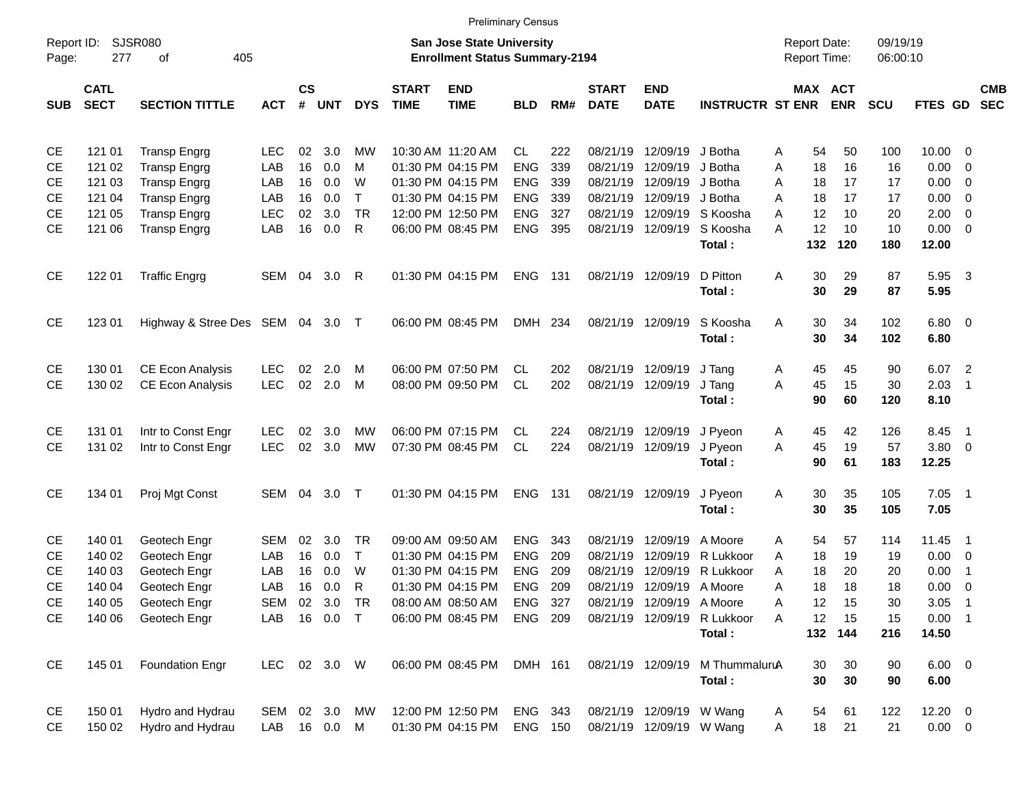|                     |                            |                                  |               |                    |            |            |                             |                                                                           | <b>Preliminary Census</b> |       |                             |                           |                             |                                            |           |                       |                      |                     |                          |                          |
|---------------------|----------------------------|----------------------------------|---------------|--------------------|------------|------------|-----------------------------|---------------------------------------------------------------------------|---------------------------|-------|-----------------------------|---------------------------|-----------------------------|--------------------------------------------|-----------|-----------------------|----------------------|---------------------|--------------------------|--------------------------|
| Report ID:<br>Page: | 277                        | SJSR080<br>405<br>οf             |               |                    |            |            |                             | <b>San Jose State University</b><br><b>Enrollment Status Summary-2194</b> |                           |       |                             |                           |                             | <b>Report Date:</b><br><b>Report Time:</b> |           |                       | 09/19/19<br>06:00:10 |                     |                          |                          |
| <b>SUB</b>          | <b>CATL</b><br><b>SECT</b> | <b>SECTION TITTLE</b>            | <b>ACT</b>    | $\mathsf{cs}$<br># | <b>UNT</b> | <b>DYS</b> | <b>START</b><br><b>TIME</b> | <b>END</b><br><b>TIME</b>                                                 | <b>BLD</b>                | RM#   | <b>START</b><br><b>DATE</b> | <b>END</b><br><b>DATE</b> | <b>INSTRUCTR ST ENR</b>     |                                            |           | MAX ACT<br><b>ENR</b> | <b>SCU</b>           | <b>FTES GD</b>      |                          | <b>CMB</b><br><b>SEC</b> |
| СE                  | 121 01                     | <b>Transp Engrg</b>              | <b>LEC</b>    | 02                 | 3.0        | МW         |                             | 10:30 AM 11:20 AM                                                         | CL.                       | 222   | 08/21/19                    | 12/09/19                  | J Botha                     | A                                          | 54        | 50                    | 100                  | $10.00 \t 0$        |                          |                          |
| СE                  | 121 02                     | <b>Transp Engrg</b>              | LAB           | 16                 | 0.0        | M          |                             | 01:30 PM 04:15 PM                                                         | <b>ENG</b>                | 339   | 08/21/19                    | 12/09/19                  | J Botha                     | A                                          | 18        | 16                    | 16                   | 0.00                | 0                        |                          |
| СE                  | 121 03                     | <b>Transp Engrg</b>              | LAB           | 16                 | 0.0        | W          |                             | 01:30 PM 04:15 PM                                                         | <b>ENG</b>                | 339   | 08/21/19                    | 12/09/19                  | J Botha                     | A                                          | 18        | 17                    | 17                   | 0.00                | 0                        |                          |
| СE                  | 121 04                     | <b>Transp Engrg</b>              | LAB           | 16                 | 0.0        | $\top$     |                             | 01:30 PM 04:15 PM                                                         | <b>ENG</b>                | 339   | 08/21/19                    | 12/09/19                  | J Botha                     | A                                          | 18        | 17                    | 17                   | 0.00                | 0                        |                          |
| СE                  | 121 05                     | <b>Transp Engrg</b>              | <b>LEC</b>    | 02                 | 3.0        | <b>TR</b>  |                             | 12:00 PM 12:50 PM                                                         | <b>ENG</b>                | 327   | 08/21/19                    |                           | 12/09/19 S Koosha           | A                                          | 12        | 10                    | 20                   | 2.00                | 0                        |                          |
| <b>CE</b>           | 121 06                     | <b>Transp Engrg</b>              | LAB           | 16                 | 0.0        | R          |                             | 06:00 PM 08:45 PM                                                         | <b>ENG</b>                | 395   |                             | 08/21/19 12/09/19         | S Koosha<br>Total:          | А                                          | 12<br>132 | 10<br>120             | 10<br>180            | 0.00<br>12.00       | $\overline{\mathbf{0}}$  |                          |
| <b>CE</b>           | 122 01                     | <b>Traffic Engrg</b>             | SEM 04        |                    | 3.0        | R          |                             | 01:30 PM 04:15 PM                                                         | <b>ENG</b>                | - 131 |                             | 08/21/19 12/09/19         | D Pitton<br>Total:          | A                                          | 30<br>30  | 29<br>29              | 87<br>87             | 5.95 3<br>5.95      |                          |                          |
| <b>CE</b>           | 123 01                     | Highway & Stree Des SEM 04 3.0 T |               |                    |            |            |                             | 06:00 PM 08:45 PM                                                         | DMH 234                   |       |                             | 08/21/19 12/09/19         | S Koosha<br>Total:          | A                                          | 30<br>30  | 34<br>34              | 102<br>102           | $6.80$ 0<br>6.80    |                          |                          |
| СE                  | 130 01                     | CE Econ Analysis                 | <b>LEC</b>    | 02                 | 2.0        | M          |                             | 06:00 PM 07:50 PM                                                         | CL.                       | 202   |                             | 08/21/19 12/09/19         | J Tang                      | A                                          | 45        | 45                    | 90                   | 6.07 2              |                          |                          |
| <b>CE</b>           | 130 02                     | <b>CE Econ Analysis</b>          | <b>LEC</b>    | 02                 | 2.0        | M          |                             | 08:00 PM 09:50 PM                                                         | <b>CL</b>                 | 202   |                             | 08/21/19 12/09/19         | J Tang                      | A                                          | 45        | 15                    | 30                   | 2.03                | $\overline{\phantom{0}}$ |                          |
|                     |                            |                                  |               |                    |            |            |                             |                                                                           |                           |       |                             |                           | Total:                      |                                            | 90        | 60                    | 120                  | 8.10                |                          |                          |
| СE                  | 131 01                     | Intr to Const Engr               | <b>LEC</b>    | 02                 | 3.0        | МW         |                             | 06:00 PM 07:15 PM                                                         | CL.                       | 224   |                             | 08/21/19 12/09/19         | J Pyeon                     | A                                          | 45        | 42                    | 126                  | 8.45                | $\overline{\phantom{1}}$ |                          |
| <b>CE</b>           | 131 02                     | Intr to Const Engr               | <b>LEC</b>    | 02                 | 3.0        | <b>MW</b>  |                             | 07:30 PM 08:45 PM                                                         | <b>CL</b>                 | 224   |                             | 08/21/19 12/09/19         | J Pyeon<br>Total:           | A                                          | 45<br>90  | 19<br>61              | 57<br>183            | 3.80 0<br>12.25     |                          |                          |
| <b>CE</b>           | 134 01                     |                                  | SEM           | 04                 | 3.0        | $\top$     |                             | 01:30 PM 04:15 PM                                                         | <b>ENG</b>                | 131   |                             | 08/21/19 12/09/19         | J Pyeon                     |                                            | 30        | 35                    | 105                  | $7.05$ 1            |                          |                          |
|                     |                            | Proj Mgt Const                   |               |                    |            |            |                             |                                                                           |                           |       |                             |                           | Total:                      | A                                          | 30        | 35                    | 105                  | 7.05                |                          |                          |
| СE                  | 140 01                     | Geotech Engr                     | SEM           | 02                 | 3.0        | <b>TR</b>  |                             | 09:00 AM 09:50 AM                                                         | <b>ENG</b>                | 343   | 08/21/19                    | 12/09/19                  | A Moore                     | A                                          | 54        | 57                    | 114                  | 11.45               | - 1                      |                          |
| СE                  | 140 02                     | Geotech Engr                     | LAB           | 16                 | 0.0        | $\top$     |                             | 01:30 PM 04:15 PM                                                         | <b>ENG</b>                | 209   | 08/21/19                    | 12/09/19                  | R Lukkoor                   | A                                          | 18        | 19                    | 19                   | 0.00                | $\overline{\phantom{0}}$ |                          |
| СE                  | 140 03                     | Geotech Engr                     | LAB           | 16                 | 0.0        | W          |                             | 01:30 PM 04:15 PM                                                         | <b>ENG</b>                | 209   | 08/21/19                    | 12/09/19                  | R Lukkoor                   | A                                          | 18        | 20                    | 20                   | 0.00                | - 1                      |                          |
| <b>CE</b>           | 140 04                     | Geotech Engr                     | LAB           | 16                 | 0.0        | R          |                             | 01:30 PM 04:15 PM                                                         | <b>ENG</b>                | 209   |                             | 08/21/19 12/09/19 A Moore |                             | A                                          | 18        | 18                    | 18                   | 0.00                | $\overline{0}$           |                          |
| CЕ                  | 140 05                     | Geotech Engr                     | SEM           |                    | 02 3.0 TR  |            |                             | 08:00 AM 08:50 AM                                                         | ENG 327                   |       |                             | 08/21/19 12/09/19 A Moore |                             | Α                                          | 12        | 15                    | 30                   | $3.05$ 1            |                          |                          |
| <b>CE</b>           | 140 06                     | Geotech Engr                     | LAB           |                    | 16  0.0  T |            |                             | 06:00 PM 08:45 PM                                                         | <b>ENG 209</b>            |       |                             |                           | 08/21/19 12/09/19 R Lukkoor | A                                          | 12        | 15                    | 15                   | $0.00$ 1            |                          |                          |
|                     |                            |                                  |               |                    |            |            |                             |                                                                           |                           |       |                             |                           | Total:                      |                                            |           | 132 144               | 216                  | 14.50               |                          |                          |
| CE                  | 145 01                     | <b>Foundation Engr</b>           | LEC 02 3.0 W  |                    |            |            |                             | 06:00 PM 08:45 PM                                                         | DMH 161                   |       |                             | 08/21/19 12/09/19         | M ThummaluruA<br>Total:     |                                            | 30<br>30  | 30<br>30              | 90<br>90             | $6.00 \t 0$<br>6.00 |                          |                          |
| CE                  | 150 01                     | Hydro and Hydrau                 | SEM 02 3.0 MW |                    |            |            |                             | 12:00 PM 12:50 PM                                                         | ENG 343                   |       |                             | 08/21/19 12/09/19 W Wang  |                             | A                                          | 54        | 61                    | 122                  | $12.20 \t 0$        |                          |                          |
| <b>CE</b>           | 150 02                     | Hydro and Hydrau                 | LAB 16 0.0 M  |                    |            |            |                             | 01:30 PM 04:15 PM                                                         | ENG 150                   |       |                             | 08/21/19 12/09/19 W Wang  |                             | A                                          | 18        | 21                    | 21                   | $0.00 \t 0$         |                          |                          |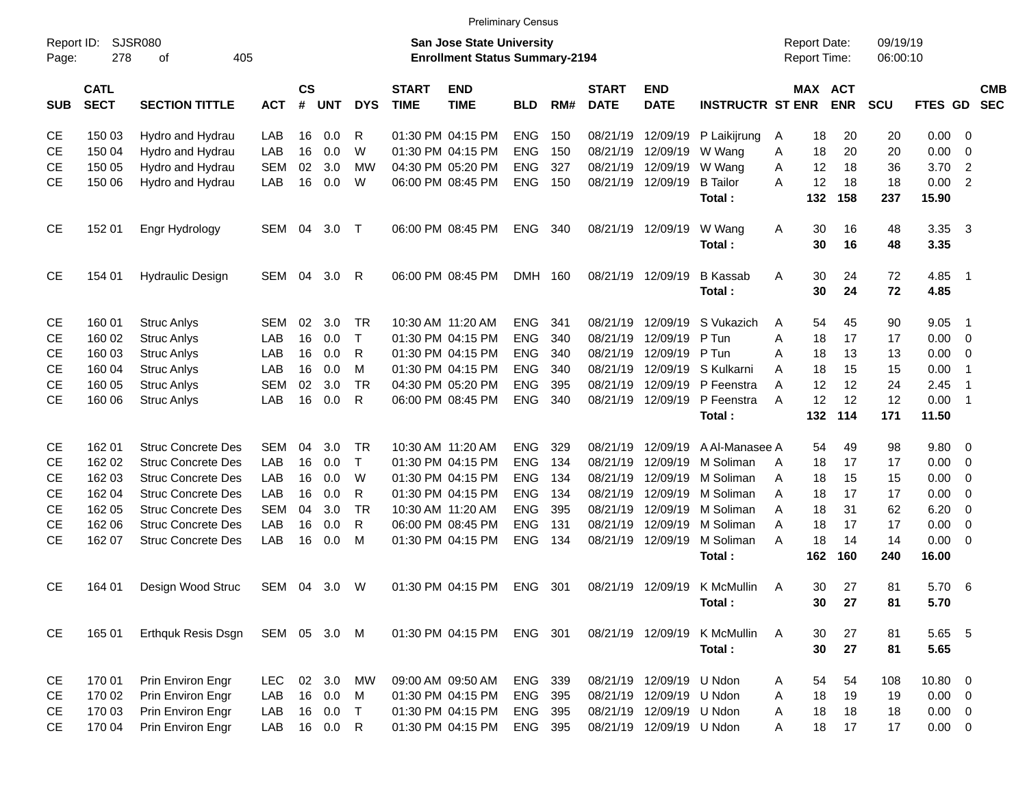|  | <b>Preliminary Census</b> |
|--|---------------------------|
|  |                           |

|                     |                            |                           |              |                    |            |              |                             |                                                                    | <b>Preliminary Census</b> |     |                             |                           |                         |   |                                            |            |                      |             |                          |                          |
|---------------------|----------------------------|---------------------------|--------------|--------------------|------------|--------------|-----------------------------|--------------------------------------------------------------------|---------------------------|-----|-----------------------------|---------------------------|-------------------------|---|--------------------------------------------|------------|----------------------|-------------|--------------------------|--------------------------|
| Report ID:<br>Page: | 278                        | SJSR080<br>405<br>οf      |              |                    |            |              |                             | San Jose State University<br><b>Enrollment Status Summary-2194</b> |                           |     |                             |                           |                         |   | <b>Report Date:</b><br><b>Report Time:</b> |            | 09/19/19<br>06:00:10 |             |                          |                          |
| <b>SUB</b>          | <b>CATL</b><br><b>SECT</b> | <b>SECTION TITTLE</b>     | <b>ACT</b>   | $\mathsf{cs}$<br># | <b>UNT</b> | <b>DYS</b>   | <b>START</b><br><b>TIME</b> | <b>END</b><br><b>TIME</b>                                          | <b>BLD</b>                | RM# | <b>START</b><br><b>DATE</b> | <b>END</b><br><b>DATE</b> | <b>INSTRUCTR ST ENR</b> |   | MAX ACT                                    | <b>ENR</b> | <b>SCU</b>           | FTES GD     |                          | <b>CMB</b><br><b>SEC</b> |
| CE                  | 150 03                     | Hydro and Hydrau          | LAB          | 16                 | 0.0        | R            |                             | 01:30 PM 04:15 PM                                                  | <b>ENG</b>                | 150 | 08/21/19                    | 12/09/19                  | P Laikijrung            | A | 18                                         | 20         | 20                   | 0.00        | $\overline{\phantom{0}}$ |                          |
| <b>CE</b>           | 150 04                     | Hydro and Hydrau          | LAB          | 16                 | 0.0        | W            |                             | 01:30 PM 04:15 PM                                                  | <b>ENG</b>                | 150 | 08/21/19                    | 12/09/19                  | W Wang                  | Α | 18                                         | 20         | 20                   | 0.00        | $\overline{\mathbf{0}}$  |                          |
| CЕ                  | 150 05                     | Hydro and Hydrau          | <b>SEM</b>   | 02                 | 3.0        | <b>MW</b>    |                             | 04:30 PM 05:20 PM                                                  | <b>ENG</b>                | 327 | 08/21/19                    | 12/09/19                  | W Wang                  | Α | 12                                         | 18         | 36                   | 3.70        | $\overline{2}$           |                          |
| <b>CE</b>           | 150 06                     | Hydro and Hydrau          | LAB          | 16                 | 0.0        | W            |                             | 06:00 PM 08:45 PM                                                  | <b>ENG</b>                | 150 | 08/21/19                    | 12/09/19                  | <b>B</b> Tailor         | Α | 12                                         | 18         | 18                   | 0.00        | $\overline{2}$           |                          |
|                     |                            |                           |              |                    |            |              |                             |                                                                    |                           |     |                             |                           | Total:                  |   | 132                                        | 158        | 237                  | 15.90       |                          |                          |
| <b>CE</b>           | 152 01                     | Engr Hydrology            | <b>SEM</b>   | 04                 | 3.0        | $\top$       |                             | 06:00 PM 08:45 PM                                                  | <b>ENG</b>                | 340 | 08/21/19                    | 12/09/19                  | W Wang                  | Α | 30                                         | 16         | 48                   | 3.35        | $\overline{3}$           |                          |
|                     |                            |                           |              |                    |            |              |                             |                                                                    |                           |     |                             |                           | Total:                  |   | 30                                         | 16         | 48                   | 3.35        |                          |                          |
| <b>CE</b>           | 154 01                     | <b>Hydraulic Design</b>   | <b>SEM</b>   | 04                 | 3.0        | R            |                             | 06:00 PM 08:45 PM                                                  | <b>DMH</b>                | 160 | 08/21/19                    | 12/09/19                  | <b>B</b> Kassab         | A | 30                                         | 24         | 72                   | 4.85        | $\overline{\phantom{0}}$ |                          |
|                     |                            |                           |              |                    |            |              |                             |                                                                    |                           |     |                             |                           | Total:                  |   | 30                                         | 24         | 72                   | 4.85        |                          |                          |
| <b>CE</b>           | 160 01                     | <b>Struc Anlys</b>        | <b>SEM</b>   | 02                 | 3.0        | <b>TR</b>    |                             | 10:30 AM 11:20 AM                                                  | <b>ENG</b>                | 341 | 08/21/19                    | 12/09/19                  | S Vukazich              | Α | 54                                         | 45         | 90                   | 9.05        | $\overline{1}$           |                          |
| <b>CE</b>           | 160 02                     | <b>Struc Anlys</b>        | LAB          | 16                 | 0.0        | $\mathsf{T}$ |                             | 01:30 PM 04:15 PM                                                  | <b>ENG</b>                | 340 | 08/21/19                    | 12/09/19                  | P Tun                   | Α | 18                                         | 17         | 17                   | $0.00 \t 0$ |                          |                          |
| <b>CE</b>           | 160 03                     | <b>Struc Anlys</b>        | LAB          | 16                 | 0.0        | R            |                             | 01:30 PM 04:15 PM                                                  | <b>ENG</b>                | 340 | 08/21/19                    | 12/09/19                  | P Tun                   | Α | 18                                         | 13         | 13                   | 0.00        | $\overline{\phantom{0}}$ |                          |
| <b>CE</b>           | 160 04                     | <b>Struc Anlys</b>        | LAB          | 16                 | 0.0        | M            |                             | 01:30 PM 04:15 PM                                                  | <b>ENG</b>                | 340 | 08/21/19                    | 12/09/19                  | S Kulkarni              | Α | 18                                         | 15         | 15                   | 0.00        | $\overline{1}$           |                          |
| <b>CE</b>           | 160 05                     | <b>Struc Anlys</b>        | <b>SEM</b>   | 02                 | 3.0        | <b>TR</b>    |                             | 04:30 PM 05:20 PM                                                  | <b>ENG</b>                | 395 | 08/21/19                    | 12/09/19                  | P Feenstra              | Α | 12                                         | 12         | 24                   | 2.45        | $\overline{1}$           |                          |
| <b>CE</b>           | 160 06                     | <b>Struc Anlys</b>        | LAB          | 16                 | 0.0        | R            |                             | 06:00 PM 08:45 PM                                                  | <b>ENG</b>                | 340 | 08/21/19                    | 12/09/19                  | P Feenstra              | Α | 12                                         | 12         | 12                   | 0.00        | $\overline{\phantom{0}}$ |                          |
|                     |                            |                           |              |                    |            |              |                             |                                                                    |                           |     |                             |                           | Total:                  |   | 132                                        | 114        | 171                  | 11.50       |                          |                          |
| <b>CE</b>           | 162 01                     | <b>Struc Concrete Des</b> | <b>SEM</b>   | 04                 | 3.0        | <b>TR</b>    |                             | 10:30 AM 11:20 AM                                                  | <b>ENG</b>                | 329 | 08/21/19                    | 12/09/19                  | A Al-Manasee A          |   | 54                                         | 49         | 98                   | 9.80        | $\overline{\mathbf{0}}$  |                          |
| <b>CE</b>           | 162 02                     | <b>Struc Concrete Des</b> | LAB          | 16                 | 0.0        | $\mathsf{T}$ |                             | 01:30 PM 04:15 PM                                                  | <b>ENG</b>                | 134 | 08/21/19                    | 12/09/19                  | M Soliman               | A | 18                                         | 17         | 17                   | 0.00        | $\overline{\phantom{0}}$ |                          |
| <b>CE</b>           | 162 03                     | <b>Struc Concrete Des</b> | LAB          | 16                 | 0.0        | W            |                             | 01:30 PM 04:15 PM                                                  | <b>ENG</b>                | 134 | 08/21/19                    | 12/09/19                  | M Soliman               | Α | 18                                         | 15         | 15                   | 0.00        | $\overline{\phantom{0}}$ |                          |
| <b>CE</b>           | 162 04                     | <b>Struc Concrete Des</b> | LAB          | 16                 | 0.0        | R            |                             | 01:30 PM 04:15 PM                                                  | <b>ENG</b>                | 134 | 08/21/19                    | 12/09/19                  | M Soliman               | Α | 18                                         | 17         | 17                   | 0.00        | $\overline{0}$           |                          |
| <b>CE</b>           | 162 05                     | <b>Struc Concrete Des</b> | <b>SEM</b>   | 04                 | 3.0        | <b>TR</b>    |                             | 10:30 AM 11:20 AM                                                  | <b>ENG</b>                | 395 | 08/21/19                    | 12/09/19                  | M Soliman               | Α | 18                                         | 31         | 62                   | 6.20        | $\overline{\mathbf{0}}$  |                          |
| <b>CE</b>           | 162 06                     | <b>Struc Concrete Des</b> | LAB          | 16                 | 0.0        | R            |                             | 06:00 PM 08:45 PM                                                  | <b>ENG</b>                | 131 | 08/21/19                    | 12/09/19                  | M Soliman               | Α | 18                                         | 17         | 17                   | 0.00        | $\overline{0}$           |                          |
| <b>CE</b>           | 162 07                     | <b>Struc Concrete Des</b> | LAB          | 16                 | 0.0        | M            |                             | 01:30 PM 04:15 PM                                                  | <b>ENG</b>                | 134 | 08/21/19                    | 12/09/19                  | M Soliman               | Α | 18                                         | 14         | 14                   | 0.00        | $\overline{0}$           |                          |
|                     |                            |                           |              |                    |            |              |                             |                                                                    |                           |     |                             |                           | Total:                  |   | 162                                        | 160        | 240                  | 16.00       |                          |                          |
| <b>CE</b>           | 164 01                     | Design Wood Struc         | <b>SEM</b>   | 04                 | 3.0        | W            |                             | 01:30 PM 04:15 PM                                                  | <b>ENG</b>                | 301 | 08/21/19                    | 12/09/19                  | K McMullin              | A | 30                                         | 27         | 81                   | 5.70        | - 6                      |                          |
|                     |                            |                           |              |                    |            |              |                             |                                                                    |                           |     |                             |                           | Total:                  |   | 30 <sub>o</sub>                            | 27         | 81                   | 5.70        |                          |                          |
| CE                  | 165 01                     | <b>Erthquk Resis Dsgn</b> | SEM 05 3.0 M |                    |            |              |                             | 01:30 PM 04:15 PM ENG 301                                          |                           |     |                             | 08/21/19 12/09/19         | K McMullin              | A | 30                                         | 27         | 81                   | 5.65 5      |                          |                          |
|                     |                            |                           |              |                    |            |              |                             |                                                                    |                           |     |                             |                           | Total:                  |   | 30                                         | 27         | 81                   | 5.65        |                          |                          |
| CE                  | 170 01                     | Prin Environ Engr         | <b>LEC</b>   |                    | 02 3.0     | МW           |                             | 09:00 AM 09:50 AM                                                  | ENG 339                   |     |                             | 08/21/19 12/09/19         | U Ndon                  | A | 54                                         | 54         | 108                  | 10.80 0     |                          |                          |
| CE                  | 170 02                     | Prin Environ Engr         | LAB          | 16                 | 0.0        | M            |                             | 01:30 PM 04:15 PM                                                  | <b>ENG 395</b>            |     |                             | 08/21/19 12/09/19         | U Ndon                  | Α | 18                                         | 19         | 19                   | $0.00 \t 0$ |                          |                          |
| CE                  | 170 03                     | Prin Environ Engr         | LAB          |                    | 16 0.0     | $\top$       |                             | 01:30 PM 04:15 PM                                                  | <b>ENG 395</b>            |     |                             | 08/21/19 12/09/19 U Ndon  |                         | Α | 18                                         | 18         | 18                   | $0.00 \t 0$ |                          |                          |
| CE                  | 170 04                     | Prin Environ Engr         | LAB          |                    | 16  0.0  R |              |                             | 01:30 PM 04:15 PM                                                  | ENG 395                   |     |                             | 08/21/19 12/09/19 U Ndon  |                         | Α | 18                                         | 17         | 17                   | $0.00 \t 0$ |                          |                          |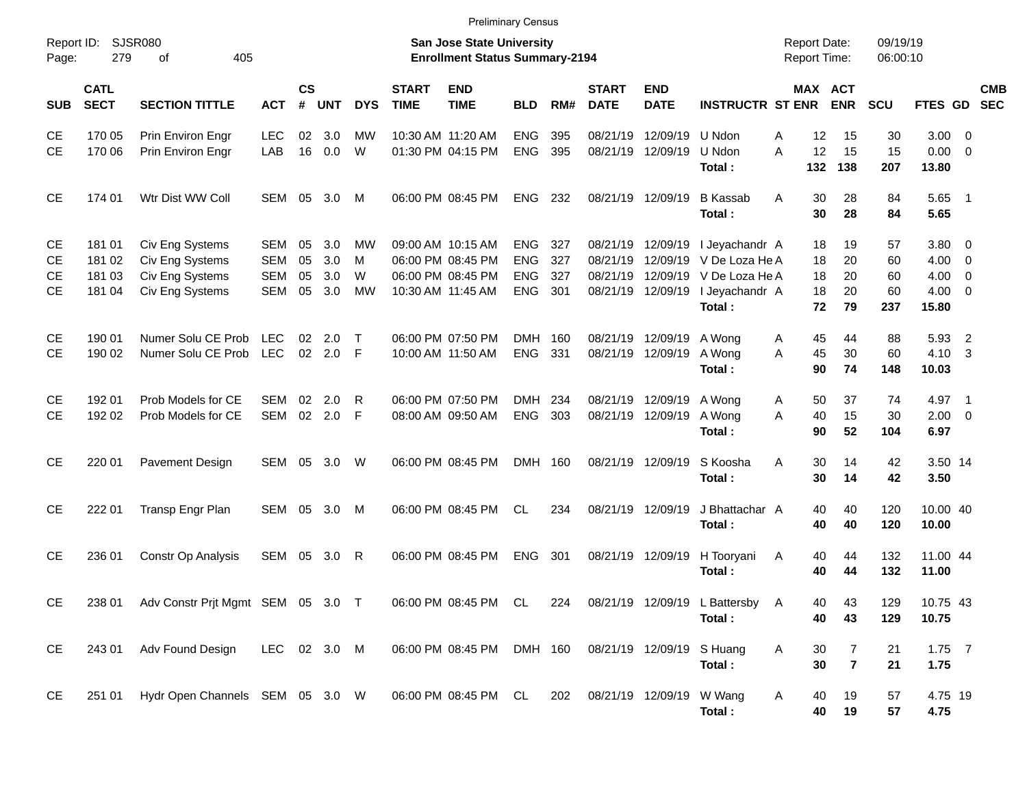|                                                  |                                      |                                                                          |                                        |                      |                          |                           |                             | <b>Preliminary Census</b>                                                        |                                                      |                          |                              |                                        |                                                                                                                    |                                            |                            |                             |                                                     |                          |            |
|--------------------------------------------------|--------------------------------------|--------------------------------------------------------------------------|----------------------------------------|----------------------|--------------------------|---------------------------|-----------------------------|----------------------------------------------------------------------------------|------------------------------------------------------|--------------------------|------------------------------|----------------------------------------|--------------------------------------------------------------------------------------------------------------------|--------------------------------------------|----------------------------|-----------------------------|-----------------------------------------------------|--------------------------|------------|
| Report ID:<br>Page:                              | 279                                  | SJSR080<br>405<br>οf                                                     |                                        |                      |                          |                           |                             | <b>San Jose State University</b><br><b>Enrollment Status Summary-2194</b>        |                                                      |                          |                              |                                        |                                                                                                                    | <b>Report Date:</b><br><b>Report Time:</b> |                            | 09/19/19<br>06:00:10        |                                                     |                          |            |
| <b>SUB</b>                                       | <b>CATL</b><br><b>SECT</b>           | <b>SECTION TITTLE</b>                                                    | <b>ACT</b>                             | $\mathsf{cs}$<br>#   | <b>UNT</b>               | <b>DYS</b>                | <b>START</b><br><b>TIME</b> | <b>END</b><br><b>TIME</b>                                                        | <b>BLD</b>                                           | RM#                      | <b>START</b><br><b>DATE</b>  | <b>END</b><br><b>DATE</b>              | <b>INSTRUCTR ST ENR</b>                                                                                            |                                            | MAX ACT<br><b>ENR</b>      | <b>SCU</b>                  | FTES GD SEC                                         |                          | <b>CMB</b> |
| <b>CE</b><br><b>CE</b>                           | 170 05<br>170 06                     | Prin Environ Engr<br>Prin Environ Engr                                   | <b>LEC</b><br>LAB                      | 02<br>16             | 3.0<br>0.0               | МW<br>W                   |                             | 10:30 AM 11:20 AM<br>01:30 PM 04:15 PM                                           | <b>ENG</b><br><b>ENG</b>                             | 395<br>395               |                              | 08/21/19 12/09/19<br>08/21/19 12/09/19 | U Ndon<br>U Ndon<br>Total:                                                                                         | 12<br>A<br>12<br>A<br>132                  | 15<br>15<br>138            | 30<br>15<br>207             | $3.00 \ 0$<br>$0.00 \t 0$<br>13.80                  |                          |            |
| <b>CE</b>                                        | 174 01                               | Wtr Dist WW Coll                                                         | <b>SEM</b>                             | 05                   | 3.0                      | M                         |                             | 06:00 PM 08:45 PM                                                                | <b>ENG</b>                                           | 232                      |                              | 08/21/19 12/09/19                      | <b>B</b> Kassab<br>Total:                                                                                          | 30<br>A<br>30                              | 28<br>28                   | 84<br>84                    | $5.65$ 1<br>5.65                                    |                          |            |
| <b>CE</b><br><b>CE</b><br><b>CE</b><br><b>CE</b> | 181 01<br>181 02<br>181 03<br>181 04 | Civ Eng Systems<br>Civ Eng Systems<br>Civ Eng Systems<br>Civ Eng Systems | SEM<br><b>SEM</b><br><b>SEM</b><br>SEM | 05<br>05<br>05<br>05 | 3.0<br>3.0<br>3.0<br>3.0 | МW<br>M<br>W<br><b>MW</b> |                             | 09:00 AM 10:15 AM<br>06:00 PM 08:45 PM<br>06:00 PM 08:45 PM<br>10:30 AM 11:45 AM | <b>ENG</b><br><b>ENG</b><br><b>ENG</b><br><b>ENG</b> | 327<br>327<br>327<br>301 |                              | 08/21/19 12/09/19<br>08/21/19 12/09/19 | I Jeyachandr A<br>08/21/19 12/09/19 V De Loza He A<br>08/21/19 12/09/19 V De Loza He A<br>I Jeyachandr A<br>Total: | 18<br>18<br>18<br>18<br>72                 | 19<br>20<br>20<br>20<br>79 | 57<br>60<br>60<br>60<br>237 | 3.80 0<br>$4.00 \ 0$<br>4.00<br>$4.00 \ 0$<br>15.80 | $\overline{\phantom{0}}$ |            |
| <b>CE</b><br><b>CE</b>                           | 190 01<br>190 02                     | Numer Solu CE Prob<br>Numer Solu CE Prob LEC                             | <b>LEC</b>                             | 02                   | 2.0<br>02 2.0 F          | $\top$                    |                             | 06:00 PM 07:50 PM<br>10:00 AM 11:50 AM                                           | DMH 160<br><b>ENG</b>                                | 331                      |                              | 08/21/19 12/09/19<br>08/21/19 12/09/19 | A Wong<br>A Wong<br>Total:                                                                                         | 45<br>A<br>45<br>A<br>90                   | 44<br>30<br>74             | 88<br>60<br>148             | 5.93<br>4.10 3<br>10.03                             | $\overline{2}$           |            |
| <b>CE</b><br><b>CE</b>                           | 192 01<br>192 02                     | Prob Models for CE<br>Prob Models for CE                                 | SEM<br>SEM                             | 02<br>02             | 2.0<br>2.0               | R<br>-F                   |                             | 06:00 PM 07:50 PM<br>08:00 AM 09:50 AM                                           | <b>DMH</b><br><b>ENG</b>                             | 234<br>303               |                              | 08/21/19 12/09/19<br>08/21/19 12/09/19 | A Wong<br>A Wong<br>Total:                                                                                         | 50<br>A<br>A<br>40<br>90                   | 37<br>15<br>52             | 74<br>30<br>104             | 4.97 1<br>$2.00 \t 0$<br>6.97                       |                          |            |
| <b>CE</b>                                        | 220 01                               | Pavement Design                                                          | SEM                                    | 05                   | 3.0                      | W                         |                             | 06:00 PM 08:45 PM                                                                | DMH 160                                              |                          |                              | 08/21/19 12/09/19                      | S Koosha<br>Total:                                                                                                 | 30<br>A<br>30                              | 14<br>14                   | 42<br>42                    | 3.50 14<br>3.50                                     |                          |            |
| <b>CE</b>                                        | 222 01                               | Transp Engr Plan                                                         | SEM                                    | 05                   | 3.0                      | M                         |                             | 06:00 PM 08:45 PM                                                                | <b>CL</b>                                            | 234                      |                              | 08/21/19 12/09/19                      | J Bhattachar A<br>Total:                                                                                           | 40<br>40                                   | 40<br>40                   | 120<br>120                  | 10.00 40<br>10.00                                   |                          |            |
| <b>CE</b>                                        | 236 01                               | Constr Op Analysis                                                       | SEM 05                                 |                      | 3.0                      | R                         |                             | 06:00 PM 08:45 PM                                                                | <b>ENG</b>                                           | 301                      |                              | 08/21/19 12/09/19                      | H Tooryani<br>Total:                                                                                               | 40<br>A<br>40                              | 44<br>44                   | 132<br>132                  | 11.00 44<br>11.00                                   |                          |            |
| <b>CE</b>                                        |                                      | 238 01 Adv Constr Prjt Mgmt SEM 05 3.0 T                                 |                                        |                      |                          |                           |                             |                                                                                  |                                                      |                          |                              |                                        | 06:00 PM 08:45 PM CL 224 08/21/19 12/09/19 L Battersby A<br>Total:                                                 | 40<br>40                                   | 43<br>43                   | 129<br>129                  | 10.75 43<br>10.75                                   |                          |            |
| CE                                               | 243 01                               | Adv Found Design                                                         | LEC 02 3.0 M                           |                      |                          |                           |                             | 06:00 PM 08:45 PM DMH 160 08/21/19 12/09/19 S Huang                              |                                                      |                          |                              |                                        | Total:                                                                                                             | 30<br>A<br>30                              | 7<br>$\overline{7}$        | 21<br>21                    | $1.75$ 7<br>1.75                                    |                          |            |
| CE                                               | 251 01                               | Hydr Open Channels SEM 05 3.0 W                                          |                                        |                      |                          |                           |                             | 06:00 PM 08:45 PM CL                                                             |                                                      |                          | 202 08/21/19 12/09/19 W Wang |                                        | Total:                                                                                                             | 40<br>A<br>40                              | 19<br>19                   | 57<br>57                    | 4.75 19<br>4.75                                     |                          |            |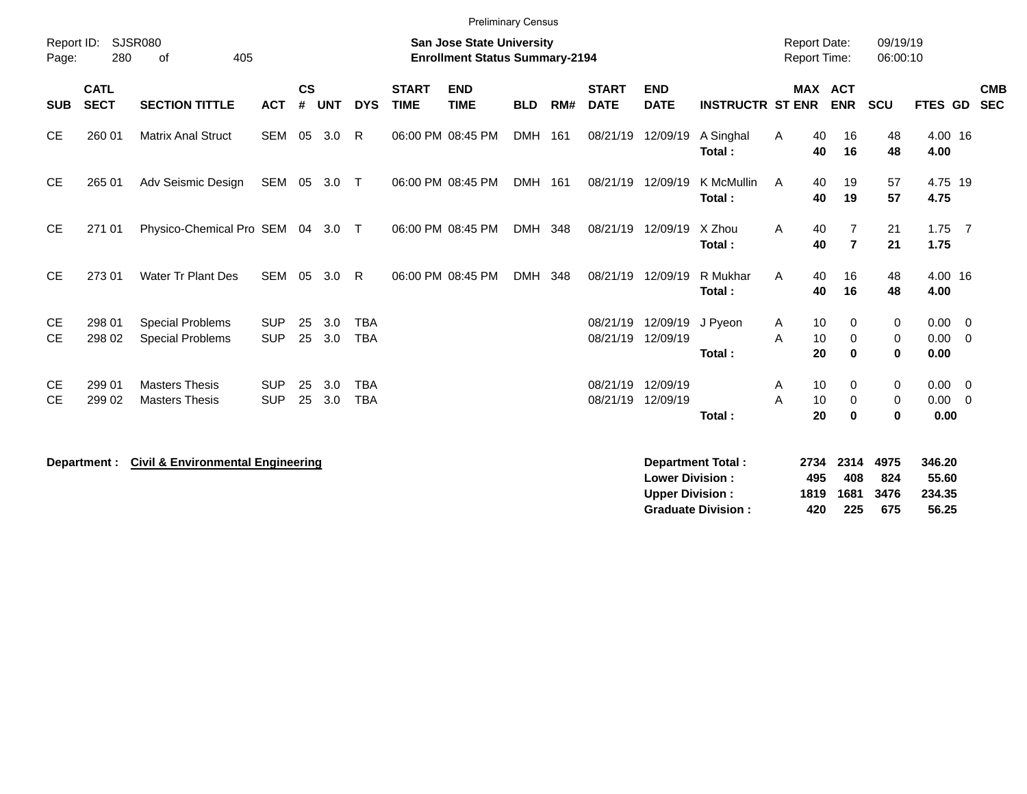|                        |                            |                                                    |                          |                    |            |                          |                             | <b>Preliminary Census</b>                                                 |            |     |                             |                                                      |                         |                                            |                                  |                      |                                    |                          |
|------------------------|----------------------------|----------------------------------------------------|--------------------------|--------------------|------------|--------------------------|-----------------------------|---------------------------------------------------------------------------|------------|-----|-----------------------------|------------------------------------------------------|-------------------------|--------------------------------------------|----------------------------------|----------------------|------------------------------------|--------------------------|
| Report ID:<br>Page:    | 280                        | <b>SJSR080</b><br>405<br>οf                        |                          |                    |            |                          |                             | <b>San Jose State University</b><br><b>Enrollment Status Summary-2194</b> |            |     |                             |                                                      |                         | <b>Report Date:</b><br><b>Report Time:</b> |                                  | 09/19/19<br>06:00:10 |                                    |                          |
| <b>SUB</b>             | <b>CATL</b><br><b>SECT</b> | <b>SECTION TITTLE</b>                              | <b>ACT</b>               | $\mathsf{cs}$<br># | <b>UNT</b> | <b>DYS</b>               | <b>START</b><br><b>TIME</b> | <b>END</b><br><b>TIME</b>                                                 | <b>BLD</b> | RM# | <b>START</b><br><b>DATE</b> | <b>END</b><br><b>DATE</b>                            | <b>INSTRUCTR ST ENR</b> |                                            | <b>MAX ACT</b><br><b>ENR</b>     | <b>SCU</b>           | <b>FTES GD</b>                     | <b>CMB</b><br><b>SEC</b> |
| <b>CE</b>              | 260 01                     | <b>Matrix Anal Struct</b>                          | SEM 05                   |                    | 3.0        | R.                       |                             | 06:00 PM 08:45 PM                                                         | DMH 161    |     | 08/21/19                    | 12/09/19                                             | A Singhal<br>Total:     | 40<br>A<br>40                              | 16<br>16                         | 48<br>48             | 4.00 16<br>4.00                    |                          |
| <b>CE</b>              | 265 01                     | Adv Seismic Design                                 | SEM 05                   |                    | $3.0$ T    |                          |                             | 06:00 PM 08:45 PM                                                         | DMH 161    |     | 08/21/19                    | 12/09/19                                             | K McMullin<br>Total:    | 40<br>A<br>40                              | 19<br>19                         | 57<br>57             | 4.75 19<br>4.75                    |                          |
| <b>CE</b>              | 271 01                     | Physico-Chemical Pro SEM 04 3.0 T                  |                          |                    |            |                          |                             | 06:00 PM 08:45 PM                                                         | DMH 348    |     | 08/21/19                    | 12/09/19                                             | X Zhou<br>Total:        | Α<br>40<br>40                              | $\overline{7}$<br>$\overline{7}$ | 21<br>21             | $1.75$ 7<br>1.75                   |                          |
| <b>CE</b>              | 273 01                     | <b>Water Tr Plant Des</b>                          | SEM                      | 05                 | 3.0        | R                        |                             | 06:00 PM 08:45 PM                                                         | DMH        | 348 | 08/21/19                    | 12/09/19                                             | R Mukhar<br>Total:      | 40<br>Α<br>40                              | 16<br>16                         | 48<br>48             | 4.00 16<br>4.00                    |                          |
| <b>CE</b><br><b>CE</b> | 298 01<br>298 02           | <b>Special Problems</b><br><b>Special Problems</b> | <b>SUP</b><br><b>SUP</b> | 25<br>25           | 3.0<br>3.0 | <b>TBA</b><br><b>TBA</b> |                             |                                                                           |            |     | 08/21/19<br>08/21/19        | 12/09/19<br>12/09/19                                 | J Pyeon<br>Total:       | 10<br>A<br>10<br>A<br>20                   | 0<br>0<br>0                      | 0<br>0<br>0          | $0.00 \t 0$<br>$0.00 \t 0$<br>0.00 |                          |
| <b>CE</b><br><b>CE</b> | 299 01<br>299 02           | <b>Masters Thesis</b><br><b>Masters Thesis</b>     | <b>SUP</b><br><b>SUP</b> | 25<br>25           | 3.0<br>3.0 | <b>TBA</b><br><b>TBA</b> |                             |                                                                           |            |     | 08/21/19<br>08/21/19        | 12/09/19<br>12/09/19                                 | Total:                  | 10<br>A<br>10<br>A<br>20                   | 0<br>0<br>0                      | 0<br>0<br>0          | $0.00 \t 0$<br>$0.00 \t 0$<br>0.00 |                          |
|                        |                            | $\sim$ $\sim$ $\sim$ $\sim$ $\sim$ $\sim$ $\sim$   |                          |                    |            |                          |                             |                                                                           |            |     |                             | $\sim$<br><b>Contract Contract Contract Contract</b> | .                       |                                            | $-0.001$ $-0.011$ $-0.000$       |                      | $\sim$ $\sim$ $\sim$               |                          |

**Department : Civil & Environmental Engineering** 

| Department Total:         |      | 2734 2314 4975 |        | 346.20 |
|---------------------------|------|----------------|--------|--------|
| <b>Lower Division:</b>    | 495  | 408            | 824    | 55.60  |
| <b>Upper Division:</b>    | 1819 | 1681           | - 3476 | 234.35 |
| <b>Graduate Division:</b> | 420  | 225            | 675    | 56.25  |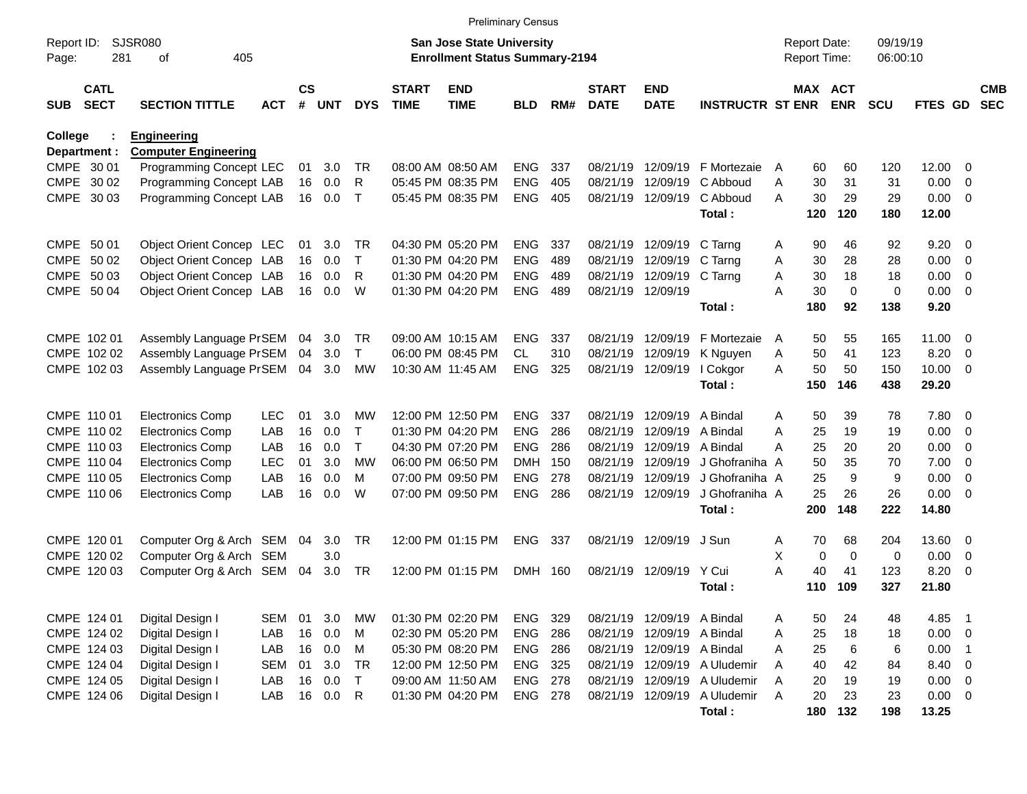|                     |                            |                                                   |            |                    |     |              |                             | <b>Preliminary Census</b>                                                 |                |     |                             |                           |                         |   |             |                                     |                      |                |                            |                          |
|---------------------|----------------------------|---------------------------------------------------|------------|--------------------|-----|--------------|-----------------------------|---------------------------------------------------------------------------|----------------|-----|-----------------------------|---------------------------|-------------------------|---|-------------|-------------------------------------|----------------------|----------------|----------------------------|--------------------------|
| Report ID:<br>Page: | 281                        | <b>SJSR080</b><br>405<br>οf                       |            |                    |     |              |                             | <b>San Jose State University</b><br><b>Enrollment Status Summary-2194</b> |                |     |                             |                           |                         |   |             | <b>Report Date:</b><br>Report Time: | 09/19/19<br>06:00:10 |                |                            |                          |
| <b>SUB</b>          | <b>CATL</b><br><b>SECT</b> | <b>SECTION TITTLE</b>                             | <b>ACT</b> | $\mathsf{cs}$<br># | UNT | <b>DYS</b>   | <b>START</b><br><b>TIME</b> | <b>END</b><br><b>TIME</b>                                                 | <b>BLD</b>     | RM# | <b>START</b><br><b>DATE</b> | <b>END</b><br><b>DATE</b> | <b>INSTRUCTR ST ENR</b> |   |             | MAX ACT<br><b>ENR</b>               | <b>SCU</b>           | <b>FTES GD</b> |                            | <b>CMB</b><br><b>SEC</b> |
| <b>College</b>      | Department :               | <b>Engineering</b><br><b>Computer Engineering</b> |            |                    |     |              |                             |                                                                           |                |     |                             |                           |                         |   |             |                                     |                      |                |                            |                          |
| CMPE 30 01          |                            | Programming Concept LEC                           |            | 01                 | 3.0 | TR           |                             | 08:00 AM 08:50 AM                                                         | <b>ENG</b>     | 337 | 08/21/19                    | 12/09/19                  | F Mortezaie             | A | 60          | 60                                  | 120                  | 12.00          | $\overline{\mathbf{0}}$    |                          |
| CMPE 30 02          |                            | Programming Concept LAB                           |            | 16                 | 0.0 | R            |                             | 05:45 PM 08:35 PM                                                         | <b>ENG</b>     | 405 | 08/21/19                    | 12/09/19                  | C Abboud                | A | 30          | 31                                  | 31                   | 0.00           | 0                          |                          |
|                     | CMPE 30 03                 | Programming Concept LAB                           |            | 16                 | 0.0 | $\mathsf T$  |                             | 05:45 PM 08:35 PM                                                         | <b>ENG</b>     | 405 | 08/21/19                    | 12/09/19                  | C Abboud                | Α | 30          | 29                                  | 29                   | 0.00           | $\overline{\mathbf{0}}$    |                          |
|                     |                            |                                                   |            |                    |     |              |                             |                                                                           |                |     |                             |                           | Total:                  |   | 120         | 120                                 | 180                  | 12.00          |                            |                          |
| CMPE 50 01          |                            | Object Orient Concep LEC                          |            | 01                 | 3.0 | TR.          |                             | 04:30 PM 05:20 PM                                                         | <b>ENG</b>     | 337 | 08/21/19                    | 12/09/19                  | C Tarng                 | A | 90          | 46                                  | 92                   | 9.20           | $\overline{\mathbf{0}}$    |                          |
|                     | CMPE 50 02                 | Object Orient Concep LAB                          |            | 16                 | 0.0 | $\mathsf{T}$ |                             | 01:30 PM 04:20 PM                                                         | <b>ENG</b>     | 489 | 08/21/19                    | 12/09/19                  | C Tarng                 | A | 30          | 28                                  | 28                   | 0.00           | 0                          |                          |
| CMPE 50 03          |                            | Object Orient Concep LAB                          |            | 16                 | 0.0 | R            |                             | 01:30 PM 04:20 PM                                                         | <b>ENG</b>     | 489 | 08/21/19                    | 12/09/19                  | C Tarng                 | A | 30          | 18                                  | 18                   | 0.00           | 0                          |                          |
|                     | CMPE 50 04                 | Object Orient Concep LAB                          |            | 16                 | 0.0 | W            |                             | 01:30 PM 04:20 PM                                                         | <b>ENG</b>     | 489 | 08/21/19                    | 12/09/19                  |                         | A | 30          | $\mathbf 0$                         | 0                    | 0.00           | $\overline{0}$             |                          |
|                     |                            |                                                   |            |                    |     |              |                             |                                                                           |                |     |                             |                           | Total:                  |   | 180         | 92                                  | 138                  | 9.20           |                            |                          |
|                     | CMPE 102 01                | Assembly Language PrSEM                           |            | 04                 | 3.0 | TR           |                             | 09:00 AM 10:15 AM                                                         | <b>ENG</b>     | 337 | 08/21/19                    | 12/09/19                  | F Mortezaie             | A | 50          | 55                                  | 165                  | 11.00          | $\overline{\mathbf{0}}$    |                          |
|                     | CMPE 102 02                | Assembly Language PrSEM                           |            | 04                 | 3.0 | T.           |                             | 06:00 PM 08:45 PM                                                         | <b>CL</b>      | 310 | 08/21/19                    | 12/09/19                  | K Nguyen                | A | 50          | 41                                  | 123                  | 8.20           | 0                          |                          |
|                     | CMPE 102 03                | Assembly Language PrSEM                           |            | 04                 | 3.0 | <b>MW</b>    |                             | 10:30 AM 11:45 AM                                                         | <b>ENG</b>     | 325 | 08/21/19                    | 12/09/19                  | I Cokgor                | A | 50          | 50                                  | 150                  | 10.00          | $\overline{\mathbf{0}}$    |                          |
|                     |                            |                                                   |            |                    |     |              |                             |                                                                           |                |     |                             |                           | Total:                  |   | 150         | 146                                 | 438                  | 29.20          |                            |                          |
|                     | CMPE 110 01                | <b>Electronics Comp</b>                           | <b>LEC</b> | 01                 | 3.0 | МW           |                             | 12:00 PM 12:50 PM                                                         | <b>ENG</b>     | 337 | 08/21/19                    | 12/09/19                  | A Bindal                | A | 50          | 39                                  | 78                   | 7.80           | $\overline{\mathbf{0}}$    |                          |
|                     | CMPE 110 02                | <b>Electronics Comp</b>                           | LAB        | 16                 | 0.0 | Т            |                             | 01:30 PM 04:20 PM                                                         | ENG            | 286 | 08/21/19                    | 12/09/19                  | A Bindal                | Α | 25          | 19                                  | 19                   | 0.00           | 0                          |                          |
|                     | CMPE 110 03                | <b>Electronics Comp</b>                           | LAB        | 16                 | 0.0 | T            |                             | 04:30 PM 07:20 PM                                                         | <b>ENG</b>     | 286 | 08/21/19                    | 12/09/19                  | A Bindal                | Α | 25          | 20                                  | 20                   | 0.00           | 0                          |                          |
|                     | CMPE 110 04                | <b>Electronics Comp</b>                           | LEC        | 01                 | 3.0 | МW           |                             | 06:00 PM 06:50 PM                                                         | <b>DMH</b>     | 150 | 08/21/19                    | 12/09/19                  | J Ghofraniha A          |   | 50          | 35                                  | 70                   | 7.00           | 0                          |                          |
|                     | CMPE 110 05                | <b>Electronics Comp</b>                           | LAB        | 16                 | 0.0 | M            |                             | 07:00 PM 09:50 PM                                                         | <b>ENG</b>     | 278 | 08/21/19                    | 12/09/19                  | J Ghofraniha A          |   | 25          | 9                                   | 9                    | 0.00           | $\overline{0}$             |                          |
|                     | CMPE 110 06                | <b>Electronics Comp</b>                           | LAB        | 16                 | 0.0 | W            |                             | 07:00 PM 09:50 PM                                                         | <b>ENG</b>     | 286 | 08/21/19                    | 12/09/19                  | J Ghofraniha A          |   | 25          | 26                                  | 26                   | 0.00           | - 0                        |                          |
|                     |                            |                                                   |            |                    |     |              |                             |                                                                           |                |     |                             |                           | Total:                  |   | 200         | 148                                 | 222                  | 14.80          |                            |                          |
|                     | CMPE 120 01                | Computer Org & Arch SEM 04                        |            |                    | 3.0 | <b>TR</b>    |                             | 12:00 PM 01:15 PM                                                         | <b>ENG</b>     | 337 | 08/21/19                    | 12/09/19                  | J Sun                   | Α | 70          | 68                                  | 204                  | 13.60          | $\overline{\mathbf{0}}$    |                          |
|                     | CMPE 120 02                | Computer Org & Arch SEM                           |            |                    | 3.0 |              |                             |                                                                           |                |     |                             |                           |                         | X | $\mathbf 0$ | $\mathbf 0$                         | 0                    | 0.00           | 0                          |                          |
|                     | CMPE 120 03                | Computer Org & Arch SEM                           |            | 04                 | 3.0 | TR           |                             | 12:00 PM 01:15 PM                                                         | <b>DMH</b>     | 160 | 08/21/19                    | 12/09/19                  | Y Cui                   | A | 40          | 41                                  | 123                  | 8.20           | 0                          |                          |
|                     |                            |                                                   |            |                    |     |              |                             |                                                                           |                |     |                             |                           | Total:                  |   | 110         | 109                                 | 327                  | 21.80          |                            |                          |
|                     | CMPE 124 01                | Digital Design I                                  | <b>SEM</b> | 01                 | 3.0 | <b>MW</b>    |                             | 01:30 PM 02:20 PM                                                         | ENG            | 329 |                             | 08/21/19 12/09/19         | A Bindal                | Α | 50          | 24                                  | 48                   | 4.85           | - 1                        |                          |
|                     | CMPE 124 02                | Digital Design I                                  | LAB        | 16                 | 0.0 | M            |                             | 02:30 PM 05:20 PM                                                         | <b>ENG 286</b> |     | 08/21/19                    | 12/09/19                  | A Bindal                | Α | 25          | 18                                  | 18                   | $0.00 \t 0$    |                            |                          |
|                     | CMPE 124 03                | Digital Design I                                  | LAB        | 16                 | 0.0 | M            |                             | 05:30 PM 08:20 PM                                                         | <b>ENG 286</b> |     | 08/21/19                    | 12/09/19                  | A Bindal                | A | 25          | $\,6\,$                             | $\,6$                | 0.00           | $\overline{\phantom{0}}$ 1 |                          |
|                     | CMPE 124 04                | Digital Design I                                  | <b>SEM</b> | 01                 | 3.0 | <b>TR</b>    |                             | 12:00 PM 12:50 PM                                                         | ENG 325        |     | 08/21/19                    | 12/09/19                  | A Uludemir              | A | 40          | 42                                  | 84                   | 8.40           | $\overline{\mathbf{0}}$    |                          |
|                     | CMPE 124 05                | Digital Design I                                  | LAB        | 16                 | 0.0 | $\mathsf{T}$ |                             | 09:00 AM 11:50 AM                                                         | ENG 278        |     | 08/21/19                    | 12/09/19                  | A Uludemir              | Α | 20          | 19                                  | 19                   | 0.00           | $\overline{\phantom{0}}$   |                          |
|                     | CMPE 124 06                | Digital Design I                                  | LAB        | 16                 | 0.0 | R            |                             | 01:30 PM 04:20 PM                                                         | ENG 278        |     | 08/21/19                    | 12/09/19                  | A Uludemir              | A | 20          | 23                                  | 23                   | $0.00 \t 0$    |                            |                          |
|                     |                            |                                                   |            |                    |     |              |                             |                                                                           |                |     |                             |                           | Total:                  |   | 180         | 132                                 | 198                  | 13.25          |                            |                          |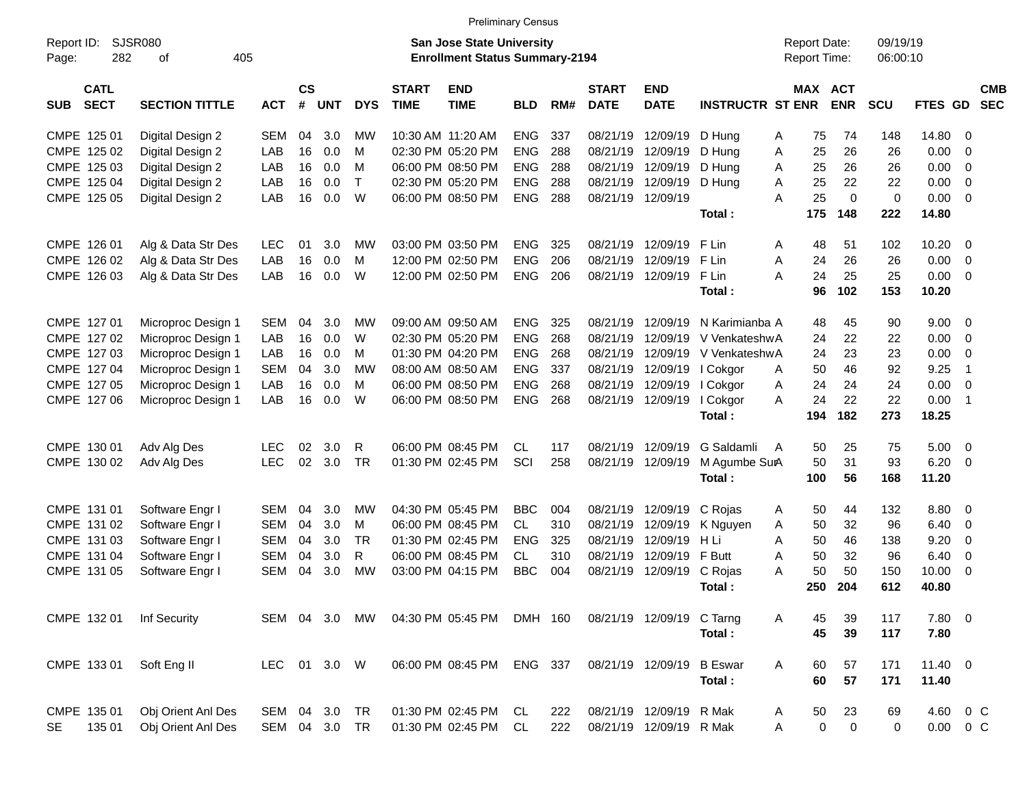|                           |                       |              |           |               |            |              |                                       | <b>Preliminary Census</b> |         |              |                            |                                  |                     |            |             |                |                            |            |
|---------------------------|-----------------------|--------------|-----------|---------------|------------|--------------|---------------------------------------|---------------------------|---------|--------------|----------------------------|----------------------------------|---------------------|------------|-------------|----------------|----------------------------|------------|
| Report ID:                | SJSR080               |              |           |               |            |              | San Jose State University             |                           |         |              |                            |                                  | <b>Report Date:</b> |            | 09/19/19    |                |                            |            |
| 282<br>Page:              | 405<br>οf             |              |           |               |            |              | <b>Enrollment Status Summary-2194</b> |                           |         |              |                            |                                  | Report Time:        |            | 06:00:10    |                |                            |            |
| <b>CATL</b>               |                       |              | <b>CS</b> |               |            | <b>START</b> | <b>END</b>                            |                           |         | <b>START</b> | <b>END</b>                 |                                  | <b>MAX ACT</b>      |            |             |                |                            | <b>CMB</b> |
| <b>SECT</b><br><b>SUB</b> | <b>SECTION TITTLE</b> | <b>ACT</b>   |           | # UNT         | <b>DYS</b> | <b>TIME</b>  | <b>TIME</b>                           | <b>BLD</b>                | RM#     | <b>DATE</b>  | <b>DATE</b>                | <b>INSTRUCTR ST ENR</b>          |                     | <b>ENR</b> | <b>SCU</b>  | <b>FTES GD</b> |                            | <b>SEC</b> |
| CMPE 125 01               | Digital Design 2      | SEM          | 04        | 3.0           | МW         |              | 10:30 AM 11:20 AM                     | <b>ENG</b>                | 337     |              | 08/21/19 12/09/19 D Hung   |                                  | 75<br>A             | 74         | 148         | 14.80 0        |                            |            |
| CMPE 125 02               | Digital Design 2      | LAB          | 16        | 0.0           | м          |              | 02:30 PM 05:20 PM                     | <b>ENG</b>                | 288     |              | 08/21/19 12/09/19 D Hung   |                                  | 25<br>Α             | 26         | 26          | 0.00           | - 0                        |            |
| CMPE 125 03               | Digital Design 2      | LAB          | 16        | 0.0           | м          |              | 06:00 PM 08:50 PM                     | <b>ENG</b>                | 288     |              | 08/21/19 12/09/19 D Hung   |                                  | 25<br>A             | 26         | 26          | 0.00           | - 0                        |            |
| CMPE 125 04               | Digital Design 2      | LAB          | 16        | 0.0           | $\top$     |              | 02:30 PM 05:20 PM                     | <b>ENG</b>                | 288     |              | 08/21/19 12/09/19 D Hung   |                                  | A<br>25             | 22         | 22          | 0.00           | - 0                        |            |
| CMPE 125 05               | Digital Design 2      | LAB          | 16        | 0.0           | W          |              | 06:00 PM 08:50 PM                     | <b>ENG</b>                | 288     |              | 08/21/19 12/09/19          |                                  | A<br>25             | $\Omega$   | $\mathbf 0$ | 0.00           | $\overline{\mathbf{0}}$    |            |
|                           |                       |              |           |               |            |              |                                       |                           |         |              |                            | Total:                           | 175                 | 148        | 222         | 14.80          |                            |            |
| CMPE 126 01               | Alg & Data Str Des    | <b>LEC</b>   | 01        | 3.0           | МW         |              | 03:00 PM 03:50 PM                     | <b>ENG</b>                | 325     |              | 08/21/19 12/09/19          | F Lin                            | Α<br>48             | 51         | 102         | $10.20 \t 0$   |                            |            |
| CMPE 126 02               | Alg & Data Str Des    | LAB          | 16        | 0.0           | м          |              | 12:00 PM 02:50 PM                     | <b>ENG</b>                | 206     | 08/21/19     | 12/09/19                   | F Lin                            | Α<br>24             | 26         | 26          | 0.00           | $\overline{0}$             |            |
| CMPE 126 03               | Alg & Data Str Des    | LAB          | 16        | 0.0           | W          |              | 12:00 PM 02:50 PM                     | <b>ENG</b>                | 206     |              | 08/21/19 12/09/19          | F Lin                            | A<br>24             | 25         | 25          | 0.00           | $\overline{\phantom{0}}$   |            |
|                           |                       |              |           |               |            |              |                                       |                           |         |              |                            | Total:                           | 96                  | 102        | 153         | 10.20          |                            |            |
| CMPE 127 01               | Microproc Design 1    | SEM          | 04        | 3.0           | МW         |              | 09:00 AM 09:50 AM                     | <b>ENG</b>                | 325     |              |                            | 08/21/19 12/09/19 N Karimianba A | 48                  | 45         | 90          | $9.00 \t 0$    |                            |            |
| CMPE 127 02               | Microproc Design 1    | LAB          | 16        | 0.0           | W          |              | 02:30 PM 05:20 PM                     | <b>ENG</b>                | 268     | 08/21/19     |                            | 12/09/19 V VenkateshwA           | 24                  | 22         | 22          | 0.00           | $\overline{0}$             |            |
| CMPE 127 03               | Microproc Design 1    | LAB          | 16        | 0.0           | м          |              | 01:30 PM 04:20 PM                     | <b>ENG</b>                | 268     | 08/21/19     |                            | 12/09/19 V VenkateshwA           | 24                  | 23         | 23          | 0.00           | - 0                        |            |
| CMPE 127 04               | Microproc Design 1    | SEM          | 04        | 3.0           | <b>MW</b>  |              | 08:00 AM 08:50 AM                     | <b>ENG</b>                | 337     |              | 08/21/19 12/09/19 I Cokgor |                                  | 50<br>A             | 46         | 92          | 9.25           | $\overline{1}$             |            |
| CMPE 127 05               | Microproc Design 1    | LAB          | 16        | 0.0           | м          |              | 06:00 PM 08:50 PM                     | <b>ENG</b>                | 268     |              | 08/21/19 12/09/19 I Cokgor |                                  | 24<br>Α             | 24         | 24          | 0.00           | $\overline{0}$             |            |
| CMPE 127 06               | Microproc Design 1    | LAB          | 16        | 0.0           | W          |              | 06:00 PM 08:50 PM                     | <b>ENG</b>                | 268     |              | 08/21/19 12/09/19          | I Cokgor                         | 24<br>A             | 22         | 22          | 0.00           | $\overline{\phantom{0}}$ 1 |            |
|                           |                       |              |           |               |            |              |                                       |                           |         |              |                            | Total:                           | 194                 | 182        | 273         | 18.25          |                            |            |
| CMPE 130 01               | Adv Alg Des           | <b>LEC</b>   | 02        | 3.0           | R          |              | 06:00 PM 08:45 PM                     | CL.                       | 117     |              |                            | 08/21/19 12/09/19 G Saldamli     | 50<br>A             | 25         | 75          | $5.00 \t 0$    |                            |            |
| CMPE 130 02               | Adv Alg Des           | <b>LEC</b>   | 02        | 3.0           | <b>TR</b>  |              | 01:30 PM 02:45 PM                     | SCI                       | 258     |              | 08/21/19 12/09/19          | M Agumbe SurA                    | 50                  | 31         | 93          | 6.20           | $\overline{\phantom{0}}$   |            |
|                           |                       |              |           |               |            |              |                                       |                           |         |              |                            | Total:                           | 100                 | 56         | 168         | 11.20          |                            |            |
| CMPE 131 01               | Software Engr I       | SEM          | 04        | 3.0           | МW         |              | 04:30 PM 05:45 PM                     | <b>BBC</b>                | 004     |              | 08/21/19 12/09/19 C Rojas  |                                  | 50<br>A             | 44         | 132         | $8.80\ 0$      |                            |            |
| CMPE 131 02               | Software Engr I       | SEM          | 04        | 3.0           | м          |              | 06:00 PM 08:45 PM                     | CL                        | 310     | 08/21/19     | 12/09/19                   | K Nguyen                         | Α<br>50             | 32         | 96          | 6.40           | 0                          |            |
| CMPE 131 03               | Software Engr I       | SEM          | 04        | 3.0           | <b>TR</b>  |              | 01:30 PM 02:45 PM                     | ENG                       | 325     | 08/21/19     | 12/09/19 H Li              |                                  | A<br>50             | 46         | 138         | 9.20           | - 0                        |            |
| CMPE 131 04               | Software Engr I       | SEM          | 04        | 3.0           | R.         |              | 06:00 PM 08:45 PM                     | CL                        | 310     | 08/21/19     | 12/09/19 F Butt            |                                  | 50<br>A             | 32         | 96          | 6.40           | 0                          |            |
| CMPE 131 05               | Software Engr I       | SEM          | 04        | 3.0           | <b>MW</b>  |              | 03:00 PM 04:15 PM                     | <b>BBC</b>                | 004     |              | 08/21/19 12/09/19 C Rojas  |                                  | 50<br>A             | 50         | 150         | 10.00          | - 0                        |            |
|                           |                       |              |           |               |            |              |                                       |                           |         |              |                            | Total:                           | 250                 | 204        | 612         | 40.80          |                            |            |
| CMPE 132 01               | Inf Security          |              |           | SEM 04 3.0    | MW         |              | 04:30 PM 05:45 PM                     |                           | DMH 160 |              | 08/21/19 12/09/19 C Tarng  |                                  | Α<br>45             | 39         | 117         | 7.80 0         |                            |            |
|                           |                       |              |           |               |            |              |                                       |                           |         |              |                            | Total:                           | 45                  | 39         | 117         | 7.80           |                            |            |
| CMPE 133 01               | Soft Eng II           | LEC 01 3.0 W |           |               |            |              | 06:00 PM 08:45 PM                     |                           | ENG 337 |              | 08/21/19 12/09/19          | <b>B</b> Eswar                   | 60<br>Α             | 57         | 171         | $11.40 \t 0$   |                            |            |
|                           |                       |              |           |               |            |              |                                       |                           |         |              |                            | Total:                           | 60                  | 57         | 171         | 11.40          |                            |            |
| CMPE 135 01               | Obj Orient Anl Des    |              |           | SEM 04 3.0 TR |            |              | 01:30 PM 02:45 PM                     | CL                        | 222     |              | 08/21/19 12/09/19 R Mak    |                                  | 50<br>A             | 23         | 69          | 4.60 0 C       |                            |            |
| SE<br>135 01              | Obj Orient Anl Des    |              |           | SEM 04 3.0 TR |            |              | 01:30 PM 02:45 PM                     | CL                        | 222     |              | 08/21/19 12/09/19 R Mak    |                                  | $\mathbf 0$<br>Α    | 0          | 0           | $0.00 \t 0 C$  |                            |            |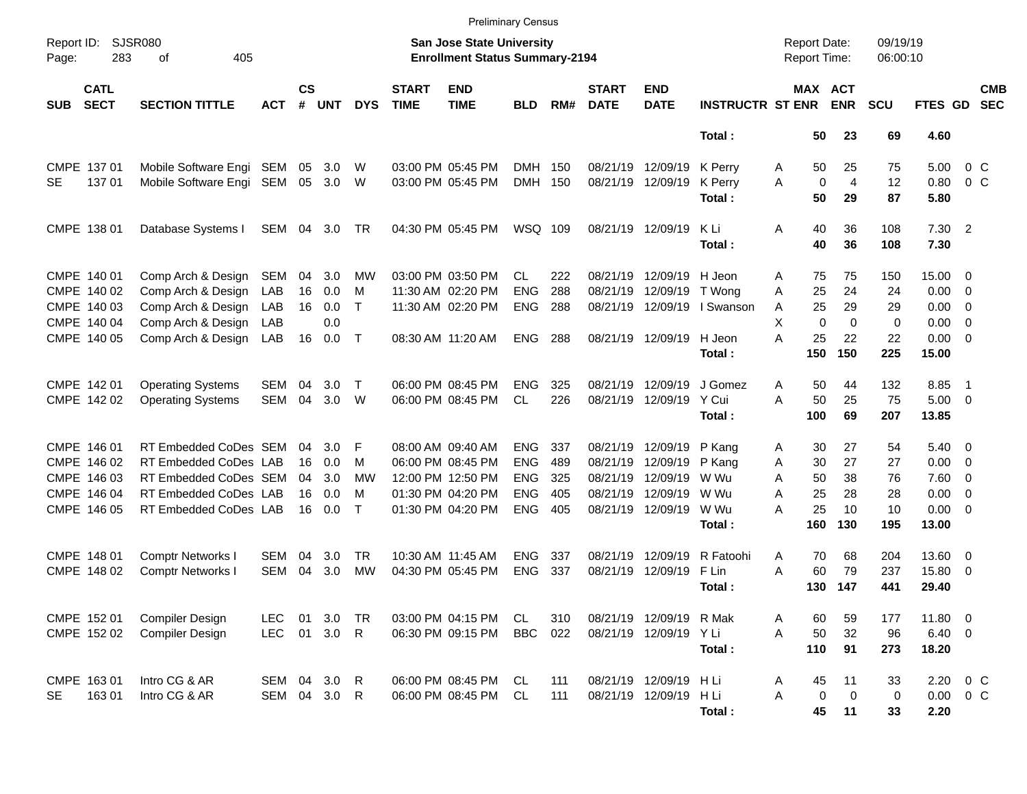|                     |                            |                             |              |                    |            |            |                             |                                                                    | <b>Preliminary Census</b> |     |                             |                           |                         |   |                     |                       |                      |               |                          |                          |
|---------------------|----------------------------|-----------------------------|--------------|--------------------|------------|------------|-----------------------------|--------------------------------------------------------------------|---------------------------|-----|-----------------------------|---------------------------|-------------------------|---|---------------------|-----------------------|----------------------|---------------|--------------------------|--------------------------|
| Report ID:<br>Page: | 283                        | <b>SJSR080</b><br>405<br>оf |              |                    |            |            |                             | San Jose State University<br><b>Enrollment Status Summary-2194</b> |                           |     |                             |                           |                         |   | <b>Report Date:</b> | <b>Report Time:</b>   | 09/19/19<br>06:00:10 |               |                          |                          |
| <b>SUB</b>          | <b>CATL</b><br><b>SECT</b> | <b>SECTION TITTLE</b>       | <b>ACT</b>   | $\mathsf{cs}$<br># | <b>UNT</b> | <b>DYS</b> | <b>START</b><br><b>TIME</b> | <b>END</b><br><b>TIME</b>                                          | <b>BLD</b>                | RM# | <b>START</b><br><b>DATE</b> | <b>END</b><br><b>DATE</b> | <b>INSTRUCTR ST ENR</b> |   |                     | MAX ACT<br><b>ENR</b> | <b>SCU</b>           | FTES GD       |                          | <b>CMB</b><br><b>SEC</b> |
|                     |                            |                             |              |                    |            |            |                             |                                                                    |                           |     |                             |                           | Total:                  |   | 50                  | 23                    | 69                   | 4.60          |                          |                          |
|                     | CMPE 137 01                | Mobile Software Engi SEM    |              | 05                 | 3.0        | W          |                             | 03:00 PM 05:45 PM                                                  | <b>DMH</b>                | 150 | 08/21/19                    | 12/09/19                  | K Perry                 | A | 50                  | 25                    | 75                   | 5.00          | $0\,C$                   |                          |
| <b>SE</b>           | 137 01                     | Mobile Software Engi SEM    |              | 05                 | 3.0        | W          |                             | 03:00 PM 05:45 PM                                                  | <b>DMH</b>                | 150 | 08/21/19                    | 12/09/19                  | K Perry                 | A | $\mathbf 0$         | $\overline{4}$        | 12                   | 0.80          | $0\,C$                   |                          |
|                     |                            |                             |              |                    |            |            |                             |                                                                    |                           |     |                             |                           | Total:                  |   | 50                  | 29                    | 87                   | 5.80          |                          |                          |
|                     | CMPE 138 01                | Database Systems I          | SEM 04 3.0   |                    |            | TR         |                             | 04:30 PM 05:45 PM                                                  | WSQ 109                   |     | 08/21/19 12/09/19           |                           | K Li                    | Α | 40                  | 36                    | 108                  | $7.30$ 2      |                          |                          |
|                     |                            |                             |              |                    |            |            |                             |                                                                    |                           |     |                             |                           | Total:                  |   | 40                  | 36                    | 108                  | 7.30          |                          |                          |
|                     | CMPE 140 01                | Comp Arch & Design          | SEM          | 04                 | 3.0        | MW         |                             | 03:00 PM 03:50 PM                                                  | CL                        | 222 | 08/21/19                    | 12/09/19                  | H Jeon                  | A | 75                  | 75                    | 150                  | 15.00 0       |                          |                          |
|                     | CMPE 140 02                | Comp Arch & Design          | LAB          | 16                 | 0.0        | м          |                             | 11:30 AM 02:20 PM                                                  | <b>ENG</b>                | 288 | 08/21/19                    | 12/09/19                  | T Wong                  | A | 25                  | 24                    | 24                   | $0.00 \t 0$   |                          |                          |
|                     | CMPE 140 03                | Comp Arch & Design          | LAB          | 16                 | 0.0        | $\top$     |                             | 11:30 AM 02:20 PM                                                  | <b>ENG</b>                | 288 | 08/21/19                    | 12/09/19                  | I Swanson               | Α | 25                  | 29                    | 29                   | $0.00 \t 0$   |                          |                          |
|                     | CMPE 140 04                | Comp Arch & Design          | LAB          |                    | 0.0        |            |                             |                                                                    |                           |     |                             |                           |                         | X | $\mathbf 0$         | $\Omega$              | 0                    | $0.00 \t 0$   |                          |                          |
|                     | CMPE 140 05                | Comp Arch & Design LAB      |              | 16                 | 0.0        | $\top$     |                             | 08:30 AM 11:20 AM                                                  | <b>ENG</b>                | 288 |                             | 08/21/19 12/09/19         | H Jeon                  | А | 25                  | 22                    | 22                   | $0.00 \t 0$   |                          |                          |
|                     |                            |                             |              |                    |            |            |                             |                                                                    |                           |     |                             |                           | Total:                  |   | 150                 | 150                   | 225                  | 15.00         |                          |                          |
|                     | CMPE 142 01                | <b>Operating Systems</b>    | <b>SEM</b>   | 04                 | 3.0        | $\top$     |                             | 06:00 PM 08:45 PM                                                  | <b>ENG</b>                | 325 | 08/21/19                    | 12/09/19                  | J Gomez                 | Α | 50                  | 44                    | 132                  | 8.85          | $\overline{\phantom{1}}$ |                          |
|                     | CMPE 142 02                | <b>Operating Systems</b>    | <b>SEM</b>   | 04                 | 3.0        | W          |                             | 06:00 PM 08:45 PM                                                  | CL                        | 226 | 08/21/19                    | 12/09/19                  | Y Cui                   | A | 50                  | 25                    | 75                   | $5.00 \t 0$   |                          |                          |
|                     |                            |                             |              |                    |            |            |                             |                                                                    |                           |     |                             |                           | Total:                  |   | 100                 | 69                    | 207                  | 13.85         |                          |                          |
|                     | CMPE 146 01                | RT Embedded CoDes SEM       |              | 04                 | 3.0        | F          |                             | 08:00 AM 09:40 AM                                                  | <b>ENG</b>                | 337 | 08/21/19                    | 12/09/19                  | P Kang                  | A | 30                  | 27                    | 54                   | $5.40 \ 0$    |                          |                          |
|                     | CMPE 146 02                | RT Embedded CoDes LAB       |              | 16                 | 0.0        | м          |                             | 06:00 PM 08:45 PM                                                  | <b>ENG</b>                | 489 | 08/21/19                    | 12/09/19                  | P Kang                  | Α | 30                  | 27                    | 27                   | $0.00 \t 0$   |                          |                          |
|                     | CMPE 146 03                | RT Embedded CoDes SEM       |              | 04                 | 3.0        | МW         |                             | 12:00 PM 12:50 PM                                                  | <b>ENG</b>                | 325 | 08/21/19                    | 12/09/19                  | W Wu                    | A | 50                  | 38                    | 76                   | $7.60 \t 0$   |                          |                          |
|                     | CMPE 146 04                | RT Embedded CoDes LAB       |              | 16                 | 0.0        | м          |                             | 01:30 PM 04:20 PM                                                  | <b>ENG</b>                | 405 | 08/21/19                    | 12/09/19                  | W Wu                    | A | 25                  | 28                    | 28                   | $0.00 \t 0$   |                          |                          |
|                     | CMPE 146 05                | RT Embedded CoDes LAB       |              | 16                 | 0.0        | $\top$     |                             | 01:30 PM 04:20 PM                                                  | <b>ENG</b>                | 405 |                             | 08/21/19 12/09/19         | W Wu                    | A | 25                  | 10                    | 10                   | $0.00 \t 0$   |                          |                          |
|                     |                            |                             |              |                    |            |            |                             |                                                                    |                           |     |                             |                           | Total:                  |   | 160                 | 130                   | 195                  | 13.00         |                          |                          |
|                     | CMPE 148 01                | <b>Comptr Networks I</b>    | <b>SEM</b>   | 04                 | 3.0        | TR         |                             | 10:30 AM 11:45 AM                                                  | <b>ENG</b>                | 337 | 08/21/19                    | 12/09/19                  | R Fatoohi               | Α | 70                  | 68                    | 204                  | 13.60 0       |                          |                          |
|                     | CMPE 148 02                | <b>Comptr Networks I</b>    | <b>SEM</b>   | 04                 | 3.0        | MW         |                             | 04:30 PM 05:45 PM                                                  | <b>ENG</b>                | 337 | 08/21/19                    | 12/09/19                  | F Lin                   | A | 60                  | 79                    | 237                  | 15.80 0       |                          |                          |
|                     |                            |                             |              |                    |            |            |                             |                                                                    |                           |     |                             |                           | Total :                 |   | 130                 | 147                   | 441                  | 29.40         |                          |                          |
|                     | CMPE 152 01                | Compiler Design             | LEC.         | 01                 | 3.0        | <b>TR</b>  |                             | 03:00 PM 04:15 PM                                                  | CL                        | 310 |                             | 08/21/19 12/09/19 R Mak   |                         | A | 60                  | 59                    | 177                  | 11.80 0       |                          |                          |
|                     | CMPE 152 02                | Compiler Design             | LEC          |                    | 01 3.0 R   |            |                             | 06:30 PM 09:15 PM                                                  | <b>BBC</b>                | 022 |                             | 08/21/19 12/09/19 YLi     |                         | A | 50                  | 32                    | 96                   | $6.40\quad 0$ |                          |                          |
|                     |                            |                             |              |                    |            |            |                             |                                                                    |                           |     |                             |                           | Total:                  |   | 110                 | 91                    | 273                  | 18.20         |                          |                          |
|                     | CMPE 163 01                | Intro CG & AR               | SEM 04 3.0 R |                    |            |            |                             | 06:00 PM 08:45 PM                                                  | CL.                       | 111 |                             | 08/21/19 12/09/19 H Li    |                         | A | 45                  | 11                    | 33                   | 2.20 0 C      |                          |                          |
| SE                  | 16301                      | Intro CG & AR               | SEM 04 3.0 R |                    |            |            |                             | 06:00 PM 08:45 PM                                                  | CL                        | 111 |                             | 08/21/19 12/09/19         | H Li                    | Α | $\pmb{0}$           | $\mathbf 0$           | 0                    | $0.00 \t 0 C$ |                          |                          |
|                     |                            |                             |              |                    |            |            |                             |                                                                    |                           |     |                             |                           | Total:                  |   | 45                  | 11                    | 33                   | 2.20          |                          |                          |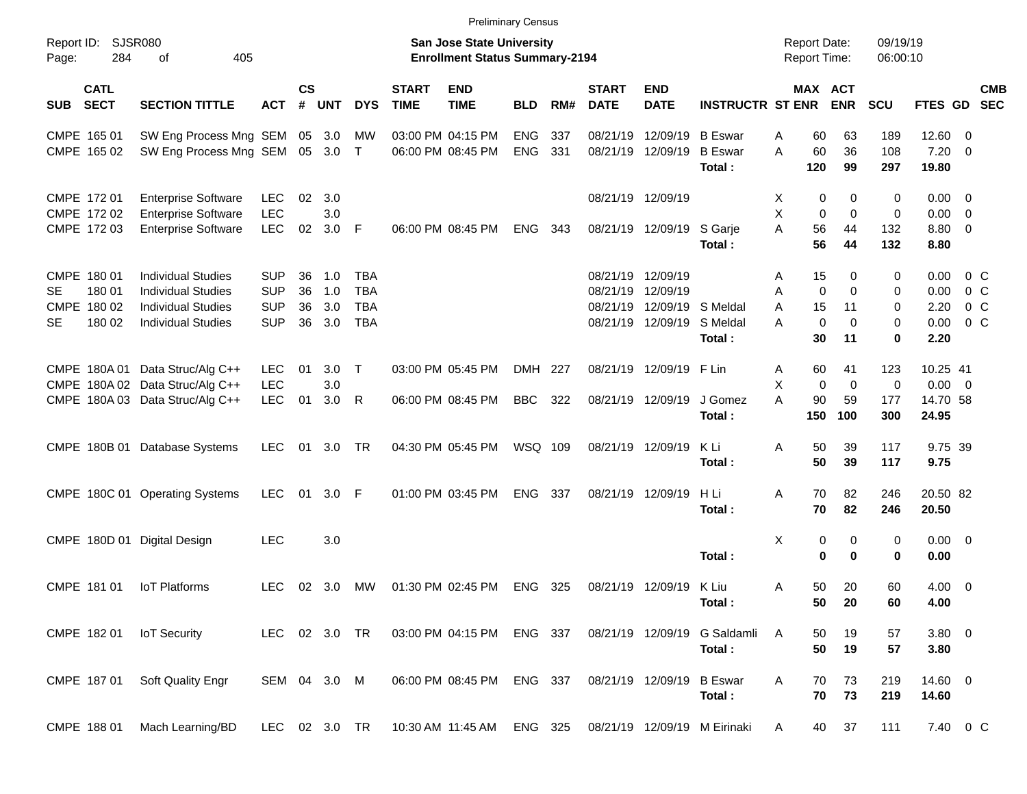|           |                            |                                                          |                          |                    |            |                          |                             |                                                                    | <b>Preliminary Census</b> |     |                             |                           |                              |                                            |                                |                      |                       |                   |            |
|-----------|----------------------------|----------------------------------------------------------|--------------------------|--------------------|------------|--------------------------|-----------------------------|--------------------------------------------------------------------|---------------------------|-----|-----------------------------|---------------------------|------------------------------|--------------------------------------------|--------------------------------|----------------------|-----------------------|-------------------|------------|
| Page:     | Report ID: SJSR080<br>284  | 405<br>of                                                |                          |                    |            |                          |                             | San Jose State University<br><b>Enrollment Status Summary-2194</b> |                           |     |                             |                           |                              | <b>Report Date:</b><br><b>Report Time:</b> |                                | 09/19/19<br>06:00:10 |                       |                   |            |
| SUB       | <b>CATL</b><br><b>SECT</b> | <b>SECTION TITTLE</b>                                    | <b>ACT</b>               | $\mathsf{cs}$<br># | <b>UNT</b> | <b>DYS</b>               | <b>START</b><br><b>TIME</b> | <b>END</b><br><b>TIME</b>                                          | <b>BLD</b>                | RM# | <b>START</b><br><b>DATE</b> | <b>END</b><br><b>DATE</b> | <b>INSTRUCTR ST ENR</b>      |                                            | MAX ACT<br><b>ENR</b>          | <b>SCU</b>           | FTES GD SEC           |                   | <b>CMB</b> |
|           | CMPE 165 01                | SW Eng Process Mng SEM 05 3.0                            |                          |                    |            | МW                       |                             | 03:00 PM 04:15 PM                                                  | <b>ENG</b>                | 337 | 08/21/19                    | 12/09/19                  | <b>B</b> Eswar               | 60<br>Α                                    | 63                             | 189                  | $12.60 \t 0$          |                   |            |
|           | CMPE 165 02                | SW Eng Process Mng SEM 05 3.0 T                          |                          |                    |            |                          |                             | 06:00 PM 08:45 PM                                                  | <b>ENG</b>                | 331 | 08/21/19                    | 12/09/19                  | <b>B</b> Eswar<br>Total:     | A<br>60<br>120                             | 36<br>99                       | 108<br>297           | $7.20 \t 0$<br>19.80  |                   |            |
|           | CMPE 172 01                | <b>Enterprise Software</b>                               | <b>LEC</b>               | 02                 | 3.0        |                          |                             |                                                                    |                           |     |                             | 08/21/19 12/09/19         |                              | Х                                          | 0<br>0                         | 0                    | $0.00 \t 0$           |                   |            |
|           | CMPE 172 02<br>CMPE 172 03 | <b>Enterprise Software</b><br><b>Enterprise Software</b> | <b>LEC</b><br><b>LEC</b> | 02                 | 3.0<br>3.0 | - F                      |                             | 06:00 PM 08:45 PM                                                  | <b>ENG</b>                | 343 |                             | 08/21/19 12/09/19 S Garje |                              | X<br>A<br>56                               | 0<br>$\mathbf 0$<br>44         | 0<br>132             | $0.00 \t 0$<br>8.80 0 |                   |            |
|           |                            |                                                          |                          |                    |            |                          |                             |                                                                    |                           |     |                             |                           | Total:                       | 56                                         | 44                             | 132                  | 8.80                  |                   |            |
|           | CMPE 180 01                | <b>Individual Studies</b>                                | <b>SUP</b>               | 36                 | 1.0        | TBA                      |                             |                                                                    |                           |     | 08/21/19                    | 12/09/19                  |                              | 15<br>A                                    | 0                              | 0                    | 0.00                  | $0\,$ C           |            |
| SE.       | 180 01<br>CMPE 180 02      | <b>Individual Studies</b><br><b>Individual Studies</b>   | <b>SUP</b><br><b>SUP</b> | 36<br>36           | 1.0<br>3.0 | <b>TBA</b><br><b>TBA</b> |                             |                                                                    |                           |     | 08/21/19<br>08/21/19        | 12/09/19                  | 12/09/19 S Meldal            | Α<br>15<br>A                               | $\mathbf 0$<br>$\Omega$<br>11  | 0<br>0               | 0.00<br>2.20          | $0\,$ C<br>$0\,C$ |            |
| <b>SE</b> | 180 02                     | <b>Individual Studies</b>                                | <b>SUP</b>               | 36                 | 3.0        | <b>TBA</b>               |                             |                                                                    |                           |     |                             | 08/21/19 12/09/19         | S Meldal                     | A                                          | $\mathbf 0$<br>$\Omega$        | 0                    | 0.00                  | 0 <sup>o</sup>    |            |
|           |                            |                                                          |                          |                    |            |                          |                             |                                                                    |                           |     |                             |                           | Total:                       | 30                                         | 11                             | 0                    | 2.20                  |                   |            |
|           |                            | CMPE 180A 01 Data Struc/Alg C++                          | <b>LEC</b>               | 01                 | 3.0        | $\top$                   |                             | 03:00 PM 05:45 PM                                                  | DMH 227                   |     |                             | 08/21/19 12/09/19         | F Lin                        | 60<br>A                                    | 41                             | 123                  | 10.25 41              |                   |            |
|           |                            | CMPE 180A 02 Data Struc/Alg C++                          | <b>LEC</b>               |                    | 3.0        |                          |                             |                                                                    |                           |     |                             |                           |                              | X<br>A                                     | $\mathbf 0$<br>$\mathbf 0$     | 0                    | $0.00 \t 0$           |                   |            |
|           |                            | CMPE 180A 03 Data Struc/Alg C++                          | <b>LEC</b>               | 01                 | 3.0        | R                        |                             | 06:00 PM 08:45 PM                                                  | <b>BBC</b>                | 322 |                             | 08/21/19 12/09/19         | J Gomez<br>Total:            | 90<br>150                                  | 59<br>100                      | 177<br>300           | 14.70 58<br>24.95     |                   |            |
|           |                            | CMPE 180B 01 Database Systems                            | <b>LEC</b>               | 01                 | 3.0        | TR                       |                             | 04:30 PM 05:45 PM                                                  | WSQ 109                   |     |                             | 08/21/19 12/09/19         | K Li<br>Total:               | 50<br>Α<br>50                              | 39<br>39                       | 117<br>117           | 9.75 39<br>9.75       |                   |            |
|           |                            | CMPE 180C 01 Operating Systems                           | <b>LEC</b>               | 01                 | 3.0        | - F                      |                             | 01:00 PM 03:45 PM                                                  | <b>ENG</b>                | 337 |                             | 08/21/19 12/09/19         | H Li<br>Total:               | 70<br>Α<br>70                              | 82<br>82                       | 246<br>246           | 20.50 82<br>20.50     |                   |            |
|           |                            | CMPE 180D 01 Digital Design                              | <b>LEC</b>               |                    | 3.0        |                          |                             |                                                                    |                           |     |                             |                           | Total:                       | X                                          | 0<br>0<br>$\bf{0}$<br>$\bf{0}$ | 0<br>0               | $0.00 \t 0$<br>0.00   |                   |            |
|           | CMPE 181 01                | <b>IoT Platforms</b>                                     | LEC.                     | 02                 | 3.0        | MW                       |                             | 01:30 PM 02:45 PM                                                  | <b>ENG</b>                | 325 |                             | 08/21/19 12/09/19         | K Liu<br>Total:              | 50<br>A                                    | 20<br>50 20                    | 60<br>60             | $4.00 \ 0$<br>4.00    |                   |            |
|           | CMPE 182 01                | <b>IoT Security</b>                                      | LEC 02 3.0 TR            |                    |            |                          |                             | 03:00 PM 04:15 PM ENG 337                                          |                           |     |                             | 08/21/19 12/09/19         | G Saldamli<br>Total:         | A<br>50<br>50                              | 19<br>19                       | 57<br>57             | $3.80\ 0$<br>3.80     |                   |            |
|           | CMPE 187 01                | Soft Quality Engr                                        | SEM 04 3.0 M             |                    |            |                          |                             | 06:00 PM 08:45 PM                                                  | ENG 337                   |     |                             | 08/21/19 12/09/19         | <b>B</b> Eswar<br>Total:     | Α<br>70<br>70                              | 73<br>73                       | 219<br>219           | 14.60 0<br>14.60      |                   |            |
|           | CMPE 188 01                | Mach Learning/BD                                         | LEC 02 3.0 TR            |                    |            |                          |                             | 10:30 AM 11:45 AM ENG 325                                          |                           |     |                             |                           | 08/21/19 12/09/19 M Eirinaki | A                                          | 40 37                          | 111                  | 7.40 0 C              |                   |            |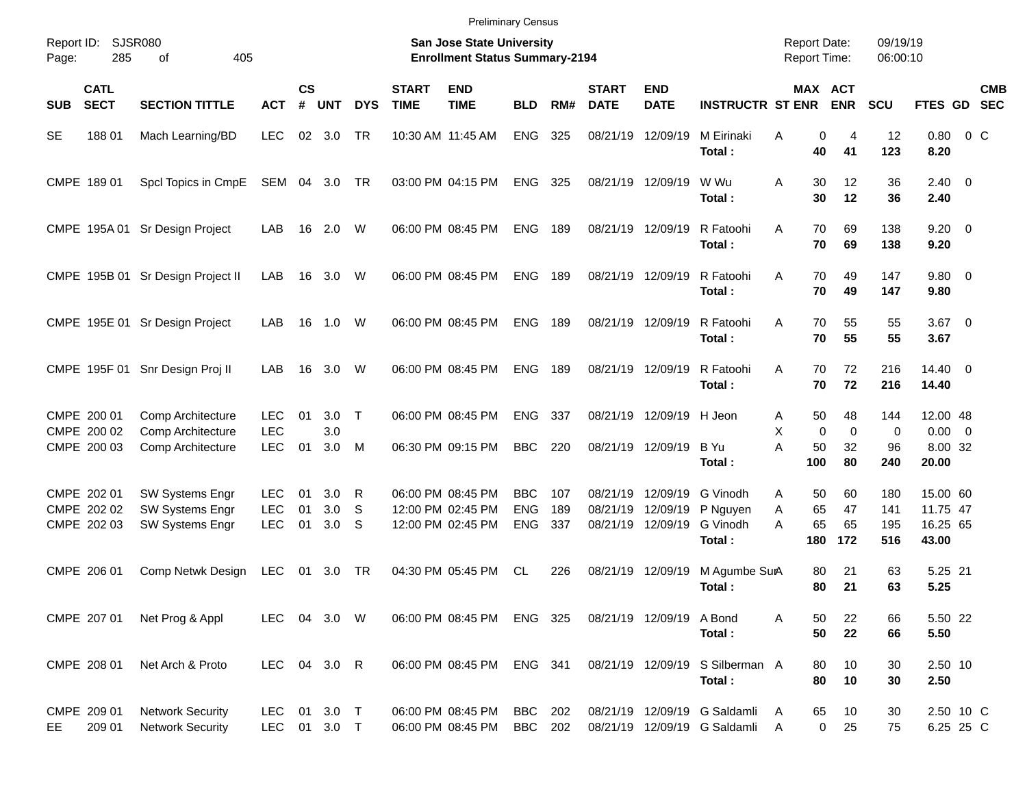| <b>Preliminary Census</b> |  |
|---------------------------|--|
|                           |  |

| Page:      | <b>SJSR080</b><br>Report ID:<br>285<br>405<br>of |                                                              |                                        |                    |                   |              |                             | <b>San Jose State University</b><br><b>Enrollment Status Summary-2194</b> |                                        |                   |                                           |                                        |                                                                | <b>Report Date:</b><br><b>Report Time:</b>    |                               | 09/19/19<br>06:00:10     |                                             |            |
|------------|--------------------------------------------------|--------------------------------------------------------------|----------------------------------------|--------------------|-------------------|--------------|-----------------------------|---------------------------------------------------------------------------|----------------------------------------|-------------------|-------------------------------------------|----------------------------------------|----------------------------------------------------------------|-----------------------------------------------|-------------------------------|--------------------------|---------------------------------------------|------------|
| <b>SUB</b> | <b>CATL</b><br><b>SECT</b>                       | <b>SECTION TITTLE</b>                                        | <b>ACT</b>                             | $\mathsf{cs}$<br># | <b>UNT</b>        | <b>DYS</b>   | <b>START</b><br><b>TIME</b> | <b>END</b><br><b>TIME</b>                                                 | <b>BLD</b>                             | RM#               | <b>START</b><br><b>DATE</b>               | <b>END</b><br><b>DATE</b>              | <b>INSTRUCTR ST ENR</b>                                        |                                               | MAX ACT<br><b>ENR</b>         | SCU                      | FTES GD SEC                                 | <b>CMB</b> |
| <b>SE</b>  | 18801                                            | Mach Learning/BD                                             | <b>LEC</b>                             | 02                 | 3.0               | TR           |                             | 10:30 AM 11:45 AM                                                         | <b>ENG</b>                             | 325               | 08/21/19 12/09/19                         |                                        | M Eirinaki<br>Total:                                           | Α<br>40                                       | 0<br>4<br>41                  | 12<br>123                | $0.80 \t 0 C$<br>8.20                       |            |
|            | CMPE 189 01                                      | Spcl Topics in CmpE                                          | SEM 04 3.0                             |                    |                   | TR           |                             | 03:00 PM 04:15 PM                                                         | <b>ENG</b>                             | 325               | 08/21/19 12/09/19                         |                                        | W Wu<br>Total:                                                 | A<br>30<br>30                                 | 12<br>12                      | 36<br>36                 | $2.40 \ 0$<br>2.40                          |            |
|            |                                                  | CMPE 195A 01 Sr Design Project                               | LAB                                    | 16                 | 2.0               | W            |                             | 06:00 PM 08:45 PM                                                         | <b>ENG</b>                             | 189               | 08/21/19 12/09/19                         |                                        | R Fatoohi<br>Total:                                            | 70<br>A<br>70                                 | 69<br>69                      | 138<br>138               | $9.20 \ 0$<br>9.20                          |            |
|            |                                                  | CMPE 195B 01 Sr Design Project II                            | LAB                                    | 16                 | 3.0               | W            |                             | 06:00 PM 08:45 PM                                                         | <b>ENG</b>                             | 189               | 08/21/19 12/09/19                         |                                        | R Fatoohi<br>Total:                                            | 70<br>A<br>70                                 | 49<br>49                      | 147<br>147               | 9.80 0<br>9.80                              |            |
|            |                                                  | CMPE 195E 01 Sr Design Project                               | LAB                                    | 16                 | 1.0               | W            |                             | 06:00 PM 08:45 PM                                                         | <b>ENG</b>                             | 189               | 08/21/19 12/09/19                         |                                        | R Fatoohi<br>Total:                                            | 70<br>A<br>70                                 | 55<br>55                      | 55<br>55                 | $3.67$ 0<br>3.67                            |            |
|            |                                                  | CMPE 195F 01 Snr Design Proj II                              | LAB                                    | 16                 | 3.0               | W            |                             | 06:00 PM 08:45 PM                                                         | <b>ENG</b>                             | 189               | 08/21/19 12/09/19                         |                                        | R Fatoohi<br>Total:                                            | 70<br>A<br>70                                 | 72<br>72                      | 216<br>216               | $14.40 \ 0$<br>14.40                        |            |
|            | CMPE 200 01<br>CMPE 200 02<br>CMPE 200 03        | Comp Architecture<br>Comp Architecture<br>Comp Architecture  | LEC.<br><b>LEC</b><br><b>LEC</b>       | 01<br>01           | 3.0<br>3.0<br>3.0 | $\top$<br>M  |                             | 06:00 PM 08:45 PM<br>06:30 PM 09:15 PM                                    | <b>ENG</b><br><b>BBC</b>               | 337<br>220        |                                           | 08/21/19 12/09/19<br>08/21/19 12/09/19 | H Jeon<br>B Yu<br>Total:                                       | 50<br>A<br>X<br>$\mathbf 0$<br>A<br>50<br>100 | 48<br>$\mathbf 0$<br>32<br>80 | 144<br>0<br>96<br>240    | 12.00 48<br>$0.00 \t 0$<br>8.00 32<br>20.00 |            |
|            | CMPE 202 01<br>CMPE 202 02<br>CMPE 202 03        | <b>SW Systems Engr</b><br>SW Systems Engr<br>SW Systems Engr | <b>LEC</b><br><b>LEC</b><br><b>LEC</b> | 01<br>01<br>01     | 3.0<br>3.0<br>3.0 | -R<br>S<br>S |                             | 06:00 PM 08:45 PM<br>12:00 PM 02:45 PM<br>12:00 PM 02:45 PM               | <b>BBC</b><br><b>ENG</b><br><b>ENG</b> | 107<br>189<br>337 | 08/21/19<br>08/21/19<br>08/21/19 12/09/19 | 12/09/19<br>12/09/19                   | G Vinodh<br>P Nguyen<br>G Vinodh<br>Total:                     | 50<br>A<br>65<br>Α<br>65<br>А<br>180          | 60<br>47<br>65<br>172         | 180<br>141<br>195<br>516 | 15.00 60<br>11.75 47<br>16.25 65<br>43.00   |            |
|            | CMPE 206 01                                      | Comp Netwk Design                                            | <b>LEC</b>                             | 01                 | 3.0 TR            |              |                             | 04:30 PM 05:45 PM                                                         | CL                                     | 226               | 08/21/19 12/09/19                         |                                        | M Agumbe SurA<br>Total:                                        | 80<br>80                                      | 21<br>21                      | 63<br>63                 | 5.25 21<br>5.25                             |            |
|            | CMPE 207 01                                      | Net Prog & Appl                                              | LEC 04 3.0 W                           |                    |                   |              |                             | 06:00 PM 08:45 PM ENG 325                                                 |                                        |                   |                                           | 08/21/19 12/09/19 A Bond               | Total:                                                         | 50<br>Α<br>50                                 | 22<br>22                      | 66<br>66                 | 5.50 22<br>5.50                             |            |
|            | CMPE 208 01                                      | Net Arch & Proto                                             | LEC 04 3.0 R                           |                    |                   |              |                             | 06:00 PM 08:45 PM                                                         | ENG 341                                |                   |                                           | 08/21/19 12/09/19                      | S Silberman A<br>Total:                                        | 80<br>80                                      | 10<br>10                      | 30<br>30                 | 2.50 10<br>2.50                             |            |
| EE         | CMPE 209 01<br>209 01                            | <b>Network Security</b><br><b>Network Security</b>           | LEC 01 3.0 T<br>LEC 01 3.0 T           |                    |                   |              |                             | 06:00 PM 08:45 PM<br>06:00 PM 08:45 PM                                    | BBC 202<br>BBC 202                     |                   |                                           |                                        | 08/21/19 12/09/19 G Saldamli<br>08/21/19 12/09/19 G Saldamli A | 65<br>A                                       | 10<br>$\mathbf 0$<br>25       | 30<br>75                 | 2.50 10 C<br>6.25 25 C                      |            |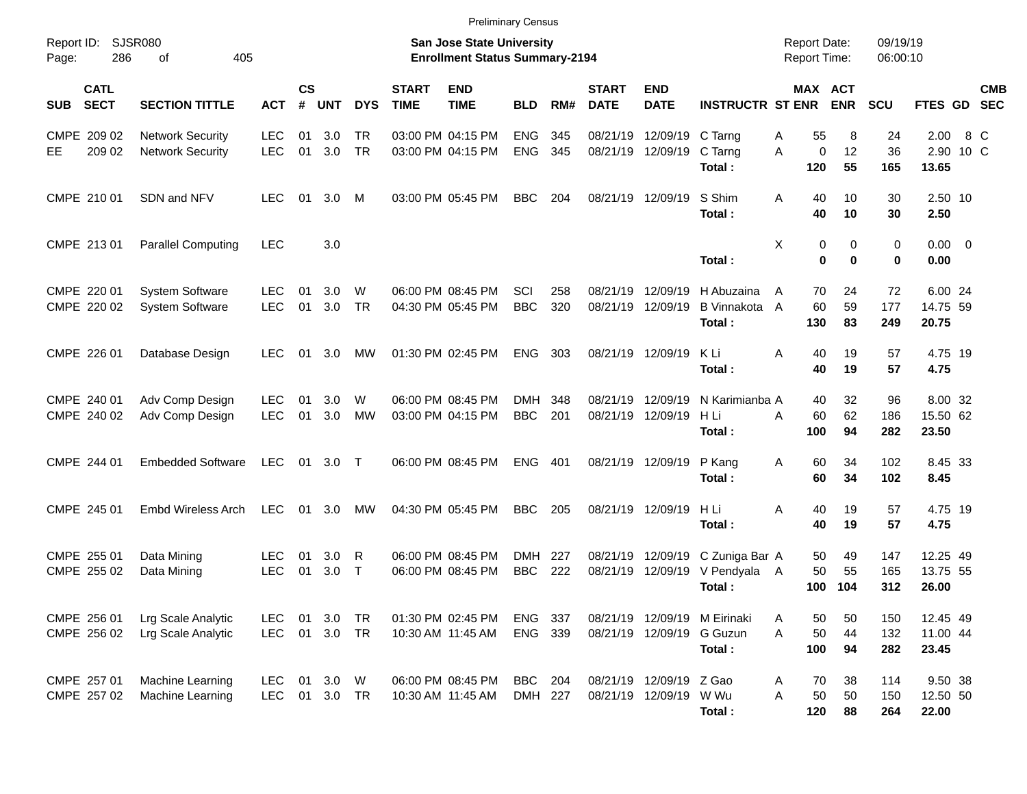|                                          |                                                    |                          |                |                       |                        |                             | <b>Preliminary Census</b>                                          |                          |            |                             |                                                   |                                                            |                                            |                                |                      |                               |     |            |
|------------------------------------------|----------------------------------------------------|--------------------------|----------------|-----------------------|------------------------|-----------------------------|--------------------------------------------------------------------|--------------------------|------------|-----------------------------|---------------------------------------------------|------------------------------------------------------------|--------------------------------------------|--------------------------------|----------------------|-------------------------------|-----|------------|
| Report ID:<br>286<br>Page:               | SJSR080<br>405<br>οf                               |                          |                |                       |                        |                             | San Jose State University<br><b>Enrollment Status Summary-2194</b> |                          |            |                             |                                                   |                                                            | <b>Report Date:</b><br><b>Report Time:</b> |                                | 09/19/19<br>06:00:10 |                               |     |            |
| <b>CATL</b><br><b>SECT</b><br><b>SUB</b> | <b>SECTION TITTLE</b>                              | <b>ACT</b>               | <b>CS</b><br># | <b>UNT</b>            | <b>DYS</b>             | <b>START</b><br><b>TIME</b> | <b>END</b><br><b>TIME</b>                                          | <b>BLD</b>               | RM#        | <b>START</b><br><b>DATE</b> | <b>END</b><br><b>DATE</b>                         | <b>INSTRUCTR ST ENR</b>                                    |                                            | <b>MAX ACT</b><br><b>ENR</b>   | <b>SCU</b>           | FTES GD SEC                   |     | <b>CMB</b> |
| CMPE 209 02<br>209 02<br>EE              | <b>Network Security</b><br><b>Network Security</b> | <b>LEC</b><br><b>LEC</b> | 01<br>01       | 3.0<br>3.0            | <b>TR</b><br><b>TR</b> |                             | 03:00 PM 04:15 PM<br>03:00 PM 04:15 PM                             | <b>ENG</b><br><b>ENG</b> | 345<br>345 |                             | 08/21/19 12/09/19 C Tarng<br>08/21/19 12/09/19    | C Tarng<br>Total:                                          | 55<br>Α<br>A<br>120                        | 8<br>12<br>$\mathbf 0$<br>55   | 24<br>36<br>165      | 2.00<br>2.90 10 C<br>13.65    | 8 C |            |
| CMPE 210 01                              | SDN and NFV                                        | <b>LEC</b>               | 01             | 3.0                   | M                      |                             | 03:00 PM 05:45 PM                                                  | <b>BBC</b>               | 204        |                             | 08/21/19 12/09/19                                 | S Shim<br>Total:                                           | 40<br>A<br>40                              | 10<br>10                       | 30<br>30             | 2.50 10<br>2.50               |     |            |
| CMPE 213 01                              | <b>Parallel Computing</b>                          | <b>LEC</b>               |                | 3.0                   |                        |                             |                                                                    |                          |            |                             |                                                   | Total:                                                     | X                                          | 0<br>0<br>$\bf{0}$<br>$\bf{0}$ | $\mathbf 0$<br>0     | $0.00 \t 0$<br>0.00           |     |            |
| CMPE 220 01<br>CMPE 220 02               | <b>System Software</b><br><b>System Software</b>   | <b>LEC</b><br><b>LEC</b> | 01<br>01       | 3.0<br>3.0            | W<br><b>TR</b>         |                             | 06:00 PM 08:45 PM<br>04:30 PM 05:45 PM                             | SCI<br><b>BBC</b>        | 258<br>320 | 08/21/19                    | 12/09/19<br>08/21/19 12/09/19                     | H Abuzaina<br><b>B</b> Vinnakota<br>Total:                 | 70<br>A<br>60<br>A<br>130                  | 24<br>59<br>83                 | 72<br>177<br>249     | 6.00 24<br>14.75 59<br>20.75  |     |            |
| CMPE 226 01                              | Database Design                                    | <b>LEC</b>               |                | 01 3.0                | МW                     |                             | 01:30 PM 02:45 PM                                                  | <b>ENG</b>               | 303        |                             | 08/21/19 12/09/19                                 | K Li<br>Total:                                             | 40<br>Α<br>40                              | 19<br>19                       | 57<br>57             | 4.75 19<br>4.75               |     |            |
| CMPE 240 01<br>CMPE 240 02               | Adv Comp Design<br>Adv Comp Design                 | <b>LEC</b><br><b>LEC</b> | 01<br>01       | 3.0<br>3.0            | W<br>MW                |                             | 06:00 PM 08:45 PM<br>03:00 PM 04:15 PM                             | DMH<br><b>BBC</b>        | 348<br>201 | 08/21/19                    | 12/09/19<br>08/21/19 12/09/19                     | N Karimianba A<br>H Li<br>Total:                           | 40<br>A<br>60<br>100                       | 32<br>62<br>94                 | 96<br>186<br>282     | 8.00 32<br>15.50 62<br>23.50  |     |            |
| CMPE 244 01                              | <b>Embedded Software</b>                           | LEC                      |                | 01 3.0 T              |                        |                             | 06:00 PM 08:45 PM                                                  | <b>ENG</b>               | 401        |                             | 08/21/19 12/09/19                                 | P Kang<br>Total:                                           | 60<br>Α<br>60                              | 34<br>34                       | 102<br>102           | 8.45 33<br>8.45               |     |            |
| CMPE 245 01                              | <b>Embd Wireless Arch</b>                          | LEC                      |                | 01 3.0                | МW                     |                             | 04:30 PM 05:45 PM                                                  | <b>BBC</b>               | 205        |                             | 08/21/19 12/09/19                                 | H Li<br>Total:                                             | 40<br>Α<br>40                              | 19<br>19                       | 57<br>57             | 4.75 19<br>4.75               |     |            |
| CMPE 255 01<br>CMPE 255 02               | Data Mining<br>Data Mining                         | <b>LEC</b><br><b>LEC</b> | 01<br>01       | 3.0<br>3.0            | R<br>$\top$            |                             | 06:00 PM 08:45 PM<br>06:00 PM 08:45 PM                             | DMH<br><b>BBC</b>        | 227<br>222 |                             | 08/21/19 12/09/19                                 | 08/21/19 12/09/19 C Zuniga Bar A<br>V Pendyala A<br>Total: | 50<br>50<br>100                            | 49<br>55<br>104                | 147<br>165<br>312    | 12.25 49<br>13.75 55<br>26.00 |     |            |
| CMPE 256 01<br>CMPE 256 02               | Lrg Scale Analytic<br>Lrg Scale Analytic           | <b>LEC</b><br><b>LEC</b> |                | 01 3.0<br>01 3.0 TR   | TR                     |                             | 01:30 PM 02:45 PM<br>10:30 AM 11:45 AM                             | ENG<br>ENG               | 337<br>339 |                             | 08/21/19 12/09/19 G Guzun                         | 08/21/19 12/09/19 M Eirinaki<br>Total:                     | 50<br>Α<br>A<br>50<br>100                  | 50<br>44<br>94                 | 150<br>132<br>282    | 12.45 49<br>11.00 44<br>23.45 |     |            |
| CMPE 257 01<br>CMPE 257 02               | Machine Learning<br>Machine Learning               | <b>LEC</b><br><b>LEC</b> |                | 01 3.0 W<br>01 3.0 TR |                        |                             | 06:00 PM 08:45 PM<br>10:30 AM 11:45 AM                             | <b>BBC</b><br>DMH 227    | 204        |                             | 08/21/19 12/09/19 Z Gao<br>08/21/19 12/09/19 W Wu | Total:                                                     | 70<br>A<br>50<br>Α<br>120                  | 38<br>50<br>88                 | 114<br>150<br>264    | 9.50 38<br>12.50 50<br>22.00  |     |            |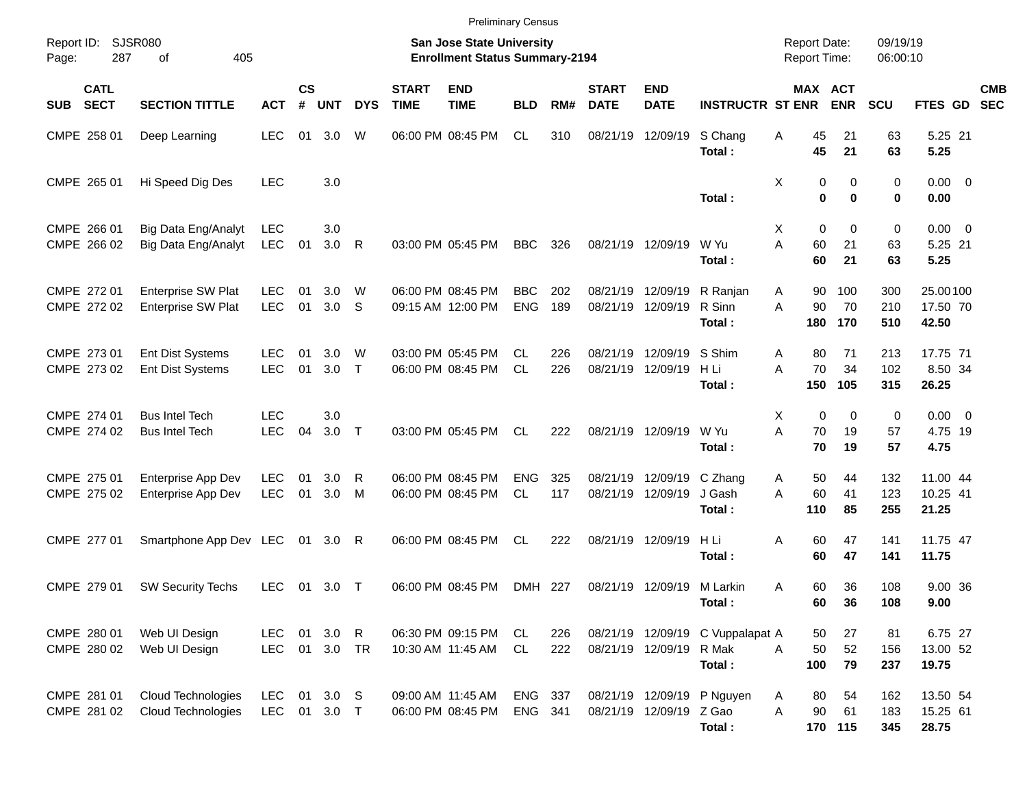|                     |                            |                                                        |                            |                    |                     |                   |                             | <b>Preliminary Census</b>                                                 |                          |            |                             |                               |                                            |                                     |                         |                      |                                |            |
|---------------------|----------------------------|--------------------------------------------------------|----------------------------|--------------------|---------------------|-------------------|-----------------------------|---------------------------------------------------------------------------|--------------------------|------------|-----------------------------|-------------------------------|--------------------------------------------|-------------------------------------|-------------------------|----------------------|--------------------------------|------------|
| Report ID:<br>Page: | 287                        | <b>SJSR080</b><br>405<br>of                            |                            |                    |                     |                   |                             | <b>San Jose State University</b><br><b>Enrollment Status Summary-2194</b> |                          |            |                             |                               |                                            | <b>Report Date:</b><br>Report Time: |                         | 09/19/19<br>06:00:10 |                                |            |
| SUB                 | <b>CATL</b><br><b>SECT</b> | <b>SECTION TITTLE</b>                                  | <b>ACT</b>                 | $\mathsf{cs}$<br># | <b>UNT</b>          | <b>DYS</b>        | <b>START</b><br><b>TIME</b> | <b>END</b><br><b>TIME</b>                                                 | <b>BLD</b>               | RM#        | <b>START</b><br><b>DATE</b> | <b>END</b><br><b>DATE</b>     | <b>INSTRUCTR ST ENR</b>                    | MAX ACT                             | <b>ENR</b>              | <b>SCU</b>           | FTES GD SEC                    | <b>CMB</b> |
|                     | CMPE 258 01                | Deep Learning                                          | <b>LEC</b>                 | 01                 | 3.0                 | W                 |                             | 06:00 PM 08:45 PM                                                         | CL.                      | 310        |                             | 08/21/19 12/09/19             | S Chang<br>Total:                          | 45<br>Α<br>45                       | 21<br>21                | 63<br>63             | 5.25 21<br>5.25                |            |
|                     | CMPE 265 01                | Hi Speed Dig Des                                       | <b>LEC</b>                 |                    | 3.0                 |                   |                             |                                                                           |                          |            |                             |                               | Total:                                     | Χ<br>0<br>$\bf{0}$                  | 0<br>$\bf{0}$           | 0<br>0               | $0.00 \t 0$<br>0.00            |            |
|                     | CMPE 266 01<br>CMPE 266 02 | Big Data Eng/Analyt<br>Big Data Eng/Analyt             | LEC<br><b>LEC</b>          | 01                 | 3.0<br>3.0          | R                 |                             | 03:00 PM 05:45 PM                                                         | <b>BBC</b>               | 326        |                             | 08/21/19 12/09/19             | W Yu<br>Total:                             | $\mathbf 0$<br>X<br>A<br>60<br>60   | $\mathbf 0$<br>21<br>21 | 0<br>63<br>63        | $0.00 \t 0$<br>5.25 21<br>5.25 |            |
|                     | CMPE 272 01<br>CMPE 272 02 | <b>Enterprise SW Plat</b><br><b>Enterprise SW Plat</b> | <b>LEC</b><br><b>LEC</b>   | 01<br>01           | 3.0<br>3.0          | W<br>S            |                             | 06:00 PM 08:45 PM<br>09:15 AM 12:00 PM                                    | <b>BBC</b><br><b>ENG</b> | 202<br>189 | 08/21/19                    | 12/09/19<br>08/21/19 12/09/19 | R Ranjan<br>R Sinn<br>Total:               | Α<br>90<br>90<br>A<br>180           | 100<br>70<br>170        | 300<br>210<br>510    | 25.00100<br>17.50 70<br>42.50  |            |
|                     | CMPE 273 01<br>CMPE 273 02 | <b>Ent Dist Systems</b><br>Ent Dist Systems            | <b>LEC</b><br><b>LEC</b>   | 01<br>01           | 3.0<br>3.0          | W<br>$\mathsf{T}$ |                             | 03:00 PM 05:45 PM<br>06:00 PM 08:45 PM                                    | CL.<br><b>CL</b>         | 226<br>226 | 08/21/19                    | 12/09/19<br>08/21/19 12/09/19 | S Shim<br>H Li<br>Total:                   | Α<br>80<br>70<br>A<br>150           | 71<br>34<br>105         | 213<br>102<br>315    | 17.75 71<br>8.50 34<br>26.25   |            |
|                     | CMPE 274 01<br>CMPE 274 02 | <b>Bus Intel Tech</b><br><b>Bus Intel Tech</b>         | <b>LEC</b><br><b>LEC</b>   | 04                 | 3.0<br>3.0          | $\top$            |                             | 03:00 PM 05:45 PM                                                         | <b>CL</b>                | 222        |                             | 08/21/19 12/09/19             | W Yu<br>Total:                             | $\mathbf 0$<br>X<br>A<br>70<br>70   | $\mathbf 0$<br>19<br>19 | 0<br>57<br>57        | $0.00 \t 0$<br>4.75 19<br>4.75 |            |
|                     | CMPE 275 01<br>CMPE 275 02 | Enterprise App Dev<br>Enterprise App Dev               | <b>LEC</b><br><b>LEC</b>   | 01<br>01           | 3.0<br>3.0          | R<br>M            |                             | 06:00 PM 08:45 PM<br>06:00 PM 08:45 PM                                    | <b>ENG</b><br>CL.        | 325<br>117 | 08/21/19                    | 12/09/19<br>08/21/19 12/09/19 | C Zhang<br>J Gash<br>Total:                | 50<br>A<br>60<br>A<br>110           | 44<br>41<br>85          | 132<br>123<br>255    | 11.00 44<br>10.25 41<br>21.25  |            |
|                     | CMPE 277 01                | Smartphone App Dev LEC                                 |                            | 01                 | 3.0                 | R                 |                             | 06:00 PM 08:45 PM                                                         | CL                       | 222        |                             | 08/21/19 12/09/19             | H Li<br>Total:                             | 60<br>Α<br>60                       | 47<br>47                | 141<br>141           | 11.75 47<br>11.75              |            |
|                     | CMPE 279 01                | <b>SW Security Techs</b>                               | <b>LEC</b>                 | 01                 | $3.0$ T             |                   |                             | 06:00 PM 08:45 PM                                                         | DMH 227                  |            |                             | 08/21/19 12/09/19 M Larkin    | Total:                                     | 60<br>Α<br>60                       | 36<br>36                | 108<br>108           | 9.00 36<br>9.00                |            |
|                     | CMPE 280 01<br>CMPE 280 02 | Web UI Design<br>Web UI Design                         | LEC<br>LEC                 |                    | 01 3.0<br>01 3.0 TR | $\mathsf{R}$      |                             | 06:30 PM 09:15 PM<br>10:30 AM 11:45 AM                                    | CL<br>CL.                | 226<br>222 |                             | 08/21/19 12/09/19 R Mak       | 08/21/19 12/09/19 C Vuppalapat A<br>Total: | 50<br>50<br>A<br>100                | 27<br>52<br>79          | 81<br>156<br>237     | 6.75 27<br>13.00 52<br>19.75   |            |
|                     | CMPE 281 01<br>CMPE 281 02 | Cloud Technologies<br><b>Cloud Technologies</b>        | <b>LEC</b><br>LEC 01 3.0 T |                    | 01 3.0 S            |                   |                             | 09:00 AM 11:45 AM<br>06:00 PM 08:45 PM                                    | ENG 337<br>ENG 341       |            |                             | 08/21/19 12/09/19 Z Gao       | 08/21/19 12/09/19 P Nguyen<br>Total:       | 80<br>A<br>A<br>90                  | 54<br>61<br>170 115     | 162<br>183<br>345    | 13.50 54<br>15.25 61<br>28.75  |            |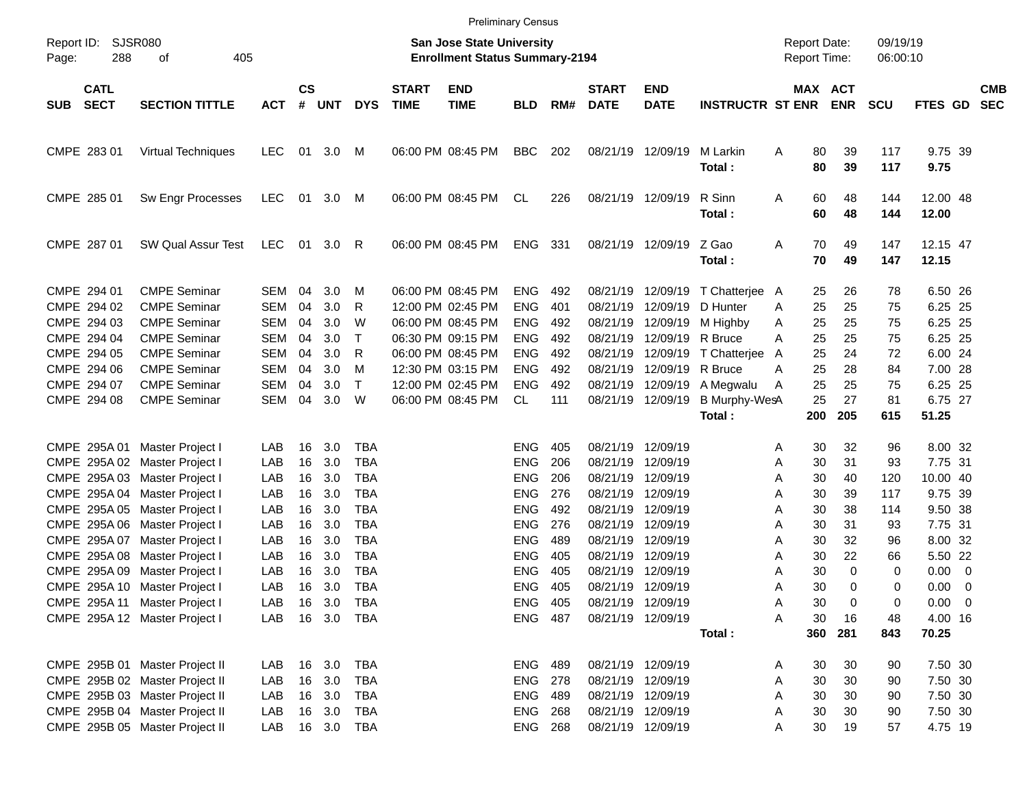|                                                                                                                                                                                                                                                                                                                                                                                         |                                                                                                                                                                                      |                                                                                                |                                                          |                                                                              |                                                                                                                                                 |                             | <b>Preliminary Census</b>                                                                                                                                            |                                                                                                                                                                |                                                                    |                                                                                                          |                                                                                                                                                                         |                                                                                                                                  |                                                                                                                                   |                                                                                              |                                                                             |                                                                                                                                                        |                          |
|-----------------------------------------------------------------------------------------------------------------------------------------------------------------------------------------------------------------------------------------------------------------------------------------------------------------------------------------------------------------------------------------|--------------------------------------------------------------------------------------------------------------------------------------------------------------------------------------|------------------------------------------------------------------------------------------------|----------------------------------------------------------|------------------------------------------------------------------------------|-------------------------------------------------------------------------------------------------------------------------------------------------|-----------------------------|----------------------------------------------------------------------------------------------------------------------------------------------------------------------|----------------------------------------------------------------------------------------------------------------------------------------------------------------|--------------------------------------------------------------------|----------------------------------------------------------------------------------------------------------|-------------------------------------------------------------------------------------------------------------------------------------------------------------------------|----------------------------------------------------------------------------------------------------------------------------------|-----------------------------------------------------------------------------------------------------------------------------------|----------------------------------------------------------------------------------------------|-----------------------------------------------------------------------------|--------------------------------------------------------------------------------------------------------------------------------------------------------|--------------------------|
| Report ID:<br>288<br>Page:                                                                                                                                                                                                                                                                                                                                                              | <b>SJSR080</b><br>405<br>οf                                                                                                                                                          |                                                                                                |                                                          |                                                                              |                                                                                                                                                 |                             | <b>San Jose State University</b><br><b>Enrollment Status Summary-2194</b>                                                                                            |                                                                                                                                                                |                                                                    |                                                                                                          |                                                                                                                                                                         |                                                                                                                                  | <b>Report Date:</b><br><b>Report Time:</b>                                                                                        |                                                                                              | 09/19/19<br>06:00:10                                                        |                                                                                                                                                        |                          |
| <b>CATL</b><br><b>SECT</b><br><b>SUB</b>                                                                                                                                                                                                                                                                                                                                                | <b>SECTION TITTLE</b>                                                                                                                                                                | <b>ACT</b>                                                                                     | <b>CS</b><br>#                                           | <b>UNT</b>                                                                   | <b>DYS</b>                                                                                                                                      | <b>START</b><br><b>TIME</b> | <b>END</b><br><b>TIME</b>                                                                                                                                            | <b>BLD</b>                                                                                                                                                     | RM#                                                                | <b>START</b><br><b>DATE</b>                                                                              | <b>END</b><br><b>DATE</b>                                                                                                                                               | <b>INSTRUCTR ST ENR</b>                                                                                                          |                                                                                                                                   | MAX ACT<br><b>ENR</b>                                                                        | <b>SCU</b>                                                                  | <b>FTES GD</b>                                                                                                                                         | <b>CMB</b><br><b>SEC</b> |
| CMPE 283 01                                                                                                                                                                                                                                                                                                                                                                             | <b>Virtual Techniques</b>                                                                                                                                                            | <b>LEC</b>                                                                                     |                                                          | 01 3.0                                                                       | M                                                                                                                                               |                             | 06:00 PM 08:45 PM                                                                                                                                                    | <b>BBC</b>                                                                                                                                                     | 202                                                                |                                                                                                          | 08/21/19 12/09/19                                                                                                                                                       | M Larkin<br>Total:                                                                                                               | 80<br>Α<br>80                                                                                                                     | 39<br>39                                                                                     | 117<br>117                                                                  | 9.75 39<br>9.75                                                                                                                                        |                          |
| CMPE 285 01                                                                                                                                                                                                                                                                                                                                                                             | Sw Engr Processes                                                                                                                                                                    | LEC                                                                                            |                                                          | 01 3.0 M                                                                     |                                                                                                                                                 |                             | 06:00 PM 08:45 PM                                                                                                                                                    | CL                                                                                                                                                             | 226                                                                |                                                                                                          | 08/21/19 12/09/19                                                                                                                                                       | R Sinn<br>Total:                                                                                                                 | 60<br>Α<br>60                                                                                                                     | 48<br>48                                                                                     | 144<br>144                                                                  | 12.00 48<br>12.00                                                                                                                                      |                          |
| CMPE 287 01                                                                                                                                                                                                                                                                                                                                                                             | <b>SW Qual Assur Test</b>                                                                                                                                                            | LEC                                                                                            |                                                          | 01 3.0                                                                       | R                                                                                                                                               |                             | 06:00 PM 08:45 PM                                                                                                                                                    | <b>ENG</b>                                                                                                                                                     | 331                                                                |                                                                                                          | 08/21/19 12/09/19                                                                                                                                                       | Z Gao<br>Total:                                                                                                                  | 70<br>Α<br>70                                                                                                                     | 49<br>49                                                                                     | 147<br>147                                                                  | 12.15 47<br>12.15                                                                                                                                      |                          |
| CMPE 294 01<br>CMPE 294 02<br>CMPE 294 03<br>CMPE 294 04<br>CMPE 294 05<br>CMPE 294 06<br>CMPE 294 07<br>CMPE 294 08                                                                                                                                                                                                                                                                    | <b>CMPE Seminar</b><br><b>CMPE Seminar</b><br><b>CMPE Seminar</b><br><b>CMPE Seminar</b><br><b>CMPE Seminar</b><br><b>CMPE Seminar</b><br><b>CMPE Seminar</b><br><b>CMPE Seminar</b> | SEM<br><b>SEM</b><br><b>SEM</b><br><b>SEM</b><br><b>SEM</b><br><b>SEM</b><br><b>SEM</b><br>SEM | 04<br>04<br>04<br>04<br>04<br>04<br>04<br>04             | 3.0<br>3.0<br>3.0<br>3.0<br>3.0<br>3.0<br>3.0<br>3.0                         | M<br>R<br>W<br>$\top$<br>R<br>M<br>$\top$<br>W<br><b>TBA</b>                                                                                    |                             | 06:00 PM 08:45 PM<br>12:00 PM 02:45 PM<br>06:00 PM 08:45 PM<br>06:30 PM 09:15 PM<br>06:00 PM 08:45 PM<br>12:30 PM 03:15 PM<br>12:00 PM 02:45 PM<br>06:00 PM 08:45 PM | <b>ENG</b><br><b>ENG</b><br><b>ENG</b><br><b>ENG</b><br><b>ENG</b><br><b>ENG</b><br><b>ENG</b><br>CL.                                                          | 492<br>401<br>492<br>492<br>492<br>492<br>492<br>111               | 08/21/19<br>08/21/19<br>08/21/19<br>08/21/19<br>08/21/19<br>08/21/19<br>08/21/19                         | 12/09/19<br>12/09/19 R Bruce<br>12/09/19 R Bruce<br>08/21/19 12/09/19                                                                                                   | 12/09/19 T Chatterjee<br>12/09/19 D Hunter<br>M Highby<br>12/09/19 T Chatterjee<br>12/09/19 A Megwalu<br>B Murphy-WesA<br>Total: | 25<br>A<br>25<br>A<br>25<br>Α<br>25<br>A<br>25<br>A<br>25<br>Α<br>25<br>A<br>25<br>200                                            | 26<br>25<br>25<br>25<br>24<br>28<br>25<br>27<br>205                                          | 78<br>75<br>75<br>75<br>72<br>84<br>75<br>81<br>615                         | 6.50 26<br>6.25 25<br>6.25 25<br>6.25 25<br>6.00 24<br>7.00 28<br>6.25 25<br>6.75 27<br>51.25                                                          |                          |
| CMPE 295A 01<br>CMPE 295A 02 Master Project I<br>CMPE 295A 03 Master Project I<br>CMPE 295A 04 Master Project I<br>CMPE 295A 05 Master Project I<br>CMPE 295A 06 Master Project I<br>CMPE 295A 07 Master Project I<br>CMPE 295A 08 Master Project I<br>CMPE 295A 09 Master Project I<br>CMPE 295A 10 Master Project I<br>CMPE 295A 11 Master Project I<br>CMPE 295A 12 Master Project I | Master Project I                                                                                                                                                                     | LAB<br>LAB<br>LAB<br>LAB<br>LAB<br>LAB<br>LAB<br>LAB<br>LAB<br>LAB<br>LAB<br>LAB               | 16<br>16<br>16<br>16<br>16<br>16<br>16<br>16<br>16<br>16 | 3.0<br>3.0<br>3.0<br>3.0<br>3.0<br>3.0<br>3.0<br>3.0<br>3.0<br>3.0<br>16 3.0 | <b>TBA</b><br><b>TBA</b><br><b>TBA</b><br><b>TBA</b><br><b>TBA</b><br><b>TBA</b><br><b>TBA</b><br><b>TBA</b><br><b>TBA</b><br>TBA<br>16 3.0 TBA |                             |                                                                                                                                                                      | <b>ENG</b><br><b>ENG</b><br><b>ENG</b><br><b>ENG</b><br><b>ENG</b><br><b>ENG</b><br><b>ENG</b><br><b>ENG</b><br><b>ENG</b><br><b>ENG</b><br>ENG 405<br>ENG 487 | 405<br>206<br>206<br>276<br>492<br>276<br>489<br>405<br>405<br>405 | 08/21/19<br>08/21/19<br>08/21/19<br>08/21/19<br>08/21/19<br>08/21/19<br>08/21/19<br>08/21/19<br>08/21/19 | 12/09/19<br>12/09/19<br>12/09/19<br>12/09/19<br>12/09/19<br>12/09/19<br>12/09/19<br>12/09/19<br>12/09/19<br>08/21/19 12/09/19<br>08/21/19 12/09/19<br>08/21/19 12/09/19 | Total:                                                                                                                           | 30<br>Α<br>30<br>Α<br>30<br>Α<br>30<br>Α<br>30<br>Α<br>Α<br>30<br>30<br>Α<br>30<br>Α<br>30<br>Α<br>30<br>Α<br>Α<br>30<br>Α<br>360 | 32<br>31<br>40<br>39<br>38<br>31<br>32<br>22<br>$\Omega$<br>$\Omega$<br>30<br>0<br>16<br>281 | 96<br>93<br>120<br>117<br>114<br>93<br>96<br>66<br>0<br>0<br>0<br>48<br>843 | 8.00 32<br>7.75 31<br>10.00 40<br>9.75 39<br>9.50 38<br>7.75 31<br>8.00 32<br>5.50 22<br>$0.00 \t 0$<br>$0.00 \t 0$<br>$0.00 \t 0$<br>4.00 16<br>70.25 |                          |
|                                                                                                                                                                                                                                                                                                                                                                                         | CMPE 295B 01 Master Project II<br>CMPE 295B 02 Master Project II<br>CMPE 295B 03 Master Project II<br>CMPE 295B 04 Master Project II<br>CMPE 295B 05 Master Project II               | LAB<br>LAB<br>LAB<br>LAB<br>LAB                                                                |                                                          | 16 3.0<br>16 3.0<br>16 3.0<br>16 3.0                                         | <b>TBA</b><br><b>TBA</b><br>TBA<br><b>TBA</b><br>16 3.0 TBA                                                                                     |                             |                                                                                                                                                                      | ENG 489<br>ENG 278<br>ENG 489<br>ENG 268<br>ENG 268                                                                                                            |                                                                    |                                                                                                          | 08/21/19 12/09/19<br>08/21/19 12/09/19<br>08/21/19 12/09/19<br>08/21/19 12/09/19<br>08/21/19 12/09/19                                                                   |                                                                                                                                  | 30<br>Α<br>30<br>Α<br>30<br>Α<br>30<br>Α<br>30<br>Α                                                                               | 30<br>30<br>30<br>30<br>19                                                                   | 90<br>90<br>90<br>90<br>57                                                  | 7.50 30<br>7.50 30<br>7.50 30<br>7.50 30<br>4.75 19                                                                                                    |                          |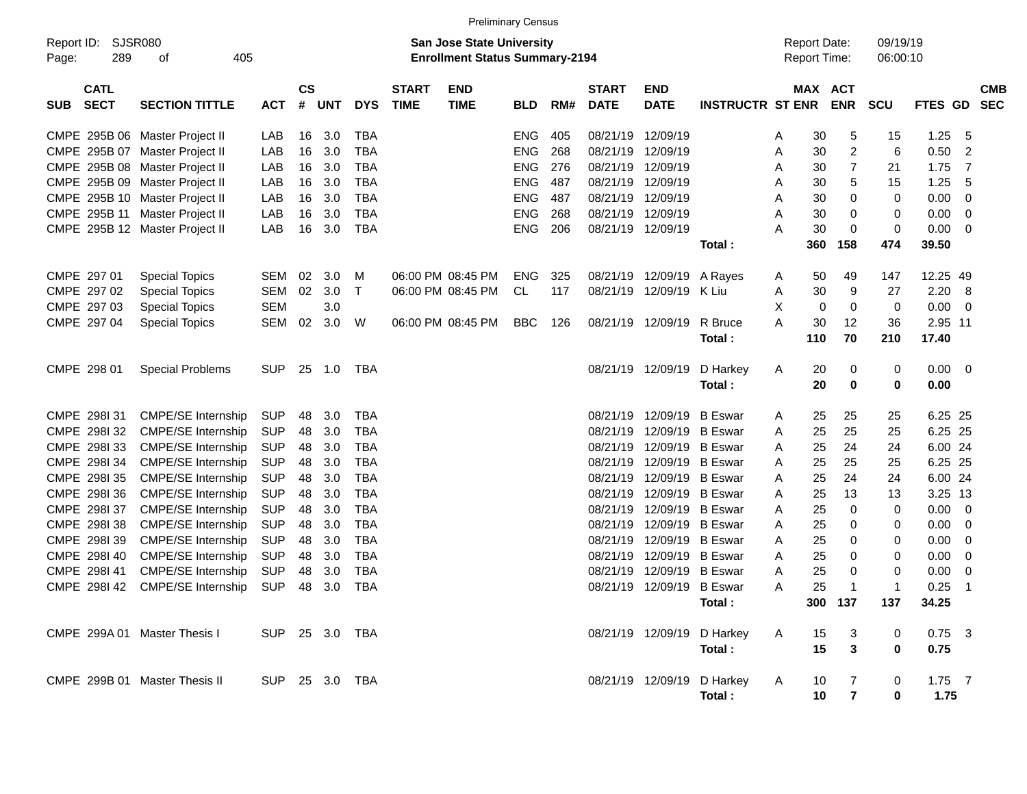|                                          |                                |                |                |            |              |                             |                                                                           | <b>Preliminary Census</b> |     |                             |                           |                            |   |                                            |                          |                      |          |                          |
|------------------------------------------|--------------------------------|----------------|----------------|------------|--------------|-----------------------------|---------------------------------------------------------------------------|---------------------------|-----|-----------------------------|---------------------------|----------------------------|---|--------------------------------------------|--------------------------|----------------------|----------|--------------------------|
| Report ID:<br>289<br>Page:               | SJSR080<br>405<br>οf           |                |                |            |              |                             | <b>San Jose State University</b><br><b>Enrollment Status Summary-2194</b> |                           |     |                             |                           |                            |   | <b>Report Date:</b><br><b>Report Time:</b> |                          | 09/19/19<br>06:00:10 |          |                          |
| <b>CATL</b><br><b>SECT</b><br><b>SUB</b> | <b>SECTION TITTLE</b>          | <b>ACT</b>     | <b>CS</b><br># | <b>UNT</b> | <b>DYS</b>   | <b>START</b><br><b>TIME</b> | <b>END</b><br><b>TIME</b>                                                 | <b>BLD</b>                | RM# | <b>START</b><br><b>DATE</b> | <b>END</b><br><b>DATE</b> | <b>INSTRUCTR ST ENR</b>    |   | MAX                                        | <b>ACT</b><br><b>ENR</b> | <b>SCU</b>           | FTES GD  | <b>CMB</b><br><b>SEC</b> |
|                                          | CMPE 295B 06 Master Project II | LAB            | 16             | 3.0        | <b>TBA</b>   |                             |                                                                           | ENG                       | 405 | 08/21/19                    | 12/09/19                  |                            | A | 30                                         | 5                        | 15                   | 1.25     | -5                       |
|                                          | CMPE 295B 07 Master Project II | LAB            | 16             | 3.0        | <b>TBA</b>   |                             |                                                                           | <b>ENG</b>                | 268 | 08/21/19                    | 12/09/19                  |                            | Α | 30                                         | 2                        | 6                    | 0.50     | 2                        |
|                                          | CMPE 295B 08 Master Project II | LAB            | 16             | 3.0        | <b>TBA</b>   |                             |                                                                           | <b>ENG</b>                | 276 | 08/21/19                    | 12/09/19                  |                            | A | 30                                         | 7                        | 21                   | 1.75     | -7                       |
|                                          | CMPE 295B 09 Master Project II | LAB            | 16             | 3.0        | <b>TBA</b>   |                             |                                                                           | <b>ENG</b>                | 487 | 08/21/19                    | 12/09/19                  |                            | Α | 30                                         | 5                        | 15                   | 1.25     | 5                        |
|                                          | CMPE 295B 10 Master Project II | LAB            | 16             | 3.0        | <b>TBA</b>   |                             |                                                                           | <b>ENG</b>                | 487 | 08/21/19                    | 12/09/19                  |                            | Α | 30                                         | 0                        | 0                    | 0.00     | 0                        |
| CMPE 295B 11                             | Master Project II              | LAB            | 16             | 3.0        | <b>TBA</b>   |                             |                                                                           | <b>ENG</b>                | 268 | 08/21/19                    | 12/09/19                  |                            | Α | 30                                         | 0                        | 0                    | 0.00     | 0                        |
|                                          | CMPE 295B 12 Master Project II | LAB            | 16             | 3.0        | <b>TBA</b>   |                             |                                                                           | <b>ENG</b>                | 206 | 08/21/19                    | 12/09/19                  |                            | Α | 30                                         | 0                        | 0                    | 0.00     | - 0                      |
|                                          |                                |                |                |            |              |                             |                                                                           |                           |     |                             |                           | Total:                     |   | 360                                        | 158                      | 474                  | 39.50    |                          |
| CMPE 297 01                              | <b>Special Topics</b>          | <b>SEM</b>     | 02             | 3.0        | м            |                             | 06:00 PM 08:45 PM                                                         | <b>ENG</b>                | 325 | 08/21/19                    | 12/09/19                  | A Rayes                    | A | 50                                         | 49                       | 147                  | 12.25 49 |                          |
| CMPE 297 02                              | <b>Special Topics</b>          | <b>SEM</b>     | 02             | 3.0        | $\mathsf{T}$ |                             | 06:00 PM 08:45 PM                                                         | <b>CL</b>                 | 117 | 08/21/19                    | 12/09/19 K Liu            |                            | Α | 30                                         | 9                        | 27                   | 2.20     | - 8                      |
| CMPE 297 03                              | <b>Special Topics</b>          | <b>SEM</b>     |                | 3.0        |              |                             |                                                                           |                           |     |                             |                           |                            | X | 0                                          | 0                        | 0                    | 0.00     | - 0                      |
| CMPE 297 04                              | <b>Special Topics</b>          | <b>SEM</b>     | 02             | 3.0        | W            |                             | 06:00 PM 08:45 PM                                                         | <b>BBC</b>                | 126 | 08/21/19                    | 12/09/19                  | R Bruce                    | A | 30                                         | 12                       | 36                   | 2.95 11  |                          |
|                                          |                                |                |                |            |              |                             |                                                                           |                           |     |                             |                           | Total:                     |   | 110                                        | 70                       | 210                  | 17.40    |                          |
| CMPE 298 01                              | <b>Special Problems</b>        | <b>SUP</b>     | 25             | 1.0        | TBA          |                             |                                                                           |                           |     | 08/21/19                    | 12/09/19                  | D Harkey                   | A | 20                                         | 0                        | 0                    | 0.00     | $\overline{\mathbf{0}}$  |
|                                          |                                |                |                |            |              |                             |                                                                           |                           |     |                             |                           | Total:                     |   | 20                                         | $\bf{0}$                 | 0                    | 0.00     |                          |
| CMPE 298131                              | <b>CMPE/SE Internship</b>      | <b>SUP</b>     | 48             | 3.0        | <b>TBA</b>   |                             |                                                                           |                           |     | 08/21/19                    | 12/09/19                  | <b>B</b> Eswar             | A | 25                                         | 25                       | 25                   | 6.25 25  |                          |
| CMPE 298I 32                             | <b>CMPE/SE Internship</b>      | <b>SUP</b>     | 48             | 3.0        | <b>TBA</b>   |                             |                                                                           |                           |     | 08/21/19                    | 12/09/19                  | <b>B</b> Eswar             | Α | 25                                         | 25                       | 25                   | 6.25 25  |                          |
| CMPE 2981 33                             | <b>CMPE/SE Internship</b>      | <b>SUP</b>     | 48             | 3.0        | <b>TBA</b>   |                             |                                                                           |                           |     | 08/21/19                    | 12/09/19                  | <b>B</b> Eswar             | A | 25                                         | 24                       | 24                   | 6.00 24  |                          |
| CMPE 298I 34                             | <b>CMPE/SE Internship</b>      | <b>SUP</b>     | 48             | 3.0        | <b>TBA</b>   |                             |                                                                           |                           |     | 08/21/19                    | 12/09/19                  | <b>B</b> Eswar             | Α | 25                                         | 25                       | 25                   | 6.25 25  |                          |
| CMPE 298I 35                             | <b>CMPE/SE Internship</b>      | <b>SUP</b>     | 48             | 3.0        | <b>TBA</b>   |                             |                                                                           |                           |     | 08/21/19                    | 12/09/19 B Eswar          |                            | Α | 25                                         | 24                       | 24                   | 6.00 24  |                          |
| CMPE 2981 36                             | <b>CMPE/SE Internship</b>      | <b>SUP</b>     | 48             | 3.0        | <b>TBA</b>   |                             |                                                                           |                           |     | 08/21/19                    | 12/09/19                  | <b>B</b> Eswar             | Α | 25                                         | 13                       | 13                   | 3.25 13  |                          |
| CMPE 298I 37                             | <b>CMPE/SE Internship</b>      | <b>SUP</b>     | 48             | 3.0        | <b>TBA</b>   |                             |                                                                           |                           |     | 08/21/19                    | 12/09/19                  | <b>B</b> Eswar             | Α | 25                                         | 0                        | 0                    | 0.00     | 0                        |
| CMPE 2981 38                             | <b>CMPE/SE Internship</b>      | <b>SUP</b>     | 48             | 3.0        | <b>TBA</b>   |                             |                                                                           |                           |     | 08/21/19                    | 12/09/19                  | <b>B</b> Eswar             | Α | 25                                         | 0                        | 0                    | 0.00     | 0                        |
| CMPE 298I 39                             | <b>CMPE/SE Internship</b>      | <b>SUP</b>     | 48             | 3.0        | <b>TBA</b>   |                             |                                                                           |                           |     | 08/21/19                    | 12/09/19 B Eswar          |                            | Α | 25                                         | 0                        | 0                    | 0.00     | 0                        |
| CMPE 2981 40                             | <b>CMPE/SE Internship</b>      | <b>SUP</b>     | 48             | 3.0        | <b>TBA</b>   |                             |                                                                           |                           |     | 08/21/19                    | 12/09/19                  | <b>B</b> Eswar             | Α | 25                                         | 0                        | 0                    | 0.00     | 0                        |
| CMPE 298I 41                             | <b>CMPE/SE Internship</b>      | <b>SUP</b>     | 48             | 3.0        | <b>TBA</b>   |                             |                                                                           |                           |     | 08/21/19                    | 12/09/19                  | <b>B</b> Eswar             | Α | 25                                         | 0                        | 0                    | 0.00     | 0                        |
| CMPE 298142                              | <b>CMPE/SE Internship</b>      | <b>SUP</b>     | 48             | 3.0        | <b>TBA</b>   |                             |                                                                           |                           |     | 08/21/19                    | 12/09/19 B Eswar          |                            | Α | 25                                         | -1                       | 1                    | 0.25     | $\overline{1}$           |
|                                          |                                |                |                |            |              |                             |                                                                           |                           |     |                             |                           | Total:                     |   |                                            | 300 137                  | 137                  | 34.25    |                          |
| CMPE 299A 01 Master Thesis I             |                                | SUP 25 3.0 TBA |                |            |              |                             |                                                                           |                           |     |                             |                           | 08/21/19 12/09/19 D Harkey | A | 15                                         | 3                        | 0                    | $0.75$ 3 |                          |
|                                          |                                |                |                |            |              |                             |                                                                           |                           |     |                             |                           | Total:                     |   | 15                                         | $\mathbf{3}$             | 0                    | 0.75     |                          |
|                                          | CMPE 299B 01 Master Thesis II  | SUP 25 3.0 TBA |                |            |              |                             |                                                                           |                           |     |                             |                           | 08/21/19 12/09/19 D Harkey | A | 10                                         | 7                        | 0                    | $1.75$ 7 |                          |
|                                          |                                |                |                |            |              |                             |                                                                           |                           |     |                             |                           | Total:                     |   | 10                                         | $\overline{7}$           | 0                    | 1.75     |                          |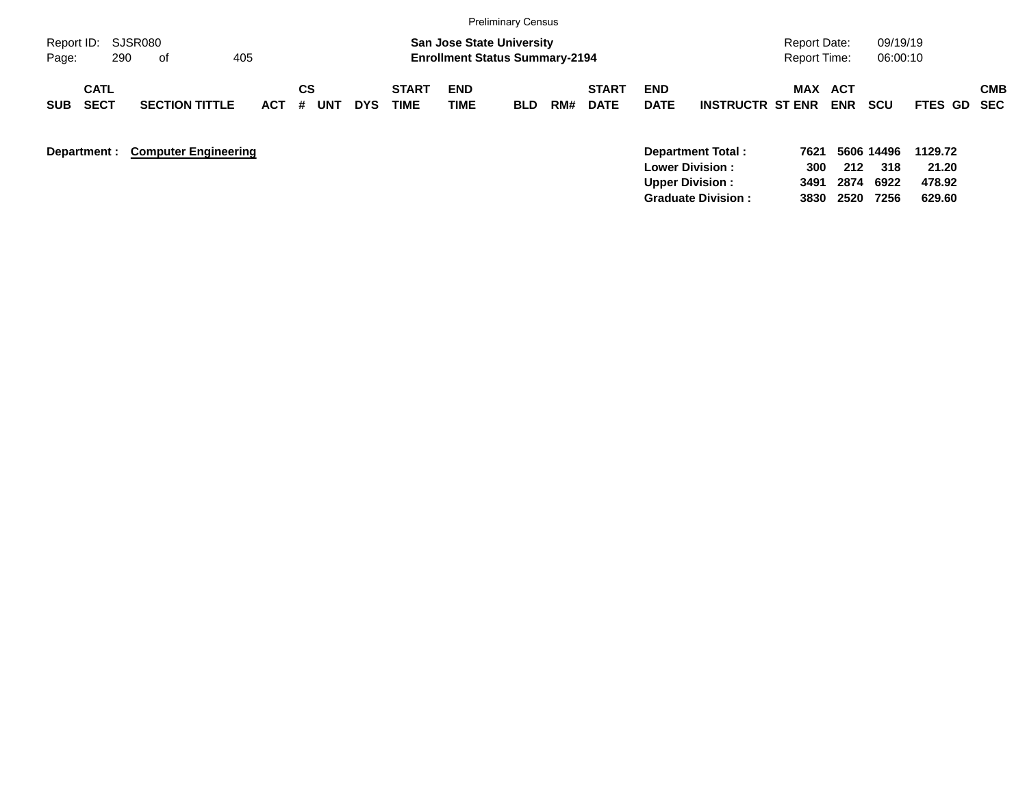|                                          |                             |            |                |            |                      |                                                                           | <b>Preliminary Census</b> |     |                             |                           |                         |                                            |                   |                      |                  |            |
|------------------------------------------|-----------------------------|------------|----------------|------------|----------------------|---------------------------------------------------------------------------|---------------------------|-----|-----------------------------|---------------------------|-------------------------|--------------------------------------------|-------------------|----------------------|------------------|------------|
| Report ID: SJSR080<br>290<br>Page:       | 405<br>of                   |            |                |            |                      | <b>San Jose State University</b><br><b>Enrollment Status Summary-2194</b> |                           |     |                             |                           |                         | <b>Report Date:</b><br><b>Report Time:</b> |                   | 09/19/19<br>06:00:10 |                  |            |
| <b>CATL</b><br><b>SECT</b><br><b>SUB</b> | <b>SECTION TITTLE</b>       | <b>ACT</b> | CS<br>#<br>UNT | <b>DYS</b> | <b>START</b><br>TIME | <b>END</b><br><b>TIME</b>                                                 | <b>BLD</b>                | RM# | <b>START</b><br><b>DATE</b> | <b>END</b><br><b>DATE</b> | <b>INSTRUCTR ST ENR</b> | MAX                                        | ACT<br><b>ENR</b> | <b>SCU</b>           | FTES GD SEC      | <b>CMB</b> |
| Department :                             | <b>Computer Engineering</b> |            |                |            |                      |                                                                           |                           |     |                             | <b>Lower Division:</b>    | Department Total:       | 7621<br>300                                | 212               | 5606 14496<br>318    | 1129.72<br>21.20 |            |

**Upper Division : 3491 2874 6922 478.92**

**Graduate Division : 3830 2520 7256 629.60**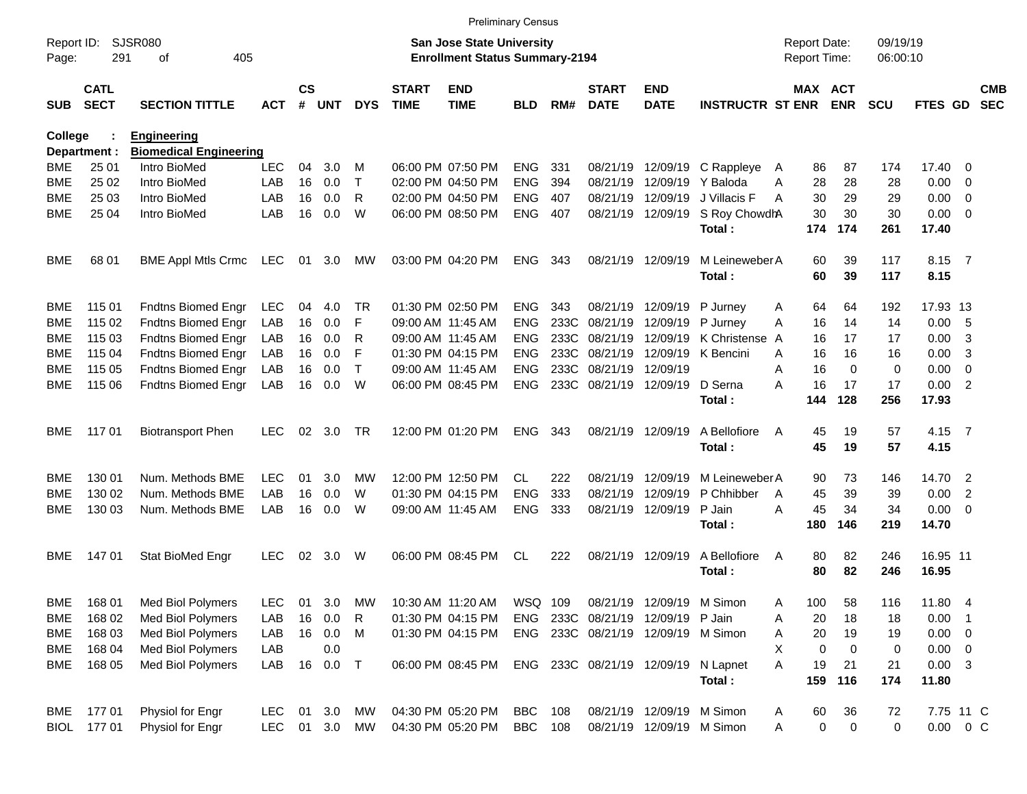|                     |                            |                                               |            |                |            |              |                             |                                                                           | <b>Preliminary Census</b> |      |                             |                                     |                          |        |                                     |            |                      |                         |                          |                          |
|---------------------|----------------------------|-----------------------------------------------|------------|----------------|------------|--------------|-----------------------------|---------------------------------------------------------------------------|---------------------------|------|-----------------------------|-------------------------------------|--------------------------|--------|-------------------------------------|------------|----------------------|-------------------------|--------------------------|--------------------------|
| Report ID:<br>Page: | 291                        | <b>SJSR080</b><br>405<br>оf                   |            |                |            |              |                             | <b>San Jose State University</b><br><b>Enrollment Status Summary-2194</b> |                           |      |                             |                                     |                          |        | <b>Report Date:</b><br>Report Time: |            | 09/19/19<br>06:00:10 |                         |                          |                          |
| SUB                 | <b>CATL</b><br><b>SECT</b> | <b>SECTION TITTLE</b>                         | <b>ACT</b> | <b>CS</b><br># | <b>UNT</b> | <b>DYS</b>   | <b>START</b><br><b>TIME</b> | <b>END</b><br><b>TIME</b>                                                 | <b>BLD</b>                | RM#  | <b>START</b><br><b>DATE</b> | <b>END</b><br><b>DATE</b>           | <b>INSTRUCTR ST ENR</b>  |        | MAX ACT                             | <b>ENR</b> | <b>SCU</b>           | FTES GD                 |                          | <b>CMB</b><br><b>SEC</b> |
| <b>College</b>      |                            | <b>Engineering</b>                            |            |                |            |              |                             |                                                                           |                           |      |                             |                                     |                          |        |                                     |            |                      |                         |                          |                          |
| <b>BME</b>          | Department :<br>25 01      | <b>Biomedical Engineering</b><br>Intro BioMed | <b>LEC</b> | 04             | 3.0        | м            |                             | 06:00 PM 07:50 PM                                                         | <b>ENG</b>                | 331  | 08/21/19                    |                                     |                          |        | 86                                  | 87         | 174                  | 17.40 0                 |                          |                          |
| <b>BME</b>          | 25 02                      | Intro BioMed                                  | LAB        | 16             | 0.0        | $\mathsf{T}$ |                             | 02:00 PM 04:50 PM                                                         | <b>ENG</b>                | 394  | 08/21/19                    | 12/09/19<br>12/09/19                | C Rappleye<br>Y Baloda   | A<br>Α | 28                                  | 28         | 28                   | 0.00                    | - 0                      |                          |
| <b>BME</b>          | 25 03                      | Intro BioMed                                  | LAB        | 16             | 0.0        | R            |                             | 02:00 PM 04:50 PM                                                         | <b>ENG</b>                | 407  | 08/21/19                    | 12/09/19                            | J Villacis F             | Α      | 30                                  | 29         | 29                   | 0.00                    | $\overline{\phantom{0}}$ |                          |
| <b>BME</b>          | 25 04                      | Intro BioMed                                  | LAB        | 16             | 0.0        | W            |                             | 06:00 PM 08:50 PM                                                         | <b>ENG</b>                | 407  |                             | 08/21/19 12/09/19                   | S Roy ChowdhA            |        | 30                                  | 30         | 30                   | $0.00 \t 0$             |                          |                          |
|                     |                            |                                               |            |                |            |              |                             |                                                                           |                           |      |                             |                                     | Total:                   |        | 174                                 | 174        | 261                  | 17.40                   |                          |                          |
| BME                 | 68 01                      | <b>BME Appl Mtls Crmc</b>                     | LEC        | 01             | 3.0        | МW           |                             | 03:00 PM 04:20 PM                                                         | <b>ENG</b>                | 343  |                             | 08/21/19 12/09/19                   | M Leineweber A<br>Total: |        | 60<br>60                            | 39<br>39   | 117<br>117           | 8.15 7<br>8.15          |                          |                          |
| <b>BME</b>          | 115 01                     | Fndtns Biomed Engr                            | LEC        | 04             | 4.0        | <b>TR</b>    |                             | 01:30 PM 02:50 PM                                                         | <b>ENG</b>                | 343  | 08/21/19                    | 12/09/19                            | P Jurney                 | Α      | 64                                  | 64         | 192                  | 17.93 13                |                          |                          |
| <b>BME</b>          | 115 02                     | <b>Fndtns Biomed Engr</b>                     | LAB        | 16             | 0.0        | F            |                             | 09:00 AM 11:45 AM                                                         | <b>ENG</b>                | 233C | 08/21/19                    | 12/09/19                            | P Jurney                 | A      | 16                                  | 14         | 14                   | 0.00                    | 5                        |                          |
| <b>BME</b>          | 115 03                     | Fndtns Biomed Engr                            | LAB        | 16             | 0.0        | R            |                             | 09:00 AM 11:45 AM                                                         | <b>ENG</b>                | 233C | 08/21/19                    | 12/09/19                            | K Christense A           |        | 16                                  | 17         | 17                   | 0.00                    | 3                        |                          |
| <b>BME</b>          | 115 04                     | Fndtns Biomed Engr                            | LAB        | 16             | 0.0        | F            |                             | 01:30 PM 04:15 PM                                                         | <b>ENG</b>                | 233C | 08/21/19                    | 12/09/19                            | K Bencini                | A      | 16                                  | 16         | 16                   | 0.00                    | -3                       |                          |
| <b>BME</b>          | 115 05                     | Fndtns Biomed Engr                            | LAB        | 16             | 0.0        | $\mathsf{T}$ |                             | 09:00 AM 11:45 AM                                                         | <b>ENG</b>                | 233C | 08/21/19                    | 12/09/19                            |                          | Α      | 16                                  | $\Omega$   | 0                    | 0.00                    | $\overline{0}$           |                          |
| <b>BME</b>          | 115 06                     | Fndtns Biomed Engr                            | LAB        | 16             | 0.0        | W            |                             | 06:00 PM 08:45 PM                                                         | <b>ENG</b>                | 233C | 08/21/19 12/09/19           |                                     | D Serna                  | A      | 16                                  | 17         | 17                   | 0.00                    | $\overline{2}$           |                          |
|                     |                            |                                               |            |                |            |              |                             |                                                                           |                           |      |                             |                                     | Total:                   |        | 144                                 | 128        | 256                  | 17.93                   |                          |                          |
| BME                 | 117 01                     | <b>Biotransport Phen</b>                      | <b>LEC</b> | 02             | 3.0        | <b>TR</b>    |                             | 12:00 PM 01:20 PM                                                         | <b>ENG</b>                | 343  |                             | 08/21/19 12/09/19                   | A Bellofiore             | A      | 45                                  | 19         | 57                   | 4.15                    | $\overline{7}$           |                          |
|                     |                            |                                               |            |                |            |              |                             |                                                                           |                           |      |                             |                                     | Total:                   |        | 45                                  | 19         | 57                   | 4.15                    |                          |                          |
| <b>BME</b>          | 130 01                     | Num. Methods BME                              | <b>LEC</b> | 01             | 3.0        | МW           |                             | 12:00 PM 12:50 PM                                                         | CL.                       | 222  | 08/21/19                    | 12/09/19                            | M Leineweber A           |        | 90                                  | 73         | 146                  | 14.70                   | $\overline{\phantom{0}}$ |                          |
| <b>BME</b>          | 130 02                     | Num. Methods BME                              | LAB        | 16             | 0.0        | W            |                             | 01:30 PM 04:15 PM                                                         | <b>ENG</b>                | 333  | 08/21/19                    | 12/09/19                            | P Chhibber               | A      | 45                                  | 39         | 39                   | 0.00                    | 2                        |                          |
| <b>BME</b>          | 130 03                     | Num. Methods BME                              | LAB        | 16             | 0.0        | W            |                             | 09:00 AM 11:45 AM                                                         | <b>ENG</b>                | 333  | 08/21/19                    | 12/09/19                            | P Jain                   | A      | 45                                  | 34         | 34                   | $0.00 \t 0$             |                          |                          |
|                     |                            |                                               |            |                |            |              |                             |                                                                           |                           |      |                             |                                     | Total:                   |        | 180                                 | 146        | 219                  | 14.70                   |                          |                          |
| BME                 | 14701                      | Stat BioMed Engr                              | <b>LEC</b> | 02             | 3.0        | W            |                             | 06:00 PM 08:45 PM                                                         | CL                        | 222  |                             | 08/21/19 12/09/19                   | A Bellofiore<br>Total:   | A      | 80<br>80                            | 82<br>82   | 246<br>246           | 16.95 11<br>16.95       |                          |                          |
| BME                 | 168 01                     | Med Biol Polymers                             | LEC        | 01             | 3.0        | MW           |                             | 10:30 AM 11:20 AM                                                         | WSQ 109                   |      |                             | 08/21/19 12/09/19 M Simon           |                          | Α      | 100                                 | 58         | 116                  | 11.80 4                 |                          |                          |
| <b>BME</b>          | 168 02                     | Med Biol Polymers                             | LAB        | 16             | 0.0        | R            |                             | 01:30 PM 04:15 PM                                                         | ENG                       |      | 233C 08/21/19               | 12/09/19                            | P Jain                   | Α      | 20                                  | 18         | 18                   | 0.00                    | $\blacksquare$ 1         |                          |
| BME                 | 168 03                     | Med Biol Polymers                             | LAB        |                | 16 0.0     | M            |                             | 01:30 PM 04:15 PM                                                         |                           |      |                             | ENG 233C 08/21/19 12/09/19 M Simon  |                          | Α      | 20                                  | 19         | 19                   | $0.00 \t 0$             |                          |                          |
| BME                 | 168 04                     | Med Biol Polymers                             | LAB        |                | 0.0        |              |                             |                                                                           |                           |      |                             |                                     |                          | X      | 0                                   | 0          | 0                    | $0.00 \t 0$             |                          |                          |
| BME                 | 168 05                     | Med Biol Polymers                             | LAB        | 16             | 0.0        | T            |                             | 06:00 PM 08:45 PM                                                         |                           |      |                             | ENG 233C 08/21/19 12/09/19 N Lapnet | Total:                   | Α      | 19<br>159                           | 21<br>116  | 21<br>174            | $0.00 \quad 3$<br>11.80 |                          |                          |
| BME                 | 17701                      | Physiol for Engr                              | <b>LEC</b> | 01             | 3.0        | MW           |                             | 04:30 PM 05:20 PM                                                         | <b>BBC</b>                | 108  |                             | 08/21/19 12/09/19 M Simon           |                          | A      | 60                                  | 36         | 72                   | 7.75 11 C               |                          |                          |
|                     | BIOL 177 01                | Physiol for Engr                              | <b>LEC</b> |                | 01 3.0     | MW           |                             | 04:30 PM 05:20 PM                                                         | <b>BBC</b> 108            |      |                             | 08/21/19 12/09/19 M Simon           |                          | Α      | 0                                   | 0          | 0                    | $0.00 \t 0 C$           |                          |                          |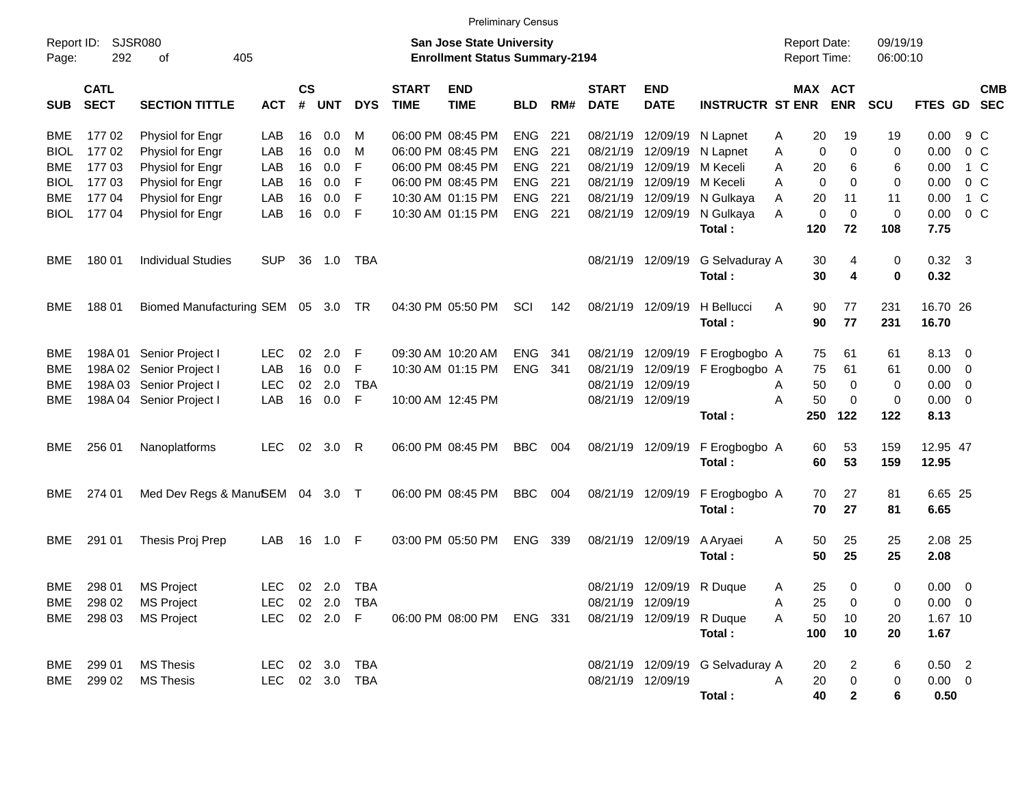|                     |                            |                                    |                |                       |                |            |                             | <b>Preliminary Census</b>                                                 |            |     |                             |                           |                                  |                                     |                              |                      |                        |                          |            |
|---------------------|----------------------------|------------------------------------|----------------|-----------------------|----------------|------------|-----------------------------|---------------------------------------------------------------------------|------------|-----|-----------------------------|---------------------------|----------------------------------|-------------------------------------|------------------------------|----------------------|------------------------|--------------------------|------------|
| Report ID:<br>Page: | <b>SJSR080</b><br>292      | 405<br>оf                          |                |                       |                |            |                             | <b>San Jose State University</b><br><b>Enrollment Status Summary-2194</b> |            |     |                             |                           |                                  | <b>Report Date:</b><br>Report Time: |                              | 09/19/19<br>06:00:10 |                        |                          |            |
| <b>SUB</b>          | <b>CATL</b><br><b>SECT</b> | <b>SECTION TITTLE</b>              | <b>ACT</b>     | $\mathsf{cs}$<br>$\#$ | <b>UNT</b>     | <b>DYS</b> | <b>START</b><br><b>TIME</b> | <b>END</b><br><b>TIME</b>                                                 | <b>BLD</b> | RM# | <b>START</b><br><b>DATE</b> | <b>END</b><br><b>DATE</b> | <b>INSTRUCTR ST ENR</b>          |                                     | <b>MAX ACT</b><br><b>ENR</b> | <b>SCU</b>           | <b>FTES GD</b>         | <b>SEC</b>               | <b>CMB</b> |
| <b>BME</b>          | 17702                      | Physiol for Engr                   | LAB            | 16                    | 0.0            | м          | 06:00 PM 08:45 PM           |                                                                           | <b>ENG</b> | 221 | 08/21/19                    | 12/09/19                  | N Lapnet                         | 20<br>Α                             | 19                           | 19                   | 0.00                   | 9 C                      |            |
| <b>BIOL</b>         | 17702                      | Physiol for Engr                   | LAB            | 16                    | 0.0            | M          | 06:00 PM 08:45 PM           |                                                                           | <b>ENG</b> | 221 | 08/21/19                    | 12/09/19                  | N Lapnet                         | Α                                   | $\mathbf 0$<br>0             | 0                    | 0.00                   | 0 <sup>o</sup>           |            |
| <b>BME</b>          | 17703                      | Physiol for Engr                   | LAB            | 16                    | 0.0            | F          |                             | 06:00 PM 08:45 PM                                                         | <b>ENG</b> | 221 | 08/21/19                    | 12/09/19                  | M Keceli                         | 20<br>Α                             | 6                            | 6                    | 0.00                   | 1 C                      |            |
| <b>BIOL</b>         | 17703                      | Physiol for Engr                   | LAB            | 16                    | 0.0            | F          |                             | 06:00 PM 08:45 PM                                                         | <b>ENG</b> | 221 | 08/21/19                    | 12/09/19                  | M Keceli                         | Α                                   | 0<br>0                       | 0                    | 0.00                   | 0 <sup>o</sup>           |            |
| BME                 | 17704                      | Physiol for Engr                   | LAB            | 16                    | 0.0            | F          |                             | 10:30 AM 01:15 PM                                                         | <b>ENG</b> | 221 | 08/21/19                    | 12/09/19                  | N Gulkaya                        | 20<br>Α                             | 11                           | 11                   | 0.00                   | 1 C                      |            |
| <b>BIOL</b>         | 17704                      | Physiol for Engr                   | LAB            | 16                    | 0.0            | F          |                             | 10:30 AM 01:15 PM                                                         | <b>ENG</b> | 221 |                             | 08/21/19 12/09/19         | N Gulkaya                        | Α                                   | $\mathbf 0$<br>0             | 0                    | 0.00                   | 0 <sup>o</sup>           |            |
|                     |                            |                                    |                |                       |                |            |                             |                                                                           |            |     |                             |                           | Total:                           | 120                                 | 72                           | 108                  | 7.75                   |                          |            |
| <b>BME</b>          | 180 01                     | <b>Individual Studies</b>          | <b>SUP</b>     | 36                    | 1.0            | TBA        |                             |                                                                           |            |     |                             | 08/21/19 12/09/19         | G Selvaduray A<br>Total:         | 30<br>30                            | 4<br>4                       | 0<br>0               | $0.32 \quad 3$<br>0.32 |                          |            |
| BME                 | 18801                      | Biomed Manufacturing SEM 05 3.0 TR |                |                       |                |            |                             | 04:30 PM 05:50 PM                                                         | SCI        | 142 |                             | 08/21/19 12/09/19         | H Bellucci<br>Total:             | A<br>90<br>90                       | 77<br>77                     | 231<br>231           | 16.70 26<br>16.70      |                          |            |
| <b>BME</b>          |                            | 198A 01 Senior Project I           | LEC.           | 02                    | 2.0            | F          | 09:30 AM 10:20 AM           |                                                                           | <b>ENG</b> | 341 | 08/21/19                    | 12/09/19                  | F Erogbogbo A                    | 75                                  | 61                           | 61                   | 8.13 0                 |                          |            |
| <b>BME</b>          |                            | 198A 02 Senior Project I           | LAB            | 16                    | 0.0            | F          |                             | 10:30 AM 01:15 PM                                                         | <b>ENG</b> | 341 | 08/21/19                    | 12/09/19                  | F Erogbogbo A                    | 75                                  | 61                           | 61                   | 0.00                   | $\overline{\phantom{0}}$ |            |
| <b>BME</b>          |                            | 198A 03 Senior Project I           | <b>LEC</b>     | 02                    | 2.0            | <b>TBA</b> |                             |                                                                           |            |     | 08/21/19                    | 12/09/19                  |                                  | 50<br>Α                             | 0                            | 0                    | 0.00                   | $\overline{\mathbf{0}}$  |            |
| <b>BME</b>          |                            | 198A 04 Senior Project I           | LAB            | 16                    | 0.0            | F          |                             | 10:00 AM 12:45 PM                                                         |            |     |                             | 08/21/19 12/09/19         |                                  | 50<br>Α                             | 0                            | 0                    | $0.00 \ 0$             |                          |            |
|                     |                            |                                    |                |                       |                |            |                             |                                                                           |            |     |                             |                           | Total:                           | 250                                 | 122                          | 122                  | 8.13                   |                          |            |
|                     |                            |                                    | <b>LEC</b>     |                       |                |            |                             |                                                                           |            |     |                             |                           |                                  |                                     |                              |                      |                        |                          |            |
| BME.                | 256 01                     | Nanoplatforms                      |                | 02                    | 3.0            | R          |                             | 06:00 PM 08:45 PM                                                         | <b>BBC</b> | 004 |                             | 08/21/19 12/09/19         | F Erogbogbo A<br>Total:          | 60<br>60                            | 53<br>53                     | 159<br>159           | 12.95 47<br>12.95      |                          |            |
| BME.                | 274 01                     | Med Dev Regs & ManuSEM 04 3.0 T    |                |                       |                |            | 06:00 PM 08:45 PM           |                                                                           | <b>BBC</b> | 004 |                             | 08/21/19 12/09/19         | F Erogbogbo A                    | 70                                  | 27                           | 81                   | 6.65 25                |                          |            |
|                     |                            |                                    |                |                       |                |            |                             |                                                                           |            |     |                             |                           | Total:                           | 70                                  | 27                           | 81                   | 6.65                   |                          |            |
| <b>BME</b>          | 291 01                     | Thesis Proj Prep                   | LAB            | 16                    | 1.0            | -F         |                             | 03:00 PM 05:50 PM                                                         | <b>ENG</b> | 339 |                             | 08/21/19 12/09/19         | A Aryaei                         | 50<br>Α                             | 25                           | 25                   | 2.08 25                |                          |            |
|                     |                            |                                    |                |                       |                |            |                             |                                                                           |            |     |                             |                           | Total:                           | 50                                  | 25                           | 25                   | 2.08                   |                          |            |
| BME                 | 298 01                     | <b>MS Project</b>                  | <b>LEC</b>     |                       | $02 \quad 2.0$ | TBA        |                             |                                                                           |            |     |                             | 08/21/19 12/09/19 R Duque |                                  | 25<br>Α                             | 0                            | 0                    | $0.00 \t 0$            |                          |            |
|                     |                            | BME 298 02 MS Project              | LEC 02 2.0 TBA |                       |                |            |                             |                                                                           |            |     |                             | 08/21/19 12/09/19         |                                  | 25<br>Α                             | 0                            | 0                    | $0.00 \t 0$            |                          |            |
|                     | BME 298 03                 | <b>MS Project</b>                  | LEC 02 2.0 F   |                       |                |            |                             | 06:00 PM 08:00 PM ENG 331                                                 |            |     |                             | 08/21/19 12/09/19 R Duque |                                  | 50<br>Α                             | 10                           | 20                   | 1.67 10                |                          |            |
|                     |                            |                                    |                |                       |                |            |                             |                                                                           |            |     |                             |                           | Total:                           | 100                                 | 10                           | 20                   | 1.67                   |                          |            |
| BME                 | 299 01                     | <b>MS Thesis</b>                   | LEC 02 3.0 TBA |                       |                |            |                             |                                                                           |            |     |                             |                           | 08/21/19 12/09/19 G Selvaduray A | 20                                  | 2                            | 6                    | $0.50$ 2               |                          |            |
|                     |                            | BME 299 02 MS Thesis               | LEC 02 3.0 TBA |                       |                |            |                             |                                                                           |            |     |                             | 08/21/19 12/09/19         |                                  | A<br>20                             | 0                            | 0                    | $0.00 \t 0$            |                          |            |
|                     |                            |                                    |                |                       |                |            |                             |                                                                           |            |     |                             |                           | Total:                           |                                     | 40<br>$\mathbf{2}$           | 6                    | 0.50                   |                          |            |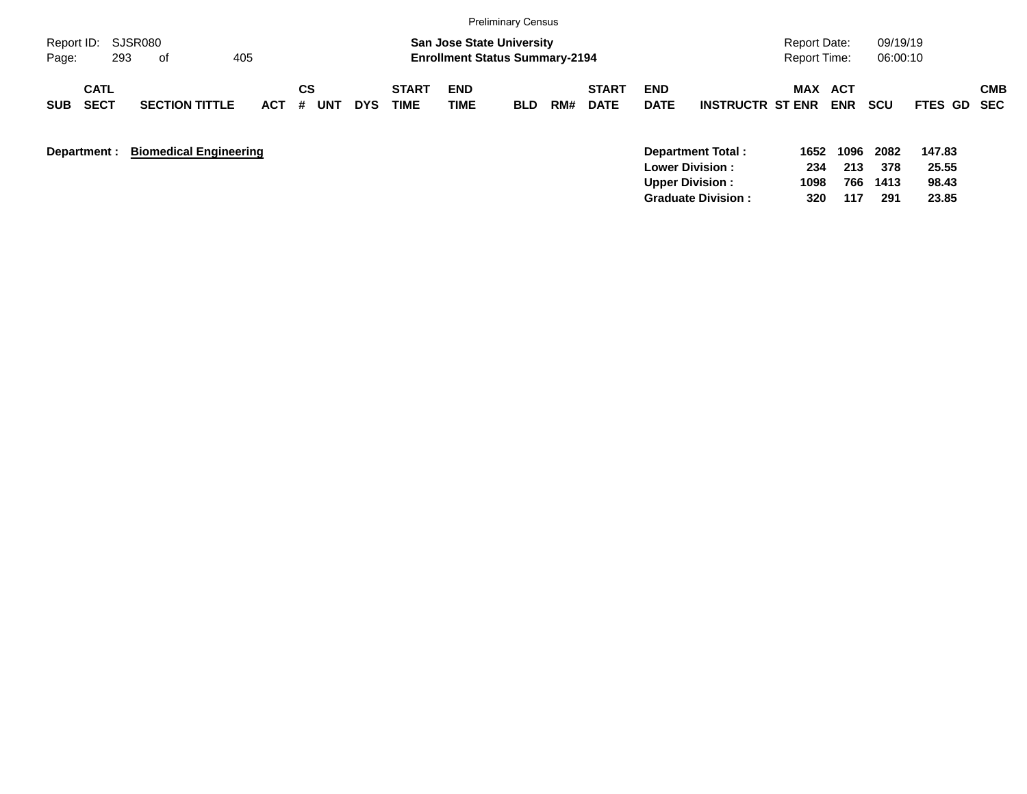|                                          |                                     |                                     |                      | <b>Preliminary Census</b>                                                 |     |                             |                           |                         |                                            |             |                      |                 |            |
|------------------------------------------|-------------------------------------|-------------------------------------|----------------------|---------------------------------------------------------------------------|-----|-----------------------------|---------------------------|-------------------------|--------------------------------------------|-------------|----------------------|-----------------|------------|
| Report ID: SJSR080<br>293<br>Page:       | 405<br>of                           |                                     |                      | <b>San Jose State University</b><br><b>Enrollment Status Summary-2194</b> |     |                             |                           |                         | <b>Report Date:</b><br><b>Report Time:</b> |             | 09/19/19<br>06:00:10 |                 |            |
| <b>CATL</b><br><b>SECT</b><br><b>SUB</b> | <b>SECTION TITTLE</b><br><b>ACT</b> | СS<br><b>UNT</b><br><b>DYS</b><br># | <b>START</b><br>TIME | <b>END</b><br><b>TIME</b><br><b>BLD</b>                                   | RM# | <b>START</b><br><b>DATE</b> | <b>END</b><br><b>DATE</b> | <b>INSTRUCTR ST ENR</b> | MAX ACT                                    | <b>ENR</b>  | <b>SCU</b>           | FTES GD SEC     | <b>CMB</b> |
| Department :                             | <b>Biomedical Engineering</b>       |                                     |                      |                                                                           |     |                             | <b>Lower Division:</b>    | Department Total:       | 1652<br>234                                | 1096<br>213 | 2082<br>378          | 147.83<br>25.55 |            |

**Upper Division : 1098 766 1413 98.43 Graduate Division : 320 117 291 23.85**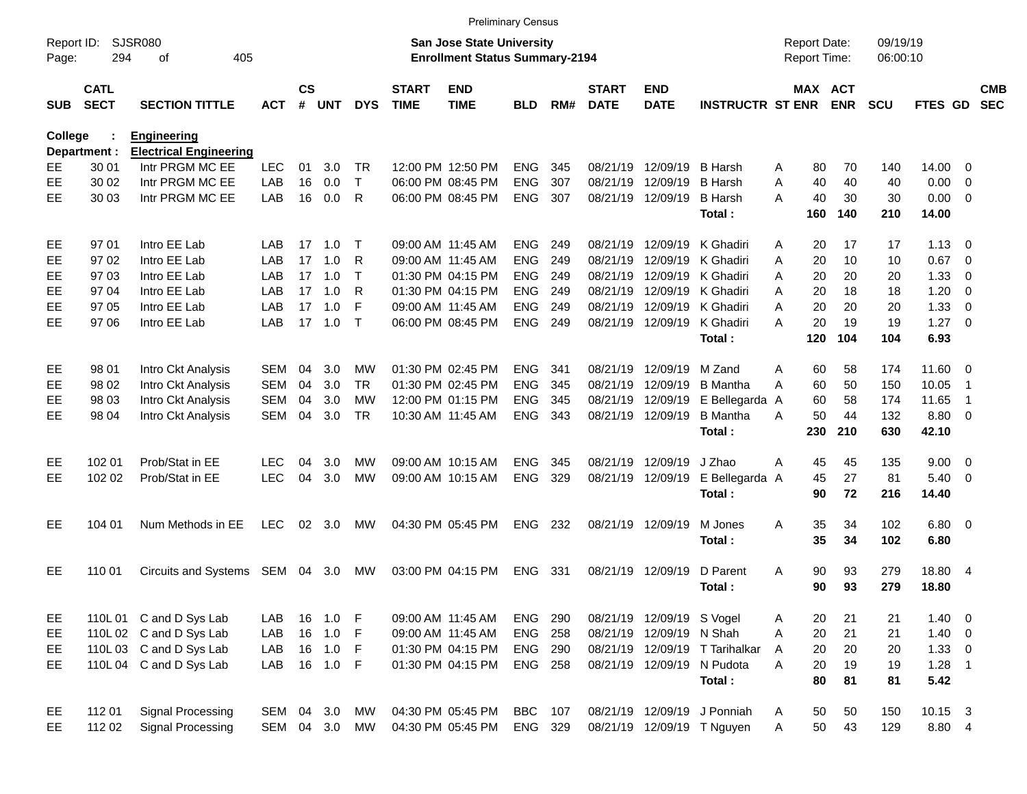|                     |                            |                               |            |                 |          |            |                             | <b>Preliminary Census</b>                                                 |                |     |                             |                           |                                |                                     |                       |                      |                 |                          |                          |
|---------------------|----------------------------|-------------------------------|------------|-----------------|----------|------------|-----------------------------|---------------------------------------------------------------------------|----------------|-----|-----------------------------|---------------------------|--------------------------------|-------------------------------------|-----------------------|----------------------|-----------------|--------------------------|--------------------------|
| Report ID:<br>Page: | 294                        | SJSR080<br>405<br>οf          |            |                 |          |            |                             | <b>San Jose State University</b><br><b>Enrollment Status Summary-2194</b> |                |     |                             |                           |                                | <b>Report Date:</b><br>Report Time: |                       | 09/19/19<br>06:00:10 |                 |                          |                          |
| <b>SUB</b>          | <b>CATL</b><br><b>SECT</b> | <b>SECTION TITTLE</b>         | <b>ACT</b> | $\mathsf{cs}$   | # UNT    | <b>DYS</b> | <b>START</b><br><b>TIME</b> | <b>END</b><br><b>TIME</b>                                                 | <b>BLD</b>     | RM# | <b>START</b><br><b>DATE</b> | <b>END</b><br><b>DATE</b> | <b>INSTRUCTR ST ENR</b>        |                                     | MAX ACT<br><b>ENR</b> | <b>SCU</b>           | FTES GD         |                          | <b>CMB</b><br><b>SEC</b> |
| <b>College</b>      |                            | <b>Engineering</b>            |            |                 |          |            |                             |                                                                           |                |     |                             |                           |                                |                                     |                       |                      |                 |                          |                          |
|                     | Department :               | <b>Electrical Engineering</b> |            |                 |          |            |                             |                                                                           |                |     |                             |                           |                                |                                     |                       |                      |                 |                          |                          |
| EE                  | 30 01                      | Intr PRGM MC EE               | <b>LEC</b> | 01              | 3.0      | TR.        |                             | 12:00 PM 12:50 PM                                                         | <b>ENG</b>     | 345 | 08/21/19                    | 12/09/19                  | <b>B</b> Harsh                 | 80<br>A                             | 70                    | 140                  | 14.00           | 0                        |                          |
| EE                  | 30 02                      | Intr PRGM MC EE               | LAB        | 16              | 0.0      | Т          |                             | 06:00 PM 08:45 PM                                                         | <b>ENG</b>     | 307 | 08/21/19                    | 12/09/19                  | <b>B</b> Harsh                 | 40<br>A                             | 40                    | 40                   | 0.00            | $\overline{0}$           |                          |
| EE                  | 30 03                      | Intr PRGM MC EE               | LAB        | 16              | 0.0      | R          |                             | 06:00 PM 08:45 PM                                                         | <b>ENG</b>     | 307 | 08/21/19                    | 12/09/19                  | <b>B</b> Harsh                 | 40<br>A                             | 30                    | 30                   | 0.00            | - 0                      |                          |
|                     |                            |                               |            |                 |          |            |                             |                                                                           |                |     |                             |                           | Total:                         | 160                                 | 140                   | 210                  | 14.00           |                          |                          |
| EE                  | 97 01                      | Intro EE Lab                  | LAB        | 17              | 1.0      | т          |                             | 09:00 AM 11:45 AM                                                         | ENG.           | 249 | 08/21/19                    | 12/09/19                  | K Ghadiri                      | A                                   | 20<br>17              | 17                   | 1.13            | - 0                      |                          |
| EE                  | 9702                       | Intro EE Lab                  | LAB        | 17              | 1.0      | R          |                             | 09:00 AM 11:45 AM                                                         | <b>ENG</b>     | 249 | 08/21/19                    | 12/09/19                  | K Ghadiri                      | A                                   | 10<br>20              | 10                   | 0.67            | $\overline{\mathbf{0}}$  |                          |
| EE                  | 97 03                      | Intro EE Lab                  | LAB        | 17              | 1.0      | т          |                             | 01:30 PM 04:15 PM                                                         | <b>ENG</b>     | 249 | 08/21/19                    |                           | 12/09/19 K Ghadiri             | 20<br>A                             | 20                    | 20                   | 1.33            | 0                        |                          |
| EE                  | 97 04                      | Intro EE Lab                  | LAB        | 17              | 1.0      | R          |                             | 01:30 PM 04:15 PM                                                         | <b>ENG</b>     | 249 | 08/21/19                    |                           | 12/09/19 K Ghadiri             | A                                   | 20<br>18              | 18                   | 1.20            | - 0                      |                          |
| EE                  | 97 05                      | Intro EE Lab                  | LAB        | 17              | 1.0      | F          |                             | 09:00 AM 11:45 AM                                                         | <b>ENG</b>     | 249 | 08/21/19                    |                           | 12/09/19 K Ghadiri             | 20<br>A                             | 20                    | 20                   | 1.33            | $\overline{0}$           |                          |
| EE                  | 97 06                      | Intro EE Lab                  | LAB        | 17 <sup>7</sup> | 1.0      | $\top$     |                             | 06:00 PM 08:45 PM                                                         | <b>ENG</b>     | 249 | 08/21/19                    | 12/09/19                  | K Ghadiri                      | А                                   | 20<br>19              | 19                   | $1.27 \t 0$     |                          |                          |
|                     |                            |                               |            |                 |          |            |                             |                                                                           |                |     |                             |                           | Total:                         | 120                                 | 104                   | 104                  | 6.93            |                          |                          |
| EE                  | 98 01                      | Intro Ckt Analysis            | SEM        | 04              | 3.0      | <b>MW</b>  |                             | 01:30 PM 02:45 PM                                                         | ENG.           | 341 | 08/21/19                    | 12/09/19                  | M Zand                         | 60<br>Α                             | 58                    | 174                  | 11.60 0         |                          |                          |
| EE                  | 98 02                      | Intro Ckt Analysis            | <b>SEM</b> | 04              | 3.0      | TR.        |                             | 01:30 PM 02:45 PM                                                         | <b>ENG</b>     | 345 | 08/21/19                    | 12/09/19                  | <b>B</b> Mantha                | A<br>60                             | 50                    | 150                  | 10.05           | -1                       |                          |
| EE                  | 98 03                      | Intro Ckt Analysis            | <b>SEM</b> | 04              | 3.0      | МW         |                             | 12:00 PM 01:15 PM                                                         | <b>ENG</b>     | 345 | 08/21/19                    | 12/09/19                  | E Bellegarda                   | 60<br>A                             | 58                    | 174                  | 11.65           | -1                       |                          |
| EE                  | 98 04                      | Intro Ckt Analysis            | SEM        | 04              | 3.0      | TR.        |                             | 10:30 AM 11:45 AM                                                         | <b>ENG</b>     | 343 | 08/21/19                    | 12/09/19                  | B Mantha                       | Α                                   | 50<br>44              | 132                  | 8.80            | $\overline{\phantom{0}}$ |                          |
|                     |                            |                               |            |                 |          |            |                             |                                                                           |                |     |                             |                           | Total:                         | 230                                 | 210                   | 630                  | 42.10           |                          |                          |
| EE                  | 102 01                     | Prob/Stat in EE               | LEC        | 04              | 3.0      | <b>MW</b>  |                             | 09:00 AM 10:15 AM                                                         | <b>ENG</b>     | 345 | 08/21/19                    | 12/09/19                  | J Zhao                         | 45<br>A                             | 45                    | 135                  | 9.00            | $\overline{\mathbf{0}}$  |                          |
| EE                  | 102 02                     | Prob/Stat in EE               | <b>LEC</b> | 04              | 3.0      | <b>MW</b>  |                             | 09:00 AM 10:15 AM                                                         | <b>ENG</b>     | 329 | 08/21/19                    | 12/09/19                  | E Bellegarda A                 | 45                                  | 27                    | 81                   | 5.40            | $\overline{\mathbf{0}}$  |                          |
|                     |                            |                               |            |                 |          |            |                             |                                                                           |                |     |                             |                           | Total:                         |                                     | 90<br>72              | 216                  | 14.40           |                          |                          |
| EE                  | 104 01                     | Num Methods in EE             | <b>LEC</b> |                 | 02 3.0   | MW         |                             | 04:30 PM 05:45 PM                                                         | ENG            | 232 | 08/21/19 12/09/19           |                           | M Jones                        | A                                   | 35<br>34              | 102                  | $6.80$ 0        |                          |                          |
|                     |                            |                               |            |                 |          |            |                             |                                                                           |                |     |                             |                           | Total:                         |                                     | 35<br>34              | 102                  | 6.80            |                          |                          |
| EE                  | 110 01                     | <b>Circuits and Systems</b>   | SEM 04 3.0 |                 |          | МW         |                             | 03:00 PM 04:15 PM                                                         | <b>ENG</b>     | 331 | 08/21/19 12/09/19           |                           | D Parent                       | A                                   | 90<br>93              | 279                  | 18.80 4         |                          |                          |
|                     |                            |                               |            |                 |          |            |                             |                                                                           |                |     |                             |                           | Total:                         |                                     | 90<br>93              | 279                  | 18.80           |                          |                          |
| EE                  |                            | 110L 01 C and D Sys Lab       | LAB        | 16              | $1.0$ F  |            |                             | 09:00 AM 11:45 AM                                                         | <b>ENG 290</b> |     |                             | 08/21/19 12/09/19 S Vogel |                                | A                                   | 20<br>21              | 21                   | $1.40 \ 0$      |                          |                          |
| EE                  |                            | 110L 02 C and D Sys Lab       | LAB        | 16              | 1.0      | - F        |                             | 09:00 AM 11:45 AM                                                         | <b>ENG 258</b> |     |                             | 08/21/19 12/09/19 N Shah  |                                | A                                   | 21<br>20              | 21                   | $1.40 \ 0$      |                          |                          |
| EE                  |                            | 110L 03 C and D Sys Lab       | LAB        | 16              | $1.0$ F  |            |                             | 01:30 PM 04:15 PM                                                         | <b>ENG 290</b> |     |                             |                           | 08/21/19 12/09/19 T Tarihalkar | A                                   | 20<br>20              | 20                   | $1.33 \ 0$      |                          |                          |
| EE                  |                            | 110L 04 C and D Sys Lab       | LAB        |                 | 16 1.0 F |            |                             | 01:30 PM 04:15 PM                                                         | <b>ENG 258</b> |     |                             |                           | 08/21/19 12/09/19 N Pudota     | A                                   | 20<br>19              | 19                   | $1.28$ 1        |                          |                          |
|                     |                            |                               |            |                 |          |            |                             |                                                                           |                |     |                             |                           | Total:                         |                                     | 80<br>81              | 81                   | 5.42            |                          |                          |
| EE                  | 112 01                     | Signal Processing             | SEM 04 3.0 |                 |          | MW         |                             | 04:30 PM 05:45 PM                                                         | <b>BBC</b> 107 |     |                             |                           | 08/21/19 12/09/19 J Ponniah    | A                                   | 50<br>50              | 150                  | $10.15 \quad 3$ |                          |                          |
| EE                  | 112 02                     | Signal Processing             | SEM 04 3.0 |                 |          | MW         |                             | 04:30 PM 05:45 PM                                                         | ENG 329        |     |                             |                           | 08/21/19 12/09/19 T Nguyen     | A                                   | 50<br>43              | 129                  | 8.80 4          |                          |                          |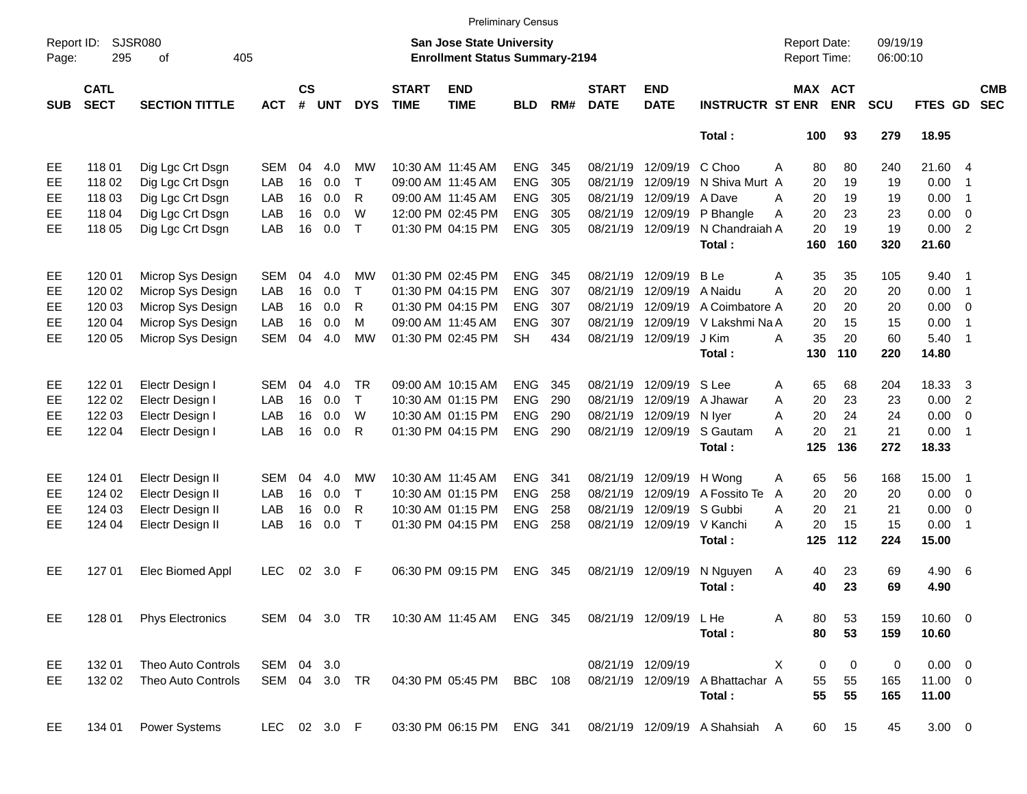|                     |                            |                         |               |                    |            |              |                             |                                                                           | <b>Preliminary Census</b> |     |                             |                           |                                  |                                     |            |                      |             |                          |                          |
|---------------------|----------------------------|-------------------------|---------------|--------------------|------------|--------------|-----------------------------|---------------------------------------------------------------------------|---------------------------|-----|-----------------------------|---------------------------|----------------------------------|-------------------------------------|------------|----------------------|-------------|--------------------------|--------------------------|
| Report ID:<br>Page: | 295                        | SJSR080<br>405<br>οf    |               |                    |            |              |                             | <b>San Jose State University</b><br><b>Enrollment Status Summary-2194</b> |                           |     |                             |                           |                                  | <b>Report Date:</b><br>Report Time: |            | 09/19/19<br>06:00:10 |             |                          |                          |
| <b>SUB</b>          | <b>CATL</b><br><b>SECT</b> | <b>SECTION TITTLE</b>   | <b>ACT</b>    | $\mathsf{cs}$<br># | <b>UNT</b> | <b>DYS</b>   | <b>START</b><br><b>TIME</b> | <b>END</b><br><b>TIME</b>                                                 | <b>BLD</b>                | RM# | <b>START</b><br><b>DATE</b> | <b>END</b><br><b>DATE</b> | <b>INSTRUCTR ST ENR</b>          | MAX ACT                             | <b>ENR</b> | <b>SCU</b>           | FTES GD     |                          | <b>CMB</b><br><b>SEC</b> |
|                     |                            |                         |               |                    |            |              |                             |                                                                           |                           |     |                             |                           | Total:                           | 100                                 | 93         | 279                  | 18.95       |                          |                          |
| EE                  | 11801                      | Dig Lgc Crt Dsgn        | <b>SEM</b>    | 04                 | 4.0        | МW           |                             | 10:30 AM 11:45 AM                                                         | <b>ENG</b>                | 345 | 08/21/19                    | 12/09/19                  | C Choo                           | 80<br>A                             | 80         | 240                  | 21.60 4     |                          |                          |
| EE                  | 118 02                     | Dig Lgc Crt Dsgn        | LAB           | 16                 | 0.0        | $\mathsf{T}$ |                             | 09:00 AM 11:45 AM                                                         | <b>ENG</b>                | 305 | 08/21/19                    | 12/09/19                  | N Shiva Murt A                   | 20                                  | 19         | 19                   | 0.00        | $\overline{\mathbf{1}}$  |                          |
| EE                  | 118 03                     | Dig Lgc Crt Dsgn        | LAB           | 16                 | 0.0        | R            |                             | 09:00 AM 11:45 AM                                                         | <b>ENG</b>                | 305 | 08/21/19                    | 12/09/19                  | A Dave                           | 20<br>A                             | 19         | 19                   | 0.00        | $\overline{1}$           |                          |
| EE                  | 118 04                     | Dig Lgc Crt Dsgn        | LAB           | 16                 | 0.0        | W            |                             | 12:00 PM 02:45 PM                                                         | <b>ENG</b>                | 305 | 08/21/19                    | 12/09/19                  | P Bhangle                        | 20<br>A                             | 23         | 23                   | 0.00        | - 0                      |                          |
| EE                  | 118 05                     | Dig Lgc Crt Dsgn        | LAB           | 16                 | 0.0        | $\top$       |                             | 01:30 PM 04:15 PM                                                         | <b>ENG</b>                | 305 | 08/21/19                    | 12/09/19                  | N Chandraiah A                   | 20                                  | 19         | 19                   | 0.00        | $\overline{2}$           |                          |
|                     |                            |                         |               |                    |            |              |                             |                                                                           |                           |     |                             |                           | Total:                           | 160                                 | 160        | 320                  | 21.60       |                          |                          |
| EE                  | 120 01                     | Microp Sys Design       | <b>SEM</b>    | 04                 | 4.0        | МW           |                             | 01:30 PM 02:45 PM                                                         | <b>ENG</b>                | 345 | 08/21/19                    | 12/09/19                  | <b>B</b> Le                      | 35<br>Α                             | 35         | 105                  | 9.40        | - 1                      |                          |
| EE                  | 120 02                     | Microp Sys Design       | LAB           | 16                 | 0.0        | $\mathsf{T}$ |                             | 01:30 PM 04:15 PM                                                         | <b>ENG</b>                | 307 | 08/21/19                    | 12/09/19                  | A Naidu                          | A<br>20                             | 20         | 20                   | 0.00        | $\overline{\phantom{0}}$ |                          |
| EE                  | 120 03                     | Microp Sys Design       | LAB           | 16                 | 0.0        | R            |                             | 01:30 PM 04:15 PM                                                         | <b>ENG</b>                | 307 | 08/21/19                    | 12/09/19                  | A Coimbatore A                   | 20                                  | 20         | 20                   | 0.00        | $\overline{\phantom{0}}$ |                          |
| EE                  | 120 04                     | Microp Sys Design       | LAB           | 16                 | 0.0        | M            |                             | 09:00 AM 11:45 AM                                                         | <b>ENG</b>                | 307 | 08/21/19                    | 12/09/19                  | V Lakshmi Na A                   | 20                                  | 15         | 15                   | 0.00        | $\overline{1}$           |                          |
| EE                  | 120 05                     | Microp Sys Design       | <b>SEM</b>    | 04                 | 4.0        | <b>MW</b>    |                             | 01:30 PM 02:45 PM                                                         | <b>SH</b>                 | 434 | 08/21/19                    | 12/09/19                  | J Kim                            | 35<br>А                             | 20         | 60                   | 5.40        | $\overline{\phantom{1}}$ |                          |
|                     |                            |                         |               |                    |            |              |                             |                                                                           |                           |     |                             |                           | Total:                           | 130                                 | 110        | 220                  | 14.80       |                          |                          |
| EE                  | 122 01                     | Electr Design I         | <b>SEM</b>    | 04                 | 4.0        | <b>TR</b>    |                             | 09:00 AM 10:15 AM                                                         | <b>ENG</b>                | 345 | 08/21/19                    | 12/09/19                  | S Lee                            | 65<br>Α                             | 68         | 204                  | 18.33       | -3                       |                          |
| EE                  | 122 02                     | Electr Design I         | LAB           | 16                 | 0.0        | $\mathsf{T}$ |                             | 10:30 AM 01:15 PM                                                         | <b>ENG</b>                | 290 | 08/21/19                    | 12/09/19                  | A Jhawar                         | 20<br>Α                             | 23         | 23                   | 0.00        | $\overline{2}$           |                          |
| EE                  | 122 03                     | Electr Design I         | LAB           | 16                 | 0.0        | W            |                             | 10:30 AM 01:15 PM                                                         | <b>ENG</b>                | 290 | 08/21/19                    | 12/09/19                  | N Iver                           | 20<br>A                             | 24         | 24                   | 0.00        | $\overline{0}$           |                          |
| EE                  | 122 04                     | Electr Design I         | LAB           | 16                 | 0.0        | R            |                             | 01:30 PM 04:15 PM                                                         | <b>ENG</b>                | 290 |                             | 08/21/19 12/09/19         | S Gautam                         | A<br>20                             | 21         | 21                   | 0.00        | $\overline{\phantom{1}}$ |                          |
|                     |                            |                         |               |                    |            |              |                             |                                                                           |                           |     |                             |                           | Total:                           | 125                                 | 136        | 272                  | 18.33       |                          |                          |
| EE                  | 124 01                     | Electr Design II        | <b>SEM</b>    | 04                 | 4.0        | МW           |                             | 10:30 AM 11:45 AM                                                         | <b>ENG</b>                | 341 | 08/21/19                    | 12/09/19                  | H Wong                           | 65<br>A                             | 56         | 168                  | 15.00       | $\blacksquare$ 1         |                          |
| EE                  | 124 02                     | Electr Design II        | LAB           | 16                 | 0.0        | $\mathsf{T}$ |                             | 10:30 AM 01:15 PM                                                         | <b>ENG</b>                | 258 | 08/21/19                    | 12/09/19                  | A Fossito Te                     | 20<br>A                             | 20         | 20                   | $0.00 \t 0$ |                          |                          |
| EE                  | 124 03                     | Electr Design II        | LAB           | 16                 | 0.0        | R            |                             | 10:30 AM 01:15 PM                                                         | <b>ENG</b>                | 258 | 08/21/19                    | 12/09/19                  | S Gubbi                          | 20<br>Α                             | 21         | 21                   | 0.00        | $\overline{\phantom{0}}$ |                          |
| EE                  | 124 04                     | Electr Design II        | LAB           | 16                 | 0.0        | $\top$       |                             | 01:30 PM 04:15 PM                                                         | <b>ENG</b>                | 258 | 08/21/19                    | 12/09/19                  | V Kanchi                         | 20<br>А                             | 15         | 15                   | 0.00        | $\overline{\phantom{0}}$ |                          |
|                     |                            |                         |               |                    |            |              |                             |                                                                           |                           |     |                             |                           | Total:                           | 125                                 | 112        | 224                  | 15.00       |                          |                          |
| EE                  | 127 01                     | Elec Biomed Appl        | <b>LEC</b>    | 02                 | 3.0        | F            |                             | 06:30 PM 09:15 PM                                                         | <b>ENG</b>                | 345 | 08/21/19                    | 12/09/19                  | N Nguyen                         | 40<br>A                             | 23         | 69                   | 4.90 6      |                          |                          |
|                     |                            |                         |               |                    |            |              |                             |                                                                           |                           |     |                             |                           | Total:                           | 40                                  | 23         | 69                   | 4.90        |                          |                          |
| EE                  | 128 01                     | <b>Phys Electronics</b> |               |                    |            |              |                             | SEM 04 3.0 TR 10:30 AM 11:45 AM ENG 345                                   |                           |     |                             | 08/21/19 12/09/19 LHe     |                                  | 80<br>A                             | 53         | 159                  | 10.60 0     |                          |                          |
|                     |                            |                         |               |                    |            |              |                             |                                                                           |                           |     |                             |                           | Total:                           | 80                                  | 53         | 159                  | 10.60       |                          |                          |
| EE                  | 132 01                     | Theo Auto Controls      | SEM 04 3.0    |                    |            |              |                             |                                                                           |                           |     |                             | 08/21/19 12/09/19         |                                  | 0<br>X                              | 0          | 0                    | $0.00 \t 0$ |                          |                          |
| EE                  | 132 02                     | Theo Auto Controls      | SEM 04 3.0 TR |                    |            |              |                             | 04:30 PM 05:45 PM                                                         | <b>BBC</b> 108            |     |                             |                           | 08/21/19 12/09/19 A Bhattachar A | 55                                  | 55         | 165                  | 11.00 0     |                          |                          |
|                     |                            |                         |               |                    |            |              |                             |                                                                           |                           |     |                             |                           | Total:                           | 55                                  | 55         | 165                  | 11.00       |                          |                          |
| EE                  | 134 01                     | Power Systems           | LEC 02 3.0 F  |                    |            |              |                             | 03:30 PM 06:15 PM ENG 341                                                 |                           |     |                             |                           | 08/21/19 12/09/19 A Shahsiah A   | 60                                  | 15         | 45                   | $3.00 \ 0$  |                          |                          |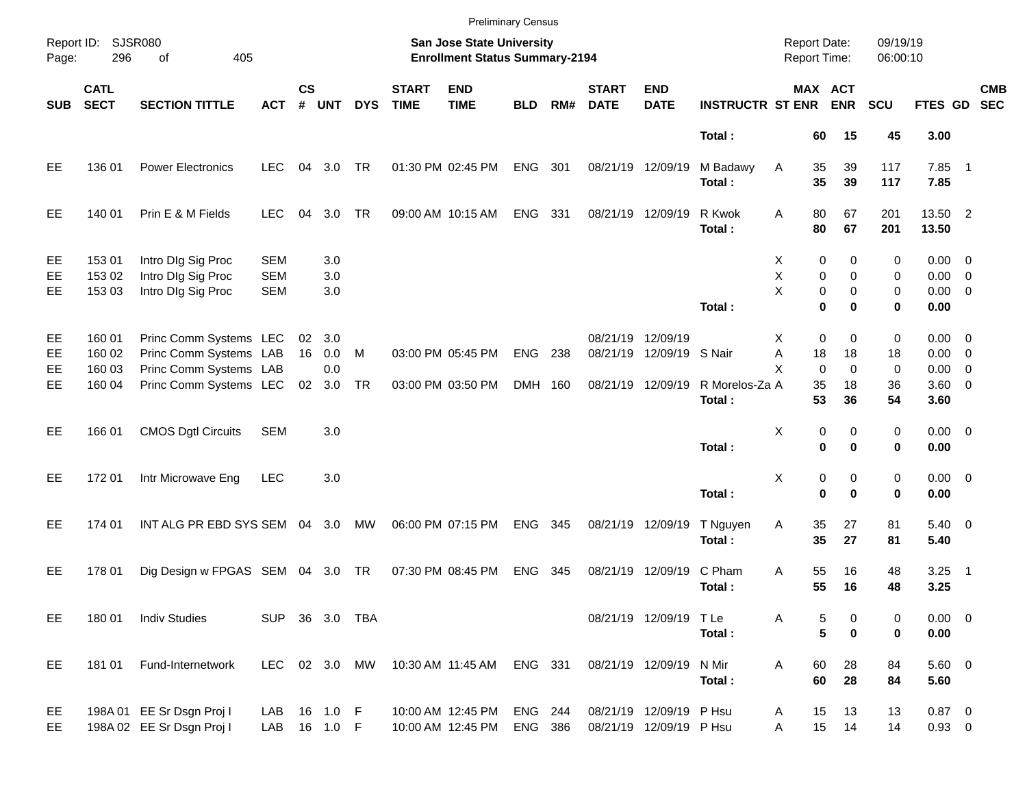|                     |                            |                                                                            |                                        |                       |                        |            |                             | <b>Preliminary Census</b>                                          |                    |     |                             |                                                    |                          |                                               |                     |                      |                                           |                          |            |
|---------------------|----------------------------|----------------------------------------------------------------------------|----------------------------------------|-----------------------|------------------------|------------|-----------------------------|--------------------------------------------------------------------|--------------------|-----|-----------------------------|----------------------------------------------------|--------------------------|-----------------------------------------------|---------------------|----------------------|-------------------------------------------|--------------------------|------------|
| Report ID:<br>Page: | <b>SJSR080</b><br>296      | 405<br>οf                                                                  |                                        |                       |                        |            |                             | San Jose State University<br><b>Enrollment Status Summary-2194</b> |                    |     |                             |                                                    |                          | <b>Report Date:</b><br>Report Time:           |                     | 09/19/19<br>06:00:10 |                                           |                          |            |
| <b>SUB</b>          | <b>CATL</b><br><b>SECT</b> | <b>SECTION TITTLE</b>                                                      | <b>ACT</b>                             | $\mathsf{cs}$<br>#    | <b>UNT</b>             | <b>DYS</b> | <b>START</b><br><b>TIME</b> | <b>END</b><br><b>TIME</b>                                          | <b>BLD</b>         | RM# | <b>START</b><br><b>DATE</b> | <b>END</b><br><b>DATE</b>                          | <b>INSTRUCTR ST ENR</b>  | MAX ACT                                       | <b>ENR</b>          | <b>SCU</b>           | FTES GD SEC                               |                          | <b>CMB</b> |
|                     |                            |                                                                            |                                        |                       |                        |            |                             |                                                                    |                    |     |                             |                                                    | Total:                   | 60                                            | 15                  | 45                   | 3.00                                      |                          |            |
| EE                  | 136 01                     | <b>Power Electronics</b>                                                   | <b>LEC</b>                             | 04                    | 3.0                    | <b>TR</b>  |                             | 01:30 PM 02:45 PM                                                  | ENG 301            |     | 08/21/19 12/09/19           |                                                    | M Badawy<br>Total:       | 35<br>Α<br>35                                 | 39<br>39            | 117<br>117           | $7.85$ 1<br>7.85                          |                          |            |
| EE                  | 140 01                     | Prin E & M Fields                                                          | <b>LEC</b>                             | 04                    | 3.0                    | <b>TR</b>  |                             | 09:00 AM 10:15 AM                                                  | ENG 331            |     |                             | 08/21/19 12/09/19                                  | R Kwok<br>Total:         | 80<br>Α<br>80                                 | 67<br>67            | 201<br>201           | 13.50 2<br>13.50                          |                          |            |
| EE<br>EE<br>EE      | 153 01<br>153 02<br>153 03 | Intro DIg Sig Proc<br>Intro DIg Sig Proc<br>Intro DIg Sig Proc             | <b>SEM</b><br><b>SEM</b><br><b>SEM</b> |                       | 3.0<br>3.0<br>3.0      |            |                             |                                                                    |                    |     |                             |                                                    |                          | 0<br>X<br>X<br>0<br>X<br>$\mathbf 0$          | 0<br>0<br>0         | 0<br>0<br>0          | $0.00 \t 0$<br>$0.00 \t 0$<br>$0.00 \t 0$ |                          |            |
|                     |                            |                                                                            |                                        |                       |                        |            |                             |                                                                    |                    |     |                             |                                                    | Total:                   | $\bf{0}$                                      | 0                   | 0                    | 0.00                                      |                          |            |
| EE<br>EE<br>EE      | 160 01<br>160 02<br>160 03 | Princ Comm Systems LEC<br>Princ Comm Systems LAB<br>Princ Comm Systems LAB |                                        | 02 <sub>o</sub><br>16 | 3.0<br>0.0<br>0.0      | M          |                             | 03:00 PM 05:45 PM                                                  | ENG                | 238 | 08/21/19 12/09/19           | 08/21/19 12/09/19 S Nair                           |                          | $\mathbf 0$<br>X.<br>Α<br>18<br>X<br>$\Omega$ | 0<br>18<br>$\Omega$ | 0<br>18<br>0         | $0.00 \t 0$<br>$0.00 \t 0$<br>0.00        | $\overline{\phantom{0}}$ |            |
| EE                  | 160 04                     | Princ Comm Systems LEC                                                     |                                        | 02                    | 3.0                    | <b>TR</b>  |                             | 03:00 PM 03:50 PM                                                  | DMH 160            |     |                             | 08/21/19 12/09/19                                  | R Morelos-Za A<br>Total: | 35<br>53                                      | 18<br>36            | 36<br>54             | 3.60 0<br>3.60                            |                          |            |
| EE                  | 166 01                     | <b>CMOS Dgtl Circuits</b>                                                  | <b>SEM</b>                             |                       | 3.0                    |            |                             |                                                                    |                    |     |                             |                                                    | Total:                   | Χ<br>0<br>$\bf{0}$                            | 0<br>$\mathbf 0$    | 0<br>0               | $0.00 \t 0$<br>0.00                       |                          |            |
| EE                  | 172 01                     | Intr Microwave Eng                                                         | LEC                                    |                       | 3.0                    |            |                             |                                                                    |                    |     |                             |                                                    | Total:                   | Χ<br>0<br>$\bf{0}$                            | 0<br>$\bf{0}$       | 0<br>0               | $0.00 \t 0$<br>0.00                       |                          |            |
| EE                  | 174 01                     | INT ALG PR EBD SYS SEM 04 3.0                                              |                                        |                       |                        | МW         |                             | 06:00 PM 07:15 PM                                                  | ENG 345            |     | 08/21/19 12/09/19           |                                                    | T Nguyen<br>Total:       | 35<br>Α<br>35                                 | 27<br>27            | 81<br>81             | $5.40 \ 0$<br>5.40                        |                          |            |
| EE                  | 178 01                     | Dig Design w FPGAS SEM 04 3.0                                              |                                        |                       |                        | TR         |                             | 07:30 PM 08:45 PM                                                  | ENG                | 345 |                             | 08/21/19 12/09/19                                  | C Pham<br>Total:         | 55<br>Α<br>55                                 | 16<br>16            | 48<br>48             | 3.25<br>3.25                              | - 1                      |            |
| EE                  | 180 01                     | <b>Indiv Studies</b>                                                       | SUP 36 3.0 TBA                         |                       |                        |            |                             |                                                                    |                    |     |                             | 08/21/19 12/09/19 TLe                              | Total:                   | Α<br>5<br>5                                   | 0<br>$\mathbf 0$    | 0<br>0               | $0.00 \t 0$<br>0.00                       |                          |            |
| EE                  | 181 01                     | Fund-Internetwork                                                          | LEC 02 3.0 MW                          |                       |                        |            |                             | 10:30 AM 11:45 AM                                                  | ENG 331            |     |                             | 08/21/19 12/09/19                                  | N Mir<br>Total:          | 60<br>Α<br>60                                 | 28<br>28            | 84<br>84             | 5.60 0<br>5.60                            |                          |            |
| EE<br>EE            |                            | 198A 01 EE Sr Dsgn Proj I<br>198A 02 EE Sr Dsgn Proj I                     | LAB<br>LAB                             |                       | 16 1.0 F<br>16  1.0  F |            |                             | 10:00 AM 12:45 PM<br>10:00 AM 12:45 PM                             | ENG 244<br>ENG 386 |     |                             | 08/21/19 12/09/19 P Hsu<br>08/21/19 12/09/19 P Hsu |                          | 15<br>A<br>15<br>Α                            | 13<br>14            | 13<br>14             | $0.87$ 0<br>$0.93$ 0                      |                          |            |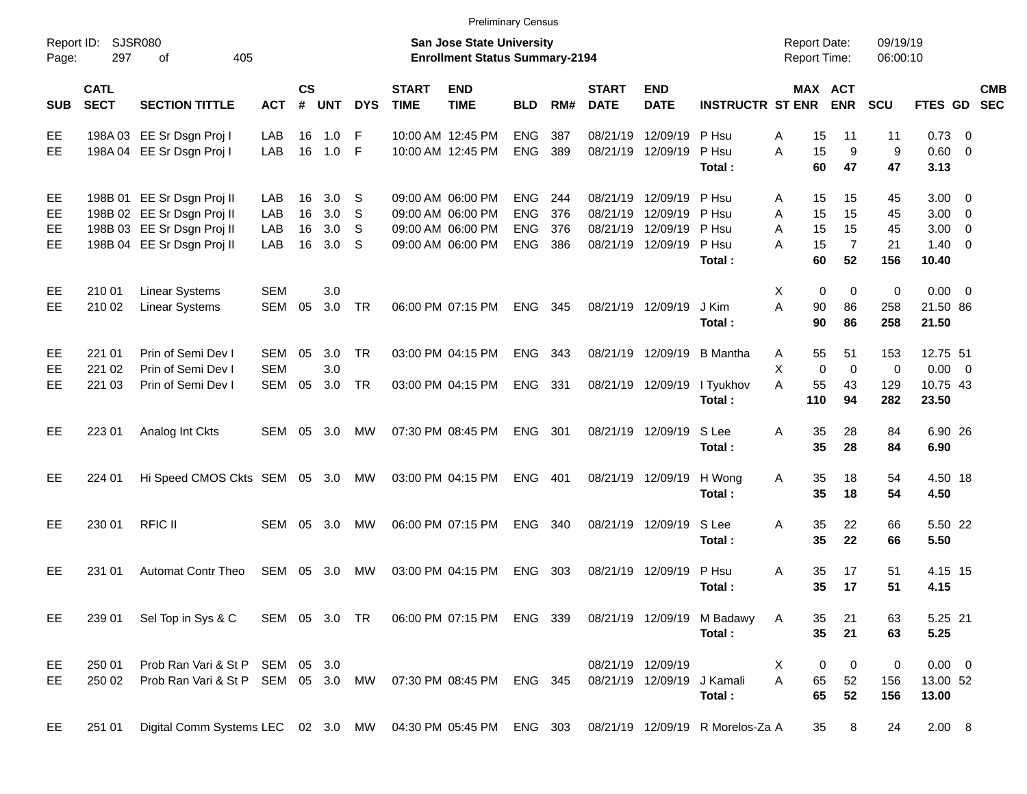|                     |                            |                                                                                               |            |                    |            |              |                             |                                                                           | <b>Preliminary Census</b> |     |                             |                            |                                                                                     |                                            |                       |                      |                     |                           |
|---------------------|----------------------------|-----------------------------------------------------------------------------------------------|------------|--------------------|------------|--------------|-----------------------------|---------------------------------------------------------------------------|---------------------------|-----|-----------------------------|----------------------------|-------------------------------------------------------------------------------------|--------------------------------------------|-----------------------|----------------------|---------------------|---------------------------|
| Report ID:<br>Page: | 297                        | SJSR080<br>405<br>оf                                                                          |            |                    |            |              |                             | <b>San Jose State University</b><br><b>Enrollment Status Summary-2194</b> |                           |     |                             |                            |                                                                                     | <b>Report Date:</b><br><b>Report Time:</b> |                       | 09/19/19<br>06:00:10 |                     |                           |
| <b>SUB</b>          | <b>CATL</b><br><b>SECT</b> | <b>SECTION TITTLE</b>                                                                         | <b>ACT</b> | $\mathsf{cs}$<br># | <b>UNT</b> | <b>DYS</b>   | <b>START</b><br><b>TIME</b> | <b>END</b><br><b>TIME</b>                                                 | <b>BLD</b>                | RM# | <b>START</b><br><b>DATE</b> | <b>END</b><br><b>DATE</b>  | <b>INSTRUCTR ST ENR</b>                                                             |                                            | MAX ACT<br><b>ENR</b> | <b>SCU</b>           |                     | <b>CMB</b><br>FTES GD SEC |
| EE                  |                            | 198A 03 EE Sr Dsgn Proj I                                                                     | LAB        | 16                 | 1.0        | -F           |                             | 10:00 AM 12:45 PM                                                         | <b>ENG</b>                | 387 | 08/21/19                    | 12/09/19                   | P Hsu                                                                               | Α<br>15                                    | 11                    | 11                   | $0.73 \ 0$          |                           |
| EE                  |                            | 198A 04 EE Sr Dsgn Proj I                                                                     | LAB        | 16                 | 1.0        | - F          |                             | 10:00 AM 12:45 PM                                                         | <b>ENG</b>                | 389 |                             | 08/21/19 12/09/19          | P Hsu<br>Total:                                                                     | 15<br>A<br>60                              | 9<br>47               | 9<br>47              | 0.60 0<br>3.13      |                           |
| EE                  |                            | 198B 01 EE Sr Dsgn Proj II                                                                    | LAB        | 16                 | 3.0        | .S           |                             | 09:00 AM 06:00 PM                                                         | <b>ENG</b>                | 244 |                             | 08/21/19 12/09/19          | P Hsu                                                                               | 15<br>A                                    | 15                    | 45                   | $3.00 \ 0$          |                           |
| EE                  |                            | 198B 02 EE Sr Dsgn Proj II                                                                    | LAB        | 16                 | 3.0        | <sub>S</sub> |                             | 09:00 AM 06:00 PM                                                         | <b>ENG</b>                | 376 | 08/21/19                    | 12/09/19                   | P Hsu                                                                               | A<br>15                                    | 15                    | 45                   | $3.00 \ 0$          |                           |
| EE                  |                            | 198B 03 EE Sr Dsgn Proj II                                                                    | LAB        | 16                 | 3.0        | S            |                             | 09:00 AM 06:00 PM                                                         | <b>ENG</b>                | 376 |                             | 08/21/19 12/09/19          | P Hsu                                                                               | A<br>15                                    | 15                    | 45                   | $3.00 \ 0$          |                           |
| EE.                 |                            | 198B 04 EE Sr Dsgn Proj II                                                                    | LAB        | 16                 | 3.0        | S            |                             | 09:00 AM 06:00 PM                                                         | <b>ENG</b>                | 386 |                             | 08/21/19 12/09/19          | P Hsu<br>Total:                                                                     | A<br>15<br>60                              | $\overline{7}$<br>52  | 21<br>156            | $1.40 \ 0$<br>10.40 |                           |
| EE                  | 210 01                     | <b>Linear Systems</b>                                                                         | <b>SEM</b> |                    | 3.0        |              |                             |                                                                           |                           |     |                             |                            |                                                                                     | Χ<br>0                                     | 0                     | 0                    | $0.00 \t 0$         |                           |
| EE.                 | 210 02                     | Linear Systems                                                                                | <b>SEM</b> | 05                 | 3.0        | TR           |                             | 06:00 PM 07:15 PM                                                         | <b>ENG</b>                | 345 |                             | 08/21/19 12/09/19          | J Kim<br>Total:                                                                     | A<br>90<br>90                              | 86<br>86              | 258<br>258           | 21.50 86<br>21.50   |                           |
| EE                  | 221 01                     | Prin of Semi Dev I                                                                            | <b>SEM</b> | 05                 | 3.0        | <b>TR</b>    |                             | 03:00 PM 04:15 PM                                                         | <b>ENG</b>                | 343 |                             | 08/21/19 12/09/19          | B Mantha                                                                            | 55<br>A                                    | 51                    | 153                  | 12.75 51            |                           |
| EE                  | 221 02                     | Prin of Semi Dev I                                                                            | <b>SEM</b> |                    | 3.0        |              |                             |                                                                           |                           |     |                             |                            |                                                                                     | Χ<br>$\pmb{0}$                             | $\mathbf 0$           | 0                    | $0.00 \t 0$         |                           |
| EЕ                  | 221 03                     | Prin of Semi Dev I                                                                            | <b>SEM</b> | 05                 | 3.0        | <b>TR</b>    |                             | 03:00 PM 04:15 PM                                                         | ENG 331                   |     |                             | 08/21/19 12/09/19          | I Tyukhov<br>Total:                                                                 | A<br>55<br>110                             | 43<br>94              | 129<br>282           | 10.75 43<br>23.50   |                           |
| EE                  | 223 01                     | Analog Int Ckts                                                                               | SEM        | 05                 | 3.0        | MW           |                             | 07:30 PM 08:45 PM                                                         | <b>ENG</b>                | 301 |                             | 08/21/19 12/09/19          | S Lee<br>Total:                                                                     | 35<br>Α<br>35                              | 28<br>28              | 84<br>84             | 6.90 26<br>6.90     |                           |
| EE                  | 224 01                     | Hi Speed CMOS Ckts SEM 05 3.0                                                                 |            |                    |            | MW           |                             | 03:00 PM 04:15 PM                                                         | <b>ENG</b>                | 401 |                             | 08/21/19 12/09/19          | H Wong<br>Total:                                                                    | 35<br>Α<br>35                              | 18<br>18              | 54<br>54             | 4.50 18<br>4.50     |                           |
| EE                  | 230 01                     | <b>RFIC II</b>                                                                                | SEM        | 05                 | 3.0        | MW           |                             | 06:00 PM 07:15 PM                                                         | <b>ENG</b>                | 340 |                             | 08/21/19 12/09/19          | S Lee<br>Total:                                                                     | 35<br>A<br>35                              | 22<br>22              | 66<br>66             | 5.50 22<br>5.50     |                           |
| EЕ                  | 231 01                     | <b>Automat Contr Theo</b>                                                                     | <b>SEM</b> | 05                 | 3.0        | MW           |                             | 03:00 PM 04:15 PM                                                         | <b>ENG</b>                | 303 |                             | 08/21/19 12/09/19          | P Hsu<br>Total:                                                                     | 35<br>A<br>35                              | 17<br>17              | 51<br>51             | 4.15 15<br>4.15     |                           |
| EE.                 | 239 01                     | Sel Top in Sys & C                                                                            |            |                    |            |              |                             |                                                                           |                           |     |                             |                            | SEM 05 3.0 TR  06:00 PM 07:15 PM  ENG  339  08/21/19  12/09/19  M  Badawy<br>Total: | 35<br>A<br>35                              | 21<br>21              | 63<br>63             | 5.25 21<br>5.25     |                           |
| EE                  | 250 01                     | Prob Ran Vari & St P SEM 05 3.0                                                               |            |                    |            |              |                             |                                                                           |                           |     |                             | 08/21/19 12/09/19          |                                                                                     | 0<br>X                                     | 0                     | 0                    | $0.00 \t 0$         |                           |
| EE                  | 250 02                     | Prob Ran Vari & St P SEM 05 3.0 MW 07:30 PM 08:45 PM ENG 345                                  |            |                    |            |              |                             |                                                                           |                           |     |                             | 08/21/19 12/09/19 J Kamali |                                                                                     | A<br>65<br>65                              | 52                    | 156                  | 13.00 52            |                           |
| EE                  | 251 01                     | Digital Comm Systems LEC 02 3.0 MW 04:30 PM 05:45 PM ENG 303 08/21/19 12/09/19 R Morelos-Za A |            |                    |            |              |                             |                                                                           |                           |     |                             |                            | Total:                                                                              | 35                                         | 52<br>8               | 156<br>24            | 13.00<br>2.00 8     |                           |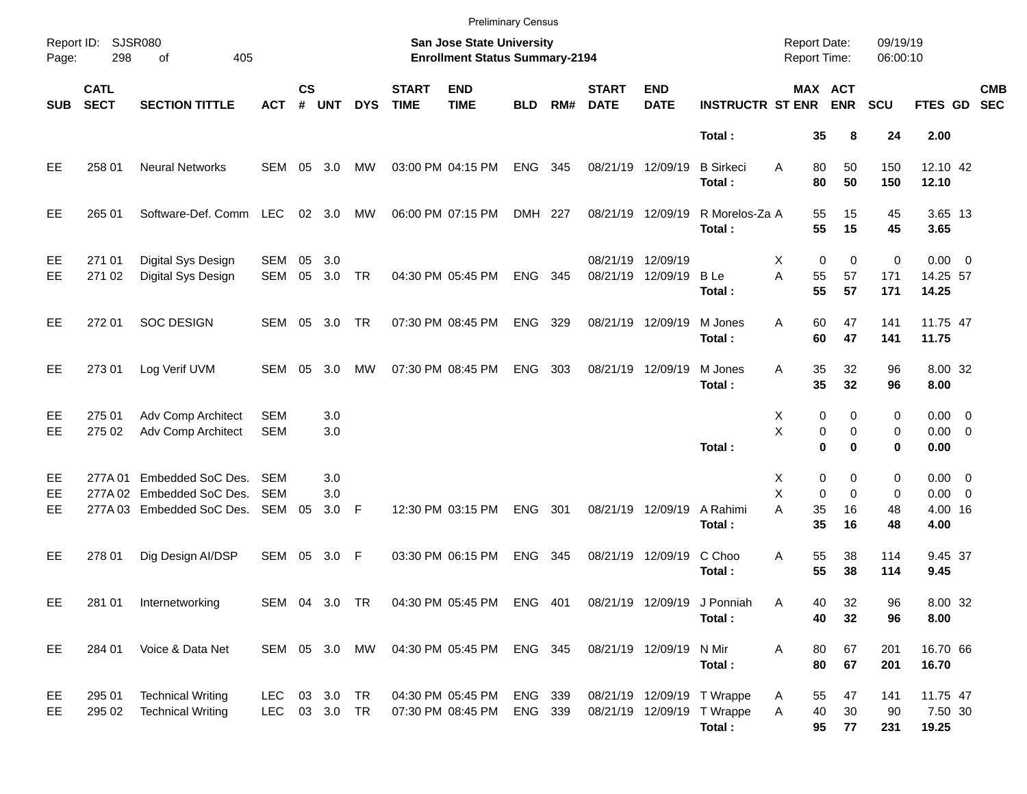|                |                            |                                                                             |                          |                    |                   |               |                             | <b>Preliminary Census</b>                                          |                    |     |                               |                           |                                                                    |                                             |                              |                         |                                               |                          |
|----------------|----------------------------|-----------------------------------------------------------------------------|--------------------------|--------------------|-------------------|---------------|-----------------------------|--------------------------------------------------------------------|--------------------|-----|-------------------------------|---------------------------|--------------------------------------------------------------------|---------------------------------------------|------------------------------|-------------------------|-----------------------------------------------|--------------------------|
| Page:          | Report ID: SJSR080<br>298  | 405<br>of                                                                   |                          |                    |                   |               |                             | San Jose State University<br><b>Enrollment Status Summary-2194</b> |                    |     |                               |                           |                                                                    | <b>Report Date:</b><br><b>Report Time:</b>  |                              | 09/19/19<br>06:00:10    |                                               |                          |
| <b>SUB</b>     | <b>CATL</b><br><b>SECT</b> | <b>SECTION TITTLE</b>                                                       | <b>ACT</b>               | $\mathsf{cs}$<br># | <b>UNT</b>        | <b>DYS</b>    | <b>START</b><br><b>TIME</b> | <b>END</b><br><b>TIME</b>                                          | <b>BLD</b>         | RM# | <b>START</b><br><b>DATE</b>   | <b>END</b><br><b>DATE</b> | <b>INSTRUCTR ST ENR</b>                                            |                                             | MAX ACT<br><b>ENR</b>        | <b>SCU</b>              | <b>FTES GD</b>                                | <b>CMB</b><br><b>SEC</b> |
|                |                            |                                                                             |                          |                    |                   |               |                             |                                                                    |                    |     |                               |                           | Total:                                                             | 35                                          | 8                            | 24                      | 2.00                                          |                          |
| EE             | 258 01                     | <b>Neural Networks</b>                                                      | SEM                      | 05                 | 3.0               | MW            |                             | 03:00 PM 04:15 PM                                                  | <b>ENG</b>         | 345 | 08/21/19 12/09/19             |                           | <b>B</b> Sirkeci<br>Total:                                         | 80<br>A<br>80                               | 50<br>50                     | 150<br>150              | 12.10 42<br>12.10                             |                          |
| EE             | 265 01                     | Software-Def. Comm LEC                                                      |                          |                    | $02 \quad 3.0$    | МW            |                             | 06:00 PM 07:15 PM                                                  | DMH 227            |     | 08/21/19 12/09/19             |                           | R Morelos-Za A<br>Total:                                           | 55<br>55                                    | 15<br>15                     | 45<br>45                | 3.65 13<br>3.65                               |                          |
| EE<br>EE       | 271 01<br>271 02           | Digital Sys Design<br>Digital Sys Design                                    | SEM<br>SEM               | 05<br>05           | 3.0<br>3.0        | <b>TR</b>     |                             | 04:30 PM 05:45 PM                                                  | <b>ENG</b>         | 345 | 08/21/19 12/09/19<br>08/21/19 | 12/09/19                  | <b>B</b> Le<br>Total:                                              | $\mathbf 0$<br>Х<br>55<br>A<br>55           | $\mathbf 0$<br>57<br>57      | $\pmb{0}$<br>171<br>171 | $0.00 \t 0$<br>14.25 57<br>14.25              |                          |
| EE             | 272 01                     | <b>SOC DESIGN</b>                                                           | SEM                      | 05                 | 3.0               | <b>TR</b>     |                             | 07:30 PM 08:45 PM                                                  | <b>ENG</b>         | 329 | 08/21/19 12/09/19             |                           | M Jones<br>Total:                                                  | 60<br>A<br>60                               | 47<br>47                     | 141<br>141              | 11.75 47<br>11.75                             |                          |
| EE             | 273 01                     | Log Verif UVM                                                               | SEM 05                   |                    | 3.0               | MW            |                             | 07:30 PM 08:45 PM                                                  | <b>ENG</b>         | 303 | 08/21/19 12/09/19             |                           | M Jones<br>Total:                                                  | 35<br>A<br>35                               | 32<br>32                     | 96<br>96                | 8.00 32<br>8.00                               |                          |
| EE<br>EE       | 275 01<br>275 02           | Adv Comp Architect<br>Adv Comp Architect                                    | <b>SEM</b><br><b>SEM</b> |                    | 3.0<br>3.0        |               |                             |                                                                    |                    |     |                               |                           | Total:                                                             | 0<br>Х<br>X<br>0<br>$\bf{0}$                | 0<br>0<br>$\bf{0}$           | 0<br>0<br>0             | $0.00 \t 0$<br>$0.00 \t 0$<br>0.00            |                          |
| EE<br>EE<br>EE | 277A 01                    | Embedded SoC Des.<br>277A 02 Embedded SoC Des.<br>277A 03 Embedded SoC Des. | SEM<br><b>SEM</b><br>SEM | 05                 | 3.0<br>3.0<br>3.0 | -F            |                             | 12:30 PM 03:15 PM                                                  | <b>ENG</b>         | 301 | 08/21/19 12/09/19             |                           | A Rahimi<br>Total:                                                 | 0<br>Х<br>X<br>$\mathbf 0$<br>A<br>35<br>35 | 0<br>$\mathbf 0$<br>16<br>16 | 0<br>0<br>48<br>48      | $0.00 \t 0$<br>$0.00 \t 0$<br>4.00 16<br>4.00 |                          |
| EE             | 278 01                     | Dig Design AI/DSP                                                           | SEM 05                   |                    | 3.0               | - F           |                             | 03:30 PM 06:15 PM                                                  | <b>ENG</b>         | 345 |                               | 08/21/19 12/09/19         | C Choo<br>Total:                                                   | 55<br>Α<br>55                               | 38<br>38                     | 114<br>114              | 9.45 37<br>9.45                               |                          |
| EE             | 281 01                     | Internetworking                                                             |                          |                    |                   | SEM 04 3.0 TR |                             | 04:30 PM 05:45 PM ENG 401                                          |                    |     |                               |                           | 08/21/19 12/09/19 J Ponniah<br>Total:                              | Α<br>40<br>40                               | 32<br>32                     | 96<br>96                | 8.00 32<br>8.00                               |                          |
| EE             | 284 01                     | Voice & Data Net                                                            |                          |                    |                   | SEM 05 3.0 MW |                             | 04:30 PM 05:45 PM                                                  | ENG 345            |     | 08/21/19 12/09/19             |                           | N Mir<br>Total:                                                    | 80<br>Α<br>80                               | 67<br>67                     | 201<br>201              | 16.70 66<br>16.70                             |                          |
| EE<br>EE       | 295 01<br>295 02           | <b>Technical Writing</b><br><b>Technical Writing</b>                        | LEC.<br>LEC 03 3.0 TR    |                    | 03 3.0 TR         |               |                             | 04:30 PM 05:45 PM<br>07:30 PM 08:45 PM                             | ENG 339<br>ENG 339 |     |                               |                           | 08/21/19 12/09/19 T Wrappe<br>08/21/19 12/09/19 T Wrappe<br>Total: | 55<br>A<br>A<br>40<br>95                    | 47<br>30<br>77               | 141<br>90<br>231        | 11.75 47<br>7.50 30<br>19.25                  |                          |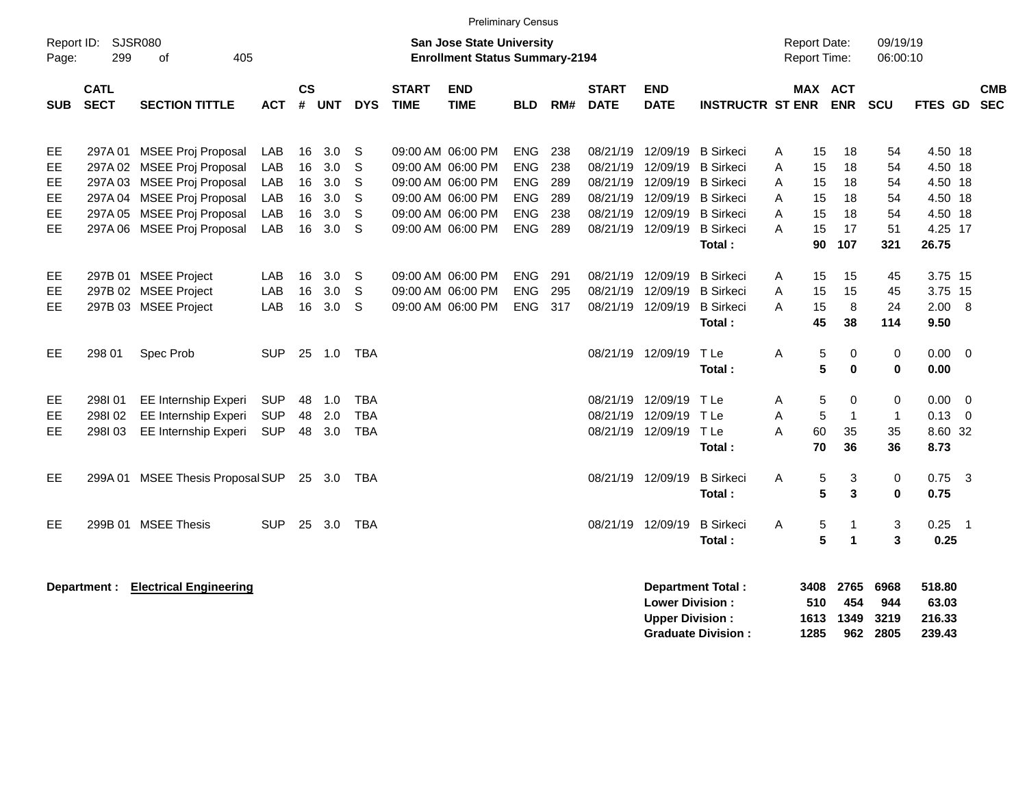|                                          | <b>Preliminary Census</b><br>Report ID: SJSR080<br><b>San Jose State University</b><br><b>Report Date:</b> |                                                                                                                                                                                  |                                        |                                  |                                        |                                        |                             |                                                                                                                            |                                                                           |                                        |                                              |                                                                                        |                                                                                                                                |                            |                                        |                                                    |                                              |                                                                         |                                       |                          |
|------------------------------------------|------------------------------------------------------------------------------------------------------------|----------------------------------------------------------------------------------------------------------------------------------------------------------------------------------|----------------------------------------|----------------------------------|----------------------------------------|----------------------------------------|-----------------------------|----------------------------------------------------------------------------------------------------------------------------|---------------------------------------------------------------------------|----------------------------------------|----------------------------------------------|----------------------------------------------------------------------------------------|--------------------------------------------------------------------------------------------------------------------------------|----------------------------|----------------------------------------|----------------------------------------------------|----------------------------------------------|-------------------------------------------------------------------------|---------------------------------------|--------------------------|
| Page:                                    | 299                                                                                                        | 405<br>οf                                                                                                                                                                        |                                        |                                  |                                        |                                        |                             | <b>Enrollment Status Summary-2194</b>                                                                                      |                                                                           |                                        |                                              |                                                                                        |                                                                                                                                |                            | <b>Report Time:</b>                    |                                                    | 09/19/19<br>06:00:10                         |                                                                         |                                       |                          |
| <b>SUB</b>                               | <b>CATL</b><br><b>SECT</b>                                                                                 | <b>SECTION TITTLE</b>                                                                                                                                                            | <b>ACT</b>                             | <b>CS</b><br>#                   | <b>UNT</b>                             | <b>DYS</b>                             | <b>START</b><br><b>TIME</b> | <b>END</b><br><b>TIME</b>                                                                                                  | <b>BLD</b>                                                                | RM#                                    | <b>START</b><br><b>DATE</b>                  | <b>END</b><br><b>DATE</b>                                                              | <b>INSTRUCTR ST ENR</b>                                                                                                        |                            | MAX ACT                                | <b>ENR</b>                                         | SCU                                          | <b>FTES GD</b>                                                          |                                       | <b>CMB</b><br><b>SEC</b> |
| EE<br>EE<br><b>EE</b><br>EE<br>EE.<br>EE |                                                                                                            | 297A 01 MSEE Proj Proposal<br>297A 02 MSEE Proj Proposal<br>297A 03 MSEE Proj Proposal<br>297A 04 MSEE Proj Proposal<br>297A 05 MSEE Proj Proposal<br>297A 06 MSEE Proj Proposal | LAB<br>LAB<br>LAB<br>LAB<br>LAB<br>LAB | 16<br>16<br>16<br>16<br>16<br>16 | 3.0<br>3.0<br>3.0<br>3.0<br>3.0<br>3.0 | S<br>S<br>S<br>S<br>S<br>S             |                             | 09:00 AM 06:00 PM<br>09:00 AM 06:00 PM<br>09:00 AM 06:00 PM<br>09:00 AM 06:00 PM<br>09:00 AM 06:00 PM<br>09:00 AM 06:00 PM | <b>ENG</b><br><b>ENG</b><br><b>ENG</b><br>ENG<br><b>ENG</b><br><b>ENG</b> | 238<br>238<br>289<br>289<br>238<br>289 | 08/21/19<br>08/21/19<br>08/21/19<br>08/21/19 | 12/09/19<br>12/09/19<br>12/09/19<br>12/09/19<br>08/21/19 12/09/19<br>08/21/19 12/09/19 | <b>B</b> Sirkeci<br><b>B</b> Sirkeci<br><b>B</b> Sirkeci<br><b>B</b> Sirkeci<br><b>B</b> Sirkeci<br><b>B</b> Sirkeci<br>Total: | A<br>A<br>A<br>A<br>A<br>A | 15<br>15<br>15<br>15<br>15<br>15<br>90 | 18<br>18<br>18<br>18<br>18<br>17<br>107            | 54<br>54<br>54<br>54<br>54<br>51<br>321      | 4.50 18<br>4.50 18<br>4.50 18<br>4.50 18<br>4.50 18<br>4.25 17<br>26.75 |                                       |                          |
| EE<br>EE<br>EE.<br>EE                    | 298 01                                                                                                     | 297B 01 MSEE Project<br>297B 02 MSEE Project<br>297B 03 MSEE Project<br>Spec Prob                                                                                                | LAB<br>LAB<br>LAB<br><b>SUP</b>        | 16<br>16<br>16                   | 3.0<br>3.0<br>3.0<br>25 1.0            | S<br>S<br>S<br><b>TBA</b>              |                             | 09:00 AM 06:00 PM<br>09:00 AM 06:00 PM<br>09:00 AM 06:00 PM                                                                | ENG<br>ENG<br><b>ENG</b>                                                  | 291<br>295<br>317                      | 08/21/19                                     | 08/21/19 12/09/19<br>12/09/19<br>08/21/19 12/09/19<br>08/21/19 12/09/19                | <b>B</b> Sirkeci<br><b>B</b> Sirkeci<br><b>B</b> Sirkeci<br>Total:<br>T Le                                                     | A<br>A<br>A<br>Α           | 15<br>15<br>15<br>45<br>5              | 15<br>15<br>8<br>38<br>0                           | 45<br>45<br>24<br>114<br>0                   | 3.75 15<br>3.75 15<br>2.00<br>9.50<br>0.00                              | $_{\rm 8}$<br>$\overline{\mathbf{0}}$ |                          |
| EE<br>EE<br>EE.                          | 298I01<br>298I02<br>298103                                                                                 | EE Internship Experi<br><b>EE Internship Experi</b><br>EE Internship Experi                                                                                                      | <b>SUP</b><br><b>SUP</b><br><b>SUP</b> | 48<br>48                         | 1.0<br>2.0<br>48 3.0                   | <b>TBA</b><br><b>TBA</b><br><b>TBA</b> |                             |                                                                                                                            |                                                                           |                                        | 08/21/19                                     | 08/21/19 12/09/19<br>12/09/19<br>08/21/19 12/09/19                                     | Total:<br>TLe<br>TLe<br>TLe<br>Total:                                                                                          | A<br>A<br>A                | 5<br>5<br>5<br>60<br>70                | $\bf{0}$<br>$\Omega$<br>$\overline{1}$<br>35<br>36 | $\mathbf 0$<br>0<br>$\mathbf{1}$<br>35<br>36 | 0.00<br>0.00<br>0.13<br>8.60 32<br>8.73                                 | $\overline{0}$<br>$\overline{0}$      |                          |
| EE                                       |                                                                                                            | 299A 01 MSEE Thesis Proposal SUP                                                                                                                                                 |                                        |                                  | 25 3.0                                 | TBA                                    |                             |                                                                                                                            |                                                                           |                                        |                                              | 08/21/19 12/09/19                                                                      | <b>B</b> Sirkeci<br>Total:                                                                                                     | A                          | 5<br>5                                 | 3<br>3                                             | 0<br>$\mathbf{0}$                            | 0.75<br>0.75                                                            | $\overline{\mathbf{3}}$               |                          |
| EE.                                      |                                                                                                            | 299B 01 MSEE Thesis                                                                                                                                                              | <b>SUP</b>                             |                                  | 25 3.0                                 | <b>TBA</b>                             |                             |                                                                                                                            |                                                                           |                                        |                                              | 08/21/19 12/09/19                                                                      | <b>B</b> Sirkeci<br>Total:                                                                                                     | A                          | 5<br>5                                 | $\mathbf{1}$<br>$\mathbf{1}$                       | 3<br>3                                       | 0.25<br>0.25<br>518.80                                                  | $\overline{\phantom{0}}$ 1            |                          |
|                                          | Department :                                                                                               | <b>Electrical Engineering</b>                                                                                                                                                    |                                        |                                  |                                        |                                        |                             |                                                                                                                            |                                                                           |                                        |                                              | <b>Lower Division:</b><br><b>Upper Division:</b>                                       | <b>Department Total:</b>                                                                                                       |                            | 3408<br>510<br>1613                    | 2765<br>454<br>1349                                | 6968<br>944<br>3219                          | 63.03<br>216.33                                                         |                                       |                          |

**Graduate Division : 1285 962 2805 239.43**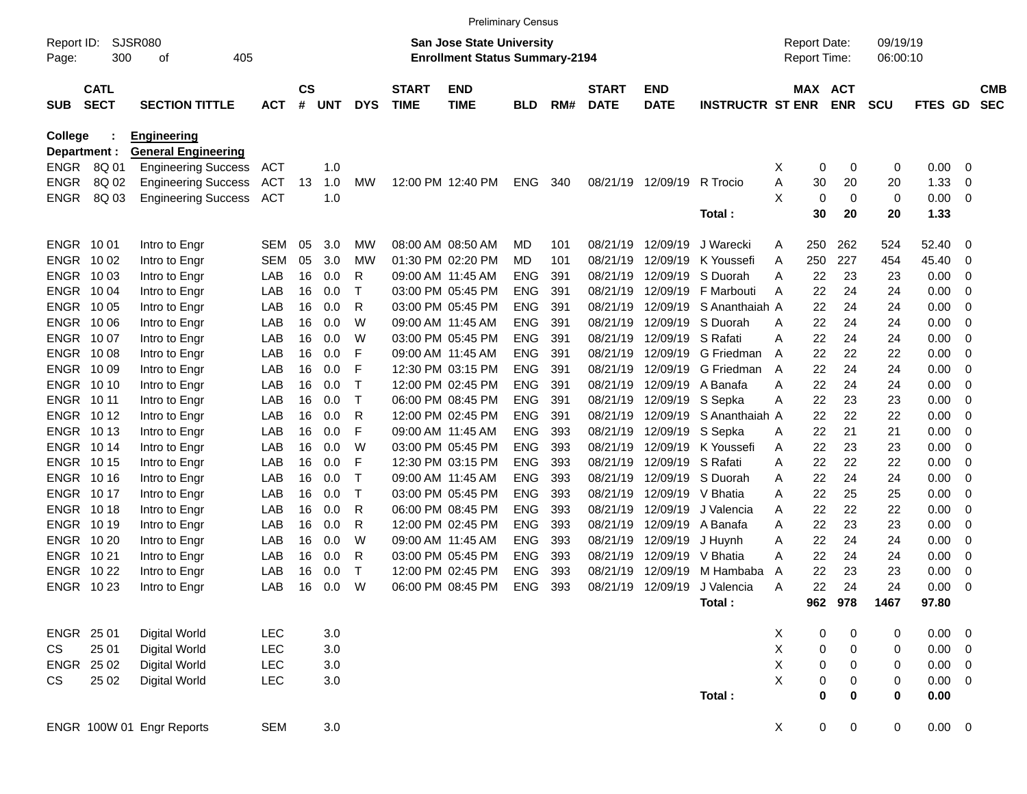|                                |                            |                                                  |            |                             |            |            |                             | <b>Preliminary Census</b>                                                 |            |     |                             |                           |                         |   |                                            |                  |                      |                |             |                          |
|--------------------------------|----------------------------|--------------------------------------------------|------------|-----------------------------|------------|------------|-----------------------------|---------------------------------------------------------------------------|------------|-----|-----------------------------|---------------------------|-------------------------|---|--------------------------------------------|------------------|----------------------|----------------|-------------|--------------------------|
| Report ID:<br>Page:            | 300                        | <b>SJSR080</b><br>405<br>οf                      |            |                             |            |            |                             | <b>San Jose State University</b><br><b>Enrollment Status Summary-2194</b> |            |     |                             |                           |                         |   | <b>Report Date:</b><br><b>Report Time:</b> |                  | 09/19/19<br>06:00:10 |                |             |                          |
| <b>SUB</b>                     | <b>CATL</b><br><b>SECT</b> | <b>SECTION TITTLE</b>                            | <b>ACT</b> | $\mathbf{c}\mathbf{s}$<br># | <b>UNT</b> | <b>DYS</b> | <b>START</b><br><b>TIME</b> | <b>END</b><br><b>TIME</b>                                                 | <b>BLD</b> | RM# | <b>START</b><br><b>DATE</b> | <b>END</b><br><b>DATE</b> | <b>INSTRUCTR ST ENR</b> |   | MAX ACT                                    | <b>ENR</b>       | <b>SCU</b>           | <b>FTES GD</b> |             | <b>CMB</b><br><b>SEC</b> |
| <b>College</b><br>Department : |                            | <b>Engineering</b><br><b>General Engineering</b> |            |                             |            |            |                             |                                                                           |            |     |                             |                           |                         |   |                                            |                  |                      |                |             |                          |
| <b>ENGR</b>                    | 8Q 01                      | <b>Engineering Success</b>                       | ACT        |                             | 1.0        |            |                             |                                                                           |            |     |                             |                           |                         | X | 0                                          | 0                | 0                    | 0.00           | 0           |                          |
| <b>ENGR</b>                    | 8Q 02                      | <b>Engineering Success</b>                       | ACT        | 13                          | 1.0        | <b>MW</b>  | 12:00 PM 12:40 PM           |                                                                           | ENG        | 340 | 08/21/19                    | 12/09/19                  | R Trocio                | Α | 30                                         | 20               | 20                   | 1.33           | 0           |                          |
| <b>ENGR</b>                    | 8Q 03                      | <b>Engineering Success</b>                       | ACT        |                             | 1.0        |            |                             |                                                                           |            |     |                             |                           |                         | X | 0                                          | 0                | 0                    | 0.00           | 0           |                          |
|                                |                            |                                                  |            |                             |            |            |                             |                                                                           |            |     |                             |                           | Total:                  |   | 30                                         | 20               | 20                   | 1.33           |             |                          |
| ENGR 1001                      |                            | Intro to Engr                                    | SEM        | 05                          | 3.0        | MW         | 08:00 AM 08:50 AM           |                                                                           | MD         | 101 | 08/21/19                    | 12/09/19                  | J Warecki               | A | 250                                        | 262              | 524                  | 52.40          | 0           |                          |
| ENGR 1002                      |                            | Intro to Engr                                    | SEM        | 05                          | 3.0        | MW         | 01:30 PM 02:20 PM           |                                                                           | MD         | 101 | 08/21/19                    | 12/09/19                  | K Youssefi              | Α | 250                                        | 227              | 454                  | 45.40          | 0           |                          |
| ENGR 1003                      |                            | Intro to Engr                                    | LAB        | 16                          | 0.0        | R          | 09:00 AM 11:45 AM           |                                                                           | <b>ENG</b> | 391 | 08/21/19                    | 12/09/19                  | S Duorah                | A | 22                                         | 23               | 23                   | 0.00           | 0           |                          |
| ENGR 1004                      |                            | Intro to Engr                                    | LAB        | 16                          | 0.0        | Т          | 03:00 PM 05:45 PM           |                                                                           | <b>ENG</b> | 391 | 08/21/19                    | 12/09/19                  | F Marbouti              | A | 22                                         | 24               | 24                   | 0.00           | 0           |                          |
| ENGR 1005                      |                            | Intro to Engr                                    | LAB        | 16                          | 0.0        | R          | 03:00 PM 05:45 PM           |                                                                           | <b>ENG</b> | 391 | 08/21/19                    | 12/09/19                  | S Ananthaiah A          |   | 22                                         | 24               | 24                   | 0.00           | 0           |                          |
| ENGR 1006                      |                            | Intro to Engr                                    | LAB        | 16                          | 0.0        | W          | 09:00 AM 11:45 AM           |                                                                           | <b>ENG</b> | 391 | 08/21/19                    | 12/09/19                  | S Duorah                | A | 22                                         | 24               | 24                   | 0.00           | 0           |                          |
| ENGR 1007                      |                            | Intro to Engr                                    | LAB        | 16                          | 0.0        | W          | 03:00 PM 05:45 PM           |                                                                           | <b>ENG</b> | 391 | 08/21/19                    | 12/09/19                  | S Rafati                | A | 22                                         | 24               | 24                   | 0.00           | 0           |                          |
| ENGR 1008                      |                            | Intro to Engr                                    | LAB        | 16                          | 0.0        | F          | 09:00 AM 11:45 AM           |                                                                           | <b>ENG</b> | 391 | 08/21/19                    | 12/09/19                  | G Friedman              | A | 22                                         | 22               | 22                   | 0.00           | 0           |                          |
| ENGR 10 09                     |                            | Intro to Engr                                    | LAB        | 16                          | 0.0        | F          | 12:30 PM 03:15 PM           |                                                                           | <b>ENG</b> | 391 | 08/21/19                    | 12/09/19                  | G Friedman              | A | 22                                         | 24               | 24                   | 0.00           | 0           |                          |
| ENGR 1010                      |                            | Intro to Engr                                    | LAB        | 16                          | 0.0        | Т          | 12:00 PM 02:45 PM           |                                                                           | <b>ENG</b> | 391 | 08/21/19                    | 12/09/19                  | A Banafa                | A | 22                                         | 24               | 24                   | 0.00           | 0           |                          |
| <b>ENGR 1011</b>               |                            | Intro to Engr                                    | LAB        | 16                          | 0.0        | Т          | 06:00 PM 08:45 PM           |                                                                           | ENG        | 391 | 08/21/19                    | 12/09/19 S Sepka          |                         | Α | 22                                         | 23               | 23                   | 0.00           | 0           |                          |
| ENGR 1012                      |                            | Intro to Engr                                    | LAB        | 16                          | 0.0        | R          | 12:00 PM 02:45 PM           |                                                                           | <b>ENG</b> | 391 | 08/21/19                    | 12/09/19                  | S Ananthaiah A          |   | 22                                         | 22               | 22                   | 0.00           | 0           |                          |
| <b>ENGR 1013</b>               |                            | Intro to Engr                                    | LAB        | 16                          | 0.0        | F          | 09:00 AM 11:45 AM           |                                                                           | <b>ENG</b> | 393 | 08/21/19                    | 12/09/19                  | S Sepka                 | Α | 22                                         | 21               | 21                   | 0.00           | 0           |                          |
| ENGR 1014                      |                            | Intro to Engr                                    | LAB        | 16                          | 0.0        | W          | 03:00 PM 05:45 PM           |                                                                           | <b>ENG</b> | 393 | 08/21/19                    | 12/09/19                  | K Youssefi              | Α | 22                                         | 23               | 23                   | 0.00           | 0           |                          |
| <b>ENGR 1015</b>               |                            | Intro to Engr                                    | LAB        | 16                          | 0.0        | F          | 12:30 PM 03:15 PM           |                                                                           | <b>ENG</b> | 393 | 08/21/19                    | 12/09/19                  | S Rafati                | A | 22                                         | 22               | 22                   | 0.00           | 0           |                          |
| <b>ENGR 1016</b>               |                            | Intro to Engr                                    | LAB        | 16                          | 0.0        | Т          | 09:00 AM 11:45 AM           |                                                                           | <b>ENG</b> | 393 | 08/21/19                    | 12/09/19                  | S Duorah                | Α | 22                                         | 24               | 24                   | 0.00           | 0           |                          |
| ENGR 1017                      |                            | Intro to Engr                                    | LAB        | 16                          | 0.0        | Т          | 03:00 PM 05:45 PM           |                                                                           | <b>ENG</b> | 393 | 08/21/19                    | 12/09/19                  | V Bhatia                | Α | 22                                         | 25               | 25                   | 0.00           | 0           |                          |
| <b>ENGR 1018</b>               |                            | Intro to Engr                                    | LAB        | 16                          | 0.0        | R          | 06:00 PM 08:45 PM           |                                                                           | <b>ENG</b> | 393 | 08/21/19                    | 12/09/19                  | J Valencia              | Α | 22                                         | 22               | 22                   | 0.00           | 0           |                          |
| ENGR 1019                      |                            | Intro to Engr                                    | LAB        | 16                          | 0.0        | R          | 12:00 PM 02:45 PM           |                                                                           | <b>ENG</b> | 393 | 08/21/19                    | 12/09/19                  | A Banafa                | A | 22                                         | 23               | 23                   | 0.00           | 0           |                          |
| ENGR 10 20                     |                            | Intro to Engr                                    | LAB        | 16                          | 0.0        | W          | 09:00 AM 11:45 AM           |                                                                           | <b>ENG</b> | 393 | 08/21/19                    | 12/09/19                  | J Huynh                 | Α | 22                                         | 24               | 24                   | 0.00           | 0           |                          |
| <b>ENGR 1021</b>               |                            | Intro to Engr                                    | LAB        | 16                          | 0.0        | R          | 03:00 PM 05:45 PM           |                                                                           | <b>ENG</b> | 393 | 08/21/19                    | 12/09/19                  | V Bhatia                | A | 22                                         | 24               | 24                   | 0.00           | 0           |                          |
| <b>ENGR 1022</b>               |                            | Intro to Engr                                    | LAB        | 16                          | 0.0        | T          | 12:00 PM 02:45 PM           |                                                                           | <b>ENG</b> | 393 | 08/21/19                    | 12/09/19                  | M Hambaba               | A | 22                                         | 23               | 23                   | 0.00           | 0           |                          |
| ENGR 1023                      |                            | Intro to Engr                                    | LAB        | 16                          | 0.0        | W          | 06:00 PM 08:45 PM           |                                                                           | <b>ENG</b> | 393 | 08/21/19                    | 12/09/19                  | J Valencia              | A | 22                                         | 24               | 24                   | 0.00           | 0           |                          |
|                                |                            |                                                  |            |                             |            |            |                             |                                                                           |            |     |                             |                           | Total:                  |   |                                            | 962 978          | 1467                 | 97.80          |             |                          |
| ENGR 25 01                     |                            | <b>Digital World</b>                             | <b>LEC</b> |                             | 3.0        |            |                             |                                                                           |            |     |                             |                           |                         | X | 0                                          | $\pmb{0}$        | 0                    | 0.00           | 0           |                          |
| CS                             | 25 01                      | Digital World                                    | <b>LEC</b> |                             | 3.0        |            |                             |                                                                           |            |     |                             |                           |                         | X | 0                                          | $\,0\,$          | 0                    | 0.00           | $\mathbf 0$ |                          |
| ENGR 25 02                     |                            | <b>Digital World</b>                             | <b>LEC</b> |                             | 3.0        |            |                             |                                                                           |            |     |                             |                           |                         | X | 0                                          | $\pmb{0}$        | 0                    | 0.00           | 0           |                          |
| CS                             | 25 02                      | Digital World                                    | <b>LEC</b> |                             | 3.0        |            |                             |                                                                           |            |     |                             |                           |                         | X | 0                                          | $\boldsymbol{0}$ | 0                    | 0.00           | 0           |                          |
|                                |                            |                                                  |            |                             |            |            |                             |                                                                           |            |     |                             |                           | Total:                  |   | 0                                          | $\bf{0}$         | 0                    | 0.00           |             |                          |
|                                |                            | ENGR 100W 01 Engr Reports                        | <b>SEM</b> |                             | 3.0        |            |                             |                                                                           |            |     |                             |                           |                         | X | 0                                          | 0                | 0                    | $0.00 \t 0$    |             |                          |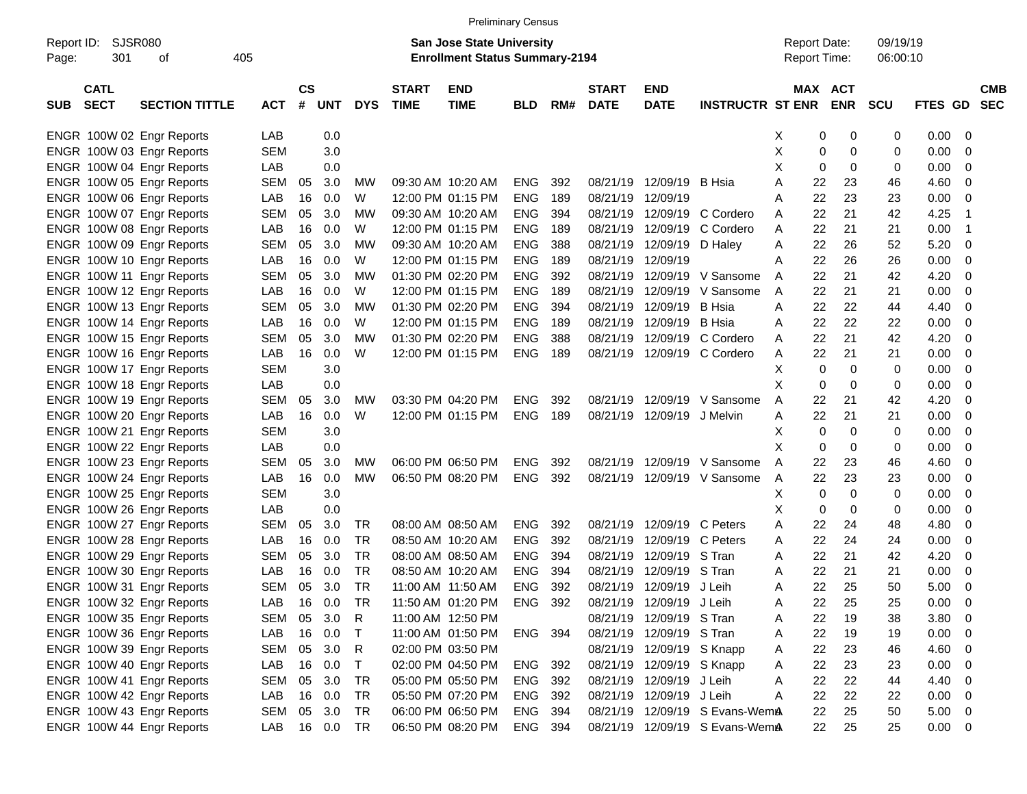|                     |                            |                           |            |               |         |            |                             |                                                                           | <b>Preliminary Census</b> |     |                             |                           |                                |                                     |                       |                      |             |                          |                          |
|---------------------|----------------------------|---------------------------|------------|---------------|---------|------------|-----------------------------|---------------------------------------------------------------------------|---------------------------|-----|-----------------------------|---------------------------|--------------------------------|-------------------------------------|-----------------------|----------------------|-------------|--------------------------|--------------------------|
| Report ID:<br>Page: | SJSR080<br>301             | of                        | 405        |               |         |            |                             | <b>San Jose State University</b><br><b>Enrollment Status Summary-2194</b> |                           |     |                             |                           |                                | <b>Report Date:</b><br>Report Time: |                       | 09/19/19<br>06:00:10 |             |                          |                          |
| <b>SUB</b>          | <b>CATL</b><br><b>SECT</b> | <b>SECTION TITTLE</b>     | <b>ACT</b> | $\mathsf{cs}$ | # UNT   | <b>DYS</b> | <b>START</b><br><b>TIME</b> | <b>END</b><br><b>TIME</b>                                                 | <b>BLD</b>                | RM# | <b>START</b><br><b>DATE</b> | <b>END</b><br><b>DATE</b> | <b>INSTRUCTR ST ENR</b>        |                                     | MAX ACT<br><b>ENR</b> | <b>SCU</b>           | FTES GD     |                          | <b>CMB</b><br><b>SEC</b> |
|                     |                            | ENGR 100W 02 Engr Reports | LAB        |               | 0.0     |            |                             |                                                                           |                           |     |                             |                           |                                | X                                   | 0<br>0                | 0                    | $0.00 \t 0$ |                          |                          |
|                     |                            | ENGR 100W 03 Engr Reports | <b>SEM</b> |               | 3.0     |            |                             |                                                                           |                           |     |                             |                           |                                | X                                   | 0<br>0                | 0                    | 0.00        | $\overline{\phantom{0}}$ |                          |
|                     |                            | ENGR 100W 04 Engr Reports | LAB        |               | 0.0     |            |                             |                                                                           |                           |     |                             |                           |                                | X<br>0                              | 0                     | 0                    | 0.00        | $\overline{\phantom{0}}$ |                          |
|                     |                            | ENGR 100W 05 Engr Reports | <b>SEM</b> | 05            | 3.0     | MW         |                             | 09:30 AM 10:20 AM                                                         | <b>ENG</b>                | 392 | 08/21/19                    | 12/09/19                  | B Hsia                         | 22<br>A                             | 23                    | 46                   | 4.60        | $\overline{\phantom{0}}$ |                          |
|                     |                            | ENGR 100W 06 Engr Reports | LAB        | 16            | 0.0     | W          |                             | 12:00 PM 01:15 PM                                                         | <b>ENG</b>                | 189 | 08/21/19                    | 12/09/19                  |                                | 22<br>A                             | 23                    | 23                   | 0.00        | $\overline{\phantom{0}}$ |                          |
|                     |                            | ENGR 100W 07 Engr Reports | <b>SEM</b> | 05            | 3.0     | МW         |                             | 09:30 AM 10:20 AM                                                         | <b>ENG</b>                | 394 | 08/21/19                    |                           | 12/09/19 C Cordero             | 22<br>A                             | 21                    | 42                   | 4.25        | - 1                      |                          |
|                     |                            | ENGR 100W 08 Engr Reports | LAB        | 16            | 0.0     | W          |                             | 12:00 PM 01:15 PM                                                         | <b>ENG</b>                | 189 | 08/21/19                    | 12/09/19                  | C Cordero                      | 22<br>A                             | 21                    | 21                   | 0.00        | - 1                      |                          |
|                     |                            | ENGR 100W 09 Engr Reports | <b>SEM</b> | 05            | 3.0     | МW         |                             | 09:30 AM 10:20 AM                                                         | <b>ENG</b>                | 388 | 08/21/19                    | 12/09/19 D Haley          |                                | 22<br>Α                             | 26                    | 52                   | 5.20        | $\overline{\phantom{0}}$ |                          |
|                     |                            | ENGR 100W 10 Engr Reports | LAB        | 16            | 0.0     | W          |                             | 12:00 PM 01:15 PM                                                         | <b>ENG</b>                | 189 | 08/21/19                    | 12/09/19                  |                                | 22<br>A                             | 26                    | 26                   | 0.00        | $\overline{\phantom{0}}$ |                          |
|                     |                            | ENGR 100W 11 Engr Reports | <b>SEM</b> | 05            | 3.0     | МW         |                             | 01:30 PM 02:20 PM                                                         | <b>ENG</b>                | 392 | 08/21/19                    | 12/09/19                  | V Sansome                      | 22<br>A                             | 21                    | 42                   | 4.20        | $\overline{\phantom{0}}$ |                          |
|                     |                            | ENGR 100W 12 Engr Reports | LAB        | 16            | 0.0     | W          |                             | 12:00 PM 01:15 PM                                                         | <b>ENG</b>                | 189 | 08/21/19                    | 12/09/19                  | V Sansome                      | 22<br>A                             | 21                    | 21                   | 0.00        | $\overline{\phantom{0}}$ |                          |
|                     |                            | ENGR 100W 13 Engr Reports | <b>SEM</b> | 05            | 3.0     | МW         |                             | 01:30 PM 02:20 PM                                                         | <b>ENG</b>                | 394 | 08/21/19                    | 12/09/19                  | B Hsia                         | 22<br>A                             | 22                    | 44                   | 4.40        | $\overline{\phantom{0}}$ |                          |
|                     |                            | ENGR 100W 14 Engr Reports | LAB        | 16            | 0.0     | W          |                             | 12:00 PM 01:15 PM                                                         | <b>ENG</b>                | 189 | 08/21/19                    | 12/09/19                  | B Hsia                         | 22<br>Α                             | 22                    | 22                   | 0.00        | $\overline{\phantom{0}}$ |                          |
|                     |                            | ENGR 100W 15 Engr Reports | <b>SEM</b> | 05            | 3.0     | МW         |                             | 01:30 PM 02:20 PM                                                         | <b>ENG</b>                | 388 | 08/21/19                    |                           | 12/09/19 C Cordero             | 22<br>A                             | 21                    | 42                   | 4.20        | $\overline{\phantom{0}}$ |                          |
|                     |                            | ENGR 100W 16 Engr Reports | LAB        | 16            | 0.0     | W          |                             | 12:00 PM 01:15 PM                                                         | <b>ENG</b>                | 189 | 08/21/19                    |                           | 12/09/19 C Cordero             | 22<br>Α                             | 21                    | 21                   | 0.00        | $\overline{\phantom{0}}$ |                          |
|                     |                            | ENGR 100W 17 Engr Reports | <b>SEM</b> |               | 3.0     |            |                             |                                                                           |                           |     |                             |                           |                                | х                                   | 0<br>0                | 0                    | 0.00        | $\overline{\phantom{0}}$ |                          |
|                     |                            | ENGR 100W 18 Engr Reports | LAB        |               | 0.0     |            |                             |                                                                           |                           |     |                             |                           |                                | X<br>0                              | 0                     | 0                    | 0.00        | $\overline{\phantom{0}}$ |                          |
|                     |                            | ENGR 100W 19 Engr Reports | <b>SEM</b> | 05            | 3.0     | <b>MW</b>  |                             | 03:30 PM 04:20 PM                                                         | <b>ENG</b>                | 392 | 08/21/19                    | 12/09/19                  | V Sansome                      | 22<br>A                             | 21                    | 42                   | 4.20        | - 0                      |                          |
|                     |                            | ENGR 100W 20 Engr Reports | LAB        | 16            | 0.0     | W          |                             | 12:00 PM 01:15 PM                                                         | <b>ENG</b>                | 189 | 08/21/19                    | 12/09/19 J Melvin         |                                | 22.<br>A                            | 21                    | 21                   | 0.00        | $\overline{\phantom{0}}$ |                          |
|                     |                            | ENGR 100W 21 Engr Reports | <b>SEM</b> |               | 3.0     |            |                             |                                                                           |                           |     |                             |                           |                                | 0<br>х                              | 0                     | 0                    | 0.00        | $\overline{\phantom{0}}$ |                          |
|                     |                            | ENGR 100W 22 Engr Reports | LAB        |               | 0.0     |            |                             |                                                                           |                           |     |                             |                           |                                | X<br>0                              | 0                     | 0                    | 0.00        | $\overline{\phantom{0}}$ |                          |
|                     |                            | ENGR 100W 23 Engr Reports | <b>SEM</b> | 05            | 3.0     | <b>MW</b>  |                             | 06:00 PM 06:50 PM                                                         | <b>ENG</b>                | 392 | 08/21/19                    |                           | 12/09/19 V Sansome             | 22<br>A                             | 23                    | 46                   | 4.60        | $\overline{\phantom{0}}$ |                          |
|                     |                            | ENGR 100W 24 Engr Reports | LAB        | 16            | 0.0     | <b>MW</b>  |                             | 06:50 PM 08:20 PM                                                         | <b>ENG</b>                | 392 | 08/21/19                    |                           | 12/09/19 V Sansome             | 22<br>A                             | 23                    | 23                   | 0.00        | $\overline{\phantom{0}}$ |                          |
|                     |                            | ENGR 100W 25 Engr Reports | <b>SEM</b> |               | 3.0     |            |                             |                                                                           |                           |     |                             |                           |                                | х<br>0                              | 0                     | 0                    | 0.00        | $\overline{\phantom{0}}$ |                          |
|                     |                            | ENGR 100W 26 Engr Reports | LAB        |               | 0.0     |            |                             |                                                                           |                           |     |                             |                           |                                | х<br>0                              | 0                     | 0                    | 0.00        | $\overline{\mathbf{0}}$  |                          |
|                     |                            | ENGR 100W 27 Engr Reports | <b>SEM</b> | 05            | 3.0     | TR         |                             | 08:00 AM 08:50 AM                                                         | <b>ENG</b>                | 392 | 08/21/19                    | 12/09/19 C Peters         |                                | 22<br>A                             | 24                    | 48                   | 4.80        | - 0                      |                          |
|                     |                            | ENGR 100W 28 Engr Reports | LAB        | 16            | 0.0     | TR         |                             | 08:50 AM 10:20 AM                                                         | <b>ENG</b>                | 392 | 08/21/19                    | 12/09/19                  | C Peters                       | 22<br>A                             | 24                    | 24                   | 0.00        | - 0                      |                          |
|                     |                            | ENGR 100W 29 Engr Reports | <b>SEM</b> | 05            | 3.0     | <b>TR</b>  |                             | 08:00 AM 08:50 AM                                                         | <b>ENG</b>                | 394 | 08/21/19                    | 12/09/19 S Tran           |                                | 22<br>A                             | 21                    | 42                   | 4.20        | - 0                      |                          |
|                     |                            | ENGR 100W 30 Engr Reports | LAB        | 16            | 0.0     | <b>TR</b>  |                             | 08:50 AM 10:20 AM                                                         | <b>ENG</b>                | 394 | 08/21/19                    | 12/09/19                  | S Tran                         | 22<br>A                             | 21                    | 21                   | 0.00        | $\overline{\phantom{0}}$ |                          |
|                     |                            | ENGR 100W 31 Engr Reports | <b>SEM</b> | 05            | 3.0     | <b>TR</b>  |                             | 11:00 AM 11:50 AM                                                         | <b>ENG</b>                | 392 | 08/21/19                    | 12/09/19 J Leih           |                                | 22.<br>A                            | 25                    | 50                   | 5.00        | $\overline{\phantom{0}}$ |                          |
|                     |                            | ENGR 100W 32 Engr Reports | LAB        |               | 16  0.0 | TR         |                             | 11:50 AM 01:20 PM                                                         | ENG 392                   |     |                             | 08/21/19 12/09/19 J Leih  |                                | 22<br>Α                             | 25                    | 25                   | $0.00 \t 0$ |                          |                          |
|                     |                            | ENGR 100W 35 Engr Reports | SEM 05 3.0 |               |         | R          |                             | 11:00 AM 12:50 PM                                                         |                           |     |                             | 08/21/19 12/09/19 S Tran  |                                | 22<br>A                             | 19                    | 38                   | $3.80\ 0$   |                          |                          |
|                     |                            | ENGR 100W 36 Engr Reports | LAB        |               | 16 0.0  | $\top$     |                             | 11:00 AM 01:50 PM                                                         | ENG 394                   |     |                             | 08/21/19 12/09/19 S Tran  |                                | 22<br>A                             | 19                    | 19                   | $0.00 \t 0$ |                          |                          |
|                     |                            | ENGR 100W 39 Engr Reports | SEM 05 3.0 |               |         | R          |                             | 02:00 PM 03:50 PM                                                         |                           |     |                             | 08/21/19 12/09/19 S Knapp |                                | 22<br>A                             | 23                    | 46                   | $4.60$ 0    |                          |                          |
|                     |                            | ENGR 100W 40 Engr Reports | LAB        |               | 16 0.0  | $\top$     |                             | 02:00 PM 04:50 PM                                                         | ENG 392                   |     |                             | 08/21/19 12/09/19 S Knapp |                                | 22<br>A                             | 23                    | 23                   | $0.00 \t 0$ |                          |                          |
|                     |                            | ENGR 100W 41 Engr Reports | SEM        |               | 05 3.0  | TR         |                             | 05:00 PM 05:50 PM                                                         | ENG 392                   |     |                             | 08/21/19 12/09/19 J Leih  |                                | 22<br>Α                             | 22                    | 44                   | 4.40 0      |                          |                          |
|                     |                            | ENGR 100W 42 Engr Reports | LAB        |               | 16 0.0  | TR         |                             | 05:50 PM 07:20 PM                                                         | ENG 392                   |     |                             | 08/21/19 12/09/19 J Leih  |                                | 22<br>Α                             | 22                    | 22                   | $0.00 \t 0$ |                          |                          |
|                     |                            | ENGR 100W 43 Engr Reports | SEM 05 3.0 |               |         | TR         |                             | 06:00 PM 06:50 PM                                                         | ENG 394                   |     |                             |                           | 08/21/19 12/09/19 S Evans-WemA | 22                                  | 25                    | 50                   | $5.00 \t 0$ |                          |                          |
|                     |                            | ENGR 100W 44 Engr Reports | LAB 16 0.0 |               |         | <b>TR</b>  |                             | 06:50 PM 08:20 PM                                                         | ENG 394                   |     |                             |                           | 08/21/19 12/09/19 S Evans-WemA | 22                                  | 25                    | 25                   | $0.00 \t 0$ |                          |                          |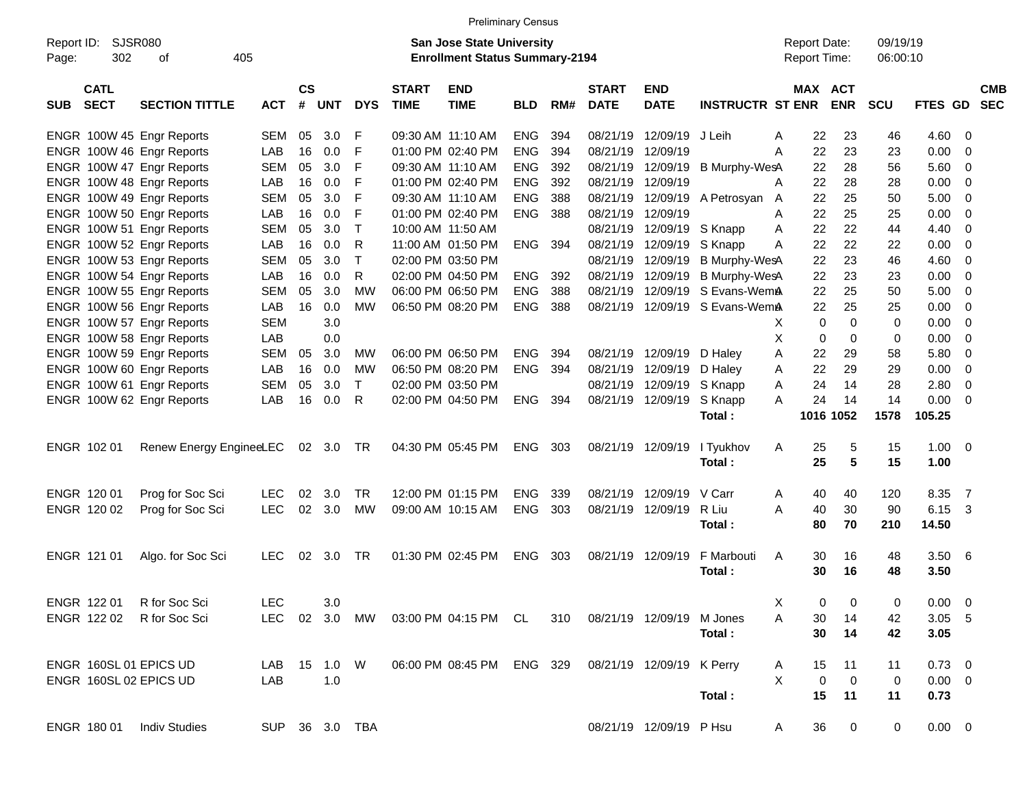|                     |                            |                           |                |                |            |            |                             | <b>Preliminary Census</b>                                                 |            |     |                             |                               |                         |   |                                     |             |                      |                |                |                          |
|---------------------|----------------------------|---------------------------|----------------|----------------|------------|------------|-----------------------------|---------------------------------------------------------------------------|------------|-----|-----------------------------|-------------------------------|-------------------------|---|-------------------------------------|-------------|----------------------|----------------|----------------|--------------------------|
| Report ID:<br>Page: | <b>SJSR080</b><br>302      | оf                        | 405            |                |            |            |                             | <b>San Jose State University</b><br><b>Enrollment Status Summary-2194</b> |            |     |                             |                               |                         |   | <b>Report Date:</b><br>Report Time: |             | 09/19/19<br>06:00:10 |                |                |                          |
| <b>SUB</b>          | <b>CATL</b><br><b>SECT</b> | <b>SECTION TITTLE</b>     | <b>ACT</b>     | <b>CS</b><br># | <b>UNT</b> | <b>DYS</b> | <b>START</b><br><b>TIME</b> | <b>END</b><br><b>TIME</b>                                                 | <b>BLD</b> | RM# | <b>START</b><br><b>DATE</b> | <b>END</b><br><b>DATE</b>     | <b>INSTRUCTR ST ENR</b> |   | MAX ACT                             | <b>ENR</b>  | SCU                  | <b>FTES GD</b> |                | <b>CMB</b><br><b>SEC</b> |
|                     |                            | ENGR 100W 45 Engr Reports | <b>SEM</b>     | 05             | 3.0        | F          |                             | 09:30 AM 11:10 AM                                                         | <b>ENG</b> | 394 | 08/21/19                    | 12/09/19                      | J Leih                  | A | 22                                  | 23          | 46                   | 4.60           | - 0            |                          |
|                     |                            | ENGR 100W 46 Engr Reports | LAB            | 16             | 0.0        | F          |                             | 01:00 PM 02:40 PM                                                         | <b>ENG</b> | 394 | 08/21/19                    | 12/09/19                      |                         | A | 22                                  | 23          | 23                   | 0.00           | $\mathbf 0$    |                          |
|                     |                            | ENGR 100W 47 Engr Reports | <b>SEM</b>     | 05             | 3.0        | F          |                             | 09:30 AM 11:10 AM                                                         | <b>ENG</b> | 392 | 08/21/19                    | 12/09/19                      | <b>B Murphy-WesA</b>    |   | 22                                  | 28          | 56                   | 5.60           | - 0            |                          |
|                     |                            | ENGR 100W 48 Engr Reports | LAB            | 16             | 0.0        | F          |                             | 01:00 PM 02:40 PM                                                         | <b>ENG</b> | 392 | 08/21/19                    | 12/09/19                      |                         | A | 22                                  | 28          | 28                   | 0.00           | - 0            |                          |
|                     |                            | ENGR 100W 49 Engr Reports | <b>SEM</b>     | 05             | 3.0        | F          |                             | 09:30 AM 11:10 AM                                                         | <b>ENG</b> | 388 | 08/21/19                    | 12/09/19                      | A Petrosyan A           |   | 22                                  | 25          | 50                   | 5.00           | - 0            |                          |
|                     |                            | ENGR 100W 50 Engr Reports | LAB            | 16             | 0.0        | F          |                             | 01:00 PM 02:40 PM                                                         | <b>ENG</b> | 388 | 08/21/19                    | 12/09/19                      |                         | A | 22                                  | 25          | 25                   | 0.00           | $\overline{0}$ |                          |
|                     |                            | ENGR 100W 51 Engr Reports | <b>SEM</b>     | 05             | 3.0        | Τ          | 10:00 AM 11:50 AM           |                                                                           |            |     | 08/21/19                    | 12/09/19                      | S Knapp                 | A | 22                                  | 22          | 44                   | 4.40           | - 0            |                          |
|                     |                            | ENGR 100W 52 Engr Reports | LAB            | 16             | 0.0        | R          |                             | 11:00 AM 01:50 PM                                                         | <b>ENG</b> | 394 | 08/21/19                    | 12/09/19                      | S Knapp                 | A | 22                                  | 22          | 22                   | 0.00           | - 0            |                          |
|                     |                            | ENGR 100W 53 Engr Reports | <b>SEM</b>     | 05             | 3.0        | Τ          |                             | 02:00 PM 03:50 PM                                                         |            |     | 08/21/19                    | 12/09/19                      | B Murphy-WesA           |   | 22                                  | 23          | 46                   | 4.60           | $\overline{0}$ |                          |
|                     |                            | ENGR 100W 54 Engr Reports | LAB            | 16             | 0.0        | R          |                             | 02:00 PM 04:50 PM                                                         | <b>ENG</b> | 392 | 08/21/19                    | 12/09/19                      | <b>B Murphy-WesA</b>    |   | 22                                  | 23          | 23                   | 0.00           | - 0            |                          |
|                     |                            | ENGR 100W 55 Engr Reports | <b>SEM</b>     | 05             | 3.0        | MW         |                             | 06:00 PM 06:50 PM                                                         | <b>ENG</b> | 388 | 08/21/19                    | 12/09/19                      | S Evans-WemA            |   | 22                                  | 25          | 50                   | 5.00           | - 0            |                          |
|                     |                            | ENGR 100W 56 Engr Reports | LAB            | 16             | 0.0        | <b>MW</b>  |                             | 06:50 PM 08:20 PM                                                         | ENG        | 388 | 08/21/19                    | 12/09/19                      | S Evans-WemA            |   | 22                                  | 25          | 25                   | 0.00           | $\overline{0}$ |                          |
|                     |                            | ENGR 100W 57 Engr Reports | <b>SEM</b>     |                | 3.0        |            |                             |                                                                           |            |     |                             |                               |                         | X | $\mathbf 0$                         | $\mathbf 0$ | 0                    | 0.00           | - 0            |                          |
|                     |                            | ENGR 100W 58 Engr Reports | LAB            |                | 0.0        |            |                             |                                                                           |            |     |                             |                               |                         | X | $\mathbf 0$                         | $\mathbf 0$ | 0                    | 0.00           | - 0            |                          |
|                     |                            | ENGR 100W 59 Engr Reports | <b>SEM</b>     | 05             | 3.0        | MW         |                             | 06:00 PM 06:50 PM                                                         | <b>ENG</b> | 394 |                             | 08/21/19 12/09/19             | D Haley                 | A | 22                                  | 29          | 58                   | 5.80           | - 0            |                          |
|                     |                            | ENGR 100W 60 Engr Reports | LAB            | 16             | 0.0        | МW         |                             | 06:50 PM 08:20 PM                                                         | ENG        | 394 | 08/21/19                    | 12/09/19                      | D Haley                 | A | 22                                  | 29          | 29                   | 0.00           | $\overline{0}$ |                          |
|                     |                            | ENGR 100W 61 Engr Reports | <b>SEM</b>     | 05             | 3.0        | T.         |                             | 02:00 PM 03:50 PM                                                         |            |     | 08/21/19                    | 12/09/19                      | S Knapp                 | A | 24                                  | 14          | 28                   | 2.80           | $\overline{0}$ |                          |
|                     |                            | ENGR 100W 62 Engr Reports | LAB            | 16             | 0.0        | R          |                             | 02:00 PM 04:50 PM                                                         | <b>ENG</b> | 394 |                             | 08/21/19 12/09/19             | S Knapp                 | A | 24                                  | 14          | 14                   | 0.00           | - 0            |                          |
|                     |                            |                           |                |                |            |            |                             |                                                                           |            |     |                             |                               | Total:                  |   |                                     | 1016 1052   | 1578                 | 105.25         |                |                          |
|                     | ENGR 102 01                | Renew Energy EngineeLEC   |                | 02             | 3.0        | TR         |                             | 04:30 PM 05:45 PM                                                         | <b>ENG</b> | 303 |                             | 08/21/19 12/09/19             | I Tyukhov               | A | 25                                  | 5           | 15                   | 1.00           | - 0            |                          |
|                     |                            |                           |                |                |            |            |                             |                                                                           |            |     |                             |                               | Total:                  |   | 25                                  | 5           | 15                   | 1.00           |                |                          |
|                     | ENGR 120 01                | Prog for Soc Sci          | <b>LEC</b>     | 02             | 3.0        | <b>TR</b>  |                             | 12:00 PM 01:15 PM                                                         | <b>ENG</b> | 339 | 08/21/19                    | 12/09/19                      | V Carr                  | A | 40                                  | 40          | 120                  | 8.35           | $\overline{7}$ |                          |
|                     | ENGR 120 02                | Prog for Soc Sci          | <b>LEC</b>     | 02             | 3.0        | МW         |                             | 09:00 AM 10:15 AM                                                         | <b>ENG</b> | 303 | 08/21/19                    | 12/09/19                      | R Liu                   | A | 40                                  | 30          | 90                   | 6.15           | 3              |                          |
|                     |                            |                           |                |                |            |            |                             |                                                                           |            |     |                             |                               | Total:                  |   | 80                                  | 70          | 210                  | 14.50          |                |                          |
|                     | ENGR 121 01                | Algo. for Soc Sci         | <b>LEC</b>     | 02             | 3.0        | <b>TR</b>  |                             | 01:30 PM 02:45 PM                                                         | <b>ENG</b> | 303 | 08/21/19                    | 12/09/19                      | F Marbouti<br>Total:    | A | 30<br>30                            | 16<br>16    | 48<br>48             | 3.50<br>3.50   | - 6            |                          |
|                     | ENGR 122 01                | R for Soc Sci             | LEC            |                | 3.0        |            |                             |                                                                           |            |     |                             |                               |                         | Χ | 0                                   | 0           | 0                    | $0.00 \t 0$    |                |                          |
|                     | ENGR 122 02                | R for Soc Sci             | <b>LEC</b>     |                | 02 3.0 MW  |            |                             | 03:00 PM 04:15 PM CL                                                      |            |     |                             | 310 08/21/19 12/09/19 M Jones |                         | A | 30                                  | 14          | 42                   | $3.05$ 5       |                |                          |
|                     |                            |                           |                |                |            |            |                             |                                                                           |            |     |                             |                               | Total:                  |   | 30                                  | 14          | 42                   | 3.05           |                |                          |
|                     |                            | ENGR 160SL 01 EPICS UD    | LAB            |                | 15  1.0  W |            |                             | 06:00 PM 08:45 PM ENG 329 08/21/19 12/09/19 K Perry                       |            |     |                             |                               |                         | A | 15                                  | 11          | 11                   | $0.73 \quad 0$ |                |                          |
|                     |                            | ENGR 160SL 02 EPICS UD    | LAB            |                | 1.0        |            |                             |                                                                           |            |     |                             |                               |                         | X | $\mathbf 0$                         | $\mathbf 0$ | 0                    | $0.00 \t 0$    |                |                          |
|                     |                            |                           |                |                |            |            |                             |                                                                           |            |     |                             |                               | Total:                  |   | 15                                  | 11          | 11                   | 0.73           |                |                          |
|                     |                            |                           |                |                |            |            |                             |                                                                           |            |     |                             |                               |                         |   |                                     |             |                      |                |                |                          |
|                     | ENGR 180 01                | <b>Indiv Studies</b>      | SUP 36 3.0 TBA |                |            |            |                             |                                                                           |            |     |                             | 08/21/19 12/09/19 P Hsu       |                         | A | 36                                  | $\mathbf 0$ | 0                    | $0.00 \t 0$    |                |                          |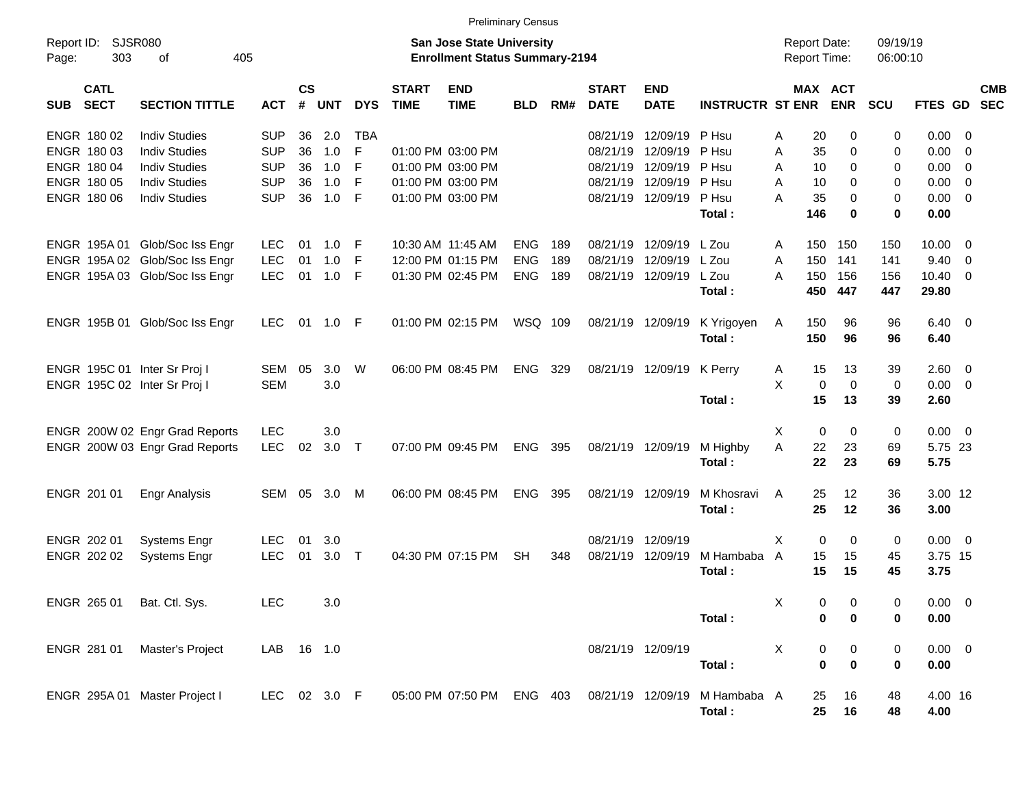|                     |                            |                                |              |                |            |            |                             |                                                                           | <b>Preliminary Census</b> |     |                             |                           |                         |                                     |                  |                      |                |                          |                          |
|---------------------|----------------------------|--------------------------------|--------------|----------------|------------|------------|-----------------------------|---------------------------------------------------------------------------|---------------------------|-----|-----------------------------|---------------------------|-------------------------|-------------------------------------|------------------|----------------------|----------------|--------------------------|--------------------------|
| Report ID:<br>Page: | <b>SJSR080</b><br>303      | 405<br>of                      |              |                |            |            |                             | <b>San Jose State University</b><br><b>Enrollment Status Summary-2194</b> |                           |     |                             |                           |                         | <b>Report Date:</b><br>Report Time: |                  | 09/19/19<br>06:00:10 |                |                          |                          |
| <b>SUB</b>          | <b>CATL</b><br><b>SECT</b> | <b>SECTION TITTLE</b>          | <b>ACT</b>   | <b>CS</b><br># | <b>UNT</b> | <b>DYS</b> | <b>START</b><br><b>TIME</b> | <b>END</b><br><b>TIME</b>                                                 | <b>BLD</b>                | RM# | <b>START</b><br><b>DATE</b> | <b>END</b><br><b>DATE</b> | <b>INSTRUCTR ST ENR</b> | MAX ACT                             | <b>ENR</b>       | SCU                  | <b>FTES GD</b> |                          | <b>CMB</b><br><b>SEC</b> |
|                     | ENGR 180 02                | <b>Indiv Studies</b>           | <b>SUP</b>   | 36             | 2.0        | <b>TBA</b> |                             |                                                                           |                           |     | 08/21/19                    | 12/09/19                  | P Hsu                   | 20<br>A                             | $\Omega$         | 0                    | 0.00           | - 0                      |                          |
|                     | ENGR 180 03                | <b>Indiv Studies</b>           | <b>SUP</b>   | 36             | 1.0        | F          |                             | 01:00 PM 03:00 PM                                                         |                           |     | 08/21/19                    | 12/09/19                  | P Hsu                   | 35<br>A                             | 0                | 0                    | 0.00           | $\mathbf 0$              |                          |
|                     | ENGR 180 04                | <b>Indiv Studies</b>           | <b>SUP</b>   | 36             | 1.0        | F          |                             | 01:00 PM 03:00 PM                                                         |                           |     | 08/21/19                    | 12/09/19                  | P Hsu                   | 10<br>A                             | $\Omega$         | 0                    | 0.00           | - 0                      |                          |
|                     | ENGR 180 05                | <b>Indiv Studies</b>           | <b>SUP</b>   | 36             | 1.0        | F          |                             | 01:00 PM 03:00 PM                                                         |                           |     | 08/21/19                    | 12/09/19                  | P Hsu                   | A<br>10                             | $\Omega$         | 0                    | 0.00           | $\overline{0}$           |                          |
|                     | ENGR 180 06                | <b>Indiv Studies</b>           | <b>SUP</b>   | 36             | 1.0        | F          |                             | 01:00 PM 03:00 PM                                                         |                           |     |                             | 08/21/19 12/09/19         | P Hsu                   | A<br>35                             | $\Omega$         | 0                    | 0.00           | $\overline{0}$           |                          |
|                     |                            |                                |              |                |            |            |                             |                                                                           |                           |     |                             |                           | Total:                  | 146                                 | $\bf{0}$         | $\bf{0}$             | 0.00           |                          |                          |
|                     |                            | ENGR 195A 01 Glob/Soc Iss Engr | <b>LEC</b>   | 01             | 1.0        | F          |                             | 10:30 AM 11:45 AM                                                         | <b>ENG</b>                | 189 |                             | 08/21/19 12/09/19         | L Zou                   | 150<br>A                            | 150              | 150                  | 10.00          | - 0                      |                          |
|                     |                            | ENGR 195A 02 Glob/Soc Iss Engr | <b>LEC</b>   | 01             | 1.0        | F          |                             | 12:00 PM 01:15 PM                                                         | ENG                       | 189 | 08/21/19                    | 12/09/19                  | L Zou                   | 150<br>A                            | 141              | 141                  | 9.40           | $\overline{0}$           |                          |
|                     |                            | ENGR 195A 03 Glob/Soc Iss Engr | <b>LEC</b>   | 01             | 1.0        | F          |                             | 01:30 PM 02:45 PM                                                         | ENG                       | 189 |                             | 08/21/19 12/09/19         | L Zou                   | A<br>150                            | 156              | 156                  | 10.40          | $\overline{\mathbf{0}}$  |                          |
|                     |                            |                                |              |                |            |            |                             |                                                                           |                           |     |                             |                           | Total:                  | 450                                 | 447              | 447                  | 29.80          |                          |                          |
|                     |                            | ENGR 195B 01 Glob/Soc Iss Engr | <b>LEC</b>   | 01             | 1.0        | F          |                             | 01:00 PM 02:15 PM                                                         | WSQ 109                   |     |                             | 08/21/19 12/09/19         | K Yrigoyen              | 150<br>A                            | 96               | 96                   | 6.40           | $\overline{\phantom{0}}$ |                          |
|                     |                            |                                |              |                |            |            |                             |                                                                           |                           |     |                             |                           | Total:                  | 150                                 | 96               | 96                   | 6.40           |                          |                          |
|                     |                            |                                |              |                |            |            |                             |                                                                           |                           |     |                             |                           |                         |                                     |                  |                      |                |                          |                          |
|                     |                            | ENGR 195C 01 Inter Sr Proj I   | <b>SEM</b>   | 05             | 3.0        | W          |                             | 06:00 PM 08:45 PM                                                         | <b>ENG</b>                | 329 |                             | 08/21/19 12/09/19         | K Perry                 | 15<br>A                             | 13               | 39                   | 2.60           | $\overline{\mathbf{0}}$  |                          |
|                     |                            | ENGR 195C 02 Inter Sr Proj I   | <b>SEM</b>   |                | 3.0        |            |                             |                                                                           |                           |     |                             |                           |                         | X<br>$\mathbf 0$                    | $\mathbf 0$      | $\mathbf 0$          | 0.00           | $\overline{0}$           |                          |
|                     |                            |                                |              |                |            |            |                             |                                                                           |                           |     |                             |                           | Total:                  | 15                                  | 13               | 39                   | 2.60           |                          |                          |
|                     |                            | ENGR 200W 02 Engr Grad Reports | <b>LEC</b>   |                | 3.0        |            |                             |                                                                           |                           |     |                             |                           |                         | X<br>0                              | $\mathbf 0$      | 0                    | 0.00           | $\overline{\phantom{0}}$ |                          |
|                     |                            | ENGR 200W 03 Engr Grad Reports | <b>LEC</b>   | 02             | 3.0        | $\top$     |                             | 07:00 PM 09:45 PM                                                         | <b>ENG</b>                | 395 |                             | 08/21/19 12/09/19         | M Highby                | A<br>22                             | 23               | 69                   | 5.75 23        |                          |                          |
|                     |                            |                                |              |                |            |            |                             |                                                                           |                           |     |                             |                           | Total:                  | 22                                  | 23               | 69                   | 5.75           |                          |                          |
|                     |                            |                                |              |                |            |            |                             |                                                                           |                           |     |                             |                           |                         |                                     |                  |                      |                |                          |                          |
|                     | ENGR 201 01                | <b>Engr Analysis</b>           | SEM          | 05             | 3.0        | M          |                             | 06:00 PM 08:45 PM                                                         | <b>ENG</b>                | 395 |                             | 08/21/19 12/09/19         | M Khosravi              | 25<br>A                             | 12               | 36                   | 3.00 12        |                          |                          |
|                     |                            |                                |              |                |            |            |                             |                                                                           |                           |     |                             |                           | Total:                  | 25                                  | 12               | 36                   | 3.00           |                          |                          |
|                     | ENGR 202 01                | <b>Systems Engr</b>            | <b>LEC</b>   | 01             | 3.0        |            |                             |                                                                           |                           |     | 08/21/19 12/09/19           |                           |                         | X<br>$\mathbf 0$                    | $\mathbf 0$      | 0                    | 0.00           | $\overline{\mathbf{0}}$  |                          |
|                     | ENGR 202 02                | <b>Systems Engr</b>            | <b>LEC</b>   | 01             | 3.0        | Т          |                             | 04:30 PM 07:15 PM                                                         | <b>SH</b>                 | 348 | 08/21/19                    | 12/09/19                  | M Hambaba               | 15<br>A                             | 15               | 45                   | 3.75 15        |                          |                          |
|                     |                            |                                |              |                |            |            |                             |                                                                           |                           |     |                             |                           | Total:                  | 15                                  | 15               | 45                   | 3.75           |                          |                          |
|                     |                            | ENGR 265 01 Bat. Ctl. Sys.     | LEC          |                | 3.0        |            |                             |                                                                           |                           |     |                             |                           |                         | X<br>$\pmb{0}$                      | $\boldsymbol{0}$ | 0                    | $0.00 \t 0$    |                          |                          |
|                     |                            |                                |              |                |            |            |                             |                                                                           |                           |     |                             |                           | Total:                  | 0                                   | $\bf{0}$         | 0                    | 0.00           |                          |                          |
|                     |                            |                                |              |                |            |            |                             |                                                                           |                           |     |                             |                           |                         |                                     |                  |                      |                |                          |                          |
|                     |                            | ENGR 281 01 Master's Project   | LAB 16 1.0   |                |            |            |                             |                                                                           |                           |     |                             | 08/21/19 12/09/19         |                         | $\times$<br>0                       | $\boldsymbol{0}$ | $\boldsymbol{0}$     | $0.00 \t 0$    |                          |                          |
|                     |                            |                                |              |                |            |            |                             |                                                                           |                           |     |                             |                           | Total:                  | 0                                   | $\bf{0}$         | $\pmb{0}$            | 0.00           |                          |                          |
|                     |                            | ENGR 295A 01 Master Project I  | LEC 02 3.0 F |                |            |            |                             | 05:00 PM 07:50 PM ENG 403                                                 |                           |     |                             | 08/21/19 12/09/19         | M Hambaba A             | 25                                  | 16               | 48                   | 4.00 16        |                          |                          |
|                     |                            |                                |              |                |            |            |                             |                                                                           |                           |     |                             |                           | Total:                  | 25                                  | 16               | 48                   | 4.00           |                          |                          |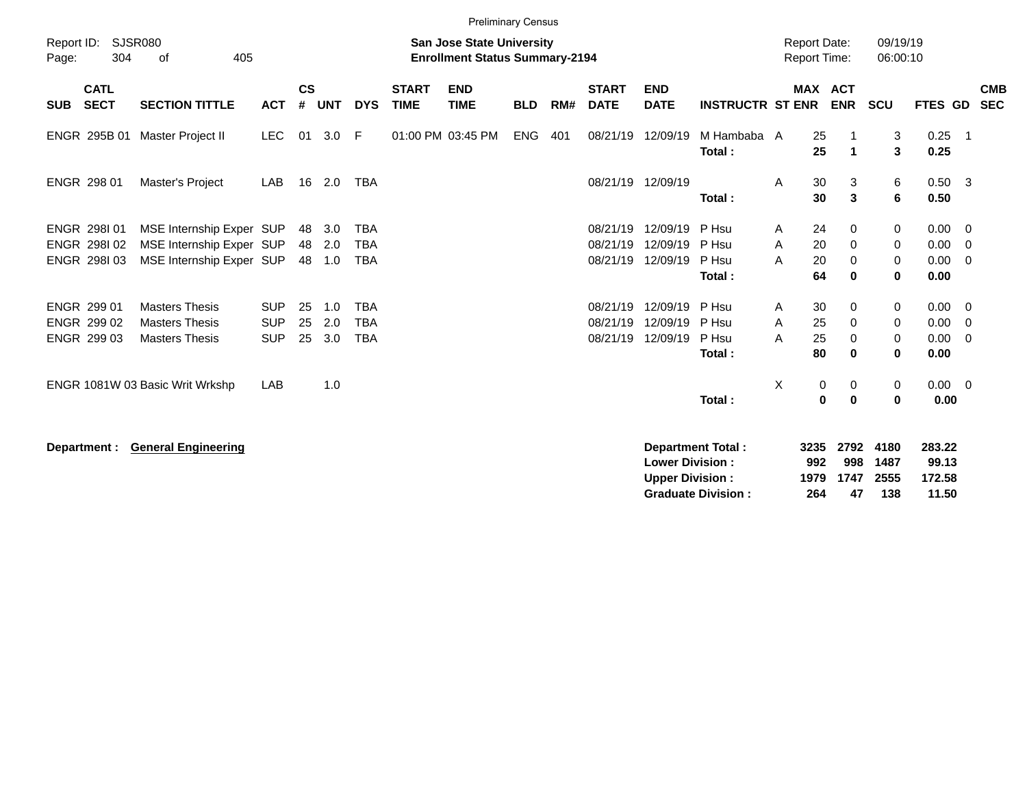|                                           |                            |                                                                                  |                          |                    |                   |                                        |                             | Preliminary Census                                                        |            |     |                                           |                                                  |                                                       |                            |                                           |                             |                                    |                                                                       |                          |
|-------------------------------------------|----------------------------|----------------------------------------------------------------------------------|--------------------------|--------------------|-------------------|----------------------------------------|-----------------------------|---------------------------------------------------------------------------|------------|-----|-------------------------------------------|--------------------------------------------------|-------------------------------------------------------|----------------------------|-------------------------------------------|-----------------------------|------------------------------------|-----------------------------------------------------------------------|--------------------------|
| Report ID:<br>Page:                       | 304                        | <b>SJSR080</b><br>405<br>0f                                                      |                          |                    |                   |                                        |                             | <b>San Jose State University</b><br><b>Enrollment Status Summary-2194</b> |            |     |                                           |                                                  |                                                       |                            | <b>Report Date:</b><br>Report Time:       | 09/19/19<br>06:00:10        |                                    |                                                                       |                          |
| <b>SUB</b>                                | <b>CATL</b><br><b>SECT</b> | <b>SECTION TITTLE</b>                                                            | <b>ACT</b>               | $\mathsf{cs}$<br># | <b>UNT</b>        | <b>DYS</b>                             | <b>START</b><br><b>TIME</b> | <b>END</b><br><b>TIME</b>                                                 | <b>BLD</b> | RM# | <b>START</b><br><b>DATE</b>               | <b>END</b><br><b>DATE</b>                        | <b>INSTRUCTR ST ENR</b>                               |                            | <b>MAX ACT</b><br><b>ENR</b>              | SCU                         | <b>FTES GD</b>                     |                                                                       | <b>CMB</b><br><b>SEC</b> |
| ENGR 295B 01                              |                            | Master Project II                                                                | <b>LEC</b>               | 01                 | 3.0               | E                                      |                             | 01:00 PM 03:45 PM                                                         | <b>ENG</b> | 401 | 08/21/19                                  | 12/09/19                                         | M Hambaba A<br>Total:                                 |                            | 25<br>25<br>$\blacktriangleleft$          | 3<br>$\mathbf{3}$           | $0.25$ 1<br>0.25                   |                                                                       |                          |
| ENGR 298 01                               |                            | Master's Project                                                                 | LAB                      | 16                 | 2.0               | TBA                                    |                             |                                                                           |            |     | 08/21/19 12/09/19                         |                                                  | Total:                                                | A                          | 30<br>3<br>30<br>3                        | 6<br>$6\phantom{1}$         | $0.50$ 3<br>0.50                   |                                                                       |                          |
| ENGR 298101<br>ENGR 298102<br>ENGR 298103 |                            | MSE Internship Exper SUP<br>MSE Internship Exper SUP<br>MSE Internship Exper SUP |                          | 48<br>48<br>48     | 3.0<br>2.0<br>1.0 | <b>TBA</b><br><b>TBA</b><br><b>TBA</b> |                             |                                                                           |            |     | 08/21/19<br>08/21/19<br>08/21/19 12/09/19 | 12/09/19<br>12/09/19                             | P Hsu<br>P Hsu<br>P Hsu                               | A<br>A<br>A                | 24<br>0<br>20<br>0<br>20<br>0             | 0<br>0<br>0                 | 0.00<br>0.00<br>0.00               | $\overline{\phantom{0}}$<br>$\overline{0}$<br>$\overline{\mathbf{0}}$ |                          |
| ENGR 299 01<br>ENGR 299 02                |                            | <b>Masters Thesis</b><br><b>Masters Thesis</b>                                   | <b>SUP</b><br><b>SUP</b> | 25<br>25           | 1.0<br>2.0        | <b>TBA</b><br><b>TBA</b>               |                             |                                                                           |            |     | 08/21/19<br>08/21/19                      | 12/09/19<br>12/09/19                             | Total:<br>P Hsu<br>P Hsu                              | Α<br>A                     | 64<br>0<br>30<br>0<br>25<br>0             | 0<br>0<br>0                 | 0.00<br>$0.00 \t 0$<br>0.00        | $\overline{\mathbf{0}}$                                               |                          |
| ENGR 299 03                               |                            | <b>Masters Thesis</b>                                                            | <b>SUP</b>               | 25                 | 3.0               | <b>TBA</b>                             |                             |                                                                           |            |     | 08/21/19                                  | 12/09/19                                         | P Hsu<br>Total:                                       | A                          | 25<br>0<br>80<br>$\bf{0}$                 | 0<br>0                      | 0.00<br>0.00                       | - 0                                                                   |                          |
|                                           |                            | ENGR 1081W 03 Basic Writ Wrkshp                                                  | LAB                      |                    | 1.0               |                                        |                             |                                                                           |            |     |                                           |                                                  | Total:                                                | X                          | $\pmb{0}$<br>0<br>$\mathbf 0$<br>$\bf{0}$ | 0<br>$\mathbf 0$            | $0.00 \ 0$<br>0.00                 |                                                                       |                          |
| Department :                              |                            | <b>General Engineering</b>                                                       |                          |                    |                   |                                        |                             |                                                                           |            |     |                                           | <b>Lower Division:</b><br><b>Upper Division:</b> | <b>Department Total:</b><br><b>Graduate Division:</b> | 3235<br>992<br>1979<br>264 | 2792<br>998<br>1747<br>47                 | 4180<br>1487<br>2555<br>138 | 283.22<br>99.13<br>172.58<br>11.50 |                                                                       |                          |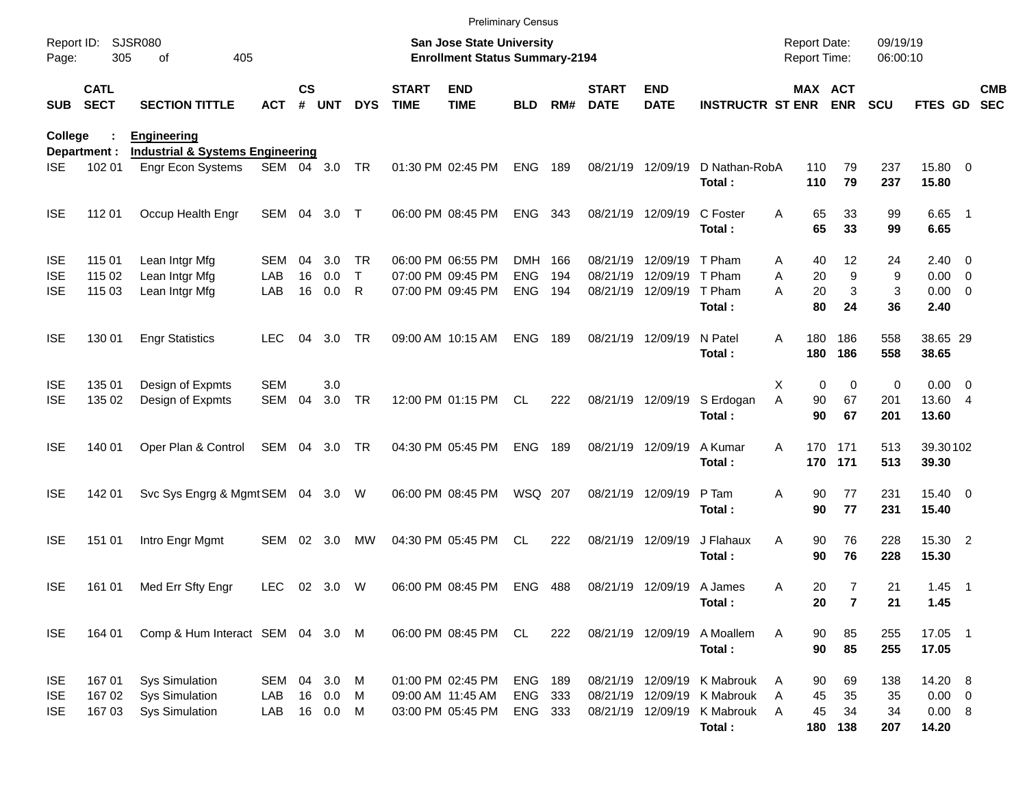|                                        |                            |                                                                         |                   |               |                         |             |                             | <b>Preliminary Census</b>                                                 |                                      |       |                             |                                                             |                                     |                                            |                                          |                      |                                  |                          |
|----------------------------------------|----------------------------|-------------------------------------------------------------------------|-------------------|---------------|-------------------------|-------------|-----------------------------|---------------------------------------------------------------------------|--------------------------------------|-------|-----------------------------|-------------------------------------------------------------|-------------------------------------|--------------------------------------------|------------------------------------------|----------------------|----------------------------------|--------------------------|
| Report ID:<br>Page:                    | 305                        | SJSR080<br>405<br>of                                                    |                   |               |                         |             |                             | <b>San Jose State University</b><br><b>Enrollment Status Summary-2194</b> |                                      |       |                             |                                                             |                                     | <b>Report Date:</b><br><b>Report Time:</b> |                                          | 09/19/19<br>06:00:10 |                                  |                          |
| <b>SUB</b>                             | <b>CATL</b><br><b>SECT</b> | <b>SECTION TITTLE</b>                                                   | ACT               | $\mathsf{cs}$ | # UNT                   | <b>DYS</b>  | <b>START</b><br><b>TIME</b> | <b>END</b><br><b>TIME</b>                                                 | <b>BLD</b>                           | RM#   | <b>START</b><br><b>DATE</b> | <b>END</b><br><b>DATE</b>                                   | <b>INSTRUCTR ST ENR ENR</b>         |                                            | <b>MAX ACT</b>                           | <b>SCU</b>           | FTES GD                          | <b>CMB</b><br><b>SEC</b> |
| College                                |                            | <b>Engineering</b>                                                      |                   |               |                         |             |                             |                                                                           |                                      |       |                             |                                                             |                                     |                                            |                                          |                      |                                  |                          |
| <b>ISE</b>                             | Department :<br>102 01     | <b>Industrial &amp; Systems Engineering</b><br>Engr Econ Systems        | SEM 04 3.0        |               |                         | TR          |                             | 01:30 PM 02:45 PM                                                         | <b>ENG</b>                           | 189   |                             | 08/21/19 12/09/19                                           | D Nathan-RobA<br>Total:             | 110<br>110                                 | 79<br>79                                 | 237<br>237           | 15.80 0<br>15.80                 |                          |
| <b>ISE</b>                             | 112 01                     | Occup Health Engr                                                       | SEM 04            |               | 3.0                     | $\top$      |                             | 06:00 PM 08:45 PM                                                         | ENG                                  | - 343 |                             | 08/21/19 12/09/19                                           | C Foster<br>Total:                  | A                                          | 65<br>33<br>65<br>33                     | 99<br>99             | $6.65$ 1<br>6.65                 |                          |
| <b>ISE</b><br><b>ISE</b>               | 115 01<br>115 02           | Lean Intgr Mfg<br>Lean Intgr Mfg                                        | SEM<br>LAB        | 04<br>16      | 3.0<br>0.0              | TR.<br>T    |                             | 06:00 PM 06:55 PM<br>07:00 PM 09:45 PM                                    | DMH 166<br><b>ENG</b>                | 194   |                             | 08/21/19 12/09/19<br>08/21/19 12/09/19                      | T Pham<br>T Pham                    | A<br>A                                     | 12<br>40<br>20<br>9                      | 24<br>9              | $2.40 \ 0$<br>$0.00 \t 0$        |                          |
| <b>ISE</b>                             | 115 03                     | Lean Intgr Mfg                                                          | LAB               | 16            | 0.0                     | R           |                             | 07:00 PM 09:45 PM                                                         | <b>ENG</b>                           | 194   |                             | 08/21/19 12/09/19                                           | T Pham<br>Total:                    | A                                          | 3<br>20<br>80<br>24                      | 3<br>36              | $0.00 \t 0$<br>2.40              |                          |
| <b>ISE</b>                             | 130 01                     | <b>Engr Statistics</b>                                                  | <b>LEC</b>        | 04            | 3.0                     | TR          |                             | 09:00 AM 10:15 AM                                                         | <b>ENG</b>                           | 189   | 08/21/19 12/09/19           |                                                             | N Patel<br>Total:                   | 180<br>A<br>180                            | 186<br>186                               | 558<br>558           | 38.65 29<br>38.65                |                          |
| <b>ISE</b><br><b>ISE</b>               | 135 01<br>135 02           | Design of Expmts<br>Design of Expmts                                    | <b>SEM</b><br>SEM | 04            | 3.0<br>3.0              | TR          |                             | 12:00 PM 01:15 PM                                                         | CL.                                  | 222   | 08/21/19 12/09/19           |                                                             | S Erdogan<br>Total:                 | Χ<br>A                                     | 0<br>$\mathbf 0$<br>90<br>67<br>90<br>67 | 0<br>201<br>201      | $0.00 \t 0$<br>13.60 4<br>13.60  |                          |
| <b>ISE</b>                             | 140 01                     | Oper Plan & Control                                                     | SEM 04 3.0        |               |                         | TR          |                             | 04:30 PM 05:45 PM                                                         | <b>ENG</b>                           | 189   |                             | 08/21/19 12/09/19                                           | A Kumar<br>Total:                   | A                                          | 170 171<br>170 171                       | 513<br>513           | 39.30102<br>39.30                |                          |
| <b>ISE</b>                             | 142 01                     | Svc Sys Engrg & Mgmt SEM 04 3.0 W                                       |                   |               |                         |             |                             | 06:00 PM 08:45 PM                                                         | WSQ 207                              |       |                             | 08/21/19 12/09/19                                           | P Tam<br>Total:                     | Α                                          | 77<br>90<br>77<br>90                     | 231<br>231           | 15.40 0<br>15.40                 |                          |
| <b>ISE</b>                             | 151 01                     | Intro Engr Mgmt                                                         | SEM               | 02            | 3.0                     | МW          |                             | 04:30 PM 05:45 PM                                                         | CL.                                  | 222   |                             | 08/21/19 12/09/19                                           | J Flahaux<br>Total:                 | A                                          | 76<br>90<br>76<br>90                     | 228<br>228           | 15.30 2<br>15.30                 |                          |
| <b>ISE</b>                             | 161 01                     | Med Err Sfty Engr                                                       | LEC               |               | 02 3.0                  | W           |                             | 06:00 PM 08:45 PM                                                         | <b>ENG</b>                           | 488   |                             | 08/21/19 12/09/19 A James                                   | Total:                              | Α                                          | $\overline{7}$<br>20<br>20<br>7          | 21<br>21             | $1.45$ 1<br>1.45                 |                          |
| <b>ISE</b>                             | 164 01                     | Comp & Hum Interact SEM 04 3.0 M                                        |                   |               |                         |             |                             | 06:00 PM 08:45 PM                                                         | CL                                   | 222   | 08/21/19 12/09/19           |                                                             | A Moallem<br>Total:                 | A                                          | 90<br>85<br>90<br>85                     | 255<br>255           | 17.05 1<br>17.05                 |                          |
| <b>ISE</b><br><b>ISE</b><br><b>ISE</b> | 167 01<br>167 02<br>167 03 | <b>Sys Simulation</b><br><b>Sys Simulation</b><br><b>Sys Simulation</b> | SEM<br>LAB<br>LAB | 04            | 3.0<br>16 0.0<br>16 0.0 | M<br>M<br>M |                             | 01:00 PM 02:45 PM<br>09:00 AM 11:45 AM<br>03:00 PM 05:45 PM               | <b>ENG 189</b><br>ENG 333<br>ENG 333 |       |                             | 08/21/19 12/09/19<br>08/21/19 12/09/19<br>08/21/19 12/09/19 | K Mabrouk<br>K Mabrouk<br>K Mabrouk | A<br>Α<br>A                                | 90<br>69<br>45<br>35<br>45<br>34         | 138<br>35<br>34      | 14.20 8<br>$0.00 \t 0$<br>0.00 8 |                          |
|                                        |                            |                                                                         |                   |               |                         |             |                             |                                                                           |                                      |       |                             |                                                             | Total:                              |                                            | 180<br>138                               | 207                  | 14.20                            |                          |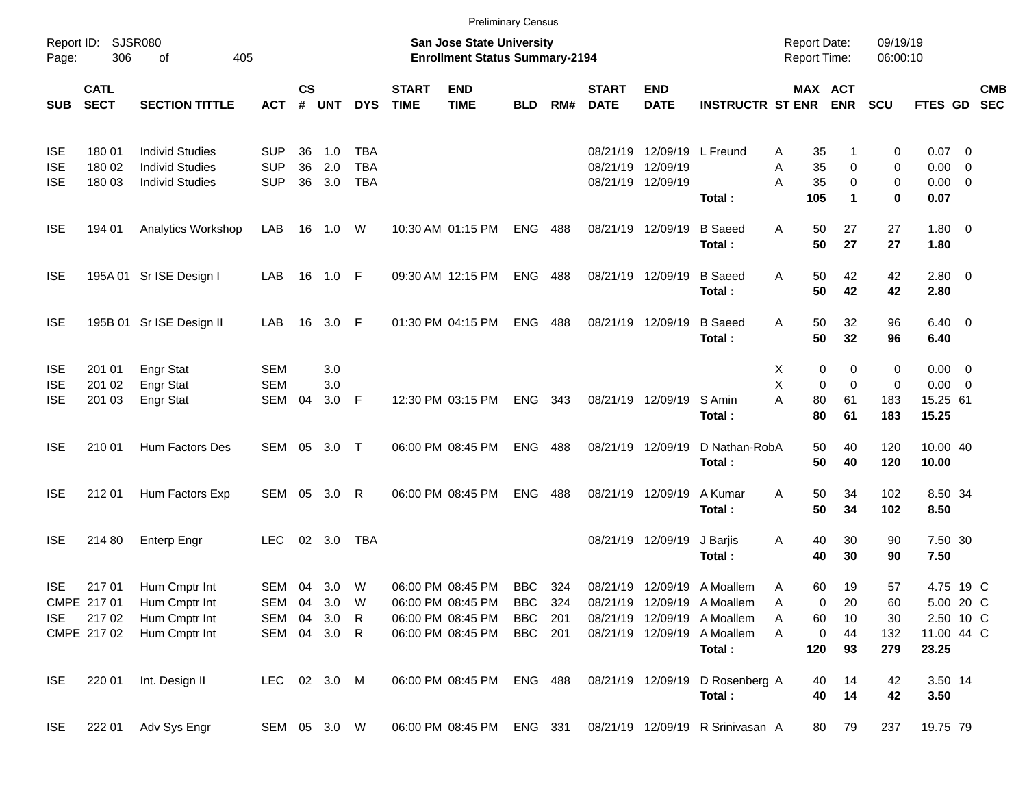|                          |                            |                                                  |                          |                    |               |                          |                             | <b>Preliminary Census</b>                                          |                |            |                             |                               |                                                            |                                            |                                  |                      |                             |                          |                          |
|--------------------------|----------------------------|--------------------------------------------------|--------------------------|--------------------|---------------|--------------------------|-----------------------------|--------------------------------------------------------------------|----------------|------------|-----------------------------|-------------------------------|------------------------------------------------------------|--------------------------------------------|----------------------------------|----------------------|-----------------------------|--------------------------|--------------------------|
| Page:                    | Report ID: SJSR080<br>306  | 405<br>of                                        |                          |                    |               |                          |                             | San Jose State University<br><b>Enrollment Status Summary-2194</b> |                |            |                             |                               |                                                            | <b>Report Date:</b><br><b>Report Time:</b> |                                  | 09/19/19<br>06:00:10 |                             |                          |                          |
| <b>SUB</b>               | <b>CATL</b><br><b>SECT</b> | <b>SECTION TITTLE</b>                            | <b>ACT</b>               | $\mathsf{cs}$<br># | <b>UNT</b>    | <b>DYS</b>               | <b>START</b><br><b>TIME</b> | <b>END</b><br><b>TIME</b>                                          | <b>BLD</b>     | RM#        | <b>START</b><br><b>DATE</b> | <b>END</b><br><b>DATE</b>     | <b>INSTRUCTR ST ENR</b>                                    |                                            | MAX ACT<br><b>ENR</b>            | <b>SCU</b>           | <b>FTES GD</b>              |                          | <b>CMB</b><br><b>SEC</b> |
| <b>ISE</b>               | 180 01                     | <b>Individ Studies</b>                           | <b>SUP</b>               | 36                 | 1.0           | <b>TBA</b>               |                             |                                                                    |                |            | 08/21/19                    | 12/09/19 L Freund             |                                                            | 35<br>Α                                    | 1                                | 0                    | $0.07$ 0                    |                          |                          |
| <b>ISE</b><br><b>ISE</b> | 180 02<br>180 03           | <b>Individ Studies</b><br><b>Individ Studies</b> | <b>SUP</b><br><b>SUP</b> | 36<br>36           | 2.0<br>3.0    | <b>TBA</b><br><b>TBA</b> |                             |                                                                    |                |            | 08/21/19                    | 12/09/19<br>08/21/19 12/09/19 | Total:                                                     | 35<br>Α<br>35<br>А<br>105                  | 0<br>$\mathbf 0$<br>$\mathbf{1}$ | 0<br>0<br>0          | 0.00<br>$0.00 \t 0$<br>0.07 | $\overline{\phantom{0}}$ |                          |
| <b>ISE</b>               | 194 01                     | Analytics Workshop                               | LAB                      |                    | 16  1.0       | W                        |                             | 10:30 AM 01:15 PM                                                  | <b>ENG</b>     | 488        |                             | 08/21/19 12/09/19             | <b>B</b> Saeed                                             | 50<br>Α<br>50                              | 27<br>27                         | 27<br>27             | $1.80 \ 0$                  |                          |                          |
| <b>ISE</b>               |                            | 195A 01 Sr ISE Design I                          | LAB                      |                    | 16 1.0 F      |                          |                             | 09:30 AM 12:15 PM                                                  | <b>ENG</b>     | 488        |                             | 08/21/19 12/09/19             | Total:<br><b>B</b> Saeed                                   | 50<br>Α                                    | 42                               | 42                   | 1.80<br>$2.80 \t 0$         |                          |                          |
|                          |                            |                                                  |                          |                    |               |                          |                             |                                                                    |                |            |                             |                               | Total:                                                     | 50                                         | 42                               | 42                   | 2.80                        |                          |                          |
| <b>ISE</b>               |                            | 195B 01 Sr ISE Design II                         | LAB                      |                    | 16 3.0 F      |                          |                             | 01:30 PM 04:15 PM                                                  | <b>ENG</b>     | 488        |                             | 08/21/19 12/09/19             | <b>B</b> Saeed<br>Total:                                   | 50<br>A<br>50                              | 32<br>32                         | 96<br>96             | $6.40 \quad 0$<br>6.40      |                          |                          |
| <b>ISE</b><br><b>ISE</b> | 201 01<br>201 02           | <b>Engr Stat</b><br><b>Engr Stat</b>             | <b>SEM</b><br><b>SEM</b> |                    | 3.0<br>3.0    |                          |                             |                                                                    |                |            |                             |                               |                                                            | 0<br>X<br>X<br>0                           | 0<br>$\mathbf 0$                 | 0<br>0               | $0.00 \t 0$<br>$0.00 \t 0$  |                          |                          |
| <b>ISE</b>               | 201 03                     | Engr Stat                                        | <b>SEM</b>               | 04                 | 3.0           | - F                      |                             | 12:30 PM 03:15 PM                                                  | <b>ENG</b>     | 343        |                             | 08/21/19 12/09/19             | S Amin<br>Total:                                           | A<br>80<br>80                              | 61<br>61                         | 183<br>183           | 15.25 61<br>15.25           |                          |                          |
| <b>ISE</b>               | 210 01                     | Hum Factors Des                                  | SEM                      | 05                 | 3.0           | $\top$                   |                             | 06:00 PM 08:45 PM                                                  | <b>ENG</b>     | 488        |                             | 08/21/19 12/09/19             | D Nathan-RobA<br>Total:                                    | 50<br>50                                   | 40<br>40                         | 120<br>120           | 10.00 40<br>10.00           |                          |                          |
| <b>ISE</b>               | 212 01                     | Hum Factors Exp                                  | SEM                      | 05                 | 3.0           | R                        |                             | 06:00 PM 08:45 PM                                                  | <b>ENG</b>     | 488        |                             | 08/21/19 12/09/19             | A Kumar<br>Total:                                          | 50<br>A<br>50                              | 34<br>34                         | 102<br>102           | 8.50 34<br>8.50             |                          |                          |
| <b>ISE</b>               | 214 80                     | <b>Enterp Engr</b>                               | <b>LEC</b>               |                    | 02 3.0        | TBA                      |                             |                                                                    |                |            |                             | 08/21/19 12/09/19             | J Barjis<br>Total:                                         | 40<br>Α<br>40                              | 30<br>30                         | 90<br>90             | 7.50 30<br>7.50             |                          |                          |
| <b>ISE</b>               | 217 01<br>CMPE 217 01      | Hum Cmptr Int<br>Hum Cmptr Int                   | SEM 04<br>SEM            |                    | 3.0<br>04 3.0 | W<br>W                   |                             | 06:00 PM 08:45 PM<br>06:00 PM 08:45 PM                             | BBC<br>BBC     | 324<br>324 |                             |                               | 08/21/19 12/09/19 A Moallem<br>08/21/19 12/09/19 A Moallem | 60<br>Α<br>0<br>Α                          | 19<br>20                         | 57<br>60             | 4.75 19 C<br>5.00 20 C      |                          |                          |
| <b>ISE</b>               | 21702                      | Hum Cmptr Int                                    | SEM                      | 04                 | 3.0           | R                        |                             | 06:00 PM 08:45 PM                                                  | <b>BBC</b>     | 201        |                             | 08/21/19 12/09/19             | A Moallem                                                  | Α<br>60                                    | 10                               | 30                   | 2.50 10 C                   |                          |                          |
|                          | CMPE 217 02                | Hum Cmptr Int                                    | SEM                      |                    | 04 3.0 R      |                          |                             | 06:00 PM 08:45 PM                                                  | BBC 201        |            |                             | 08/21/19 12/09/19             | A Moallem                                                  | 0<br>A                                     | 44                               | 132                  | 11.00 44 C                  |                          |                          |
|                          |                            |                                                  |                          |                    |               |                          |                             |                                                                    |                |            |                             |                               | Total:                                                     | 120                                        | 93                               | 279                  | 23.25                       |                          |                          |
| <b>ISE</b>               | 220 01                     | Int. Design II                                   | LEC 02 3.0 M             |                    |               |                          |                             | 06:00 PM 08:45 PM                                                  | <b>ENG 488</b> |            |                             | 08/21/19 12/09/19             | D Rosenberg A<br>Total:                                    | 40<br>40                                   | 14<br>14                         | 42<br>42             | 3.50 14<br>3.50             |                          |                          |
| <b>ISE</b>               | 222 01                     | Adv Sys Engr                                     | SEM 05 3.0 W             |                    |               |                          |                             | 06:00 PM 08:45 PM                                                  | ENG 331        |            |                             |                               | 08/21/19 12/09/19 R Srinivasan A                           | 80                                         | 79                               | 237                  | 19.75 79                    |                          |                          |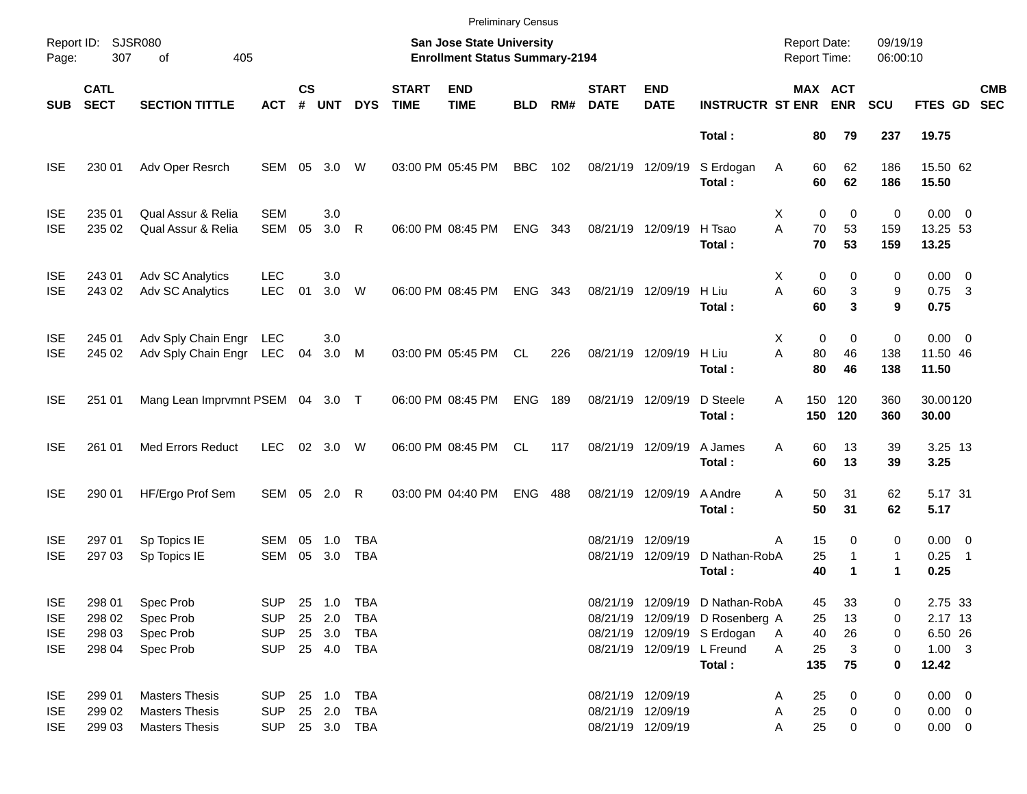|                                                      |                                      |                                                                         |                                                      |                    |                            |                                   |                             |                                                                    | <b>Preliminary Census</b> |     |                             |                                                             |                                                                                                             |                                            |                                           |                        |                                                         |            |
|------------------------------------------------------|--------------------------------------|-------------------------------------------------------------------------|------------------------------------------------------|--------------------|----------------------------|-----------------------------------|-----------------------------|--------------------------------------------------------------------|---------------------------|-----|-----------------------------|-------------------------------------------------------------|-------------------------------------------------------------------------------------------------------------|--------------------------------------------|-------------------------------------------|------------------------|---------------------------------------------------------|------------|
| Page:                                                | Report ID: SJSR080<br>307            | 405<br>of                                                               |                                                      |                    |                            |                                   |                             | San Jose State University<br><b>Enrollment Status Summary-2194</b> |                           |     |                             |                                                             |                                                                                                             | <b>Report Date:</b><br><b>Report Time:</b> |                                           | 09/19/19<br>06:00:10   |                                                         |            |
| <b>SUB</b>                                           | <b>CATL</b><br><b>SECT</b>           | <b>SECTION TITTLE</b>                                                   | <b>ACT</b>                                           | $\mathsf{cs}$<br># | <b>UNT</b>                 | <b>DYS</b>                        | <b>START</b><br><b>TIME</b> | <b>END</b><br><b>TIME</b>                                          | <b>BLD</b>                | RM# | <b>START</b><br><b>DATE</b> | <b>END</b><br><b>DATE</b>                                   | <b>INSTRUCTR ST ENR</b>                                                                                     |                                            | MAX ACT<br><b>ENR</b>                     | <b>SCU</b>             | FTES GD SEC                                             | <b>CMB</b> |
|                                                      |                                      |                                                                         |                                                      |                    |                            |                                   |                             |                                                                    |                           |     |                             |                                                             | Total:                                                                                                      | 80                                         | 79                                        | 237                    | 19.75                                                   |            |
| <b>ISE</b>                                           | 230 01                               | Adv Oper Resrch                                                         | SEM                                                  | 05                 | 3.0                        | W                                 |                             | 03:00 PM 05:45 PM                                                  | <b>BBC</b>                | 102 |                             | 08/21/19 12/09/19                                           | S Erdogan<br>Total:                                                                                         | 60<br>Α<br>60                              | 62<br>62                                  | 186<br>186             | 15.50 62<br>15.50                                       |            |
| <b>ISE</b><br><b>ISE</b>                             | 235 01<br>235 02                     | Qual Assur & Relia<br>Qual Assur & Relia                                | <b>SEM</b><br>SEM                                    | 05                 | 3.0<br>3.0                 | $\mathsf{R}$                      |                             | 06:00 PM 08:45 PM                                                  | <b>ENG</b>                | 343 |                             | 08/21/19 12/09/19                                           | H Tsao<br>Total:                                                                                            | X<br>A<br>70<br>70                         | 0<br>$\mathbf 0$<br>53<br>53              | 0<br>159<br>159        | $0.00 \t 0$<br>13.25 53<br>13.25                        |            |
| <b>ISE</b><br><b>ISE</b>                             | 243 01<br>243 02                     | Adv SC Analytics<br>Adv SC Analytics                                    | <b>LEC</b><br><b>LEC</b>                             | 01                 | 3.0<br>3.0                 | W                                 |                             | 06:00 PM 08:45 PM                                                  | <b>ENG</b>                | 343 |                             | 08/21/19 12/09/19                                           | H Liu<br>Total:                                                                                             | X<br>A<br>60<br>60                         | 0<br>0<br>3<br>$\mathbf{3}$               | 0<br>9<br>9            | $0.00 \t 0$<br>$0.75$ 3<br>0.75                         |            |
| <b>ISE</b><br><b>ISE</b>                             | 245 01<br>245 02                     | Adv Sply Chain Engr<br>Adv Sply Chain Engr                              | LEC<br>LEC                                           | 04                 | 3.0<br>3.0 M               |                                   |                             | 03:00 PM 05:45 PM                                                  | CL.                       | 226 |                             | 08/21/19 12/09/19                                           | H Liu<br>Total:                                                                                             | X<br>A<br>80<br>80                         | 0<br>$\mathbf 0$<br>46<br>46              | 0<br>138<br>138        | $0.00 \t 0$<br>11.50 46<br>11.50                        |            |
| <b>ISE</b>                                           | 251 01                               | Mang Lean Imprvmnt PSEM 04 3.0 T                                        |                                                      |                    |                            |                                   |                             | 06:00 PM 08:45 PM                                                  | <b>ENG</b>                | 189 |                             | 08/21/19 12/09/19                                           | D Steele<br>Total:                                                                                          | A<br>150<br>150                            | 120<br>120                                | 360<br>360             | 30.00120<br>30.00                                       |            |
| <b>ISE</b>                                           | 261 01                               | <b>Med Errors Reduct</b>                                                | <b>LEC</b>                                           |                    | 02 3.0                     | W                                 |                             | 06:00 PM 08:45 PM                                                  | CL.                       | 117 |                             | 08/21/19 12/09/19                                           | A James<br>Total:                                                                                           | 60<br>A<br>60                              | 13<br>13                                  | 39<br>39               | 3.25 13<br>3.25                                         |            |
| <b>ISE</b>                                           | 290 01                               | HF/Ergo Prof Sem                                                        | SEM                                                  |                    | 05 2.0                     | $\mathsf{R}$                      |                             | 03:00 PM 04:40 PM                                                  | <b>ENG</b>                | 488 |                             | 08/21/19 12/09/19                                           | A Andre<br>Total:                                                                                           | 50<br>A<br>50                              | 31<br>31                                  | 62<br>62               | 5.17 31<br>5.17                                         |            |
| <b>ISE</b><br><b>ISE</b>                             | 297 01<br>297 03                     | Sp Topics IE<br>Sp Topics IE                                            | SEM<br>SEM                                           | 05<br>05           | 1.0<br>3.0                 | TBA<br><b>TBA</b>                 |                             |                                                                    |                           |     | 08/21/19<br>08/21/19        | 12/09/19<br>12/09/19                                        | D Nathan-RobA<br>Total:                                                                                     | 15<br>A<br>25<br>40                        | 0<br>$\mathbf{1}$<br>$\blacktriangleleft$ | 0<br>$\mathbf{1}$<br>1 | $0.00 \t 0$<br>0.25<br>$\overline{\phantom{1}}$<br>0.25 |            |
| <b>ISE</b><br><b>ISE</b><br><b>ISE</b><br><b>ISE</b> | 298 01<br>298 02<br>298 03<br>298 04 | Spec Prob<br>Spec Prob<br>Spec Prob<br>Spec Prob                        | <b>SUP</b><br><b>SUP</b><br><b>SUP</b><br><b>SUP</b> |                    | 25 1.0<br>25 2.0<br>25 3.0 | TBA<br>TBA<br>TBA<br>25  4.0  TBA |                             |                                                                    |                           |     |                             | 08/21/19 12/09/19 L Freund                                  | 08/21/19 12/09/19 D Nathan-RobA<br>08/21/19 12/09/19 D Rosenberg A<br>08/21/19 12/09/19 S Erdogan<br>Total: | 45<br>25<br>40<br>A<br>25<br>A<br>135      | 33<br>13<br>26<br>3<br>75                 | 0<br>0<br>0<br>0<br>0  | 2.75 33<br>2.17 13<br>6.50 26<br>$1.00 \t3$<br>12.42    |            |
| <b>ISE</b><br><b>ISE</b><br><b>ISE</b>               | 299 01<br>299 02<br>299 03           | <b>Masters Thesis</b><br><b>Masters Thesis</b><br><b>Masters Thesis</b> | <b>SUP</b><br><b>SUP</b><br><b>SUP</b>               |                    | 25 2.0                     | 25 1.0 TBA<br>TBA<br>25 3.0 TBA   |                             |                                                                    |                           |     |                             | 08/21/19 12/09/19<br>08/21/19 12/09/19<br>08/21/19 12/09/19 |                                                                                                             | 25<br>Α<br>25<br>Α<br>25<br>A              | 0<br>0<br>0                               | 0<br>0<br>0            | $0.00 \t 0$<br>$0.00 \t 0$<br>$0.00 \t 0$               |            |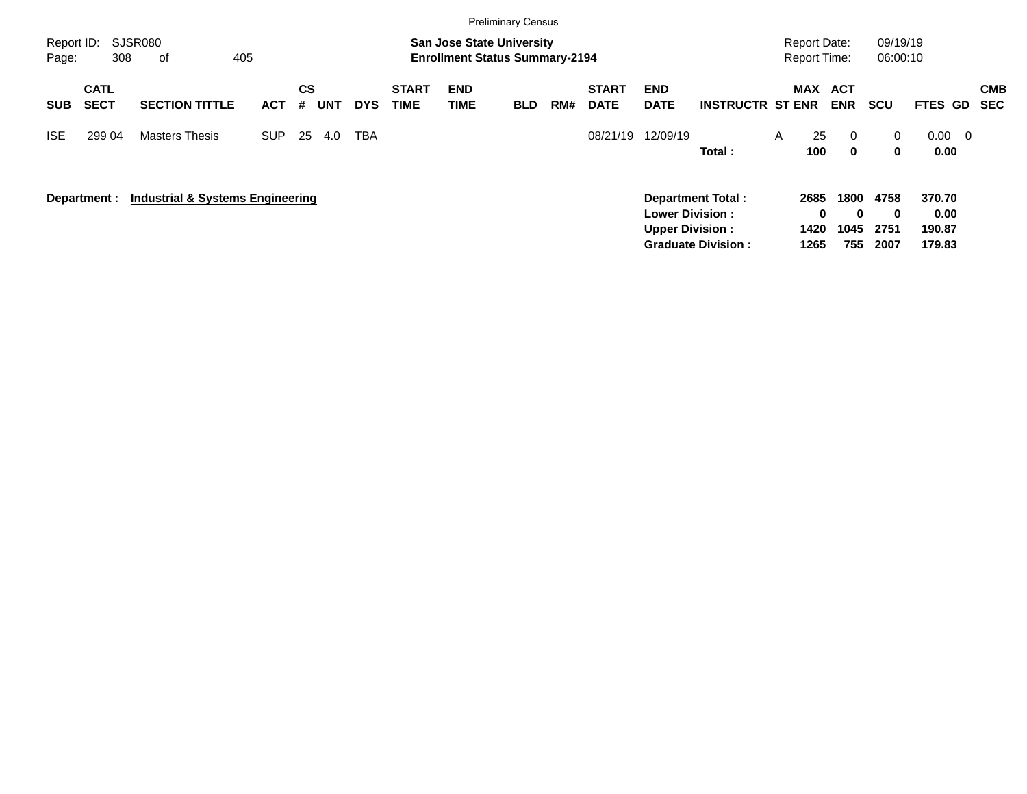|                     |                            |                                             |            |                              |            |                             |                                                                           | <b>Preliminary Census</b> |     |                             |                                                  |                         |     |                                            |                                      |                          |                          |
|---------------------|----------------------------|---------------------------------------------|------------|------------------------------|------------|-----------------------------|---------------------------------------------------------------------------|---------------------------|-----|-----------------------------|--------------------------------------------------|-------------------------|-----|--------------------------------------------|--------------------------------------|--------------------------|--------------------------|
| Report ID:<br>Page: | 308                        | <b>SJSR080</b><br>405<br>of                 |            |                              |            |                             | <b>San Jose State University</b><br><b>Enrollment Status Summary-2194</b> |                           |     |                             |                                                  |                         |     | <b>Report Date:</b><br><b>Report Time:</b> | 09/19/19<br>06:00:10                 |                          |                          |
| <b>SUB</b>          | <b>CATL</b><br><b>SECT</b> | <b>SECTION TITTLE</b>                       | <b>ACT</b> | <b>CS</b><br><b>UNT</b><br># | <b>DYS</b> | <b>START</b><br><b>TIME</b> | <b>END</b><br>TIME                                                        | <b>BLD</b>                | RM# | <b>START</b><br><b>DATE</b> | <b>END</b><br><b>DATE</b>                        | <b>INSTRUCTR ST ENR</b> | MAX | ACT<br><b>ENR</b>                          | <b>SCU</b>                           | FTES GD                  | <b>CMB</b><br><b>SEC</b> |
| <b>ISE</b>          | 299 04                     | <b>Masters Thesis</b>                       | <b>SUP</b> | 25<br>4.0                    | <b>TBA</b> |                             |                                                                           |                           |     | 08/21/19                    | 12/09/19                                         | Total:                  | A   | 25<br>$\Omega$<br>100<br>$\bf{0}$          | 0<br>0                               | 0.00<br>0.00             | $\overline{\mathbf{0}}$  |
|                     | Department :               | <b>Industrial &amp; Systems Engineering</b> |            |                              |            |                             |                                                                           |                           |     |                             | <b>Lower Division:</b><br><b>Upper Division:</b> | Department Total:       |     | 1800<br>2685<br>0<br>1420<br>1045          | 4758<br>$\bf{0}$<br>$\bf{0}$<br>2751 | 370.70<br>0.00<br>190.87 |                          |

**Graduate Division : 1265 755 2007 179.83**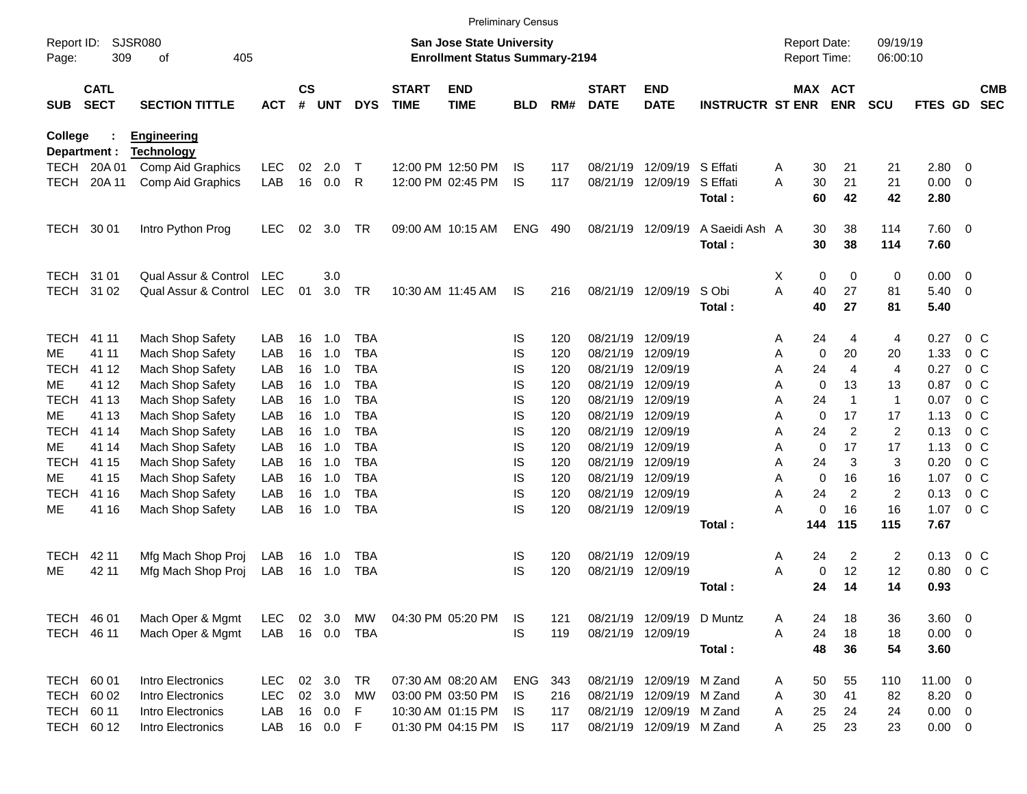|                     |                            |                       |            |                    |            |            |                             |                                                                           | <b>Preliminary Census</b> |     |                             |                           |                         |                     |             |                       |                      |                |                         |                          |
|---------------------|----------------------------|-----------------------|------------|--------------------|------------|------------|-----------------------------|---------------------------------------------------------------------------|---------------------------|-----|-----------------------------|---------------------------|-------------------------|---------------------|-------------|-----------------------|----------------------|----------------|-------------------------|--------------------------|
| Report ID:<br>Page: | 309                        | SJSR080<br>405<br>οf  |            |                    |            |            |                             | <b>San Jose State University</b><br><b>Enrollment Status Summary-2194</b> |                           |     |                             |                           |                         | <b>Report Date:</b> |             | Report Time:          | 09/19/19<br>06:00:10 |                |                         |                          |
| <b>SUB</b>          | <b>CATL</b><br><b>SECT</b> | <b>SECTION TITTLE</b> | <b>ACT</b> | $\mathsf{cs}$<br># | <b>UNT</b> | <b>DYS</b> | <b>START</b><br><b>TIME</b> | <b>END</b><br><b>TIME</b>                                                 | <b>BLD</b>                | RM# | <b>START</b><br><b>DATE</b> | <b>END</b><br><b>DATE</b> | <b>INSTRUCTR ST ENR</b> |                     |             | MAX ACT<br><b>ENR</b> | <b>SCU</b>           | <b>FTES GD</b> |                         | <b>CMB</b><br><b>SEC</b> |
| College             |                            | <b>Engineering</b>    |            |                    |            |            |                             |                                                                           |                           |     |                             |                           |                         |                     |             |                       |                      |                |                         |                          |
| Department :        |                            | <b>Technology</b>     |            |                    |            |            |                             |                                                                           |                           |     |                             |                           |                         |                     |             |                       |                      |                |                         |                          |
| <b>TECH</b>         | 20A 01                     | Comp Aid Graphics     | LEC        | 02                 | 2.0        | Т          |                             | 12:00 PM 12:50 PM                                                         | IS.                       | 117 | 08/21/19                    | 12/09/19                  | S Effati                | A                   | 30          | 21                    | 21                   | 2.80           | - 0                     |                          |
| <b>TECH</b>         | 20A 11                     | Comp Aid Graphics     | LAB        | 16                 | 0.0        | R          |                             | 12:00 PM 02:45 PM                                                         | IS                        | 117 | 08/21/19                    | 12/09/19                  | S Effati<br>Total:      | A                   | 30<br>60    | 21<br>42              | 21<br>42             | 0.00<br>2.80   | $\overline{\mathbf{0}}$ |                          |
| TECH                | 30 01                      | Intro Python Prog     | <b>LEC</b> | 02                 | 3.0        | TR         |                             | 09:00 AM 10:15 AM                                                         | ENG                       | 490 |                             | 08/21/19 12/09/19         | A Saeidi Ash A          |                     | 30          | 38                    | 114                  | 7.60 0         |                         |                          |
|                     |                            |                       |            |                    |            |            |                             |                                                                           |                           |     |                             |                           | Total:                  |                     | 30          | 38                    | 114                  | 7.60           |                         |                          |
| <b>TECH</b>         | 31 01                      | Qual Assur & Control  | <b>LEC</b> |                    | 3.0        |            |                             |                                                                           |                           |     |                             |                           |                         | X                   | 0           | 0                     | 0                    | 0.00           | $\overline{\mathbf{0}}$ |                          |
| <b>TECH</b>         | 31 02                      | Qual Assur & Control  | <b>LEC</b> | 01                 | 3.0        | <b>TR</b>  |                             | 10:30 AM 11:45 AM                                                         | IS.                       | 216 |                             | 08/21/19 12/09/19         | S Obi                   | A                   | 40          | 27                    | 81                   | 5.40           | $\overline{\mathbf{0}}$ |                          |
|                     |                            |                       |            |                    |            |            |                             |                                                                           |                           |     |                             |                           | Total:                  |                     | 40          | 27                    | 81                   | 5.40           |                         |                          |
| <b>TECH</b>         | 41 11                      | Mach Shop Safety      | LAB        | 16                 | 1.0        | <b>TBA</b> |                             |                                                                           | IS                        | 120 | 08/21/19                    | 12/09/19                  |                         | Α                   | 24          | 4                     | 4                    | 0.27           | 0 <sup>C</sup>          |                          |
| ME.                 | 41 11                      | Mach Shop Safety      | LAB        | 16                 | 1.0        | <b>TBA</b> |                             |                                                                           | IS                        | 120 | 08/21/19                    | 12/09/19                  |                         | Α                   | $\mathbf 0$ | 20                    | 20                   | 1.33           | $0\,C$                  |                          |
| <b>TECH</b>         | 41 12                      | Mach Shop Safety      | LAB        | 16                 | 1.0        | <b>TBA</b> |                             |                                                                           | IS                        | 120 | 08/21/19                    | 12/09/19                  |                         | A                   | 24          | $\overline{4}$        | $\overline{4}$       | 0.27           | 0 <sup>C</sup>          |                          |
| ME.                 | 41 12                      | Mach Shop Safety      | LAB        | 16                 | 1.0        | <b>TBA</b> |                             |                                                                           | IS                        | 120 | 08/21/19                    | 12/09/19                  |                         | Α                   | $\mathbf 0$ | 13                    | 13                   | 0.87           | $0\,C$                  |                          |
| <b>TECH</b>         | 41 13                      | Mach Shop Safety      | LAB        | 16                 | 1.0        | <b>TBA</b> |                             |                                                                           | IS                        | 120 | 08/21/19                    | 12/09/19                  |                         | Α                   | 24          | $\overline{1}$        | $\mathbf{1}$         | 0.07           | 0 <sup>C</sup>          |                          |
| ME.                 | 41 13                      | Mach Shop Safety      | LAB        | 16                 | 1.0        | <b>TBA</b> |                             |                                                                           | IS                        | 120 | 08/21/19                    | 12/09/19                  |                         | A                   | $\mathbf 0$ | 17                    | 17                   | 1.13           | $0\,C$                  |                          |
| <b>TECH</b>         | 41 14                      | Mach Shop Safety      | LAB        | 16                 | 1.0        | <b>TBA</b> |                             |                                                                           | IS                        | 120 | 08/21/19                    | 12/09/19                  |                         | A                   | 24          | $\overline{2}$        | 2                    | 0.13           | $0\,C$                  |                          |
| ME.                 | 41 14                      | Mach Shop Safety      | LAB        | 16                 | 1.0        | <b>TBA</b> |                             |                                                                           | IS                        | 120 | 08/21/19                    | 12/09/19                  |                         | Α                   | $\mathbf 0$ | 17                    | 17                   | 1.13           | $0\,C$                  |                          |
| <b>TECH</b>         | 41 15                      | Mach Shop Safety      | LAB        | 16                 | 1.0        | <b>TBA</b> |                             |                                                                           | IS                        | 120 | 08/21/19                    | 12/09/19                  |                         | A                   | 24          | 3                     | 3                    | 0.20           | 0 <sup>C</sup>          |                          |
| ME.                 | 41 15                      | Mach Shop Safety      | LAB        | 16                 | 1.0        | <b>TBA</b> |                             |                                                                           | IS                        | 120 | 08/21/19                    | 12/09/19                  |                         | A                   | $\mathbf 0$ | 16                    | 16                   | 1.07           | 0 <sup>C</sup>          |                          |
| <b>TECH</b>         | 41 16                      | Mach Shop Safety      | LAB        | 16                 | 1.0        | <b>TBA</b> |                             |                                                                           | IS                        | 120 | 08/21/19                    | 12/09/19                  |                         | A                   | 24          | $\overline{c}$        | $\overline{c}$       | 0.13           | 0 <sup>C</sup>          |                          |
| ME                  | 41 16                      | Mach Shop Safety      | LAB        | 16                 | 1.0        | <b>TBA</b> |                             |                                                                           | IS                        | 120 |                             | 08/21/19 12/09/19         |                         | А                   | $\mathbf 0$ | 16                    | 16                   | 1.07           | 0 <sup>C</sup>          |                          |
|                     |                            |                       |            |                    |            |            |                             |                                                                           |                           |     |                             |                           | Total:                  |                     | 144         | 115                   | 115                  | 7.67           |                         |                          |
| <b>TECH</b>         | 42 11                      | Mfg Mach Shop Proj    | LAB        | 16                 | 1.0        | <b>TBA</b> |                             |                                                                           | IS                        | 120 |                             | 08/21/19 12/09/19         |                         | A                   | 24          | $\overline{c}$        | $\overline{c}$       | 0.13           | 0 <sup>C</sup>          |                          |
| ME                  | 42 11                      | Mfg Mach Shop Proj    | LAB        | 16                 | 1.0        | <b>TBA</b> |                             |                                                                           | IS                        | 120 |                             | 08/21/19 12/09/19         |                         | A                   | $\mathbf 0$ | 12                    | 12                   | 0.80           | 0 <sup>C</sup>          |                          |
|                     |                            |                       |            |                    |            |            |                             |                                                                           |                           |     |                             |                           | Total:                  |                     | 24          | 14                    | 14                   | 0.93           |                         |                          |
| TECH 46 01          |                            | Mach Oper & Mgmt      | LEC.       |                    | 02 3.0     | МW         |                             | 04:30 PM 05:20 PM                                                         | IS.                       | 121 |                             | 08/21/19 12/09/19 D Muntz |                         | Α                   | 24          | 18                    | 36                   | 3.60 0         |                         |                          |
| TECH 46 11          |                            | Mach Oper & Mgmt      | LAB        |                    | 16  0.0    | TBA        |                             |                                                                           | IS                        | 119 |                             | 08/21/19 12/09/19         |                         | Α                   | 24          | 18                    | 18                   | $0.00 \t 0$    |                         |                          |
|                     |                            |                       |            |                    |            |            |                             |                                                                           |                           |     |                             |                           | Total:                  |                     | 48          | 36                    | 54                   | 3.60           |                         |                          |
| TECH 60 01          |                            | Intro Electronics     | <b>LEC</b> |                    | 02 3.0     | TR         |                             | 07:30 AM 08:20 AM                                                         | ENG                       | 343 |                             | 08/21/19 12/09/19 M Zand  |                         | A                   | 50          | 55                    | 110                  | 11.00 0        |                         |                          |
| <b>TECH</b>         | 60 02                      | Intro Electronics     | <b>LEC</b> |                    | 02 3.0     | MW         |                             | 03:00 PM 03:50 PM                                                         | IS                        | 216 |                             | 08/21/19 12/09/19 M Zand  |                         | Α                   | 30          | 41                    | 82                   | $8.20 \ 0$     |                         |                          |
| <b>TECH</b>         | 60 11                      | Intro Electronics     | LAB        |                    | 16 0.0     | F          |                             | 10:30 AM 01:15 PM                                                         | IS.                       | 117 |                             | 08/21/19 12/09/19 M Zand  |                         | A                   | 25          | 24                    | 24                   | $0.00 \t 0$    |                         |                          |
| TECH 60 12          |                            | Intro Electronics     | LAB        |                    | 16  0.0  F |            |                             | 01:30 PM 04:15 PM                                                         | IS                        | 117 |                             | 08/21/19 12/09/19 M Zand  |                         | A                   | 25          | 23                    | 23                   | $0.00 \t 0$    |                         |                          |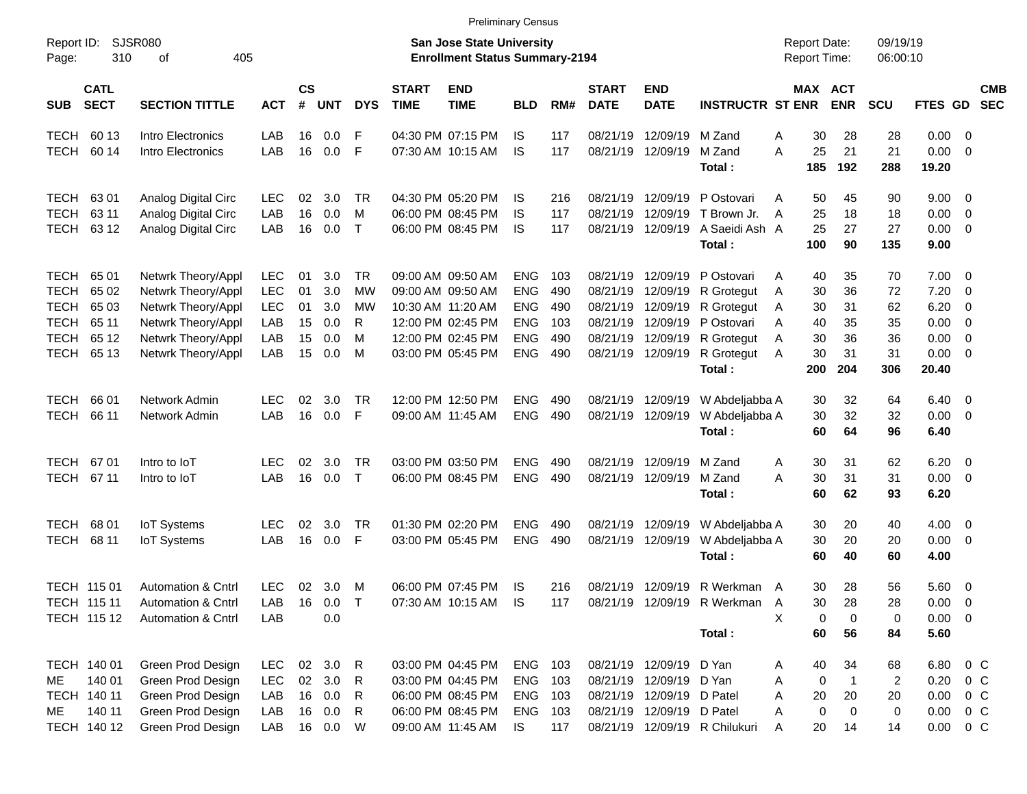|                     |                            |                               |            |                |            |            |                             |                                                                    | <b>Preliminary Census</b> |     |                             |                           |                               |                                     |                       |                      |             |                          |                          |
|---------------------|----------------------------|-------------------------------|------------|----------------|------------|------------|-----------------------------|--------------------------------------------------------------------|---------------------------|-----|-----------------------------|---------------------------|-------------------------------|-------------------------------------|-----------------------|----------------------|-------------|--------------------------|--------------------------|
| Report ID:<br>Page: | 310                        | SJSR080<br>405<br>οf          |            |                |            |            |                             | San Jose State University<br><b>Enrollment Status Summary-2194</b> |                           |     |                             |                           |                               | <b>Report Date:</b><br>Report Time: |                       | 09/19/19<br>06:00:10 |             |                          |                          |
| <b>SUB</b>          | <b>CATL</b><br><b>SECT</b> | <b>SECTION TITTLE</b>         | <b>ACT</b> | <b>CS</b><br># | <b>UNT</b> | <b>DYS</b> | <b>START</b><br><b>TIME</b> | <b>END</b><br><b>TIME</b>                                          | <b>BLD</b>                | RM# | <b>START</b><br><b>DATE</b> | <b>END</b><br><b>DATE</b> | <b>INSTRUCTR ST ENR</b>       |                                     | MAX ACT<br><b>ENR</b> | <b>SCU</b>           | FTES GD     |                          | <b>CMB</b><br><b>SEC</b> |
| <b>TECH</b>         | 60 13                      | Intro Electronics             | LAB        | 16             | 0.0        | F          |                             | 04:30 PM 07:15 PM                                                  | IS                        | 117 |                             | 08/21/19 12/09/19 M Zand  |                               | Α<br>30                             | 28                    | 28                   | 0.00        | - 0                      |                          |
| <b>TECH</b>         | 60 14                      | Intro Electronics             | LAB        | 16             | 0.0        | F          |                             | 07:30 AM 10:15 AM                                                  | IS                        | 117 |                             | 08/21/19 12/09/19         | M Zand                        | A<br>25                             | 21                    | 21                   | 0.00        | - 0                      |                          |
|                     |                            |                               |            |                |            |            |                             |                                                                    |                           |     |                             |                           | Total:                        | 185                                 | 192                   | 288                  | 19.20       |                          |                          |
| <b>TECH</b>         | 63 01                      | Analog Digital Circ           | <b>LEC</b> | 02             | 3.0        | TR         |                             | 04:30 PM 05:20 PM                                                  | IS                        | 216 |                             |                           | 08/21/19 12/09/19 P Ostovari  | 50<br>A                             | 45                    | 90                   | $9.00 \t 0$ |                          |                          |
| <b>TECH</b>         | 63 11                      | Analog Digital Circ           | LAB        | 16             | 0.0        | M          |                             | 06:00 PM 08:45 PM                                                  | IS                        | 117 |                             |                           | 08/21/19 12/09/19 T Brown Jr. | 25<br>A                             | 18                    | 18                   | 0.00        | - 0                      |                          |
| TECH                | 63 12                      | Analog Digital Circ           | LAB        | 16             | 0.0        | $\top$     |                             | 06:00 PM 08:45 PM                                                  | IS                        | 117 |                             | 08/21/19 12/09/19         | A Saeidi Ash A                | 25                                  | 27                    | 27                   | 0.00        | - 0                      |                          |
|                     |                            |                               |            |                |            |            |                             |                                                                    |                           |     |                             |                           | Total:                        | 100                                 | 90                    | 135                  | 9.00        |                          |                          |
| <b>TECH</b>         | 65 01                      | Netwrk Theory/Appl            | <b>LEC</b> | 01             | 3.0        | TR         |                             | 09:00 AM 09:50 AM                                                  | ENG.                      | 103 |                             |                           | 08/21/19 12/09/19 P Ostovari  | 40<br>A                             | 35                    | 70                   | 7.00        | $\overline{\phantom{0}}$ |                          |
| <b>TECH</b>         | 65 02                      | Netwrk Theory/Appl            | LEC        | 01             | 3.0        | <b>MW</b>  |                             | 09:00 AM 09:50 AM                                                  | <b>ENG</b>                | 490 | 08/21/19                    |                           | 12/09/19 R Grotegut           | 30<br>A                             | 36                    | 72                   | 7.20        | - 0                      |                          |
| <b>TECH</b>         | 65 03                      | Netwrk Theory/Appl            | LEC        | 01             | 3.0        | МW         |                             | 10:30 AM 11:20 AM                                                  | <b>ENG</b>                | 490 |                             |                           | 08/21/19 12/09/19 R Grotegut  | 30<br>Α                             | 31                    | 62                   | 6.20        | - 0                      |                          |
| <b>TECH</b>         | 65 11                      | Netwrk Theory/Appl            | LAB        | 15             | 0.0        | R          |                             | 12:00 PM 02:45 PM                                                  | <b>ENG</b>                | 103 |                             |                           | 08/21/19 12/09/19 P Ostovari  | A<br>40                             | 35                    | 35                   | 0.00        | - 0                      |                          |
| <b>TECH</b>         | 65 12                      | Netwrk Theory/Appl            | LAB        | 15             | 0.0        | м          |                             | 12:00 PM 02:45 PM                                                  | <b>ENG</b>                | 490 |                             |                           | 08/21/19 12/09/19 R Grotegut  | 30<br>A                             | 36                    | 36                   | 0.00        | - 0                      |                          |
| TECH                | 65 13                      | Netwrk Theory/Appl            | LAB        | 15             | 0.0        | M          |                             | 03:00 PM 05:45 PM                                                  | <b>ENG</b>                | 490 |                             | 08/21/19 12/09/19         | R Grotegut                    | 30<br>A                             | 31                    | 31                   | 0.00        | - 0                      |                          |
|                     |                            |                               |            |                |            |            |                             |                                                                    |                           |     |                             |                           | Total:                        | 200                                 | 204                   | 306                  | 20.40       |                          |                          |
| <b>TECH</b>         | 66 01                      | Network Admin                 | LEC        | 02             | 3.0        | TR         |                             | 12:00 PM 12:50 PM                                                  | <b>ENG</b>                | 490 |                             | 08/21/19 12/09/19         | W Abdeljabba A                | 30                                  | 32                    | 64                   | 6.40        | $\overline{\phantom{0}}$ |                          |
| <b>TECH</b>         | 66 11                      | Network Admin                 | LAB        | 16             | 0.0        | F          |                             | 09:00 AM 11:45 AM                                                  | <b>ENG</b>                | 490 |                             | 08/21/19 12/09/19         | W Abdeljabba A                | 30                                  | 32                    | 32                   | 0.00        | $\overline{\phantom{0}}$ |                          |
|                     |                            |                               |            |                |            |            |                             |                                                                    |                           |     |                             |                           | Total:                        | 60                                  | 64                    | 96                   | 6.40        |                          |                          |
| TECH                | 6701                       | Intro to IoT                  | LEC        | 02             | 3.0        | <b>TR</b>  |                             | 03:00 PM 03:50 PM                                                  | <b>ENG</b>                | 490 | 08/21/19                    | 12/09/19 M Zand           |                               | 30<br>A                             | 31                    | 62                   | 6.20        | $\overline{\phantom{0}}$ |                          |
| TECH                | 67 11                      | Intro to IoT                  | LAB        | 16             | 0.0        | $\top$     |                             | 06:00 PM 08:45 PM                                                  | <b>ENG</b>                | 490 |                             | 08/21/19 12/09/19         | M Zand                        | A<br>30                             | 31                    | 31                   | 0.00        | $\overline{\phantom{0}}$ |                          |
|                     |                            |                               |            |                |            |            |                             |                                                                    |                           |     |                             |                           | Total:                        | 60                                  | 62                    | 93                   | 6.20        |                          |                          |
| <b>TECH</b>         | 68 01                      | <b>IoT</b> Systems            | LEC.       | 02             | 3.0        | TR         |                             | 01:30 PM 02:20 PM                                                  | ENG.                      | 490 | 08/21/19                    | 12/09/19                  | W Abdeljabba A                | 30                                  | 20                    | 40                   | $4.00 \ 0$  |                          |                          |
| <b>TECH</b>         | 68 11                      | <b>IoT</b> Systems            | LAB        | 16             | 0.0        | F          |                             | 03:00 PM 05:45 PM                                                  | <b>ENG</b>                | 490 | 08/21/19                    | 12/09/19                  | W Abdeljabba A                | 30                                  | 20                    | 20                   | 0.00        | $\overline{\phantom{0}}$ |                          |
|                     |                            |                               |            |                |            |            |                             |                                                                    |                           |     |                             |                           | Total:                        | 60                                  | 40                    | 60                   | 4.00        |                          |                          |
|                     | TECH 115 01                | <b>Automation &amp; Cntrl</b> | <b>LEC</b> | 02             | 3.0        | M          |                             | 06:00 PM 07:45 PM                                                  | IS                        | 216 |                             |                           | 08/21/19 12/09/19 R Werkman A | 30                                  | 28                    | 56                   | 5.60 0      |                          |                          |
|                     | TECH 115 11                | Automation & Cntrl            | LAB        | 16             | $0.0$ T    |            |                             | 07:30 AM 10:15 AM IS                                               |                           | 117 |                             |                           | 08/21/19 12/09/19 R Werkman   | $\mathsf{A}$<br>30                  | 28                    | 28                   | $0.00 \t 0$ |                          |                          |
|                     | TECH 115 12                | Automation & Cntrl            | LAB        |                | 0.0        |            |                             |                                                                    |                           |     |                             |                           |                               | X<br>0                              | 0                     | 0                    | $0.00 \t 0$ |                          |                          |
|                     |                            |                               |            |                |            |            |                             |                                                                    |                           |     |                             |                           | Total:                        | 60                                  | 56                    | 84                   | 5.60        |                          |                          |
|                     | TECH 140 01                | Green Prod Design             | LEC        |                | 02 3.0 R   |            |                             | 03:00 PM 04:45 PM                                                  | ENG 103                   |     |                             | 08/21/19 12/09/19 D Yan   |                               | 40<br>A                             | 34                    | 68                   |             | 6.80 0 C                 |                          |
| ME                  | 140 01                     | Green Prod Design             | LEC        |                | 02 3.0 R   |            |                             | 03:00 PM 04:45 PM                                                  | ENG 103                   |     |                             | 08/21/19 12/09/19 D Yan   |                               | $\mathbf 0$<br>Α                    | $\mathbf{1}$          | $\overline{c}$       | 0.20        | $0\,$ C                  |                          |
|                     | TECH 140 11                | Green Prod Design             | LAB        |                | 16  0.0  R |            |                             | 06:00 PM 08:45 PM                                                  | ENG 103                   |     |                             | 08/21/19 12/09/19 D Patel |                               | 20<br>A                             | 20                    | 20                   | 0.00        | 0 C                      |                          |
| ME                  | 140 11                     | Green Prod Design             | LAB        |                | 16 0.0     | R          |                             | 06:00 PM 08:45 PM                                                  | ENG 103                   |     |                             | 08/21/19 12/09/19 D Patel |                               | 0<br>A                              | 0                     | 0                    | 0.00        | 0 C                      |                          |
|                     | TECH 140 12                | Green Prod Design             | LAB        |                | 16 0.0     | W          |                             | 09:00 AM 11:45 AM                                                  | IS.                       | 117 |                             |                           | 08/21/19 12/09/19 R Chilukuri | 20<br>Α                             | 14                    | 14                   |             | $0.00 \t 0 C$            |                          |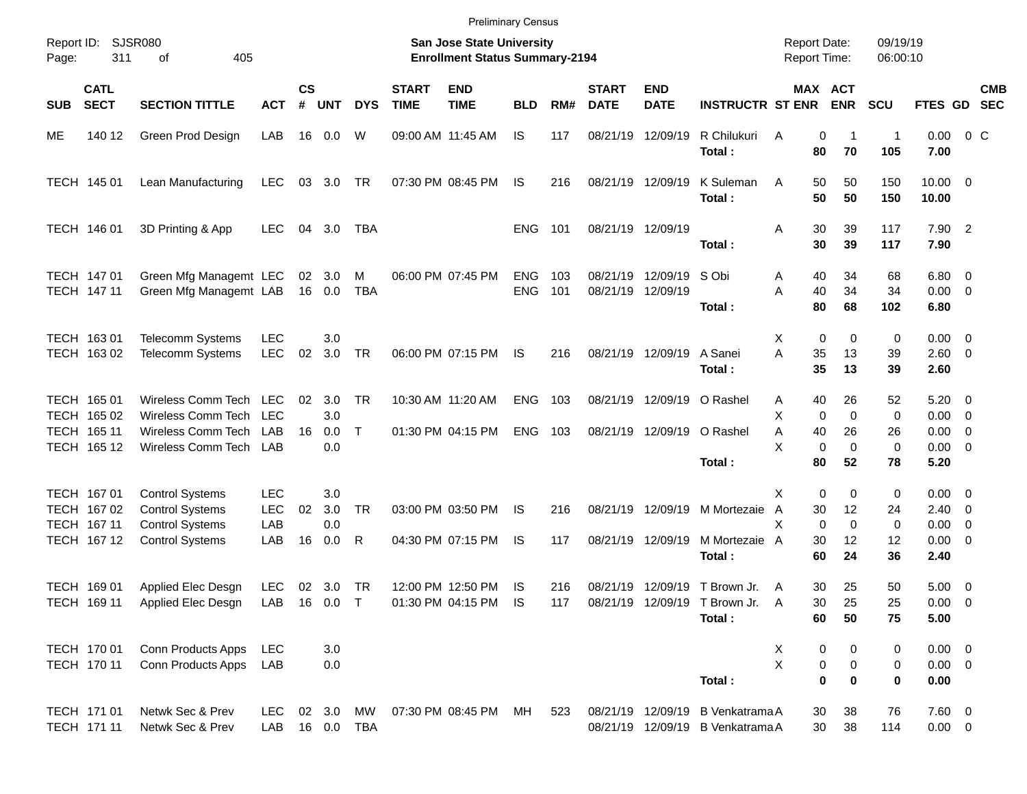|                     |                                           |                                                                            |                                 |                |                   |                           |                             |                                                                           | <b>Preliminary Census</b> |            |                             |                                                          |                                                                      |                                            |                                   |                      |                                          |            |
|---------------------|-------------------------------------------|----------------------------------------------------------------------------|---------------------------------|----------------|-------------------|---------------------------|-----------------------------|---------------------------------------------------------------------------|---------------------------|------------|-----------------------------|----------------------------------------------------------|----------------------------------------------------------------------|--------------------------------------------|-----------------------------------|----------------------|------------------------------------------|------------|
| Report ID:<br>Page: | 311                                       | SJSR080<br>405<br>οf                                                       |                                 |                |                   |                           |                             | <b>San Jose State University</b><br><b>Enrollment Status Summary-2194</b> |                           |            |                             |                                                          |                                                                      | <b>Report Date:</b><br><b>Report Time:</b> |                                   | 09/19/19<br>06:00:10 |                                          |            |
| <b>SUB</b>          | <b>CATL</b><br><b>SECT</b>                | <b>SECTION TITTLE</b>                                                      | <b>ACT</b>                      | <b>CS</b><br># | <b>UNT</b>        | <b>DYS</b>                | <b>START</b><br><b>TIME</b> | <b>END</b><br><b>TIME</b>                                                 | <b>BLD</b>                | RM#        | <b>START</b><br><b>DATE</b> | <b>END</b><br><b>DATE</b>                                | <b>INSTRUCTR ST ENR</b>                                              |                                            | <b>MAX ACT</b><br><b>ENR</b>      | <b>SCU</b>           | FTES GD SEC                              | <b>CMB</b> |
| ME                  | 140 12                                    | Green Prod Design                                                          | LAB                             | 16             | 0.0               | W                         |                             | 09:00 AM 11:45 AM                                                         | IS.                       | 117        | 08/21/19                    | 12/09/19                                                 | R Chilukuri<br>Total:                                                | A<br>80                                    | 0<br>-1<br>70                     | 1<br>105             | $0.00 \t 0 C$<br>7.00                    |            |
|                     | TECH 145 01                               | Lean Manufacturing                                                         | LEC                             |                | 03 3.0            | TR                        |                             | 07:30 PM 08:45 PM                                                         | IS                        | 216        |                             | 08/21/19 12/09/19                                        | K Suleman<br>Total:                                                  | 50<br>A<br>50                              | 50<br>50                          | 150<br>150           | $10.00 \t 0$<br>10.00                    |            |
|                     | TECH 146 01                               | 3D Printing & App                                                          | <b>LEC</b>                      | 04             | 3.0               | TBA                       |                             |                                                                           | <b>ENG</b>                | 101        |                             | 08/21/19 12/09/19                                        | Total:                                                               | 30<br>Α<br>30                              | 39<br>39                          | 117<br>117           | 7.90 2<br>7.90                           |            |
|                     | TECH 147 01<br>TECH 147 11                | Green Mfg Managemt LEC<br>Green Mfg Managemt LAB                           |                                 |                | 02 3.0<br>16 0.0  | M<br><b>TBA</b>           |                             | 06:00 PM 07:45 PM                                                         | <b>ENG</b><br><b>ENG</b>  | 103<br>101 | 08/21/19                    | 12/09/19 S Obi<br>08/21/19 12/09/19                      | Total:                                                               | 40<br>A<br>40<br>A<br>80                   | 34<br>34<br>68                    | 68<br>34<br>102      | $6.80$ 0<br>$0.00 \t 0$<br>6.80          |            |
|                     | TECH 163 01<br>TECH 163 02                | Telecomm Systems<br><b>Telecomm Systems</b>                                | <b>LEC</b><br>LEC               | 02             | 3.0<br>3.0        | TR                        |                             | 06:00 PM 07:15 PM                                                         | IS.                       | 216        |                             | 08/21/19 12/09/19                                        | A Sanei<br>Total:                                                    | 0<br>Х<br>A<br>35<br>35                    | 0<br>13<br>13                     | 0<br>39<br>39        | $0.00 \t 0$<br>2.60 0<br>2.60            |            |
|                     | TECH 165 01<br>TECH 165 02<br>TECH 165 11 | Wireless Comm Tech<br>Wireless Comm Tech<br>Wireless Comm Tech             | <b>LEC</b><br><b>LEC</b><br>LAB | 02<br>16       | 3.0<br>3.0<br>0.0 | <b>TR</b><br>$\mathsf{T}$ |                             | 10:30 AM 11:20 AM<br>01:30 PM 04:15 PM                                    | <b>ENG</b><br><b>ENG</b>  | 103<br>103 |                             | 08/21/19 12/09/19 O Rashel<br>08/21/19 12/09/19 O Rashel |                                                                      | 40<br>A<br>X<br>$\mathbf 0$<br>Α<br>40     | 26<br>0<br>26                     | 52<br>0<br>26        | $5.20 \ 0$<br>$0.00 \t 0$<br>$0.00 \t 0$ |            |
|                     | TECH 165 12                               | Wireless Comm Tech                                                         | LAB                             |                | 0.0               |                           |                             |                                                                           |                           |            |                             |                                                          | Total:                                                               | X<br>$\mathbf 0$<br>80                     | $\mathbf 0$<br>52                 | $\mathbf 0$<br>78    | $0.00 \t 0$<br>5.20                      |            |
|                     | TECH 167 01<br>TECH 167 02<br>TECH 167 11 | <b>Control Systems</b><br><b>Control Systems</b><br><b>Control Systems</b> | <b>LEC</b><br>LEC<br>LAB        | 02             | 3.0<br>3.0<br>0.0 | <b>TR</b>                 |                             | 03:00 PM 03:50 PM                                                         | IS                        | 216        |                             | 08/21/19 12/09/19                                        | M Mortezaie                                                          | 0<br>х<br>30<br>A<br>X<br>$\mathbf 0$      | 0<br>12<br>0                      | 0<br>24<br>0         | $0.00 \t 0$<br>$2.40 \ 0$<br>$0.00 \t 0$ |            |
|                     | TECH 167 12                               | <b>Control Systems</b>                                                     | LAB                             | 16             | 0.0               | R                         |                             | 04:30 PM 07:15 PM                                                         | IS                        | 117        |                             | 08/21/19 12/09/19                                        | M Mortezaie<br>Total:                                                | 30<br>A<br>60                              | 12<br>24                          | 12<br>36             | $0.00 \t 0$<br>2.40                      |            |
|                     | TECH 169 01<br>TECH 16911                 | Applied Elec Desgn<br>Applied Elec Desgn                                   | LEC<br>LAB 16 0.0 T             |                | 02 3.0 TR         |                           |                             | 12:00 PM 12:50 PM<br>01:30 PM 04:15 PM IS                                 | IS                        | 216<br>117 |                             | 08/21/19 12/09/19                                        | 08/21/19 12/09/19 T Brown Jr.<br>T Brown Jr.<br>Total:               | 30<br>A<br>A<br>30<br>60                   | 25<br>25<br>50                    | 50<br>25<br>75       | $5.00 \t 0$<br>$0.00 \ 0$<br>5.00        |            |
|                     | TECH 170 01<br>TECH 170 11                | Conn Products Apps<br>Conn Products Apps                                   | <b>LEC</b><br>LAB               |                | 3.0<br>0.0        |                           |                             |                                                                           |                           |            |                             |                                                          | Total:                                                               | X<br>X                                     | 0<br>0<br>0<br>0<br>$\bf{0}$<br>0 | 0<br>0<br>0          | $0.00 \t 0$<br>$0.00 \t 0$<br>0.00       |            |
|                     | TECH 171 01<br>TECH 171 11                | Netwk Sec & Prev<br>Netwk Sec & Prev                                       | <b>LEC</b><br>LAB               |                |                   | 02 3.0 MW<br>16  0.0  TBA |                             | 07:30 PM 08:45 PM                                                         | MH                        | 523        |                             |                                                          | 08/21/19 12/09/19 B Venkatrama A<br>08/21/19 12/09/19 B Venkatrama A | 30<br>30                                   | 38<br>38                          | 76<br>114            | $7.60$ 0<br>$0.00 \t 0$                  |            |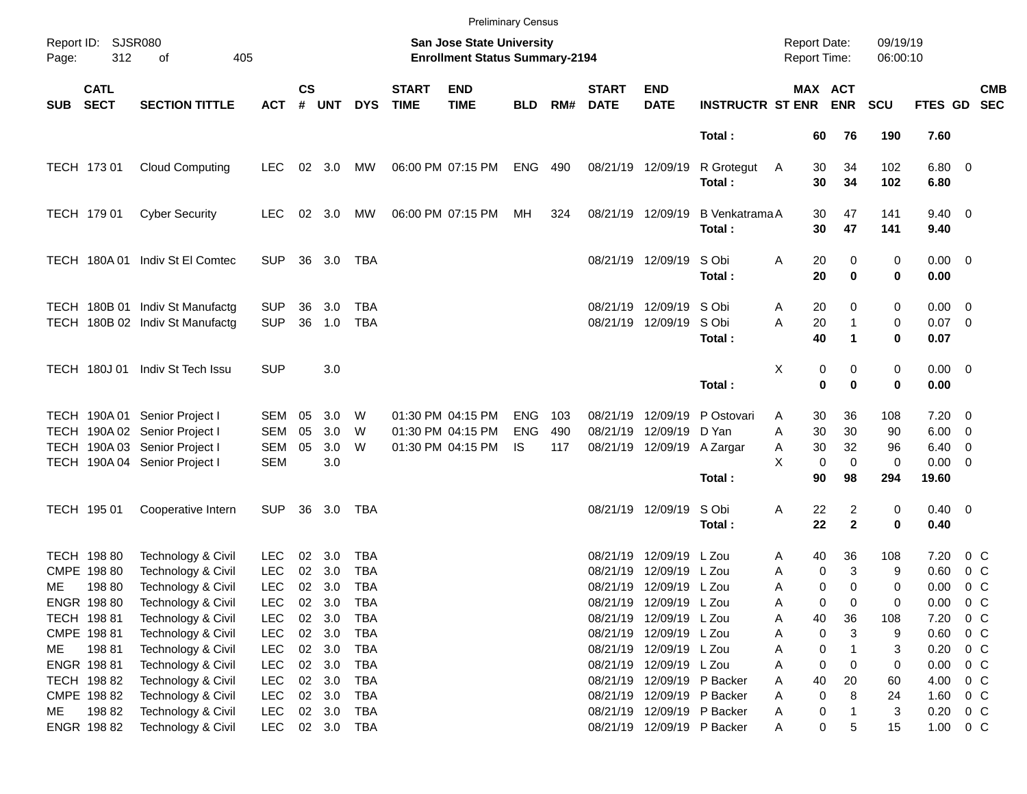|       |                                                                   |                                                                                                                                  |                                                      |                    |                                          |                                 |                             | <b>Preliminary Census</b>                                          |                                 |                   |                             |                                                                                        |                                 |                                                   |                                           |                      |                                                                |                               |            |
|-------|-------------------------------------------------------------------|----------------------------------------------------------------------------------------------------------------------------------|------------------------------------------------------|--------------------|------------------------------------------|---------------------------------|-----------------------------|--------------------------------------------------------------------|---------------------------------|-------------------|-----------------------------|----------------------------------------------------------------------------------------|---------------------------------|---------------------------------------------------|-------------------------------------------|----------------------|----------------------------------------------------------------|-------------------------------|------------|
| Page: | Report ID: SJSR080<br>312                                         | 405<br>οf                                                                                                                        |                                                      |                    |                                          |                                 |                             | San Jose State University<br><b>Enrollment Status Summary-2194</b> |                                 |                   |                             |                                                                                        |                                 | <b>Report Date:</b><br><b>Report Time:</b>        |                                           | 09/19/19<br>06:00:10 |                                                                |                               |            |
| SUB   | <b>CATL</b><br><b>SECT</b><br><b>SECTION TITTLE</b><br><b>ACT</b> |                                                                                                                                  |                                                      | $\mathsf{cs}$<br># | <b>UNT</b>                               | <b>DYS</b>                      | <b>START</b><br><b>TIME</b> | <b>END</b><br><b>TIME</b>                                          | <b>BLD</b>                      | RM#               | <b>START</b><br><b>DATE</b> | <b>END</b><br><b>DATE</b>                                                              | <b>INSTRUCTR ST ENR</b>         |                                                   | MAX ACT<br><b>ENR</b>                     | <b>SCU</b>           | FTES GD SEC                                                    |                               | <b>CMB</b> |
|       |                                                                   |                                                                                                                                  |                                                      |                    |                                          |                                 |                             |                                                                    |                                 |                   |                             |                                                                                        | Total:                          | 60                                                | 76                                        | 190                  | 7.60                                                           |                               |            |
|       | TECH 173 01                                                       | <b>Cloud Computing</b>                                                                                                           | <b>LEC</b>                                           |                    | $02 \quad 3.0$                           | MW                              |                             | 06:00 PM 07:15 PM                                                  | <b>ENG</b>                      | 490               | 08/21/19 12/09/19           |                                                                                        | R Grotegut<br>Total:            | 30<br>A<br>30                                     | 34<br>34                                  | 102<br>102           | $6.80$ 0<br>6.80                                               |                               |            |
|       | TECH 179 01                                                       | <b>Cyber Security</b>                                                                                                            | <b>LEC</b>                                           |                    | 02 3.0                                   | MW                              |                             | 06:00 PM 07:15 PM                                                  | МH                              | 324               | 08/21/19 12/09/19           |                                                                                        | <b>B</b> Venkatrama A<br>Total: | 30<br>30                                          | 47<br>47                                  | 141<br>141           | $9.40 \quad 0$<br>9.40                                         |                               |            |
|       |                                                                   | TECH 180A 01 Indiv St El Comtec                                                                                                  | <b>SUP</b>                                           | 36                 | 3.0                                      | TBA                             |                             |                                                                    |                                 |                   |                             | 08/21/19 12/09/19                                                                      | S Obi<br>Total:                 | Α<br>20<br>20                                     | 0<br>0                                    | 0<br>0               | $0.00 \t 0$<br>0.00                                            |                               |            |
|       |                                                                   | TECH 180B 01 Indiv St Manufactg<br>TECH 180B 02 Indiv St Manufactg                                                               | <b>SUP</b><br><b>SUP</b>                             | 36<br>36           | 3.0<br>1.0                               | TBA<br><b>TBA</b>               |                             |                                                                    |                                 |                   | 08/21/19                    | 12/09/19<br>08/21/19 12/09/19                                                          | S Obi<br>S Obi<br>Total:        | 20<br>A<br>A<br>20<br>40                          | 0<br>$\mathbf{1}$<br>$\blacktriangleleft$ | 0<br>0<br>0          | $0.00 \t 0$<br>$0.07$ 0<br>0.07                                |                               |            |
|       | <b>TECH 180J01</b>                                                | Indiv St Tech Issu                                                                                                               | <b>SUP</b>                                           |                    | 3.0                                      |                                 |                             |                                                                    |                                 |                   |                             |                                                                                        | Total:                          | X                                                 | 0<br>0<br>$\mathbf 0$<br>$\bf{0}$         | 0<br>0               | $0.00 \t 0$<br>0.00                                            |                               |            |
|       |                                                                   | TECH 190A 01 Senior Project I<br>TECH 190A 02 Senior Project I<br>TECH 190A 03 Senior Project I<br>TECH 190A 04 Senior Project I | SEM<br><b>SEM</b><br>SEM<br><b>SEM</b>               | 05<br>05<br>05     | 3.0<br>3.0<br>3.0<br>3.0                 | W<br>W<br>W                     |                             | 01:30 PM 04:15 PM<br>01:30 PM 04:15 PM<br>01:30 PM 04:15 PM        | <b>ENG</b><br><b>ENG</b><br>IS. | 103<br>490<br>117 | 08/21/19<br>08/21/19        | 12/09/19<br>12/09/19<br>08/21/19 12/09/19 A Zargar                                     | P Ostovari<br>D Yan             | 30<br>A<br>A<br>30<br>30<br>A<br>X<br>$\mathbf 0$ | 36<br>30<br>32<br>$\mathbf 0$             | 108<br>90<br>96<br>0 | $7.20 \t 0$<br>$6.00 \quad 0$<br>$6.40 \quad 0$<br>$0.00 \t 0$ |                               |            |
|       | TECH 195 01                                                       | Cooperative Intern                                                                                                               | <b>SUP</b>                                           | 36                 | 3.0                                      | TBA                             |                             |                                                                    |                                 |                   |                             | 08/21/19 12/09/19                                                                      | Total:<br>S Obi<br>Total:       | 90<br>22<br>Α<br>22                               | 98<br>2<br>$\mathbf{2}$                   | 294<br>0<br>0        | 19.60<br>$0.40 \quad 0$<br>0.40                                |                               |            |
|       | TECH 198 80<br>CMPE 198 80                                        | Technology & Civil<br>Technology & Civil                                                                                         | <b>LEC</b><br><b>LEC</b>                             | 02<br>02           | 3.0<br>3.0                               | TBA<br><b>TBA</b>               |                             |                                                                    |                                 |                   | 08/21/19<br>08/21/19        | 12/09/19<br>12/09/19                                                                   | L Zou<br>L Zou                  | 40<br>A<br>Α                                      | 36<br>3<br>0                              | 108<br>9             | 7.20<br>0.60                                                   | 0 C<br>0 <sup>o</sup>         |            |
| ME    | 198 80<br>ENGR 198 80<br>TECH 198 81                              | Technology & Civil<br>Technology & Civil<br>Technology & Civil                                                                   | <b>LEC</b><br><b>LEC</b><br><b>LEC</b>               | $02\,$<br>$02\,$   | 02 3.0<br>3.0<br>3.0                     | TBA<br>TBA<br>TBA               |                             |                                                                    |                                 |                   |                             | 08/21/19 12/09/19 L Zou<br>08/21/19 12/09/19 L Zou<br>08/21/19 12/09/19 L Zou          |                                 | Α<br>A<br>40<br>Α                                 | 0<br>$\Omega$<br>0<br>0<br>36             | 0<br>0<br>108        | 0.00<br>0.00<br>7.20                                           | 0 <sup>o</sup><br>0 C<br>0 C  |            |
| ME    | CMPE 198 81<br>19881<br>ENGR 198 81                               | Technology & Civil<br>Technology & Civil<br>Technology & Civil                                                                   | <b>LEC</b><br><b>LEC</b><br><b>LEC</b>               |                    | 02 3.0<br>02 3.0<br>02 3.0               | <b>TBA</b><br>TBA<br><b>TBA</b> |                             |                                                                    |                                 |                   |                             | 08/21/19 12/09/19 L Zou<br>08/21/19 12/09/19 L Zou<br>08/21/19 12/09/19 L Zou          |                                 | Α<br>А<br>Α                                       | 0<br>3<br>0<br>0<br>0                     | 9<br>3<br>0          | 0.60<br>0.20<br>0.00                                           | $0\,$ C<br>$0\,$ C<br>0 C     |            |
| ME    | TECH 198 82<br>CMPE 198 82<br>19882<br>ENGR 198 82                | Technology & Civil<br>Technology & Civil<br>Technology & Civil<br>Technology & Civil                                             | <b>LEC</b><br><b>LEC</b><br><b>LEC</b><br><b>LEC</b> |                    | 02 3.0<br>02 3.0<br>02 3.0<br>02 3.0 TBA | TBA<br>TBA<br><b>TBA</b>        |                             |                                                                    |                                 |                   | 08/21/19                    | 08/21/19 12/09/19 P Backer<br>08/21/19 12/09/19 P Backer<br>08/21/19 12/09/19 P Backer | 12/09/19 P Backer               | 40<br>Α<br>Α<br>Α<br>Α                            | 20<br>0<br>8<br>0<br>0<br>5               | 60<br>24<br>3<br>15  | 4.00<br>1.60<br>0.20<br>1.00 0 C                               | $0\,$ C<br>$0\,$ C<br>$0\,$ C |            |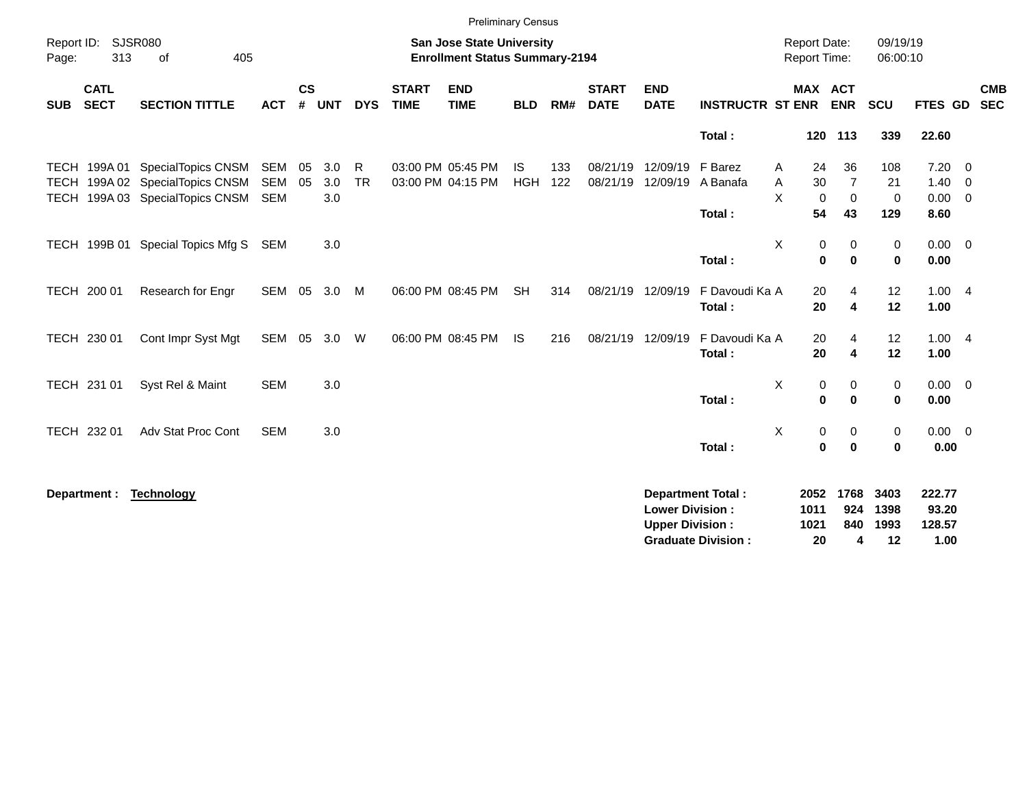|                                          |                                                                                                          |                                 |                    |                   |                |                             | <b>Preliminary Census</b>              |                         |            |                             |                                                  |                                                       |                                              |                                           |                                 |                                     |                                           |
|------------------------------------------|----------------------------------------------------------------------------------------------------------|---------------------------------|--------------------|-------------------|----------------|-----------------------------|----------------------------------------|-------------------------|------------|-----------------------------|--------------------------------------------------|-------------------------------------------------------|----------------------------------------------|-------------------------------------------|---------------------------------|-------------------------------------|-------------------------------------------|
| Report ID:<br>Page:                      | SJSR080<br><b>San Jose State University</b><br>313<br>405<br><b>Enrollment Status Summary-2194</b><br>of |                                 |                    |                   |                |                             |                                        |                         |            |                             |                                                  |                                                       | <b>Report Date:</b><br>Report Time:          |                                           | 09/19/19<br>06:00:10            |                                     |                                           |
| <b>CATL</b><br><b>SECT</b><br><b>SUB</b> | <b>SECTION TITTLE</b>                                                                                    | <b>ACT</b>                      | $\mathsf{cs}$<br># | <b>UNT</b>        | <b>DYS</b>     | <b>START</b><br><b>TIME</b> | <b>END</b><br><b>TIME</b>              | <b>BLD</b>              | RM#        | <b>START</b><br><b>DATE</b> | <b>END</b><br><b>DATE</b>                        | <b>INSTRUCTR ST ENR</b>                               | <b>MAX ACT</b>                               | <b>ENR</b>                                | SCU                             | <b>FTES GD</b>                      | <b>CMB</b><br><b>SEC</b>                  |
|                                          |                                                                                                          |                                 |                    |                   |                |                             |                                        |                         |            |                             |                                                  | Total:                                                |                                              | 120 113                                   | 339                             | 22.60                               |                                           |
|                                          | TECH 199A 01 SpecialTopics CNSM<br>TECH 199A 02 SpecialTopics CNSM<br>TECH 199A 03 SpecialTopics CNSM    | SEM<br><b>SEM</b><br><b>SEM</b> | 05<br>05           | 3.0<br>3.0<br>3.0 | R<br><b>TR</b> |                             | 03:00 PM 05:45 PM<br>03:00 PM 04:15 PM | <b>IS</b><br><b>HGH</b> | 133<br>122 | 08/21/19                    | 08/21/19 12/09/19<br>12/09/19                    | F Barez<br>A Banafa<br>Total:                         | 24<br>A<br>30<br>Α<br>X<br>$\mathbf 0$<br>54 | 36<br>$\overline{7}$<br>$\mathbf 0$<br>43 | 108<br>21<br>$\mathbf 0$<br>129 | $7.20 \t 0$<br>1.40<br>0.00<br>8.60 | $\overline{0}$<br>$\overline{\mathbf{0}}$ |
| TECH 199B 01                             | Special Topics Mfg S                                                                                     | SEM                             |                    | 3.0               |                |                             |                                        |                         |            |                             |                                                  | Total:                                                | X<br>0<br>$\mathbf 0$                        | 0<br>$\bf{0}$                             | 0<br>$\mathbf 0$                | $0.00 \t 0$<br>0.00                 |                                           |
| TECH 200 01                              | Research for Engr                                                                                        | SEM                             | 05                 | 3.0               | M              |                             | 06:00 PM 08:45 PM                      | <b>SH</b>               | 314        |                             | 08/21/19 12/09/19                                | F Davoudi Ka A<br>Total:                              | 20<br>20                                     | 4<br>4                                    | 12<br>12                        | 1.004<br>1.00                       |                                           |
| TECH 230 01                              | Cont Impr Syst Mgt                                                                                       | SEM                             | 05                 | 3.0               | W              |                             | 06:00 PM 08:45 PM                      | IS.                     | 216        |                             | 08/21/19 12/09/19                                | F Davoudi Ka A<br>Total:                              | 20<br>20                                     | 4<br>4                                    | 12<br>12                        | 1.004<br>1.00                       |                                           |
| TECH 231 01                              | Syst Rel & Maint                                                                                         | <b>SEM</b>                      |                    | 3.0               |                |                             |                                        |                         |            |                             |                                                  | Total:                                                | X<br>0<br>$\bf{0}$                           | 0<br>$\bf{0}$                             | 0<br>$\mathbf{0}$               | $0.00 \t 0$<br>0.00                 |                                           |
| TECH 232 01                              | Adv Stat Proc Cont                                                                                       | <b>SEM</b>                      |                    | 3.0               |                |                             |                                        |                         |            |                             |                                                  | Total:                                                | X<br>0<br>$\mathbf 0$                        | 0<br>$\bf{0}$                             | 0<br>0                          | $0.00 \quad 0$<br>0.00              |                                           |
| Department :                             | <b>Technology</b>                                                                                        |                                 |                    |                   |                |                             |                                        |                         |            |                             | <b>Lower Division:</b><br><b>Upper Division:</b> | <b>Department Total:</b><br><b>Graduate Division:</b> | 2052<br>1011<br>1021<br>20                   | 1768<br>924<br>840<br>4                   | 3403<br>1398<br>1993<br>12      | 222.77<br>93.20<br>128.57<br>1.00   |                                           |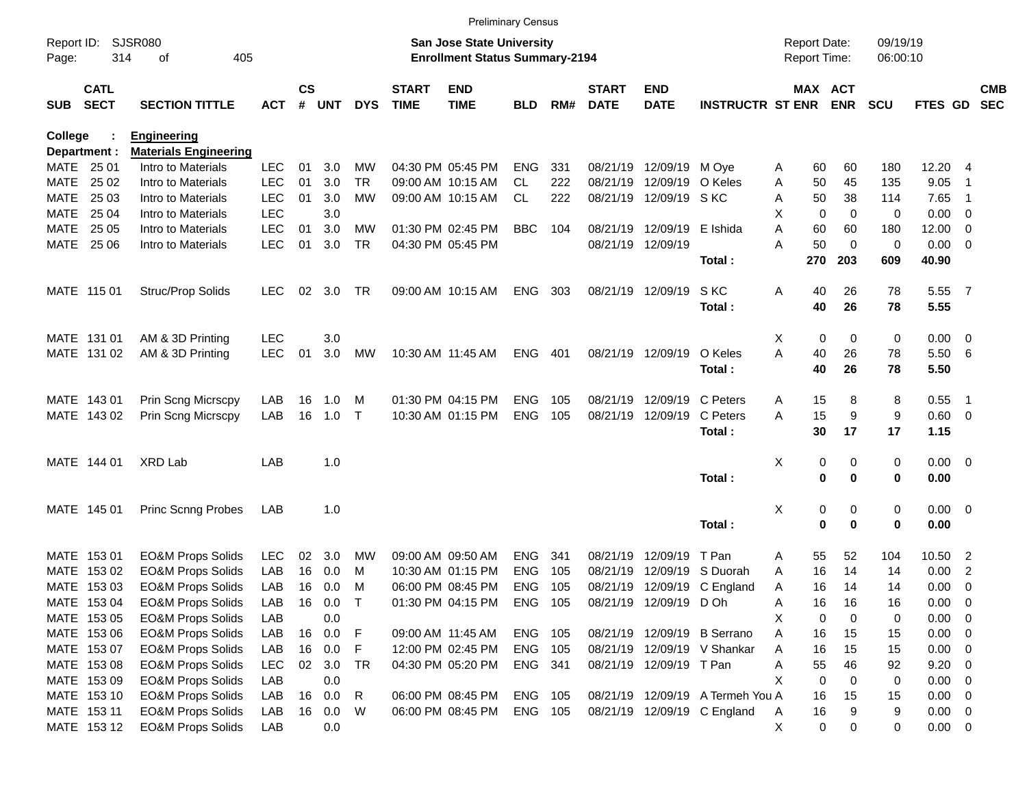|                     |                            |                              |            |               |        |            |                             | <b>Preliminary Census</b>                                                 |            |     |                             |                           |                                  |                                     |             |                       |                      |                |                            |                          |
|---------------------|----------------------------|------------------------------|------------|---------------|--------|------------|-----------------------------|---------------------------------------------------------------------------|------------|-----|-----------------------------|---------------------------|----------------------------------|-------------------------------------|-------------|-----------------------|----------------------|----------------|----------------------------|--------------------------|
| Report ID:<br>Page: | 314                        | SJSR080<br>405<br>οf         |            |               |        |            |                             | <b>San Jose State University</b><br><b>Enrollment Status Summary-2194</b> |            |     |                             |                           |                                  | <b>Report Date:</b><br>Report Time: |             |                       | 09/19/19<br>06:00:10 |                |                            |                          |
| <b>SUB</b>          | <b>CATL</b><br><b>SECT</b> | <b>SECTION TITTLE</b>        | <b>ACT</b> | $\mathsf{cs}$ | # UNT  | <b>DYS</b> | <b>START</b><br><b>TIME</b> | <b>END</b><br><b>TIME</b>                                                 | <b>BLD</b> | RM# | <b>START</b><br><b>DATE</b> | <b>END</b><br><b>DATE</b> | <b>INSTRUCTR ST ENR</b>          |                                     |             | MAX ACT<br><b>ENR</b> | <b>SCU</b>           | <b>FTES GD</b> |                            | <b>CMB</b><br><b>SEC</b> |
| <b>College</b>      |                            | <b>Engineering</b>           |            |               |        |            |                             |                                                                           |            |     |                             |                           |                                  |                                     |             |                       |                      |                |                            |                          |
|                     | Department :               | <b>Materials Engineering</b> |            |               |        |            |                             |                                                                           |            |     |                             |                           |                                  |                                     |             |                       |                      |                |                            |                          |
| MATE 25 01          |                            | Intro to Materials           | <b>LEC</b> | 01            | 3.0    | МW         |                             | 04:30 PM 05:45 PM                                                         | <b>ENG</b> | 331 | 08/21/19                    | 12/09/19                  | M Oye                            | A                                   | 60          | 60                    | 180                  | 12.20          | - 4                        |                          |
| MATE                | 25 02                      | Intro to Materials           | <b>LEC</b> | 01            | 3.0    | <b>TR</b>  |                             | 09:00 AM 10:15 AM                                                         | <b>CL</b>  | 222 | 08/21/19                    | 12/09/19                  | O Keles                          | Α                                   | 50          | 45                    | 135                  | 9.05           | -1                         |                          |
| MATE                | 25 03                      | Intro to Materials           | <b>LEC</b> | 01            | 3.0    | <b>MW</b>  |                             | 09:00 AM 10:15 AM                                                         | CL.        | 222 | 08/21/19                    | 12/09/19 SKC              |                                  | A                                   | 50          | 38                    | 114                  | 7.65           | $\overline{\phantom{0}}$ 1 |                          |
| MATE                | 25 04                      | Intro to Materials           | <b>LEC</b> |               | 3.0    |            |                             |                                                                           |            |     |                             |                           |                                  | X                                   | 0           | $\mathbf 0$           | $\mathbf 0$          | 0.00           | - 0                        |                          |
| MATE                | 25 05                      | Intro to Materials           | <b>LEC</b> | 01            | 3.0    | МW         |                             | 01:30 PM 02:45 PM                                                         | <b>BBC</b> | 104 | 08/21/19                    | 12/09/19                  | E Ishida                         | A                                   | 60          | 60                    | 180                  | 12.00          | 0                          |                          |
|                     | MATE 25 06                 | Intro to Materials           | <b>LEC</b> | 01            | 3.0    | <b>TR</b>  |                             | 04:30 PM 05:45 PM                                                         |            |     |                             | 08/21/19 12/09/19         | Total:                           | А                                   | 50<br>270   | $\mathbf 0$<br>203    | $\mathbf 0$<br>609   | 0.00<br>40.90  | - 0                        |                          |
|                     | MATE 115 01                | Struc/Prop Solids            | <b>LEC</b> | 02            | 3.0    | TR         |                             | 09:00 AM 10:15 AM                                                         | <b>ENG</b> | 303 |                             | 08/21/19 12/09/19         | S KC                             | Α                                   | 40          | 26                    | 78                   | 5.55 7         |                            |                          |
|                     |                            |                              |            |               |        |            |                             |                                                                           |            |     |                             |                           | Total:                           |                                     | 40          | 26                    | 78                   | 5.55           |                            |                          |
|                     | MATE 131 01                | AM & 3D Printing             | LEC        |               | 3.0    |            |                             |                                                                           |            |     |                             |                           |                                  | X                                   | 0           | 0                     | 0                    | 0.00           | $\overline{\phantom{0}}$   |                          |
|                     | MATE 131 02                | AM & 3D Printing             | <b>LEC</b> | 01            | 3.0    | MW         |                             | 10:30 AM 11:45 AM                                                         | <b>ENG</b> | 401 |                             | 08/21/19 12/09/19         | O Keles                          | A                                   | 40          | 26                    | 78                   | 5.50           | - 6                        |                          |
|                     |                            |                              |            |               |        |            |                             |                                                                           |            |     |                             |                           | Total:                           |                                     | 40          | 26                    | 78                   | 5.50           |                            |                          |
|                     | MATE 143 01                | Prin Scng Micrscpy           | LAB        | 16            | 1.0    | M          |                             | 01:30 PM 04:15 PM                                                         | <b>ENG</b> | 105 | 08/21/19                    | 12/09/19                  | C Peters                         | A                                   | 15          | 8                     | 8                    | 0.55           | - 1                        |                          |
|                     | MATE 143 02                | <b>Prin Scng Micrscpy</b>    | LAB        | 16            | 1.0    | $\top$     |                             | 10:30 AM 01:15 PM                                                         | <b>ENG</b> | 105 | 08/21/19                    | 12/09/19                  | C Peters                         | A                                   | 15          | 9                     | 9                    | 0.60 0         |                            |                          |
|                     |                            |                              |            |               |        |            |                             |                                                                           |            |     |                             |                           | Total:                           |                                     | 30          | 17                    | 17                   | 1.15           |                            |                          |
|                     | MATE 144 01                | <b>XRD Lab</b>               | LAB        |               | 1.0    |            |                             |                                                                           |            |     |                             |                           |                                  | X                                   | 0           | 0                     | 0                    | $0.00 \t 0$    |                            |                          |
|                     |                            |                              |            |               |        |            |                             |                                                                           |            |     |                             |                           | Total:                           |                                     | 0           | $\mathbf 0$           | 0                    | 0.00           |                            |                          |
|                     | MATE 145 01                | <b>Princ Scnng Probes</b>    | LAB        |               | 1.0    |            |                             |                                                                           |            |     |                             |                           |                                  | X                                   | 0           | 0                     | 0                    | $0.00 \t 0$    |                            |                          |
|                     |                            |                              |            |               |        |            |                             |                                                                           |            |     |                             |                           | Total:                           |                                     | 0           | $\bf{0}$              | 0                    | 0.00           |                            |                          |
|                     | MATE 153 01                | <b>EO&amp;M Props Solids</b> | <b>LEC</b> | 02            | 3.0    | MW         | 09:00 AM 09:50 AM           |                                                                           | <b>ENG</b> | 341 | 08/21/19                    | 12/09/19                  | T Pan                            | Α                                   | 55          | 52                    | 104                  | 10.50          | $\overline{\phantom{a}}$   |                          |
| MATE                | 153 02                     | <b>EO&amp;M Props Solids</b> | LAB        | 16            | 0.0    | M          |                             | 10:30 AM 01:15 PM                                                         | <b>ENG</b> | 105 | 08/21/19                    | 12/09/19                  | S Duorah                         | A                                   | 16          | 14                    | 14                   | 0.00           | $\overline{2}$             |                          |
|                     | MATE 153 03                | <b>EO&amp;M Props Solids</b> | LAB        | 16            | 0.0    | М          |                             | 06:00 PM 08:45 PM                                                         | <b>ENG</b> | 105 | 08/21/19                    |                           | 12/09/19 C England               | Α                                   | 16          | 14                    | 14                   | 0.00           | 0                          |                          |
|                     | MATE 153 04                | <b>EO&amp;M Props Solids</b> | LAB        |               | 16 0.0 | $\top$     |                             | 01:30 PM 04:15 PM                                                         | ENG 105    |     |                             | 08/21/19 12/09/19 D Oh    |                                  | Α                                   | 16          | 16                    | 16                   | 0.00           | $\overline{\mathbf{0}}$    |                          |
|                     | MATE 153 05                | <b>EO&amp;M Props Solids</b> | LAB        |               | 0.0    |            |                             |                                                                           |            |     |                             |                           |                                  | Χ                                   | $\mathbf 0$ | $\mathbf 0$           | 0                    | 0.00           | - 0                        |                          |
|                     | MATE 153 06                | <b>EO&amp;M Props Solids</b> | LAB        |               | 16 0.0 | F          |                             | 09:00 AM 11:45 AM                                                         | ENG 105    |     |                             |                           | 08/21/19 12/09/19 B Serrano      | Α                                   | 16          | 15                    | 15                   | 0.00           | $\overline{\mathbf{0}}$    |                          |
|                     | MATE 153 07                | <b>EO&amp;M Props Solids</b> | LAB        | 16            | 0.0    | F          |                             | 12:00 PM 02:45 PM                                                         | ENG        | 105 |                             |                           | 08/21/19 12/09/19 V Shankar      | Α                                   | 16          | 15                    | 15                   | 0.00           | $\overline{\phantom{0}}$   |                          |
|                     | MATE 153 08                | <b>EO&amp;M Props Solids</b> | <b>LEC</b> | 02            | 3.0    | TR         |                             | 04:30 PM 05:20 PM                                                         | ENG 341    |     |                             | 08/21/19 12/09/19 T Pan   |                                  | Α                                   | 55          | 46                    | 92                   | 9.20           | - 0                        |                          |
|                     | MATE 153 09                | <b>EO&amp;M Props Solids</b> | LAB        |               | 0.0    |            |                             |                                                                           |            |     |                             |                           |                                  | X                                   | $\mathbf 0$ | $\mathbf 0$           | 0                    | 0.00           | $\overline{\mathbf{0}}$    |                          |
|                     | MATE 153 10                | <b>EO&amp;M Props Solids</b> | LAB        |               | 16 0.0 | R          |                             | 06:00 PM 08:45 PM                                                         | ENG        | 105 |                             |                           | 08/21/19 12/09/19 A Termeh You A |                                     | 16          | 15                    | 15                   | 0.00           | $\overline{\mathbf{0}}$    |                          |
|                     | MATE 153 11                | <b>EO&amp;M Props Solids</b> | LAB        |               | 16 0.0 | W          |                             | 06:00 PM 08:45 PM                                                         | ENG 105    |     |                             |                           | 08/21/19 12/09/19 C England      | A                                   | 16          | 9                     | 9                    | $0.00 \t 0$    |                            |                          |
|                     | MATE 153 12                | <b>EO&amp;M Props Solids</b> | LAB        |               | 0.0    |            |                             |                                                                           |            |     |                             |                           |                                  | X                                   | $\mathbf 0$ | 0                     | 0                    | $0.00 \t 0$    |                            |                          |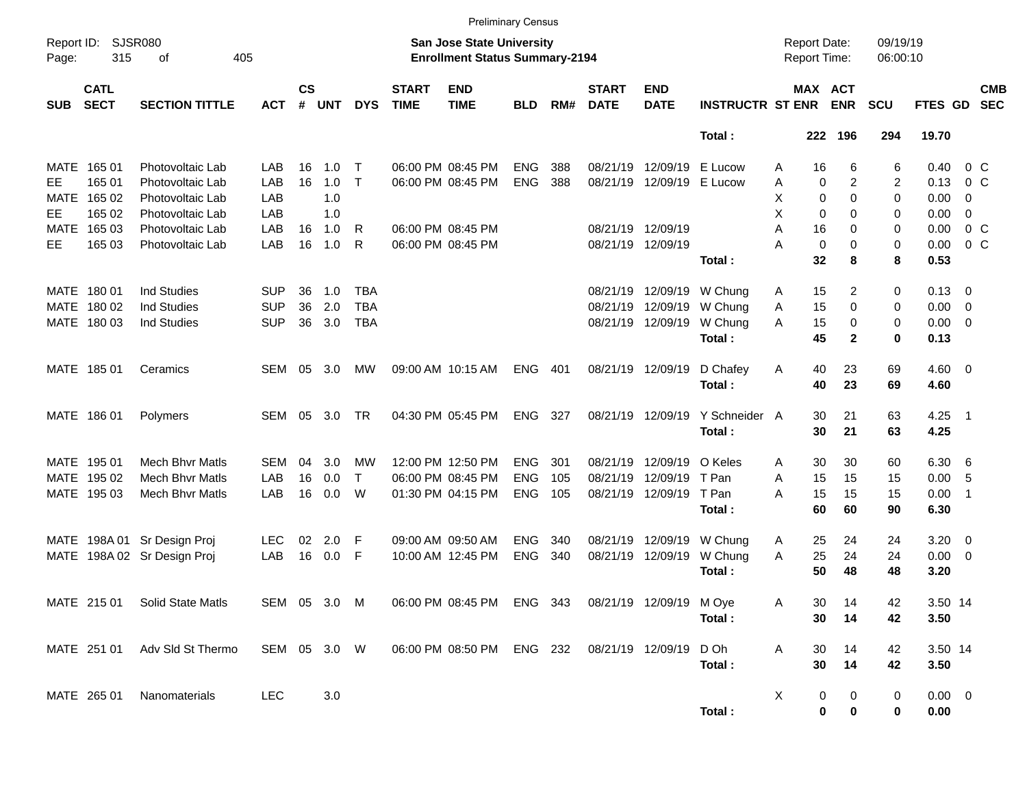|                          |                            |                                      |              |                |            |              |                             | <b>Preliminary Census</b>                                                 |            |     |                             |                           |                         |                                     |                   |                            |                      |                     |                                  |                          |
|--------------------------|----------------------------|--------------------------------------|--------------|----------------|------------|--------------|-----------------------------|---------------------------------------------------------------------------|------------|-----|-----------------------------|---------------------------|-------------------------|-------------------------------------|-------------------|----------------------------|----------------------|---------------------|----------------------------------|--------------------------|
| Report ID:<br>Page:      | 315                        | <b>SJSR080</b><br>405<br>of          |              |                |            |              |                             | <b>San Jose State University</b><br><b>Enrollment Status Summary-2194</b> |            |     |                             |                           |                         | <b>Report Date:</b><br>Report Time: |                   |                            | 09/19/19<br>06:00:10 |                     |                                  |                          |
| <b>SUB</b>               | <b>CATL</b><br><b>SECT</b> | <b>SECTION TITTLE</b>                | <b>ACT</b>   | <b>CS</b><br># | <b>UNT</b> | <b>DYS</b>   | <b>START</b><br><b>TIME</b> | <b>END</b><br><b>TIME</b>                                                 | <b>BLD</b> | RM# | <b>START</b><br><b>DATE</b> | <b>END</b><br><b>DATE</b> | <b>INSTRUCTR ST ENR</b> |                                     |                   | MAX ACT<br><b>ENR</b>      | SCU                  | FTES GD             |                                  | <b>CMB</b><br><b>SEC</b> |
|                          |                            |                                      |              |                |            |              |                             |                                                                           |            |     |                             |                           | Total:                  |                                     | 222               | 196                        | 294                  | 19.70               |                                  |                          |
| MATE                     | 165 01                     | Photovoltaic Lab                     | LAB          | 16             | 1.0        | $\top$       |                             | 06:00 PM 08:45 PM                                                         | <b>ENG</b> | 388 | 08/21/19                    | 12/09/19                  | E Lucow                 | A                                   | 16                | 6                          | 6                    | 0.40                | 0 C                              |                          |
| EE.<br><b>MATE</b>       | 165 01<br>165 02           | Photovoltaic Lab<br>Photovoltaic Lab | LAB<br>LAB   | 16             | 1.0<br>1.0 | $\mathsf{T}$ |                             | 06:00 PM 08:45 PM                                                         | <b>ENG</b> | 388 | 08/21/19                    | 12/09/19                  | E Lucow                 | Α<br>X                              | 0<br>0            | $\overline{c}$<br>$\Omega$ | $\overline{c}$<br>0  | 0.13<br>0.00        | $0\,C$<br>$\overline{0}$         |                          |
| <b>EE</b><br><b>MATE</b> | 165 02<br>165 03           | Photovoltaic Lab<br>Photovoltaic Lab | LAB<br>LAB   | 16             | 1.0<br>1.0 | R            |                             | 06:00 PM 08:45 PM                                                         |            |     | 08/21/19 12/09/19           |                           |                         | X<br>Α                              | 0<br>16           | $\Omega$<br>$\Omega$       | 0<br>0               | 0.00<br>0.00        | $\overline{0}$<br>0 <sup>o</sup> |                          |
| EE                       | 165 03                     | Photovoltaic Lab                     | LAB          | 16             | 1.0        | $\mathsf{R}$ |                             | 06:00 PM 08:45 PM                                                         |            |     | 08/21/19 12/09/19           |                           | Total:                  | Α                                   | $\mathbf 0$<br>32 | 0<br>8                     | 0<br>8               | 0.00<br>0.53        | $0\,C$                           |                          |
|                          | MATE 180 01                | Ind Studies                          | <b>SUP</b>   | 36             | 1.0        | <b>TBA</b>   |                             |                                                                           |            |     | 08/21/19                    | 12/09/19                  | W Chung                 | A                                   | 15                | $\overline{2}$             | 0                    | $0.13 \ 0$          |                                  |                          |
| MATE                     | 180 02                     | Ind Studies                          | <b>SUP</b>   | 36             | 2.0        | <b>TBA</b>   |                             |                                                                           |            |     | 08/21/19                    | 12/09/19                  | W Chung                 | A                                   | 15                | $\Omega$                   | 0                    | 0.00                | $\overline{0}$                   |                          |
|                          | MATE 180 03                | Ind Studies                          | <b>SUP</b>   | 36             | 3.0        | <b>TBA</b>   |                             |                                                                           |            |     |                             | 08/21/19 12/09/19         | W Chung<br>Total:       | A                                   | 15<br>45          | 0<br>$\mathbf{2}$          | 0<br>0               | $0.00 \t 0$<br>0.13 |                                  |                          |
|                          | MATE 185 01                | Ceramics                             | <b>SEM</b>   | 05             | 3.0        | MW           |                             | 09:00 AM 10:15 AM                                                         | <b>ENG</b> | 401 |                             | 08/21/19 12/09/19         | D Chafey                | Α                                   | 40                | 23                         | 69                   | $4.60 \ 0$          |                                  |                          |
|                          |                            |                                      |              |                |            |              |                             |                                                                           |            |     |                             |                           | Total:                  |                                     | 40                | 23                         | 69                   | 4.60                |                                  |                          |
|                          | MATE 186 01                | Polymers                             | <b>SEM</b>   | 05             | 3.0        | <b>TR</b>    |                             | 04:30 PM 05:45 PM                                                         | <b>ENG</b> | 327 |                             | 08/21/19 12/09/19         | Y Schneider A<br>Total: |                                     | 30<br>30          | 21<br>21                   | 63<br>63             | 4.25<br>4.25        | $\overline{\phantom{1}}$         |                          |
|                          | MATE 195 01                | <b>Mech Bhyr Matls</b>               | <b>SEM</b>   | 04             | 3.0        | MW           |                             | 12:00 PM 12:50 PM                                                         | <b>ENG</b> | 301 | 08/21/19                    | 12/09/19                  | O Keles                 | A                                   | 30                | 30                         | 60                   | 6.30 6              |                                  |                          |
| <b>MATE</b>              | 195 02                     | <b>Mech Bhyr Matls</b>               | LAB          | 16             | 0.0        | $\mathsf{T}$ |                             | 06:00 PM 08:45 PM                                                         | <b>ENG</b> | 105 | 08/21/19                    | 12/09/19                  | T Pan                   | A                                   | 15                | 15                         | 15                   | 0.00                | -5                               |                          |
| MATE                     | 195 03                     | Mech Bhyr Matls                      | LAB          | 16             | 0.0        | W            |                             | 01:30 PM 04:15 PM                                                         | <b>ENG</b> | 105 | 08/21/19                    | 12/09/19                  | T Pan<br>Total:         | A                                   | 15<br>60          | 15<br>60                   | 15<br>90             | 0.00<br>6.30        | $\overline{1}$                   |                          |
|                          |                            | MATE 198A 01 Sr Design Proj          | LEC.         | 02             | 2.0        | -F           |                             | 09:00 AM 09:50 AM                                                         | <b>ENG</b> | 340 | 08/21/19                    | 12/09/19                  | W Chung                 | Α                                   | 25                | 24                         | 24                   | 3.20                | $\overline{\phantom{0}}$         |                          |
| MATE                     |                            | 198A 02 Sr Design Proj               | LAB          | 16             | 0.0        | -F           |                             | 10:00 AM 12:45 PM                                                         | <b>ENG</b> | 340 | 08/21/19                    | 12/09/19                  | W Chung<br>Total:       | A                                   | 25<br>50          | 24<br>48                   | 24<br>48             | $0.00 \t 0$<br>3.20 |                                  |                          |
|                          |                            | MATE 215 01 Solid State Matls        | SEM 05 3.0 M |                |            |              |                             | 06:00 PM 08:45 PM ENG 343 08/21/19 12/09/19 M Oye                         |            |     |                             |                           | Total:                  |                                     | 30<br>30          | 14<br>14                   | 42<br>42             | 3.50 14<br>3.50     |                                  |                          |
|                          |                            | MATE 251 01 Adv Sld St Thermo        | SEM 05 3.0 W |                |            |              |                             | 06:00 PM 08:50 PM ENG 232 08/21/19 12/09/19                               |            |     |                             |                           | D Oh<br>Total:          | Α                                   | 30<br>30          | 14<br>14                   | 42<br>42             | 3.50 14<br>3.50     |                                  |                          |
|                          |                            | MATE 265 01 Nanomaterials            | <b>LEC</b>   |                | $3.0\,$    |              |                             |                                                                           |            |     |                             |                           |                         | Χ                                   | $\boldsymbol{0}$  | $\boldsymbol{0}$           | $\mathbf 0$          | $0.00 \t 0$         |                                  |                          |
|                          |                            |                                      |              |                |            |              |                             |                                                                           |            |     |                             |                           | Total:                  |                                     | 0                 | $\pmb{0}$                  | 0                    | 0.00                |                                  |                          |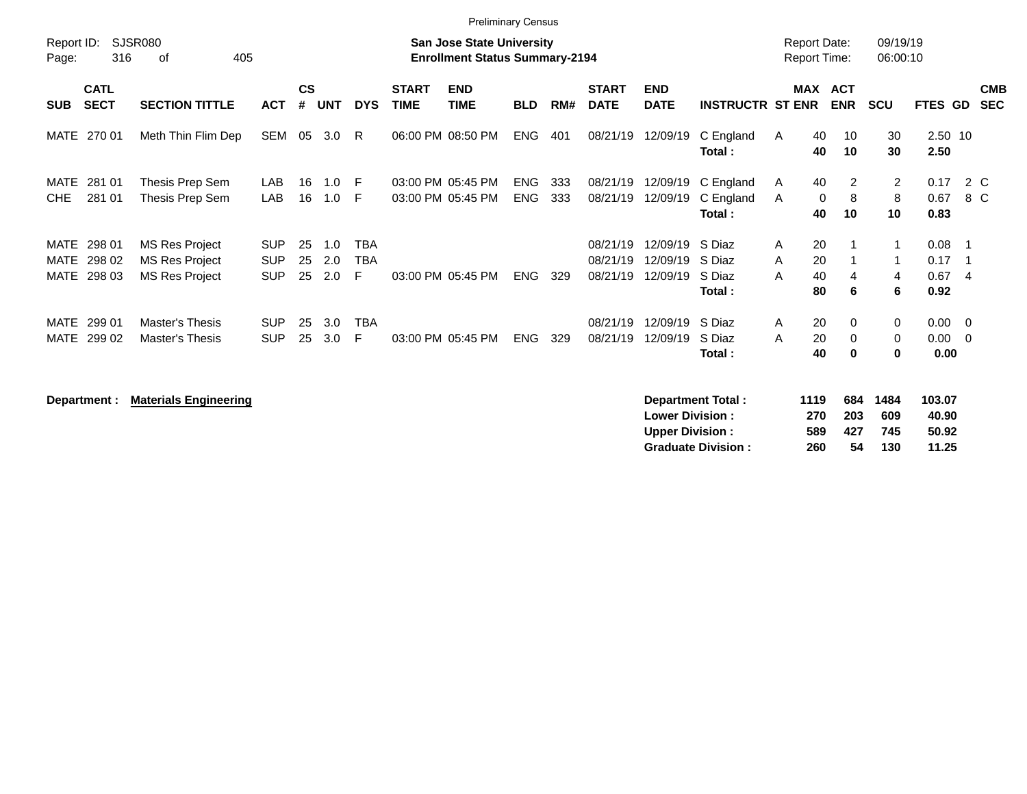| <b>Preliminary Census</b><br><b>Report Date:</b> |                            |                                                                                                                                                                                       |                                        |                |                   |                               |             |                                        |                          |            |                                  |                                  |                                      |                                     |                           |                           |                                    |                            |                          |
|--------------------------------------------------|----------------------------|---------------------------------------------------------------------------------------------------------------------------------------------------------------------------------------|----------------------------------------|----------------|-------------------|-------------------------------|-------------|----------------------------------------|--------------------------|------------|----------------------------------|----------------------------------|--------------------------------------|-------------------------------------|---------------------------|---------------------------|------------------------------------|----------------------------|--------------------------|
| Report ID:<br>Page:                              | 316                        | <b>SJSR080</b><br><b>San Jose State University</b><br><b>Enrollment Status Summary-2194</b><br>405<br>0f<br>$\mathsf{cs}$<br><b>START</b><br><b>END</b><br><b>START</b><br><b>END</b> |                                        |                |                   |                               |             |                                        |                          |            |                                  |                                  |                                      |                                     |                           | 09/19/19<br>06:00:10      |                                    |                            |                          |
| <b>SUB</b>                                       | <b>CATL</b><br><b>SECT</b> | <b>SECTION TITTLE</b>                                                                                                                                                                 | <b>ACT</b>                             | #              | <b>UNT</b>        | <b>DYS</b>                    | <b>TIME</b> | <b>TIME</b>                            | <b>BLD</b>               | RM#        | <b>DATE</b>                      | <b>DATE</b>                      | <b>INSTRUCTR ST ENR</b>              |                                     | MAX ACT<br><b>ENR</b>     | <b>SCU</b>                | FTES GD                            |                            | <b>CMB</b><br><b>SEC</b> |
| MATE                                             | 270 01                     | Meth Thin Flim Dep                                                                                                                                                                    | SEM                                    | 05             | 3.0               | -R                            |             | 06:00 PM 08:50 PM                      | <b>ENG</b>               | 401        | 08/21/19                         | 12/09/19                         | C England<br>Total:                  | 40<br>A<br>40                       | 10<br>10                  | 30<br>30                  | 2.50 10<br>2.50                    |                            |                          |
| MATE<br>CHE                                      | 281 01<br>281 01           | Thesis Prep Sem<br>Thesis Prep Sem                                                                                                                                                    | LAB<br>LAB                             | 16<br>16       | 1.0<br>1.0        | - F<br>-F                     |             | 03:00 PM 05:45 PM<br>03:00 PM 05:45 PM | <b>ENG</b><br><b>ENG</b> | 333<br>333 | 08/21/19<br>08/21/19             | 12/09/19<br>12/09/19             | C England<br>C England<br>Total:     | 40<br>A<br>A<br>40                  | 2<br>8<br>0<br>10         | $\overline{2}$<br>8<br>10 | 0.17<br>0.67<br>0.83               | 2 C<br>8 C                 |                          |
| MATE<br>MATE<br>MATE                             | 298 01<br>298 02<br>298 03 | <b>MS Res Project</b><br><b>MS Res Project</b><br><b>MS Res Project</b>                                                                                                               | <b>SUP</b><br><b>SUP</b><br><b>SUP</b> | 25<br>25<br>25 | 1.0<br>2.0<br>2.0 | <b>TBA</b><br><b>TBA</b><br>E |             | 03:00 PM 05:45 PM                      | <b>ENG</b>               | 329        | 08/21/19<br>08/21/19<br>08/21/19 | 12/09/19<br>12/09/19<br>12/09/19 | S Diaz<br>S Diaz<br>S Diaz<br>Total: | 20<br>A<br>A<br>20<br>A<br>40<br>80 | 4<br>6                    | 1<br>1<br>4<br>6          | $0.08$ 1<br>0.17<br>0.674<br>0.92  | $\overline{\phantom{0}}$ 1 |                          |
| MATE<br>MATE                                     | 299 01<br>299 02           | Master's Thesis<br>Master's Thesis                                                                                                                                                    | <b>SUP</b><br><b>SUP</b>               | 25<br>25       | 3.0<br>3.0        | <b>TBA</b><br>F               |             | 03:00 PM 05:45 PM                      | <b>ENG</b>               | 329        | 08/21/19<br>08/21/19             | 12/09/19<br>12/09/19             | S Diaz<br>S Diaz<br>Total:           | 20<br>A<br>20<br>A<br>40            | $\Omega$<br>$\Omega$<br>0 | 0<br>$\mathbf 0$<br>0     | $0.00 \t 0$<br>$0.00 \t 0$<br>0.00 |                            |                          |

**Department : Materials Engineering** 

| Department Total:         | 1119 | 684 | 1484 | 103.07 |
|---------------------------|------|-----|------|--------|
| <b>Lower Division:</b>    | 270  | 203 | 609  | 40.90  |
| <b>Upper Division:</b>    | 589  | 427 | 745  | 50.92  |
| <b>Graduate Division:</b> | 260  | 54  | 130  | 11.25  |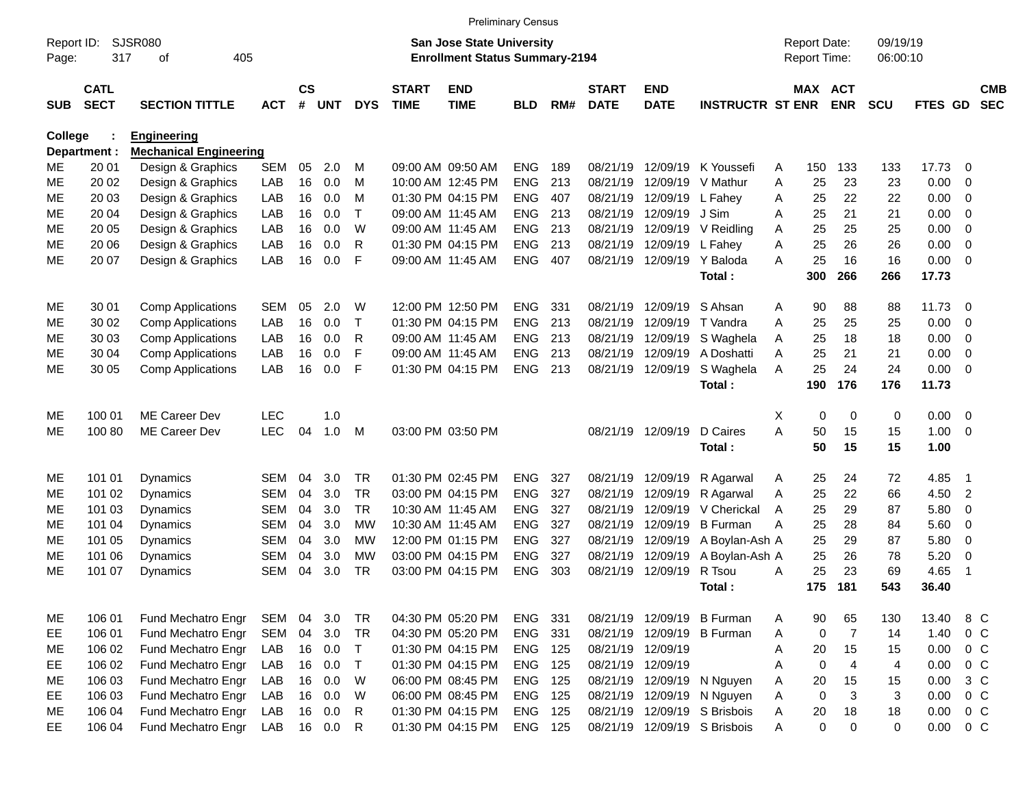|                     |                            |                                          |                          |                |                  |                        |                             | <b>Preliminary Census</b>                                                 |                          |            |                             |                           |                                |        |                                     |                         |                      |              |                |                          |
|---------------------|----------------------------|------------------------------------------|--------------------------|----------------|------------------|------------------------|-----------------------------|---------------------------------------------------------------------------|--------------------------|------------|-----------------------------|---------------------------|--------------------------------|--------|-------------------------------------|-------------------------|----------------------|--------------|----------------|--------------------------|
| Report ID:<br>Page: | 317                        | <b>SJSR080</b><br>405<br>οf              |                          |                |                  |                        |                             | <b>San Jose State University</b><br><b>Enrollment Status Summary-2194</b> |                          |            |                             |                           |                                |        | <b>Report Date:</b><br>Report Time: |                         | 09/19/19<br>06:00:10 |              |                |                          |
| <b>SUB</b>          | <b>CATL</b><br><b>SECT</b> | <b>SECTION TITTLE</b>                    | <b>ACT</b>               | <b>CS</b><br># | <b>UNT</b>       | <b>DYS</b>             | <b>START</b><br><b>TIME</b> | <b>END</b><br><b>TIME</b>                                                 | <b>BLD</b>               | RM#        | <b>START</b><br><b>DATE</b> | <b>END</b><br><b>DATE</b> | <b>INSTRUCTR ST ENR</b>        |        | MAX ACT                             | <b>ENR</b>              | <b>SCU</b>           | <b>FTES</b>  | <b>GD</b>      | <b>CMB</b><br><b>SEC</b> |
| <b>College</b>      |                            | Engineering                              |                          |                |                  |                        |                             |                                                                           |                          |            |                             |                           |                                |        |                                     |                         |                      |              |                |                          |
|                     | Department :               | <b>Mechanical Engineering</b>            |                          |                |                  |                        |                             |                                                                           |                          |            |                             |                           |                                |        |                                     |                         |                      |              |                |                          |
| ME.                 | 20 01                      | Design & Graphics                        | <b>SEM</b>               | 05             | 2.0              | м                      |                             | 09:00 AM 09:50 AM                                                         | <b>ENG</b>               | 189        | 08/21/19                    | 12/09/19                  | K Youssefi                     | A      | 150                                 | 133                     | 133                  | 17.73        | 0              |                          |
| <b>ME</b>           | 20 02                      | Design & Graphics                        | LAB                      | 16             | 0.0              | M                      |                             | 10:00 AM 12:45 PM                                                         | <b>ENG</b>               | 213        | 08/21/19                    | 12/09/19                  | V Mathur                       | A      | 25                                  | 23                      | 23                   | 0.00         | $\mathbf 0$    |                          |
| <b>ME</b>           | 20 03                      | Design & Graphics                        | LAB                      | 16             | 0.0              | M                      |                             | 01:30 PM 04:15 PM                                                         | <b>ENG</b>               | 407        | 08/21/19                    | 12/09/19                  | L Fahey                        | A      | 25                                  | 22                      | 22                   | 0.00         | 0              |                          |
| <b>ME</b>           | 20 04                      | Design & Graphics                        | LAB                      | 16             | 0.0              | $\mathsf{T}$           |                             | 09:00 AM 11:45 AM                                                         | <b>ENG</b>               | 213        | 08/21/19                    | 12/09/19                  | J Sim                          | A      | 25                                  | 21                      | 21                   | 0.00         | 0              |                          |
| <b>ME</b>           | 20 05                      | Design & Graphics                        | LAB                      | 16             | 0.0              | W                      |                             | 09:00 AM 11:45 AM                                                         | <b>ENG</b>               | 213        | 08/21/19                    | 12/09/19                  | V Reidling                     | Α      | 25                                  | 25                      | 25                   | 0.00         | 0              |                          |
| <b>ME</b>           | 20 06                      | Design & Graphics                        | LAB                      | 16             | 0.0              | $\mathsf{R}$           |                             | 01:30 PM 04:15 PM                                                         | <b>ENG</b>               | 213        | 08/21/19                    | 12/09/19                  | L Fahey                        | A      | 25                                  | 26                      | 26                   | 0.00         | $\mathbf 0$    |                          |
| <b>ME</b>           | 20 07                      | Design & Graphics                        | LAB                      | 16             | 0.0              | F                      |                             | 09:00 AM 11:45 AM                                                         | <b>ENG</b>               | 407        | 08/21/19                    | 12/09/19                  | Y Baloda                       | A      | 25                                  | 16                      | 16                   | 0.00         | $\mathbf 0$    |                          |
|                     |                            |                                          |                          |                |                  |                        |                             |                                                                           |                          |            |                             |                           | Total:                         |        | 300                                 | 266                     | 266                  | 17.73        |                |                          |
| ME.                 | 30 01                      | <b>Comp Applications</b>                 | <b>SEM</b>               | 05             | 2.0              | W                      |                             | 12:00 PM 12:50 PM                                                         | <b>ENG</b>               | 331        | 08/21/19                    | 12/09/19                  | S Ahsan                        | A      | 90                                  | 88                      | 88                   | 11.73        | 0              |                          |
| МE                  | 30 02                      | <b>Comp Applications</b>                 | LAB                      | 16             | 0.0              | $\top$                 |                             | 01:30 PM 04:15 PM                                                         | <b>ENG</b>               | 213        | 08/21/19                    | 12/09/19                  | T Vandra                       | A      | 25                                  | 25                      | 25                   | 0.00         | 0              |                          |
| МE                  | 30 03                      | <b>Comp Applications</b>                 | LAB                      | 16             | 0.0              | R                      |                             | 09:00 AM 11:45 AM                                                         | <b>ENG</b>               | 213        | 08/21/19                    | 12/09/19                  | S Waghela                      | Α      | 25                                  | 18                      | 18                   | 0.00         | 0              |                          |
| МE                  | 30 04                      | <b>Comp Applications</b>                 | LAB                      | 16             | 0.0              | F                      |                             | 09:00 AM 11:45 AM                                                         | <b>ENG</b>               | 213        | 08/21/19                    | 12/09/19                  | A Doshatti                     | A      | 25                                  | 21                      | 21                   | 0.00         | $\mathbf 0$    |                          |
| <b>ME</b>           | 30 05                      | <b>Comp Applications</b>                 | LAB                      | 16             | 0.0              | F                      |                             | 01:30 PM 04:15 PM                                                         | <b>ENG</b>               | 213        | 08/21/19                    | 12/09/19                  | S Waghela                      | A      | 25                                  | 24                      | 24                   | 0.00         | $\mathbf 0$    |                          |
|                     |                            |                                          |                          |                |                  |                        |                             |                                                                           |                          |            |                             |                           | Total:                         |        | 190                                 | 176                     | 176                  | 11.73        |                |                          |
| ME.                 | 100 01                     | ME Career Dev                            | <b>LEC</b>               |                | 1.0              |                        |                             |                                                                           |                          |            |                             |                           |                                | X      | 0                                   | 0                       | 0                    | 0.00         | $\mathbf 0$    |                          |
| <b>ME</b>           | 100 80                     | ME Career Dev                            | <b>LEC</b>               | 04             | 1.0              | M                      |                             | 03:00 PM 03:50 PM                                                         |                          |            | 08/21/19                    | 12/09/19                  | D Caires                       | A      | 50                                  | 15                      | 15                   | 1.00         | $\mathbf 0$    |                          |
|                     |                            |                                          |                          |                |                  |                        |                             |                                                                           |                          |            |                             |                           | Total:                         |        | 50                                  | 15                      | 15                   | 1.00         |                |                          |
|                     |                            |                                          |                          |                |                  |                        |                             |                                                                           |                          |            |                             |                           |                                |        |                                     |                         |                      |              |                |                          |
| ME.                 | 101 01                     | <b>Dynamics</b>                          | <b>SEM</b>               | 04             | 3.0              | <b>TR</b>              |                             | 01:30 PM 02:45 PM                                                         | <b>ENG</b>               | 327        | 08/21/19                    | 12/09/19                  | R Agarwal                      | A      | 25                                  | 24                      | 72                   | 4.85         | $\overline{1}$ |                          |
| МE                  | 101 02                     | <b>Dynamics</b>                          | <b>SEM</b>               | 04<br>04       | 3.0<br>3.0       | <b>TR</b><br><b>TR</b> |                             | 03:00 PM 04:15 PM<br>10:30 AM 11:45 AM                                    | <b>ENG</b>               | 327<br>327 | 08/21/19                    | 12/09/19<br>12/09/19      | R Agarwal                      | Α      | 25<br>25                            | 22<br>29                | 66                   | 4.50<br>5.80 | $\overline{2}$ |                          |
| МE<br>МE            | 101 03<br>101 04           | Dynamics<br><b>Dynamics</b>              | <b>SEM</b><br><b>SEM</b> | 04             | 3.0              | <b>MW</b>              |                             | 10:30 AM 11:45 AM                                                         | <b>ENG</b><br><b>ENG</b> | 327        | 08/21/19<br>08/21/19        | 12/09/19                  | V Cherickal<br><b>B</b> Furman | A<br>A | 25                                  | 28                      | 87<br>84             | 5.60         | 0<br>0         |                          |
| <b>ME</b>           | 101 05                     | Dynamics                                 | <b>SEM</b>               | 04             | 3.0              | <b>MW</b>              |                             | 12:00 PM 01:15 PM                                                         | <b>ENG</b>               | 327        | 08/21/19                    | 12/09/19                  | A Boylan-Ash A                 |        | 25                                  | 29                      | 87                   | 5.80         | 0              |                          |
| МE                  | 101 06                     | Dynamics                                 | <b>SEM</b>               | 04             | 3.0              | <b>MW</b>              |                             | 03:00 PM 04:15 PM                                                         | <b>ENG</b>               | 327        | 08/21/19                    | 12/09/19                  | A Boylan-Ash A                 |        | 25                                  | 26                      | 78                   | 5.20         | 0              |                          |
| <b>ME</b>           | 101 07                     | Dynamics                                 | <b>SEM</b>               | 04             | 3.0              | <b>TR</b>              |                             | 03:00 PM 04:15 PM                                                         | <b>ENG</b>               | 303        | 08/21/19                    | 12/09/19                  | R Tsou                         | A      | 25                                  | 23                      | 69                   | 4.65         | $\overline{1}$ |                          |
|                     |                            |                                          |                          |                |                  |                        |                             |                                                                           |                          |            |                             |                           | Total:                         |        | 175                                 | 181                     | 543                  | 36.40        |                |                          |
|                     |                            |                                          |                          |                |                  |                        |                             |                                                                           |                          |            |                             |                           |                                |        |                                     |                         |                      |              |                |                          |
| ME                  | 106 01                     | Fund Mechatro Engr                       | SEM                      | 04             | 3.0              | <b>TR</b>              |                             | 04:30 PM 05:20 PM                                                         | ENG                      | 331        |                             | 08/21/19 12/09/19         | <b>B</b> Furman                | A      | 90                                  | 65                      | 130                  | 13.40        | 8 C            |                          |
| EE                  | 106 01                     | Fund Mechatro Engr                       | SEM                      | 04             | 3.0              | <b>TR</b>              |                             | 04:30 PM 05:20 PM                                                         | ENG                      | 331        |                             | 08/21/19 12/09/19         | <b>B</b> Furman                | Α      | 0                                   | $\overline{7}$          | 14                   | 1.40         |                | 0 <sup>C</sup>           |
| ME                  | 106 02                     | Fund Mechatro Engr                       | LAB                      |                | 16 0.0           | T                      |                             | 01:30 PM 04:15 PM                                                         | <b>ENG 125</b>           |            | 08/21/19                    | 12/09/19                  |                                | A      | 20                                  | 15                      | 15                   | 0.00         |                | $0\quad C$               |
| EE                  | 106 02                     | Fund Mechatro Engr                       | LAB                      | 16             | 0.0              | $\mathsf{T}$           |                             | 01:30 PM 04:15 PM<br>06:00 PM 08:45 PM                                    | ENG                      | 125        | 08/21/19                    | 12/09/19                  |                                | Α      | 0                                   | $\overline{\mathbf{4}}$ | 4                    | 0.00         |                | $0\quad C$<br>$3\,C$     |
| ME                  | 106 03                     | Fund Mechatro Engr                       | LAB                      | 16             | 0.0              | W                      |                             |                                                                           | ENG<br>ENG 125           | 125        | 08/21/19                    | 12/09/19                  | N Nguyen                       | A      | 20                                  | 15                      | 15                   | 0.00         |                | $0\quad C$               |
| EE                  | 106 03<br>106 04           | Fund Mechatro Engr<br>Fund Mechatro Engr | LAB<br>LAB               |                | 16 0.0<br>16 0.0 | W<br>$\mathsf{R}$      |                             | 06:00 PM 08:45 PM<br>01:30 PM 04:15 PM                                    | ENG                      | 125        | 08/21/19<br>08/21/19        | 12/09/19<br>12/09/19      | N Nguyen<br>S Brisbois         | A<br>Α | 0<br>20                             | 3<br>18                 | 3<br>18              | 0.00<br>0.00 |                | $0\quad C$               |
| ME<br>EE            | 106 04                     | Fund Mechatro Engr                       | LAB                      |                | 16 0.0           | $\mathsf{R}$           |                             | 01:30 PM 04:15 PM                                                         | <b>ENG 125</b>           |            |                             |                           | 08/21/19 12/09/19 S Brisbois   | A      | 0                                   | $\mathbf 0$             | 0                    | 0.00         |                | $0\,C$                   |
|                     |                            |                                          |                          |                |                  |                        |                             |                                                                           |                          |            |                             |                           |                                |        |                                     |                         |                      |              |                |                          |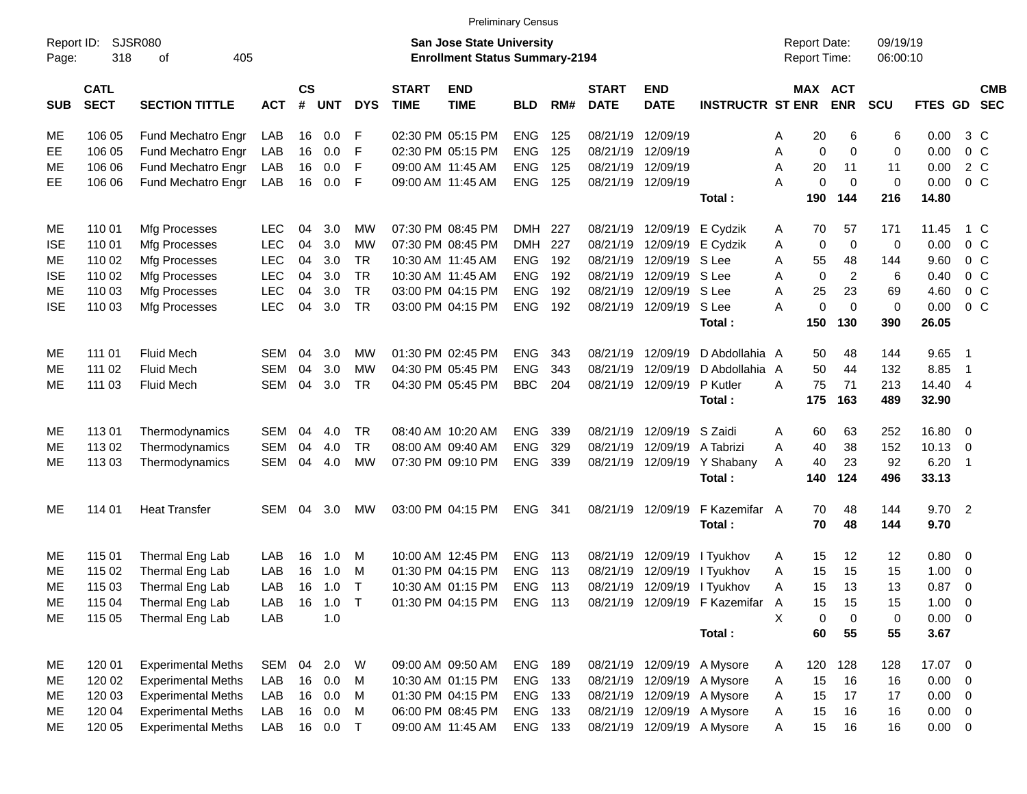|                     |                            |                             |            |                    |            |            |                             |                                                                           | <b>Preliminary Census</b> |     |                             |                            |                                 |   |                                     |                |                      |             |                          |                          |
|---------------------|----------------------------|-----------------------------|------------|--------------------|------------|------------|-----------------------------|---------------------------------------------------------------------------|---------------------------|-----|-----------------------------|----------------------------|---------------------------------|---|-------------------------------------|----------------|----------------------|-------------|--------------------------|--------------------------|
| Report ID:<br>Page: | 318                        | <b>SJSR080</b><br>405<br>of |            |                    |            |            |                             | <b>San Jose State University</b><br><b>Enrollment Status Summary-2194</b> |                           |     |                             |                            |                                 |   | <b>Report Date:</b><br>Report Time: |                | 09/19/19<br>06:00:10 |             |                          |                          |
| <b>SUB</b>          | <b>CATL</b><br><b>SECT</b> | <b>SECTION TITTLE</b>       | <b>ACT</b> | $\mathsf{cs}$<br># | <b>UNT</b> | <b>DYS</b> | <b>START</b><br><b>TIME</b> | <b>END</b><br><b>TIME</b>                                                 | <b>BLD</b>                | RM# | <b>START</b><br><b>DATE</b> | <b>END</b><br><b>DATE</b>  | <b>INSTRUCTR ST ENR</b>         |   | MAX ACT                             | <b>ENR</b>     | SCU                  | FTES GD     |                          | <b>CMB</b><br><b>SEC</b> |
| ME                  | 106 05                     | Fund Mechatro Engr          | LAB        | 16                 | 0.0        | F          |                             | 02:30 PM 05:15 PM                                                         | <b>ENG</b>                | 125 | 08/21/19                    | 12/09/19                   |                                 | Α | 20                                  | 6              | 6                    | 0.00        | $3\,C$                   |                          |
| EE                  | 106 05                     | Fund Mechatro Engr          | LAB        | 16                 | 0.0        | F          |                             | 02:30 PM 05:15 PM                                                         | <b>ENG</b>                | 125 | 08/21/19                    | 12/09/19                   |                                 | Α | 0                                   | 0              | 0                    | 0.00        | 0 <sup>o</sup>           |                          |
| ME                  | 106 06                     | Fund Mechatro Engr          | LAB        | 16                 | 0.0        | F          |                             | 09:00 AM 11:45 AM                                                         | <b>ENG</b>                | 125 | 08/21/19                    | 12/09/19                   |                                 | Α | 20                                  | 11             | 11                   | 0.00        | 2 C                      |                          |
| EE.                 | 106 06                     | Fund Mechatro Engr          | LAB        | 16                 | 0.0        | F          |                             | 09:00 AM 11:45 AM                                                         | <b>ENG</b>                | 125 | 08/21/19                    | 12/09/19                   |                                 | Α | 0                                   | $\mathbf 0$    | 0                    | 0.00        | 0 <sup>o</sup>           |                          |
|                     |                            |                             |            |                    |            |            |                             |                                                                           |                           |     |                             |                            | Total:                          |   | 190                                 | 144            | 216                  | 14.80       |                          |                          |
| ME                  | 110 01                     | Mfg Processes               | <b>LEC</b> | 04                 | 3.0        | MW         |                             | 07:30 PM 08:45 PM                                                         | DMH 227                   |     | 08/21/19                    | 12/09/19                   | E Cydzik                        | A | 70                                  | 57             | 171                  | 11.45       | 1 C                      |                          |
| <b>ISE</b>          | 110 01                     | Mfg Processes               | <b>LEC</b> | 04                 | 3.0        | <b>MW</b>  |                             | 07:30 PM 08:45 PM                                                         | <b>DMH</b>                | 227 | 08/21/19                    | 12/09/19                   | E Cydzik                        | Α | 0                                   | 0              | 0                    | 0.00        | 0 <sup>o</sup>           |                          |
| МE                  | 110 02                     | Mfg Processes               | <b>LEC</b> | 04                 | 3.0        | <b>TR</b>  |                             | 10:30 AM 11:45 AM                                                         | <b>ENG</b>                | 192 | 08/21/19                    | 12/09/19                   | S Lee                           | Α | 55                                  | 48             | 144                  | 9.60        | 0 <sup>o</sup>           |                          |
| <b>ISE</b>          | 110 02                     | Mfg Processes               | <b>LEC</b> | 04                 | 3.0        | <b>TR</b>  |                             | 10:30 AM 11:45 AM                                                         | <b>ENG</b>                | 192 | 08/21/19                    | 12/09/19                   | S Lee                           | Α | $\mathbf 0$                         | $\overline{c}$ | 6                    | 0.40        | 0 <sup>o</sup>           |                          |
| ME                  | 110 03                     | Mfg Processes               | <b>LEC</b> | 04                 | 3.0        | <b>TR</b>  |                             | 03:00 PM 04:15 PM                                                         | <b>ENG</b>                | 192 | 08/21/19                    | 12/09/19                   | S Lee                           | Α | 25                                  | 23             | 69                   | 4.60        | 0 <sup>o</sup>           |                          |
| <b>ISE</b>          | 110 03                     | Mfg Processes               | <b>LEC</b> | 04                 | 3.0        | <b>TR</b>  |                             | 03:00 PM 04:15 PM                                                         | <b>ENG</b>                | 192 | 08/21/19                    | 12/09/19                   | S Lee                           | Α | 0                                   | $\mathbf 0$    | 0                    | 0.00        | 0 <sup>o</sup>           |                          |
|                     |                            |                             |            |                    |            |            |                             |                                                                           |                           |     |                             |                            | Total:                          |   | 150                                 | 130            | 390                  | 26.05       |                          |                          |
| ME                  | 111 01                     | <b>Fluid Mech</b>           | <b>SEM</b> | 04                 | 3.0        | MW         |                             | 01:30 PM 02:45 PM                                                         | <b>ENG</b>                | 343 | 08/21/19                    | 12/09/19                   | D Abdollahia A                  |   | 50                                  | 48             | 144                  | 9.65        | $\overline{\phantom{1}}$ |                          |
| ME                  | 111 02                     | <b>Fluid Mech</b>           | <b>SEM</b> | 04                 | 3.0        | <b>MW</b>  |                             | 04:30 PM 05:45 PM                                                         | <b>ENG</b>                | 343 | 08/21/19                    | 12/09/19                   | D Abdollahia A                  |   | 50                                  | 44             | 132                  | 8.85        | $\overline{1}$           |                          |
| МE                  | 111 03                     | <b>Fluid Mech</b>           | <b>SEM</b> | 04                 | 3.0        | <b>TR</b>  |                             | 04:30 PM 05:45 PM                                                         | <b>BBC</b>                | 204 | 08/21/19                    | 12/09/19                   | P Kutler                        | Α | 75                                  | 71             | 213                  | 14.40 4     |                          |                          |
|                     |                            |                             |            |                    |            |            |                             |                                                                           |                           |     |                             |                            | Total:                          |   | 175                                 | 163            | 489                  | 32.90       |                          |                          |
| ME                  | 11301                      | Thermodynamics              | <b>SEM</b> | 04                 | 4.0        | TR         |                             | 08:40 AM 10:20 AM                                                         | <b>ENG</b>                | 339 | 08/21/19                    | 12/09/19                   | S Zaidi                         | Α | 60                                  | 63             | 252                  | 16.80 0     |                          |                          |
| ME                  | 113 02                     | Thermodynamics              | <b>SEM</b> | 04                 | 4.0        | <b>TR</b>  |                             | 08:00 AM 09:40 AM                                                         | <b>ENG</b>                | 329 | 08/21/19                    | 12/09/19                   | A Tabrizi                       | A | 40                                  | 38             | 152                  | 10.13       | $\overline{\phantom{0}}$ |                          |
| МE                  | 113 03                     | Thermodynamics              | <b>SEM</b> | 04                 | 4.0        | <b>MW</b>  |                             | 07:30 PM 09:10 PM                                                         | <b>ENG</b>                | 339 | 08/21/19                    | 12/09/19                   | Y Shabany                       | A | 40                                  | 23             | 92                   | 6.20        | $\overline{1}$           |                          |
|                     |                            |                             |            |                    |            |            |                             |                                                                           |                           |     |                             |                            | Total:                          |   | 140                                 | 124            | 496                  | 33.13       |                          |                          |
| МE                  | 114 01                     | <b>Heat Transfer</b>        | <b>SEM</b> | 04                 | 3.0        | МW         |                             | 03:00 PM 04:15 PM                                                         | <b>ENG</b>                | 341 | 08/21/19                    | 12/09/19                   | F Kazemifar A                   |   | 70                                  | 48             | 144                  | 9.702       |                          |                          |
|                     |                            |                             |            |                    |            |            |                             |                                                                           |                           |     |                             |                            | Total:                          |   | 70                                  | 48             | 144                  | 9.70        |                          |                          |
| ME                  | 115 01                     | Thermal Eng Lab             | LAB        | 16                 | 1.0        | M          |                             | 10:00 AM 12:45 PM                                                         | <b>ENG</b>                | 113 | 08/21/19                    | 12/09/19                   | I Tyukhov                       | A | 15                                  | 12             | 12                   | 0.80        | $\overline{\phantom{0}}$ |                          |
| ME                  | 115 02                     | Thermal Eng Lab             | LAB        | 16                 | 1.0        | м          |                             | 01:30 PM 04:15 PM                                                         | <b>ENG</b>                | 113 | 08/21/19                    | 12/09/19                   | I Tyukhov                       | A | 15                                  | 15             | 15                   | 1.00        | $\mathbf 0$              |                          |
| <b>ME</b>           | 115 03                     | Thermal Eng Lab             | LAB        | 16                 | 1.0        | $\top$     |                             | 10:30 AM 01:15 PM                                                         | <b>ENG</b>                | 113 | 08/21/19                    | 12/09/19                   | I Tyukhov                       | Α | 15                                  | 13             | 13                   | 0.87        | - 0                      |                          |
| ME                  | 115 04                     | Thermal Eng Lab             | LAB        | 16                 | $1.0$ T    |            |                             | 01:30 PM 04:15 PM                                                         | ENG 113                   |     |                             |                            | 08/21/19 12/09/19 F Kazemifar A |   | 15                                  | 15             | 15                   | $1.00 \t 0$ |                          |                          |
| ME                  | 115 05                     | Thermal Eng Lab             | LAB        |                    | 1.0        |            |                             |                                                                           |                           |     |                             |                            |                                 | X | 0                                   | $\mathbf 0$    | $\pmb{0}$            | $0.00 \t 0$ |                          |                          |
|                     |                            |                             |            |                    |            |            |                             |                                                                           |                           |     |                             |                            | Total:                          |   | 60                                  | 55             | 55                   | 3.67        |                          |                          |
| ME                  | 120 01                     | <b>Experimental Meths</b>   | SEM        | 04                 | 2.0        | W          |                             | 09:00 AM 09:50 AM                                                         | <b>ENG</b>                | 189 |                             | 08/21/19 12/09/19 A Mysore |                                 | A | 120                                 | 128            | 128                  | 17.07 0     |                          |                          |
| ME                  | 120 02                     | <b>Experimental Meths</b>   | LAB        | 16                 | 0.0        | M          |                             | 10:30 AM 01:15 PM                                                         | ENG                       | 133 |                             | 08/21/19 12/09/19          | A Mysore                        | A | 15                                  | 16             | 16                   | $0.00 \t 0$ |                          |                          |
| ME                  | 120 03                     | <b>Experimental Meths</b>   | LAB        | 16                 | 0.0        | M          |                             | 01:30 PM 04:15 PM                                                         | ENG 133                   |     |                             | 08/21/19 12/09/19 A Mysore |                                 | Α | 15                                  | 17             | 17                   | $0.00 \t 0$ |                          |                          |
| ME                  | 120 04                     | <b>Experimental Meths</b>   | LAB        | 16                 | 0.0        | M          |                             | 06:00 PM 08:45 PM                                                         | <b>ENG</b>                | 133 |                             | 08/21/19 12/09/19 A Mysore |                                 | Α | 15                                  | 16             | 16                   | $0.00 \t 0$ |                          |                          |
| ME                  | 120 05                     | <b>Experimental Meths</b>   | LAB        |                    | 16  0.0  T |            |                             | 09:00 AM 11:45 AM                                                         | ENG 133                   |     |                             | 08/21/19 12/09/19 A Mysore |                                 | Α | 15                                  | 16             | 16                   | $0.00 \t 0$ |                          |                          |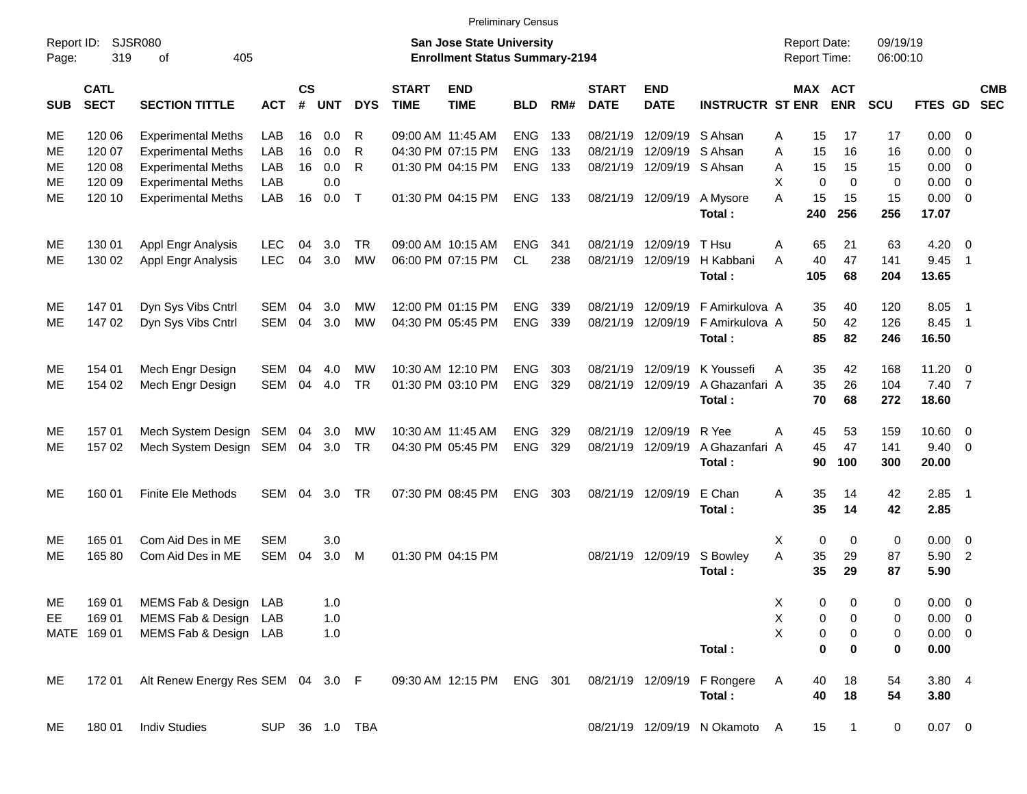|                     |                            |                                   |            |                    |            |                |                             |                                                                           | <b>Preliminary Census</b> |     |                             |                           |                                       |                                            |                       |                      |                |                          |            |
|---------------------|----------------------------|-----------------------------------|------------|--------------------|------------|----------------|-----------------------------|---------------------------------------------------------------------------|---------------------------|-----|-----------------------------|---------------------------|---------------------------------------|--------------------------------------------|-----------------------|----------------------|----------------|--------------------------|------------|
| Report ID:<br>Page: | 319                        | <b>SJSR080</b><br>405<br>0f       |            |                    |            |                |                             | <b>San Jose State University</b><br><b>Enrollment Status Summary-2194</b> |                           |     |                             |                           |                                       | <b>Report Date:</b><br><b>Report Time:</b> |                       | 09/19/19<br>06:00:10 |                |                          |            |
| <b>SUB</b>          | <b>CATL</b><br><b>SECT</b> | <b>SECTION TITTLE</b>             | <b>ACT</b> | $\mathsf{cs}$<br># | <b>UNT</b> | <b>DYS</b>     | <b>START</b><br><b>TIME</b> | <b>END</b><br><b>TIME</b>                                                 | <b>BLD</b>                | RM# | <b>START</b><br><b>DATE</b> | <b>END</b><br><b>DATE</b> | <b>INSTRUCTR ST ENR</b>               |                                            | MAX ACT<br><b>ENR</b> | <b>SCU</b>           | FTES GD SEC    |                          | <b>CMB</b> |
| ME                  | 120 06                     | <b>Experimental Meths</b>         | LAB        | 16                 | 0.0        | R              |                             | 09:00 AM 11:45 AM                                                         | <b>ENG</b>                | 133 | 08/21/19                    | 12/09/19 S Ahsan          |                                       | 15<br>Α                                    | 17                    | 17                   | $0.00 \t 0$    |                          |            |
| МE                  | 120 07                     | <b>Experimental Meths</b>         | LAB        | 16                 | 0.0        | R              |                             | 04:30 PM 07:15 PM                                                         | <b>ENG</b>                | 133 | 08/21/19                    | 12/09/19 S Ahsan          |                                       | 15<br>A                                    | 16                    | 16                   | 0.00           | - 0                      |            |
| ME                  | 120 08                     | <b>Experimental Meths</b>         | LAB        | 16                 | 0.0        | R              |                             | 01:30 PM 04:15 PM                                                         | <b>ENG</b>                | 133 |                             | 08/21/19 12/09/19 S Ahsan |                                       | A<br>15                                    | 15                    | 15                   | 0.00           | $\overline{\phantom{0}}$ |            |
| МE                  | 120 09                     | <b>Experimental Meths</b>         | LAB        |                    | 0.0        |                |                             |                                                                           |                           |     |                             |                           |                                       | X<br>$\Omega$                              | $\Omega$              | $\mathbf 0$          | 0.00           | $\overline{\phantom{0}}$ |            |
| ME                  | 120 10                     | <b>Experimental Meths</b>         | LAB        | 16                 | 0.0        | $\top$         |                             | 01:30 PM 04:15 PM                                                         | <b>ENG</b>                | 133 |                             | 08/21/19 12/09/19         | A Mysore                              | 15<br>A<br>240                             | 15<br>256             | 15<br>256            | $0.00 \t 0$    |                          |            |
|                     |                            |                                   |            |                    |            |                |                             |                                                                           |                           |     |                             |                           | Total:                                |                                            |                       |                      | 17.07          |                          |            |
| ME                  | 130 01                     | Appl Engr Analysis                | LEC        | 04                 | 3.0        | TR.            |                             | 09:00 AM 10:15 AM                                                         | <b>ENG</b>                | 341 | 08/21/19                    | 12/09/19                  | T Hsu                                 | 65<br>A                                    | 21                    | 63                   | 4.20           | $\overline{\phantom{0}}$ |            |
| ME                  | 130 02                     | Appl Engr Analysis                | <b>LEC</b> | 04                 | 3.0        | <b>MW</b>      |                             | 06:00 PM 07:15 PM                                                         | CL                        | 238 |                             | 08/21/19 12/09/19         | H Kabbani                             | 40<br>A                                    | 47                    | 141                  | 9.45           | $\overline{1}$           |            |
|                     |                            |                                   |            |                    |            |                |                             |                                                                           |                           |     |                             |                           | Total:                                | 105                                        | 68                    | 204                  | 13.65          |                          |            |
| ME                  | 147 01                     | Dyn Sys Vibs Cntrl                | SEM        | 04                 | 3.0        | МW             |                             | 12:00 PM 01:15 PM                                                         | <b>ENG</b>                | 339 | 08/21/19                    | 12/09/19                  | F Amirkulova A                        | 35                                         | 40                    | 120                  | 8.05           | - 1                      |            |
| ME                  | 147 02                     | Dyn Sys Vibs Cntrl                | <b>SEM</b> | 04                 | 3.0        | <b>MW</b>      |                             | 04:30 PM 05:45 PM                                                         | <b>ENG</b>                | 339 |                             | 08/21/19 12/09/19         | F Amirkulova A                        | 50                                         | 42                    | 126                  | 8.45           | $\overline{\phantom{1}}$ |            |
|                     |                            |                                   |            |                    |            |                |                             |                                                                           |                           |     |                             |                           | Total:                                | 85                                         | 82                    | 246                  | 16.50          |                          |            |
| ME                  | 154 01                     | Mech Engr Design                  | SEM        | 04                 | 4.0        | МW             |                             | 10:30 AM 12:10 PM                                                         | <b>ENG</b>                | 303 | 08/21/19                    | 12/09/19                  | K Youssefi                            | 35<br>Α                                    | 42                    | 168                  | $11.20 \t 0$   |                          |            |
| ME                  | 154 02                     | Mech Engr Design                  | <b>SEM</b> | 04                 | 4.0        | <b>TR</b>      |                             | 01:30 PM 03:10 PM                                                         | <b>ENG</b>                | 329 |                             | 08/21/19 12/09/19         | A Ghazanfari A                        | 35                                         | 26                    | 104                  | 7.40 7         |                          |            |
|                     |                            |                                   |            |                    |            |                |                             |                                                                           |                           |     |                             |                           | Total:                                | 70                                         | 68                    | 272                  | 18.60          |                          |            |
| ME                  | 157 01                     | Mech System Design SEM            |            |                    | 04 3.0     | МW             |                             | 10:30 AM 11:45 AM                                                         | <b>ENG</b>                | 329 | 08/21/19                    | 12/09/19                  | R Yee                                 | 45<br>Α                                    | 53                    | 159                  | $10.60 \t 0$   |                          |            |
| ME                  | 157 02                     | Mech System Design SEM            |            |                    | 04 3.0     | <b>TR</b>      |                             | 04:30 PM 05:45 PM                                                         | <b>ENG</b>                | 329 |                             | 08/21/19 12/09/19         | A Ghazanfari A                        | 45                                         | 47                    | 141                  | $9.40 \quad 0$ |                          |            |
|                     |                            |                                   |            |                    |            |                |                             |                                                                           |                           |     |                             |                           | Total:                                | 90                                         | 100                   | 300                  | 20.00          |                          |            |
| ME                  | 160 01                     | <b>Finite Ele Methods</b>         | <b>SEM</b> | 04                 | 3.0        | TR             |                             | 07:30 PM 08:45 PM                                                         | <b>ENG</b>                | 303 |                             | 08/21/19 12/09/19         | E Chan                                | Α<br>35                                    | 14                    | 42                   | $2.85$ 1       |                          |            |
|                     |                            |                                   |            |                    |            |                |                             |                                                                           |                           |     |                             |                           | Total:                                | 35                                         | 14                    | 42                   | 2.85           |                          |            |
| ME                  | 165 01                     | Com Aid Des in ME                 | <b>SEM</b> |                    | 3.0        |                |                             |                                                                           |                           |     |                             |                           |                                       | 0<br>X                                     | 0                     | 0                    | $0.00 \t 0$    |                          |            |
| ME                  | 165 80                     | Com Aid Des in ME                 | <b>SEM</b> | 04                 | 3.0        | M              |                             | 01:30 PM 04:15 PM                                                         |                           |     |                             | 08/21/19 12/09/19         | S Bowley                              | A<br>35                                    | 29                    | 87                   | 5.90 2         |                          |            |
|                     |                            |                                   |            |                    |            |                |                             |                                                                           |                           |     |                             |                           | Total:                                | 35                                         | 29                    | 87                   | 5.90           |                          |            |
|                     | 169 01                     | MEMS Fab & Design LAB             |            |                    | 1.0        |                |                             |                                                                           |                           |     |                             |                           |                                       | 0                                          | 0                     | 0                    | 0.00 0         |                          |            |
| ME<br>EE            | 169 01                     | MEMS Fab & Design LAB             |            |                    | 1.0        |                |                             |                                                                           |                           |     |                             |                           |                                       | Χ<br>X<br>0                                | 0                     | 0                    | $0.00 \t 0$    |                          |            |
|                     | MATE 169 01                | MEMS Fab & Design LAB             |            |                    | 1.0        |                |                             |                                                                           |                           |     |                             |                           |                                       | X<br>0                                     | 0                     | 0                    | $0.00 \t 0$    |                          |            |
|                     |                            |                                   |            |                    |            |                |                             |                                                                           |                           |     |                             |                           | Total:                                | 0                                          | 0                     | 0                    | 0.00           |                          |            |
|                     |                            |                                   |            |                    |            |                |                             |                                                                           |                           |     |                             |                           |                                       |                                            |                       |                      |                |                          |            |
| ME                  | 172 01                     | Alt Renew Energy Res SEM 04 3.0 F |            |                    |            |                |                             | 09:30 AM 12:15 PM ENG 301                                                 |                           |     |                             |                           | 08/21/19 12/09/19 F Rongere<br>Total: | A<br>40<br>40                              | 18<br>18              | 54<br>54             | 3.804<br>3.80  |                          |            |
|                     |                            |                                   |            |                    |            |                |                             |                                                                           |                           |     |                             |                           |                                       |                                            |                       |                      |                |                          |            |
| ME                  | 18001                      | <b>Indiv Studies</b>              |            |                    |            | SUP 36 1.0 TBA |                             |                                                                           |                           |     |                             |                           | 08/21/19 12/09/19 N Okamoto A         | 15                                         | $\overline{1}$        | $\mathbf 0$          | $0.07$ 0       |                          |            |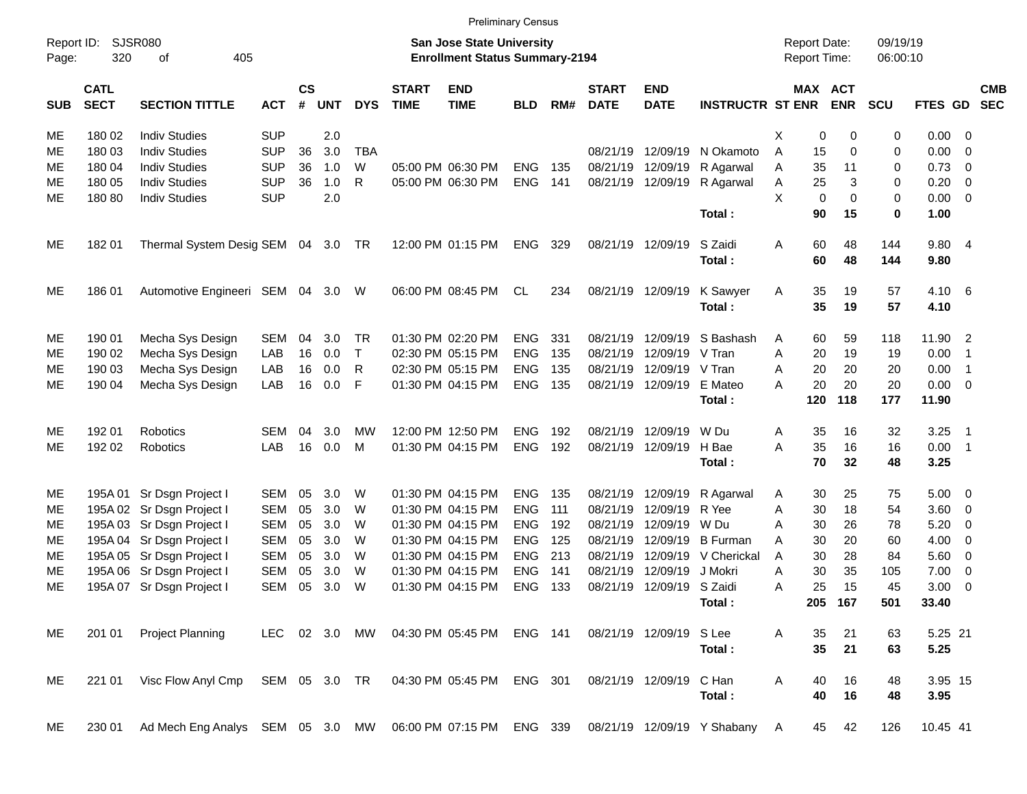| Report ID:<br>Page: | SJSR080<br>320             |                                  |               |                         |            |              | <b>San Jose State University</b><br><b>Enrollment Status Summary-2194</b> |                           |            |     |                             |                           |                             | <b>Report Date:</b><br><b>Report Time:</b> |          | 09/19/19<br>06:00:10  |            |                |                          |                          |
|---------------------|----------------------------|----------------------------------|---------------|-------------------------|------------|--------------|---------------------------------------------------------------------------|---------------------------|------------|-----|-----------------------------|---------------------------|-----------------------------|--------------------------------------------|----------|-----------------------|------------|----------------|--------------------------|--------------------------|
| <b>SUB</b>          | <b>CATL</b><br><b>SECT</b> | <b>SECTION TITTLE</b>            | <b>ACT</b>    | <b>CS</b><br>$\pmb{\#}$ | <b>UNT</b> | <b>DYS</b>   | <b>START</b><br><b>TIME</b>                                               | <b>END</b><br><b>TIME</b> | <b>BLD</b> | RM# | <b>START</b><br><b>DATE</b> | <b>END</b><br><b>DATE</b> | <b>INSTRUCTR ST ENR</b>     |                                            |          | MAX ACT<br><b>ENR</b> | <b>SCU</b> | FTES GD        |                          | <b>CMB</b><br><b>SEC</b> |
| ME                  | 180 02                     | <b>Indiv Studies</b>             | <b>SUP</b>    |                         | 2.0        |              |                                                                           |                           |            |     |                             |                           |                             | Χ                                          | 0        | 0                     | 0          | 0.00           | - 0                      |                          |
| ME                  | 180 03                     | <b>Indiv Studies</b>             | <b>SUP</b>    | 36                      | 3.0        | <b>TBA</b>   |                                                                           |                           |            |     | 08/21/19                    | 12/09/19                  | N Okamoto                   | A                                          | 15       | 0                     | 0          | 0.00           | $\overline{0}$           |                          |
| ME                  | 180 04                     | <b>Indiv Studies</b>             | <b>SUP</b>    | 36                      | 1.0        | W            |                                                                           | 05:00 PM 06:30 PM         | <b>ENG</b> | 135 | 08/21/19                    | 12/09/19                  | R Agarwal                   | Α                                          | 35       | 11                    | 0          | 0.73           | 0                        |                          |
| ME                  | 180 05                     | <b>Indiv Studies</b>             | <b>SUP</b>    | 36                      | 1.0        | $\mathsf{R}$ |                                                                           | 05:00 PM 06:30 PM         | <b>ENG</b> | 141 | 08/21/19                    | 12/09/19                  | R Agarwal                   | Α                                          | 25       | 3                     | 0          | 0.20           | $\overline{0}$           |                          |
| ME                  | 180 80                     | <b>Indiv Studies</b>             | <b>SUP</b>    |                         | 2.0        |              |                                                                           |                           |            |     |                             |                           |                             | X                                          | 0        | 0                     | 0          | 0.00           | $\overline{0}$           |                          |
|                     |                            |                                  |               |                         |            |              |                                                                           |                           |            |     |                             |                           | Total:                      |                                            | 90       | 15                    | 0          | 1.00           |                          |                          |
| ME                  | 182 01                     | Thermal System Desig SEM 04 3.0  |               |                         |            | TR.          |                                                                           | 12:00 PM 01:15 PM         | <b>ENG</b> | 329 | 08/21/19                    | 12/09/19                  | S Zaidi<br>Total:           | Α                                          | 60<br>60 | 48<br>48              | 144<br>144 | 9.80 4<br>9.80 |                          |                          |
|                     |                            |                                  |               |                         |            |              |                                                                           |                           |            |     |                             |                           |                             |                                            |          |                       |            |                |                          |                          |
| ME                  | 186 01                     | Automotive Engineeri SEM 04      |               |                         | 3.0        | W            |                                                                           | 06:00 PM 08:45 PM         | CL         | 234 | 08/21/19                    | 12/09/19                  | K Sawyer                    | Α                                          | 35       | 19                    | 57         | 4.10           | - 6                      |                          |
|                     |                            |                                  |               |                         |            |              |                                                                           |                           |            |     |                             |                           | Total:                      |                                            | 35       | 19                    | 57         | 4.10           |                          |                          |
| ME                  | 190 01                     | Mecha Sys Design                 | SEM           | 04                      | 3.0        | TR           |                                                                           | 01:30 PM 02:20 PM         | <b>ENG</b> | 331 | 08/21/19                    | 12/09/19                  | S Bashash                   | A                                          | 60       | 59                    | 118        | 11.90          | $\overline{2}$           |                          |
| ME                  | 190 02                     | Mecha Sys Design                 | LAB           | 16                      | 0.0        | $\mathsf{T}$ |                                                                           | 02:30 PM 05:15 PM         | <b>ENG</b> | 135 | 08/21/19                    | 12/09/19                  | V Tran                      | A                                          | 20       | 19                    | 19         | 0.00           | $\overline{1}$           |                          |
| ME                  | 190 03                     | Mecha Sys Design                 | LAB           | 16                      | 0.0        | R            |                                                                           | 02:30 PM 05:15 PM         | <b>ENG</b> | 135 | 08/21/19                    | 12/09/19                  | V Tran                      | Α                                          | 20       | 20                    | 20         | 0.00           | $\overline{1}$           |                          |
| ME                  | 190 04                     | Mecha Sys Design                 | LAB           | 16                      | 0.0        | F            |                                                                           | 01:30 PM 04:15 PM         | <b>ENG</b> | 135 | 08/21/19                    | 12/09/19                  | E Mateo                     | Α                                          | 20       | 20                    | 20         | 0.00           | $\overline{\mathbf{0}}$  |                          |
|                     |                            |                                  |               |                         |            |              |                                                                           |                           |            |     |                             |                           | Total:                      |                                            | 120      | 118                   | 177        | 11.90          |                          |                          |
| ME                  | 192 01                     | Robotics                         | SEM           | 04                      | 3.0        | МW           |                                                                           | 12:00 PM 12:50 PM         | <b>ENG</b> | 192 | 08/21/19                    | 12/09/19                  | W Du                        | Α                                          | 35       | 16                    | 32         | 3.25           | $\overline{\phantom{1}}$ |                          |
| ME                  | 192 02                     | Robotics                         | LAB           | 16                      | 0.0        | M            |                                                                           | 01:30 PM 04:15 PM         | <b>ENG</b> | 192 | 08/21/19                    | 12/09/19                  | H Bae                       | A                                          | 35       | 16                    | 16         | 0.00           | $\overline{1}$           |                          |
|                     |                            |                                  |               |                         |            |              |                                                                           |                           |            |     |                             |                           | Total:                      |                                            | 70       | 32                    | 48         | 3.25           |                          |                          |
| ME                  |                            | 195A 01 Sr Dsgn Project I        | SEM           | 05                      | 3.0        | W            |                                                                           | 01:30 PM 04:15 PM         | <b>ENG</b> | 135 | 08/21/19                    | 12/09/19                  | R Agarwal                   | A                                          | 30       | 25                    | 75         | 5.00           | $\overline{\mathbf{0}}$  |                          |
| ME                  |                            | 195A 02 Sr Dsgn Project I        | <b>SEM</b>    | 05                      | 3.0        | W            |                                                                           | 01:30 PM 04:15 PM         | <b>ENG</b> | 111 | 08/21/19                    | 12/09/19                  | R Yee                       | Α                                          | 30       | 18                    | 54         | 3.60           | 0                        |                          |
| ME                  |                            | 195A 03 Sr Dsgn Project I        | <b>SEM</b>    | 05                      | 3.0        | W            |                                                                           | 01:30 PM 04:15 PM         | <b>ENG</b> | 192 | 08/21/19                    | 12/09/19                  | W Du                        | A                                          | 30       | 26                    | 78         | 5.20           | 0                        |                          |
| ME                  |                            | 195A 04 Sr Dsgn Project I        | <b>SEM</b>    | 05                      | 3.0        | W            |                                                                           | 01:30 PM 04:15 PM         | <b>ENG</b> | 125 | 08/21/19                    | 12/09/19                  | <b>B</b> Furman             | Α                                          | 30       | 20                    | 60         | 4.00           | 0                        |                          |
| ME                  |                            | 195A 05 Sr Dsgn Project I        | SEM           | 05                      | 3.0        | W            |                                                                           | 01:30 PM 04:15 PM         | <b>ENG</b> | 213 | 08/21/19                    | 12/09/19                  | V Cherickal                 | Α                                          | 30       | 28                    | 84         | 5.60           | $\overline{0}$           |                          |
| ME                  |                            | 195A 06 Sr Dsgn Project I        | <b>SEM</b>    | 05                      | 3.0        | W            |                                                                           | 01:30 PM 04:15 PM         | <b>ENG</b> | 141 | 08/21/19                    | 12/09/19                  | J Mokri                     | Α                                          | 30       | 35                    | 105        | 7.00           | $\overline{0}$           |                          |
| ME                  |                            | 195A 07 Sr Dsgn Project I        | <b>SEM</b>    | 05                      | 3.0        | W            |                                                                           | 01:30 PM 04:15 PM         | <b>ENG</b> | 133 | 08/21/19                    | 12/09/19                  | S Zaidi                     | A                                          | 25       | 15                    | 45         | 3.00           | 0                        |                          |
|                     |                            |                                  |               |                         |            |              |                                                                           |                           |            |     |                             |                           | Total:                      |                                            | 205      | 167                   | 501        | 33.40          |                          |                          |
| ME                  | 201 01                     | Project Planning                 | LEC 02 3.0 MW |                         |            |              |                                                                           | 04:30 PM 05:45 PM         | ENG 141    |     |                             | 08/21/19 12/09/19         | S Lee                       | A                                          | 35       | 21                    | 63         | 5.25 21        |                          |                          |
|                     |                            |                                  |               |                         |            |              |                                                                           |                           |            |     |                             |                           | Total:                      |                                            | 35       | 21                    | 63         | 5.25           |                          |                          |
| ME                  | 221 01                     | Visc Flow Anyl Cmp               | SEM 05 3.0 TR |                         |            |              |                                                                           | 04:30 PM 05:45 PM         | ENG 301    |     |                             | 08/21/19 12/09/19         | C Han                       | Α                                          | 40       | 16                    | 48         | 3.95 15        |                          |                          |
|                     |                            |                                  |               |                         |            |              |                                                                           |                           |            |     |                             |                           | Total:                      |                                            | 40       | 16                    | 48         | 3.95           |                          |                          |
| ME                  | 230 01                     | Ad Mech Eng Analys SEM 05 3.0 MW |               |                         |            |              |                                                                           | 06:00 PM 07:15 PM         | ENG 339    |     |                             |                           | 08/21/19 12/09/19 Y Shabany | <b>A</b>                                   | 45       | 42                    | 126        | 10.45 41       |                          |                          |

Preliminary Census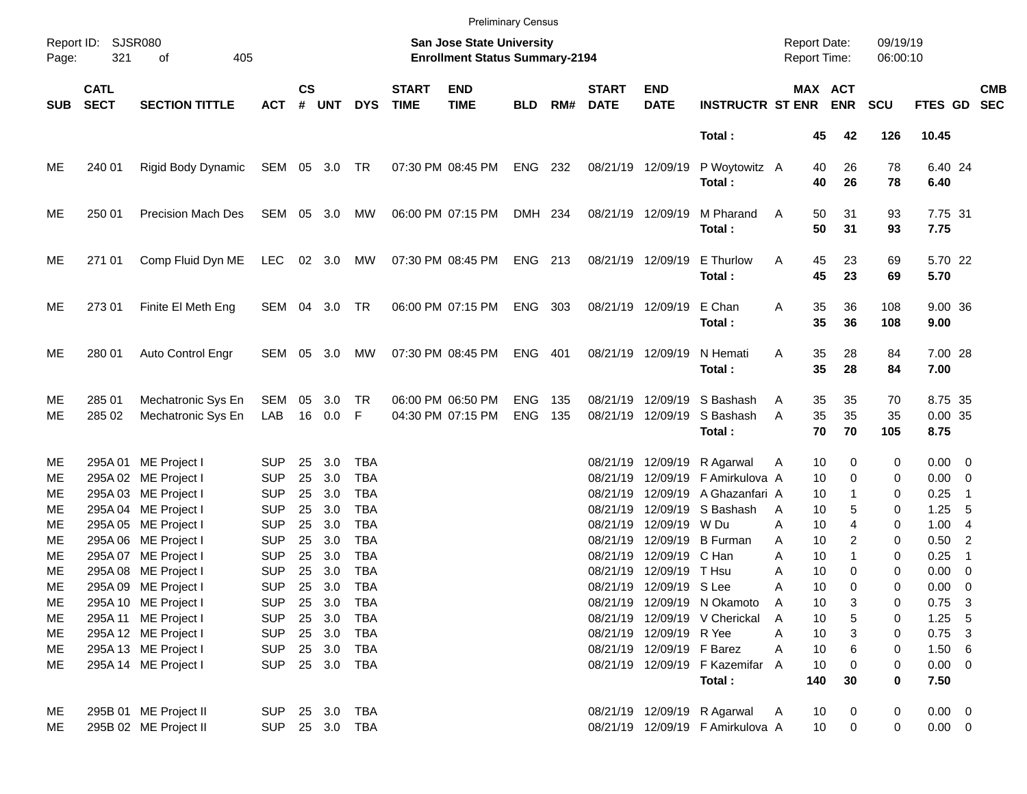|                                        |                                        |                                                                                                                                                                      |                                                                                                |                                        |                                                       |                                                                    |                             |                                                                    | <b>Preliminary Census</b> |            |                                                                                  |                                                                                             |                                                                                                                     |                                                                                  |                                                                   |                                      |                                                                                                |                                       |                          |
|----------------------------------------|----------------------------------------|----------------------------------------------------------------------------------------------------------------------------------------------------------------------|------------------------------------------------------------------------------------------------|----------------------------------------|-------------------------------------------------------|--------------------------------------------------------------------|-----------------------------|--------------------------------------------------------------------|---------------------------|------------|----------------------------------------------------------------------------------|---------------------------------------------------------------------------------------------|---------------------------------------------------------------------------------------------------------------------|----------------------------------------------------------------------------------|-------------------------------------------------------------------|--------------------------------------|------------------------------------------------------------------------------------------------|---------------------------------------|--------------------------|
| Page:                                  | Report ID: SJSR080<br>321<br>of<br>405 |                                                                                                                                                                      |                                                                                                |                                        |                                                       |                                                                    |                             | San Jose State University<br><b>Enrollment Status Summary-2194</b> |                           |            |                                                                                  |                                                                                             |                                                                                                                     | <b>Report Date:</b><br><b>Report Time:</b>                                       |                                                                   | 09/19/19<br>06:00:10                 |                                                                                                |                                       |                          |
| <b>SUB</b>                             | <b>CATL</b><br><b>SECT</b>             | <b>SECTION TITTLE</b>                                                                                                                                                | <b>ACT</b>                                                                                     | $\mathsf{cs}$<br>#                     | <b>UNT</b>                                            | <b>DYS</b>                                                         | <b>START</b><br><b>TIME</b> | <b>END</b><br><b>TIME</b>                                          | <b>BLD</b>                | RM#        | <b>START</b><br><b>DATE</b>                                                      | <b>END</b><br><b>DATE</b>                                                                   | <b>INSTRUCTR ST ENR</b>                                                                                             |                                                                                  | MAX ACT<br><b>ENR</b>                                             | <b>SCU</b>                           | <b>FTES GD</b>                                                                                 |                                       | <b>CMB</b><br><b>SEC</b> |
|                                        |                                        |                                                                                                                                                                      |                                                                                                |                                        |                                                       |                                                                    |                             |                                                                    |                           |            |                                                                                  |                                                                                             | Total:                                                                                                              | 45                                                                               | 42                                                                | 126                                  | 10.45                                                                                          |                                       |                          |
| ME                                     | 240 01                                 | Rigid Body Dynamic                                                                                                                                                   | SEM 05 3.0 TR                                                                                  |                                        |                                                       |                                                                    |                             | 07:30 PM 08:45 PM                                                  | ENG 232                   |            |                                                                                  | 08/21/19 12/09/19                                                                           | P Woytowitz A<br>Total:                                                                                             | 40<br>40                                                                         | 26<br>26                                                          | 78<br>78                             | 6.40 24<br>6.40                                                                                |                                       |                          |
| ME                                     | 250 01                                 | <b>Precision Mach Des</b>                                                                                                                                            | SEM                                                                                            |                                        | 05 3.0                                                | МW                                                                 |                             | 06:00 PM 07:15 PM                                                  | DMH 234                   |            |                                                                                  | 08/21/19 12/09/19                                                                           | M Pharand<br>Total:                                                                                                 | 50<br>A<br>50                                                                    | 31<br>31                                                          | 93<br>93                             | 7.75 31<br>7.75                                                                                |                                       |                          |
| ME                                     | 271 01                                 | Comp Fluid Dyn ME                                                                                                                                                    | <b>LEC</b>                                                                                     |                                        | 02 3.0                                                | МW                                                                 |                             | 07:30 PM 08:45 PM                                                  | ENG 213                   |            |                                                                                  | 08/21/19 12/09/19                                                                           | E Thurlow<br>Total:                                                                                                 | 45<br>Α<br>45                                                                    | 23<br>23                                                          | 69<br>69                             | 5.70 22<br>5.70                                                                                |                                       |                          |
| ME                                     | 273 01                                 | Finite El Meth Eng                                                                                                                                                   | SEM 04 3.0                                                                                     |                                        |                                                       | TR                                                                 |                             | 06:00 PM 07:15 PM                                                  | ENG 303                   |            |                                                                                  | 08/21/19 12/09/19                                                                           | E Chan<br>Total:                                                                                                    | 35<br>Α<br>35                                                                    | 36<br>36                                                          | 108<br>108                           | 9.00 36<br>9.00                                                                                |                                       |                          |
| ME                                     | 280 01                                 | Auto Control Engr                                                                                                                                                    | SEM                                                                                            |                                        | 05 3.0                                                | МW                                                                 |                             | 07:30 PM 08:45 PM                                                  | ENG 401                   |            |                                                                                  | 08/21/19 12/09/19                                                                           | N Hemati<br>Total:                                                                                                  | 35<br>A<br>35                                                                    | 28<br>28                                                          | 84<br>84                             | 7.00 28<br>7.00                                                                                |                                       |                          |
| ME<br>ME                               | 285 01<br>285 02                       | Mechatronic Sys En<br>Mechatronic Sys En                                                                                                                             | SEM<br>LAB                                                                                     | 05                                     | 3.0<br>16 0.0                                         | <b>TR</b><br>- F                                                   |                             | 06:00 PM 06:50 PM<br>04:30 PM 07:15 PM                             | <b>ENG</b><br><b>ENG</b>  | 135<br>135 | 08/21/19                                                                         | 12/09/19<br>08/21/19 12/09/19                                                               | S Bashash<br>S Bashash<br>Total:                                                                                    | 35<br>Α<br>35<br>A<br>70                                                         | 35<br>35<br>70                                                    | 70<br>35<br>105                      | 8.75 35<br>0.00 35<br>8.75                                                                     |                                       |                          |
| ME<br>ME<br>МE<br>МE<br>ME<br>MЕ<br>ME |                                        | 295A 01 ME Project I<br>295A 02 ME Project I<br>295A 03 ME Project I<br>295A 04 ME Project I<br>295A 05 ME Project I<br>295A 06 ME Project I<br>295A 07 ME Project I | <b>SUP</b><br><b>SUP</b><br><b>SUP</b><br><b>SUP</b><br><b>SUP</b><br><b>SUP</b><br><b>SUP</b> | 25<br>25<br>25<br>25<br>25<br>25<br>25 | 3.0<br>3.0<br>3.0<br>3.0<br>3.0<br>3.0<br>3.0         | TBA<br><b>TBA</b><br>TBA<br>TBA<br><b>TBA</b><br><b>TBA</b><br>TBA |                             |                                                                    |                           |            | 08/21/19<br>08/21/19<br>08/21/19<br>08/21/19<br>08/21/19<br>08/21/19<br>08/21/19 | 12/09/19 W Du<br>12/09/19 C Han                                                             | 12/09/19 R Agarwal<br>12/09/19 F Amirkulova A<br>12/09/19 A Ghazanfari A<br>12/09/19 S Bashash<br>12/09/19 B Furman | 10<br>Α<br>10<br>10<br>10<br>A<br>A<br>A<br>A<br>10                              | 0<br>$\Omega$<br>1<br>5<br>4<br>10<br>10<br>2<br>$\mathbf{1}$     | 0<br>0<br>0<br>0<br>0<br>0<br>0      | $0.00 \t 0$<br>$0.00 \t 0$<br>0.25<br>1.25<br>1.004<br>$0.50$ 2<br>0.25                        | $\overline{\phantom{1}}$<br>- 5<br>-1 |                          |
| ME<br>ME<br>ME<br>ME<br>ME<br>ME<br>ME |                                        | 295A 08 ME Project I<br>295A 09 ME Project I<br>295A 10 ME Project I<br>295A 11 ME Project I<br>295A 12 ME Project I<br>295A 13 ME Project I<br>295A 14 ME Project I | <b>SUP</b><br><b>SUP</b><br><b>SUP</b><br><b>SUP</b><br><b>SUP</b><br><b>SUP</b><br><b>SUP</b> | 25                                     | 3.0<br>25 3.0<br>25 3.0<br>25 3.0<br>25 3.0<br>25 3.0 | <b>TBA</b><br>TBA<br>TBA<br>TBA<br>TBA<br>TBA<br>25 3.0 TBA        |                             |                                                                    |                           |            | 08/21/19                                                                         | 12/09/19<br>08/21/19 12/09/19 S Lee<br>08/21/19 12/09/19 R Yee<br>08/21/19 12/09/19 F Barez | T Hsu<br>08/21/19 12/09/19 N Okamoto<br>08/21/19 12/09/19 V Cherickal<br>08/21/19 12/09/19 F Kazemifar<br>Total:    | A<br>10<br>10<br>A<br>10<br>A<br>10<br>Α<br>10<br>Α<br>10<br>A<br>10<br>A<br>140 | $\Omega$<br>$\Omega$<br>3<br>5<br>3<br>$\,6$<br>$\mathbf 0$<br>30 | 0<br>0<br>0<br>0<br>0<br>0<br>0<br>0 | $0.00 \t 0$<br>$0.00 \t 0$<br>$0.75$ 3<br>$1.25$ 5<br>$0.75$ 3<br>1.506<br>$0.00 \t 0$<br>7.50 |                                       |                          |
| ME<br>ME                               |                                        | 295B 01 ME Project II<br>295B 02 ME Project II                                                                                                                       | SUP 25 3.0 TBA<br><b>SUP</b>                                                                   |                                        |                                                       | 25 3.0 TBA                                                         |                             |                                                                    |                           |            |                                                                                  |                                                                                             | 08/21/19 12/09/19 R Agarwal<br>08/21/19 12/09/19 F Amirkulova A                                                     | 10<br>A                                                                          | 0<br>10<br>0                                                      | 0<br>0                               | $0.00 \t 0$<br>$0.00 \t 0$                                                                     |                                       |                          |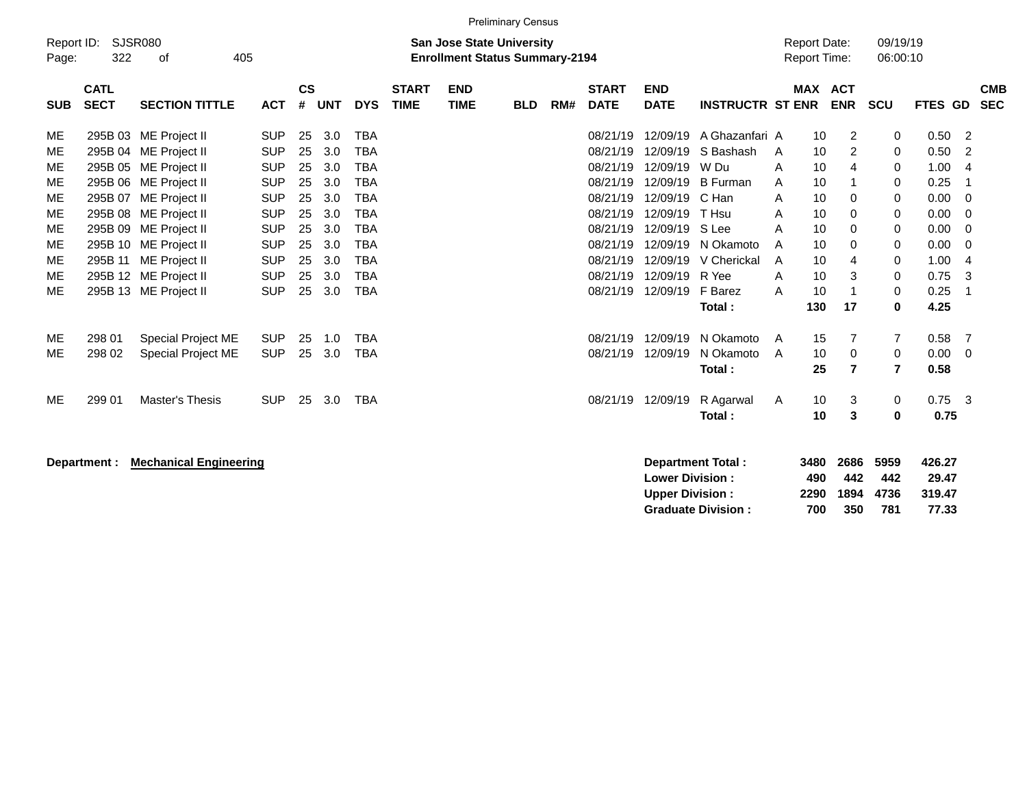|                                                                                              | <b>Preliminary Census</b> |                           |                        |            |               |     |                                       |              |             |            |     |              |                  |                         |                     |                |                |                |                          |
|----------------------------------------------------------------------------------------------|---------------------------|---------------------------|------------------------|------------|---------------|-----|---------------------------------------|--------------|-------------|------------|-----|--------------|------------------|-------------------------|---------------------|----------------|----------------|----------------|--------------------------|
| Report ID:<br>SJSR080<br>09/19/19<br><b>San Jose State University</b><br><b>Report Date:</b> |                           |                           |                        |            |               |     |                                       |              |             |            |     |              |                  |                         |                     |                |                |                |                          |
|                                                                                              |                           | 322<br>405<br>Page:<br>οf |                        |            |               |     | <b>Enrollment Status Summary-2194</b> |              |             |            |     |              |                  |                         | <b>Report Time:</b> |                | 06:00:10       |                |                          |
|                                                                                              |                           |                           |                        |            |               |     |                                       |              |             |            |     |              |                  |                         |                     |                |                |                |                          |
|                                                                                              | <b>CATL</b>               |                           |                        |            | $\mathsf{cs}$ |     |                                       | <b>START</b> | <b>END</b>  |            |     | <b>START</b> | <b>END</b>       |                         | <b>MAX</b>          | <b>ACT</b>     |                |                | <b>CMB</b>               |
|                                                                                              | <b>SUB</b>                | <b>SECT</b>               | <b>SECTION TITTLE</b>  | <b>ACT</b> | #             | UNT | <b>DYS</b>                            | <b>TIME</b>  | <b>TIME</b> | <b>BLD</b> | RM# | <b>DATE</b>  | <b>DATE</b>      | <b>INSTRUCTR ST ENR</b> |                     | <b>ENR</b>     | <b>SCU</b>     | FTES GD        | <b>SEC</b>               |
|                                                                                              |                           |                           |                        |            |               |     |                                       |              |             |            |     |              |                  |                         |                     |                |                |                |                          |
|                                                                                              | ME                        |                           | 295B 03 ME Project II  | <b>SUP</b> | 25            | 3.0 | <b>TBA</b>                            |              |             |            |     | 08/21/19     |                  | 12/09/19 A Ghazanfari A |                     | 2<br>10        | 0              | $0.50$ 2       |                          |
|                                                                                              | ME                        |                           | 295B 04 ME Project II  | <b>SUP</b> | 25            | 3.0 | <b>TBA</b>                            |              |             |            |     | 08/21/19     |                  | 12/09/19 S Bashash      | A                   | 2<br>10        | 0              | 0.50           | $\overline{2}$           |
|                                                                                              | ME                        |                           | 295B 05 ME Project II  | <b>SUP</b> | 25            | 3.0 | <b>TBA</b>                            |              |             |            |     | 08/21/19     | 12/09/19 W Du    |                         | A                   | 10<br>4        | $\mathbf 0$    | 1.004          |                          |
|                                                                                              | ME                        |                           | 295B 06 ME Project II  | <b>SUP</b> | 25            | 3.0 | <b>TBA</b>                            |              |             |            |     | 08/21/19     |                  | 12/09/19 B Furman       | A                   | 10             | 0              | 0.25           | $\overline{\phantom{0}}$ |
|                                                                                              | ME                        |                           | 295B 07 ME Project II  | <b>SUP</b> | 25            | 3.0 | <b>TBA</b>                            |              |             |            |     | 08/21/19     | 12/09/19 C Han   |                         | A                   | 10<br>$\Omega$ | 0              | $0.00 \t 0$    |                          |
|                                                                                              | ME                        |                           | 295B 08 ME Project II  | <b>SUP</b> | 25            | 3.0 | <b>TBA</b>                            |              |             |            |     | 08/21/19     | 12/09/19         | T Hsu                   | A                   | 10<br>0        | 0              | $0.00 \t 0$    |                          |
|                                                                                              | ME                        |                           | 295B 09 ME Project II  | <b>SUP</b> | 25            | 3.0 | <b>TBA</b>                            |              |             |            |     | 08/21/19     | 12/09/19 S Lee   |                         | A                   | 10<br>$\Omega$ | $\mathbf 0$    | $0.00 \t 0$    |                          |
|                                                                                              | ME                        |                           | 295B 10 ME Project II  | <b>SUP</b> | 25            | 3.0 | <b>TBA</b>                            |              |             |            |     | 08/21/19     |                  | 12/09/19 N Okamoto      | A                   | 10<br>$\Omega$ | 0              | $0.00 \quad 0$ |                          |
|                                                                                              | ME                        |                           | 295B 11 ME Project II  | <b>SUP</b> | 25            | 3.0 | <b>TBA</b>                            |              |             |            |     | 08/21/19     |                  | 12/09/19 V Cherickal    | A                   | 10<br>4        | 0              | 1.004          |                          |
|                                                                                              | ME                        |                           | 295B 12 ME Project II  | <b>SUP</b> | 25            | 3.0 | <b>TBA</b>                            |              |             |            |     | 08/21/19     | 12/09/19         | R Yee                   | Α                   | 3<br>10        | $\mathbf 0$    | 0.75           | -3                       |
|                                                                                              | ME                        |                           | 295B 13 ME Project II  | <b>SUP</b> | 25            | 3.0 | <b>TBA</b>                            |              |             |            |     | 08/21/19     | 12/09/19 F Barez |                         | A                   | 10             | 0              | 0.25           | - 1                      |
|                                                                                              |                           |                           |                        |            |               |     |                                       |              |             |            |     |              |                  | Total:                  | 130                 | 17             | 0              | 4.25           |                          |
|                                                                                              |                           |                           |                        |            |               |     |                                       |              |             |            |     |              |                  |                         |                     |                |                |                |                          |
|                                                                                              | ME                        | 298 01                    | Special Project ME     | <b>SUP</b> | 25            | 1.0 | <b>TBA</b>                            |              |             |            |     | 08/21/19     |                  | 12/09/19 N Okamoto      | A                   | 15<br>7        | $\overline{7}$ | $0.58$ 7       |                          |
|                                                                                              | ME                        | 298 02                    | Special Project ME     | <b>SUP</b> | 25            | 3.0 | <b>TBA</b>                            |              |             |            |     | 08/21/19     | 12/09/19         | N Okamoto               | A                   | 10<br>0        | $\mathbf 0$    | $0.00 \quad 0$ |                          |
|                                                                                              |                           |                           |                        |            |               |     |                                       |              |             |            |     |              |                  | Total:                  |                     | 25<br>7        | $\overline{7}$ | 0.58           |                          |
|                                                                                              |                           |                           |                        |            |               |     |                                       |              |             |            |     |              |                  |                         |                     |                |                |                |                          |
|                                                                                              | ME                        | 299 01                    | <b>Master's Thesis</b> | <b>SUP</b> | 25            | 3.0 | <b>TBA</b>                            |              |             |            |     | 08/21/19     | 12/09/19         | R Agarwal               | A                   | 10<br>3        | 0              | $0.75$ 3       |                          |
|                                                                                              |                           |                           |                        |            |               |     |                                       |              |             |            |     |              |                  | Total:                  |                     | 10<br>3        | 0              | 0.75           |                          |
|                                                                                              |                           |                           |                        |            |               |     |                                       |              |             |            |     |              |                  |                         |                     |                |                |                |                          |
|                                                                                              |                           |                           |                        |            |               |     |                                       |              |             |            |     |              |                  |                         |                     |                |                |                |                          |

**Department : Mechanical Engineering** 

| Department Total:         |     | 3480 2686      | 5959 | 426.27 |
|---------------------------|-----|----------------|------|--------|
| <b>Lower Division:</b>    | 490 | 442            | 442  | 29.47  |
| <b>Upper Division:</b>    |     | 2290 1894 4736 |      | 319.47 |
| <b>Graduate Division:</b> | 700 | 350            | 781  | 77.33  |